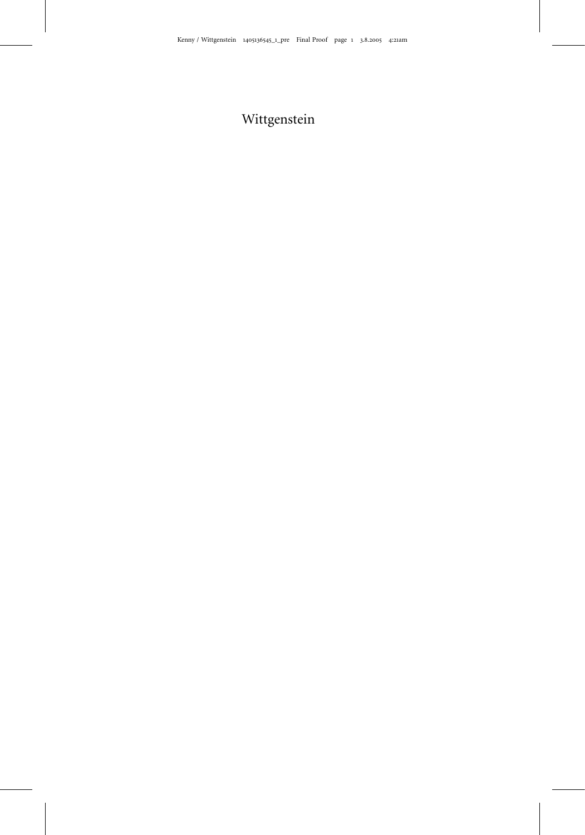Wittgenstein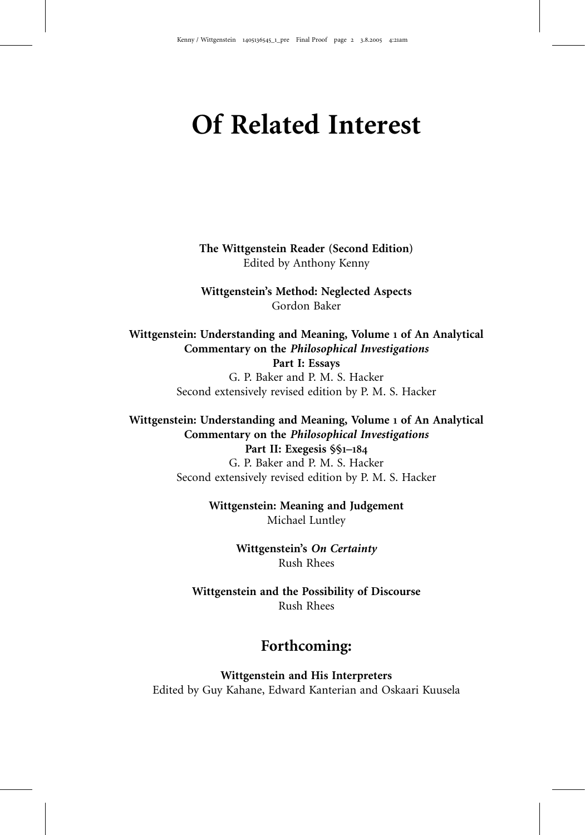#### Of Related Interest

The Wittgenstein Reader (Second Edition) Edited by Anthony Kenny

Wittgenstein's Method: Neglected Aspects Gordon Baker

Wittgenstein: Understanding and Meaning, Volume 1 of An Analytical Commentary on the Philosophical Investigations Part I: Essays

> G. P. Baker and P. M. S. Hacker Second extensively revised edition by P. M. S. Hacker

Wittgenstein: Understanding and Meaning, Volume 1 of An Analytical Commentary on the Philosophical Investigations Part II: Exegesis §§1–184

> G. P. Baker and P. M. S. Hacker Second extensively revised edition by P. M. S. Hacker

> > Wittgenstein: Meaning and Judgement Michael Luntley

> > > Wittgenstein's On Certainty Rush Rhees

Wittgenstein and the Possibility of Discourse Rush Rhees

#### Forthcoming:

Wittgenstein and His Interpreters Edited by Guy Kahane, Edward Kanterian and Oskaari Kuusela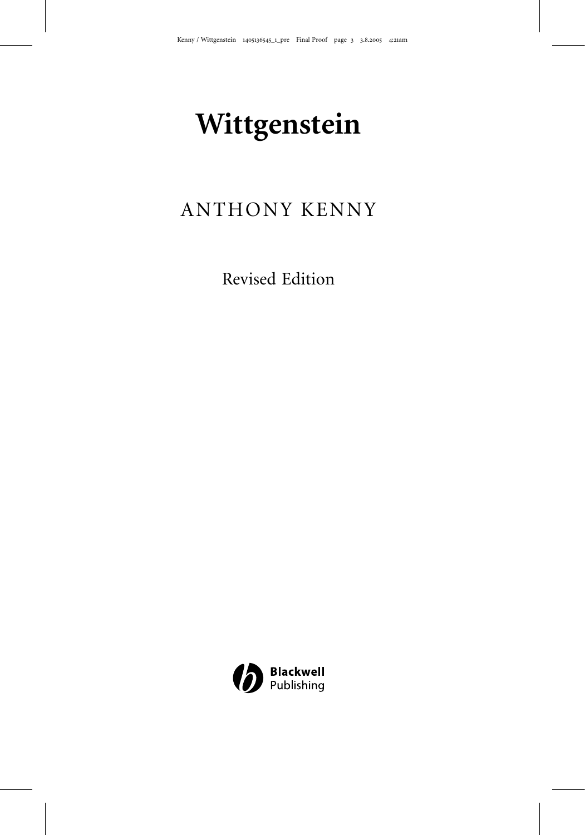# Wittgenstein

#### ANTHONY KENNY

Revised Edition

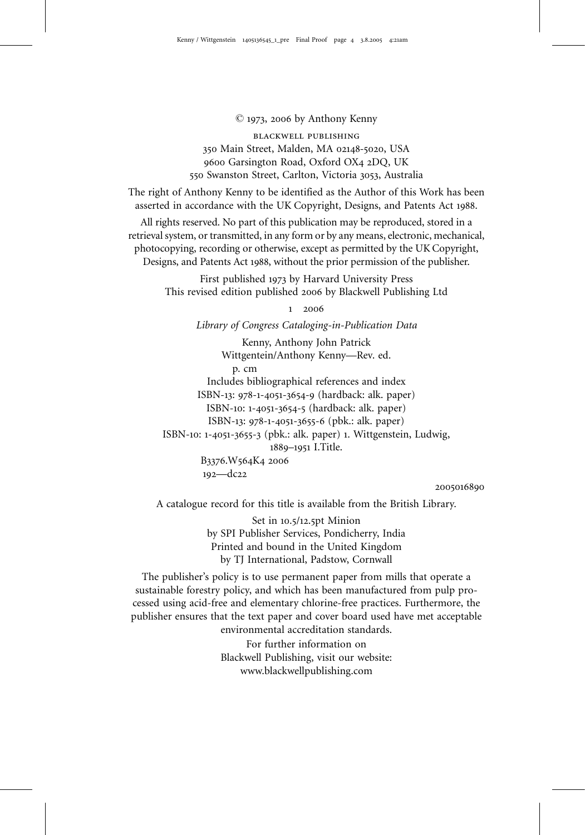1973, 2006 by Anthony Kenny

blackwell publishing Main Street, Malden, MA 02148-5020, USA Garsington Road, Oxford OX4 2DQ, UK Swanston Street, Carlton, Victoria 3053, Australia

The right of Anthony Kenny to be identified as the Author of this Work has been asserted in accordance with the UK Copyright, Designs, and Patents Act 1988.

All rights reserved. No part of this publication may be reproduced, stored in a retrieval system, or transmitted, in any form or by any means, electronic, mechanical, photocopying, recording or otherwise, except as permitted by the UK Copyright, Designs, and Patents Act 1988, without the prior permission of the publisher.

First published 1973 by Harvard University Press This revised edition published 2006 by Blackwell Publishing Ltd

1 2006

Library of Congress Cataloging-in-Publication Data

Kenny, Anthony John Patrick Wittgentein/Anthony Kenny—Rev. ed. p. cm Includes bibliographical references and index ISBN-13: 978-1-4051-3654-9 (hardback: alk. paper) ISBN-10: 1-4051-3654-5 (hardback: alk. paper) ISBN-13: 978-1-4051-3655-6 (pbk.: alk. paper) ISBN-10: 1-4051-3655-3 (pbk.: alk. paper) 1. Wittgenstein, Ludwig, 1889–1951 I.Title. B3376.W564K4 2006 192—dc22

2005016890

A catalogue record for this title is available from the British Library.

Set in 10.5/12.5pt Minion by SPI Publisher Services, Pondicherry, India Printed and bound in the United Kingdom by TJ International, Padstow, Cornwall

The publisher's policy is to use permanent paper from mills that operate a sustainable forestry policy, and which has been manufactured from pulp processed using acid-free and elementary chlorine-free practices. Furthermore, the publisher ensures that the text paper and cover board used have met acceptable environmental accreditation standards.

> For further information on Blackwell Publishing, visit our website: www.blackwellpublishing.com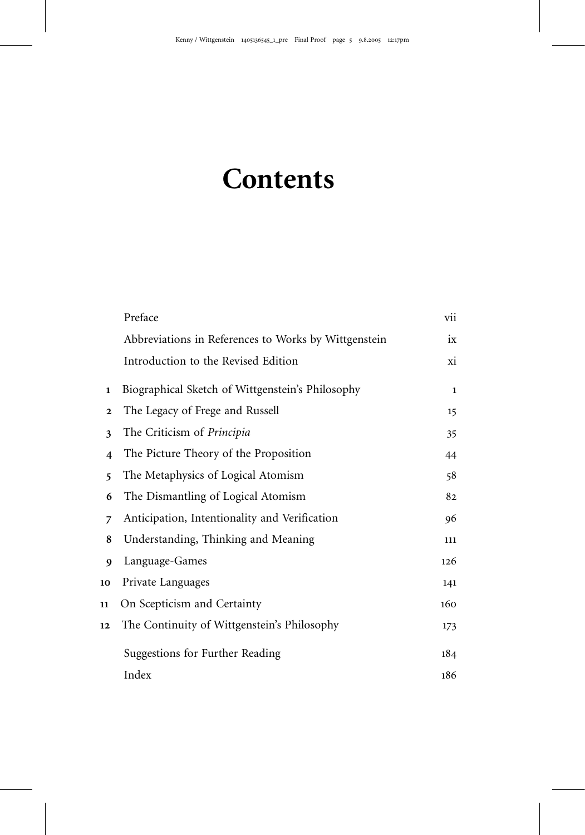### **Contents**

|              | Preface                                              | vii          |
|--------------|------------------------------------------------------|--------------|
|              | Abbreviations in References to Works by Wittgenstein | ix           |
|              | Introduction to the Revised Edition                  | xi           |
| $\mathbf{1}$ | Biographical Sketch of Wittgenstein's Philosophy     | $\mathbf{1}$ |
| $\mathbf{2}$ | The Legacy of Frege and Russell                      | 15           |
| 3            | The Criticism of Principia                           | 35           |
| 4            | The Picture Theory of the Proposition                | 44           |
| 5            | The Metaphysics of Logical Atomism                   | 58           |
| 6            | The Dismantling of Logical Atomism                   | 82           |
| 7            | Anticipation, Intentionality and Verification        | 96           |
| 8            | Understanding, Thinking and Meaning                  | 111          |
| 9            | Language-Games                                       | 126          |
| 10           | Private Languages                                    | 141          |
| $\bf{11}$    | On Scepticism and Certainty                          | 160          |
| 12           | The Continuity of Wittgenstein's Philosophy          | 173          |
|              | Suggestions for Further Reading                      | 184          |
|              | Index                                                | 186          |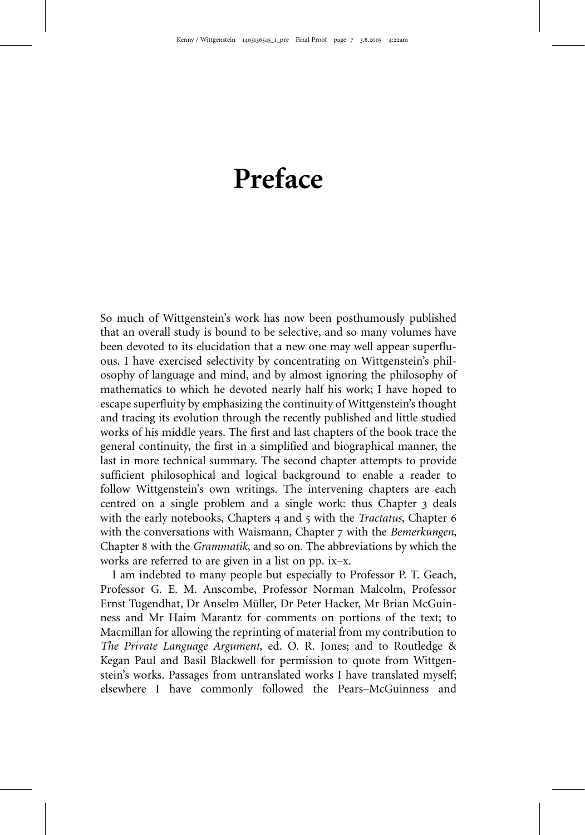#### Preface

So much of Wittgenstein's work has now been posthumously published that an overall study is bound to be selective, and so many volumes have been devoted to its elucidation that a new one may well appear superfluous. I have exercised selectivity by concentrating on Wittgenstein's philosophy of language and mind, and by almost ignoring the philosophy of mathematics to which he devoted nearly half his work; I have hoped to escape superfluity by emphasizing the continuity of Wittgenstein's thought and tracing its evolution through the recently published and little studied works of his middle years. The first and last chapters of the book trace the general continuity, the first in a simplified and biographical manner, the last in more technical summary. The second chapter attempts to provide sufficient philosophical and logical background to enable a reader to follow Wittgenstein's own writings. The intervening chapters are each centred on a single problem and a single work: thus Chapter 3 deals with the early notebooks, Chapters 4 and 5 with the *Tractatus*, Chapter 6 with the conversations with Waismann, Chapter 7 with the Bemerkungen, Chapter 8 with the Grammatik, and so on. The abbreviations by which the works are referred to are given in a list on pp. ix–x.

I am indebted to many people but especially to Professor P. T. Geach, Professor G. E. M. Anscombe, Professor Norman Malcolm, Professor Ernst Tugendhat, Dr Anselm Müller, Dr Peter Hacker, Mr Brian McGuinness and Mr Haim Marantz for comments on portions of the text; to Macmillan for allowing the reprinting of material from my contribution to The Private Language Argument, ed. O. R. Jones; and to Routledge & Kegan Paul and Basil Blackwell for permission to quote from Wittgenstein's works. Passages from untranslated works I have translated myself; elsewhere I have commonly followed the Pears–McGuinness and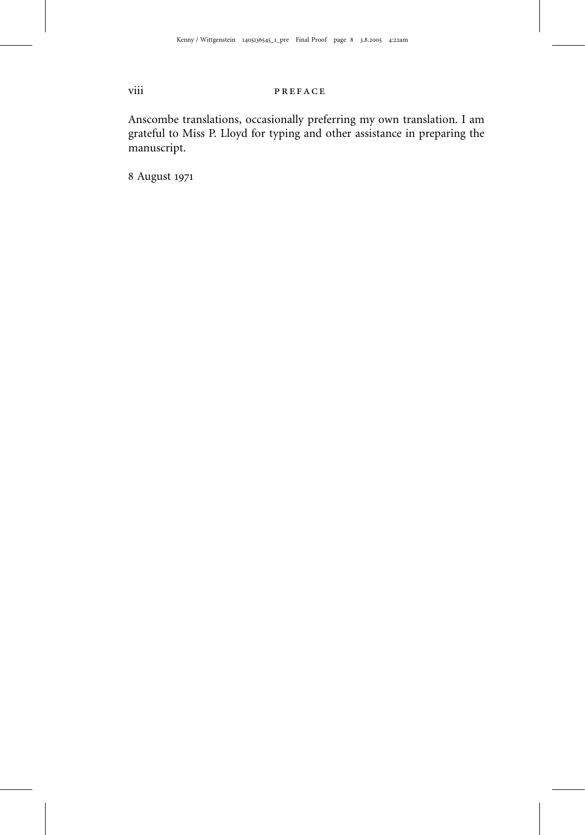Anscombe translations, occasionally preferring my own translation. I am grateful to Miss P. Lloyd for typing and other assistance in preparing the manuscript.

8 August 1971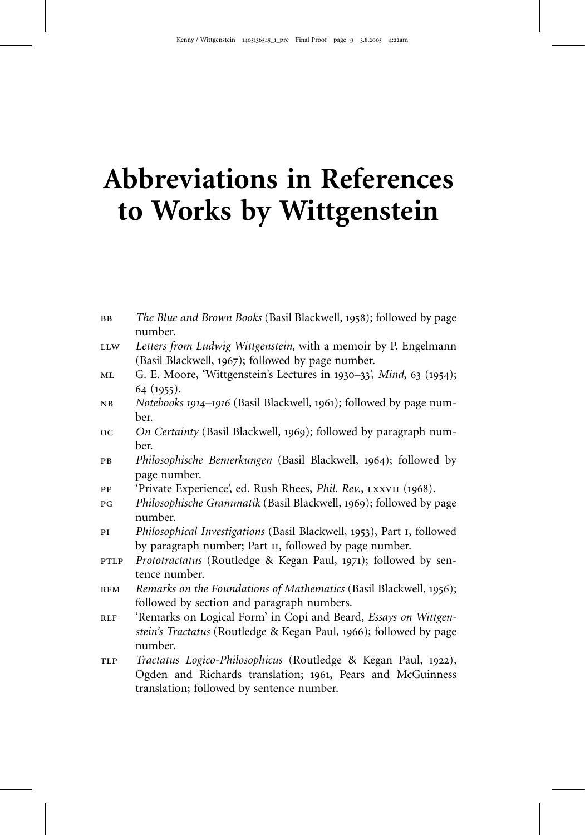## Abbreviations in References to Works by Wittgenstein

| $\mathbf{B}\,\mathbf{B}$ | The Blue and Brown Books (Basil Blackwell, 1958); followed by page<br>number.                                                                                             |
|--------------------------|---------------------------------------------------------------------------------------------------------------------------------------------------------------------------|
| $_{\rm LLW}$             | Letters from Ludwig Wittgenstein, with a memoir by P. Engelmann<br>(Basil Blackwell, 1967); followed by page number.                                                      |
| ML                       | G. E. Moore, 'Wittgenstein's Lectures in 1930-33', Mind, 63 (1954);<br>64(1955).                                                                                          |
| NB                       | Notebooks 1914-1916 (Basil Blackwell, 1961); followed by page num-<br>ber.                                                                                                |
| <b>OC</b>                | On Certainty (Basil Blackwell, 1969); followed by paragraph num-<br>ber.                                                                                                  |
| PB                       | Philosophische Bemerkungen (Basil Blackwell, 1964); followed by<br>page number.                                                                                           |
| PE                       | 'Private Experience', ed. Rush Rhees, Phil. Rev., LXXVII (1968).                                                                                                          |
| PG                       | Philosophische Grammatik (Basil Blackwell, 1969); followed by page<br>number.                                                                                             |
| PI                       | Philosophical Investigations (Basil Blackwell, 1953), Part 1, followed<br>by paragraph number; Part II, followed by page number.                                          |
| PTLP                     | Prototractatus (Routledge & Kegan Paul, 1971); followed by sen-<br>tence number.                                                                                          |
| RFM                      | Remarks on the Foundations of Mathematics (Basil Blackwell, 1956);<br>followed by section and paragraph numbers.                                                          |
| <b>RLF</b>               | 'Remarks on Logical Form' in Copi and Beard, Essays on Wittgen-<br>stein's Tractatus (Routledge & Kegan Paul, 1966); followed by page<br>number.                          |
| <b>TLP</b>               | Tractatus Logico-Philosophicus (Routledge & Kegan Paul, 1922),<br>Ogden and Richards translation; 1961, Pears and McGuinness<br>translation; followed by sentence number. |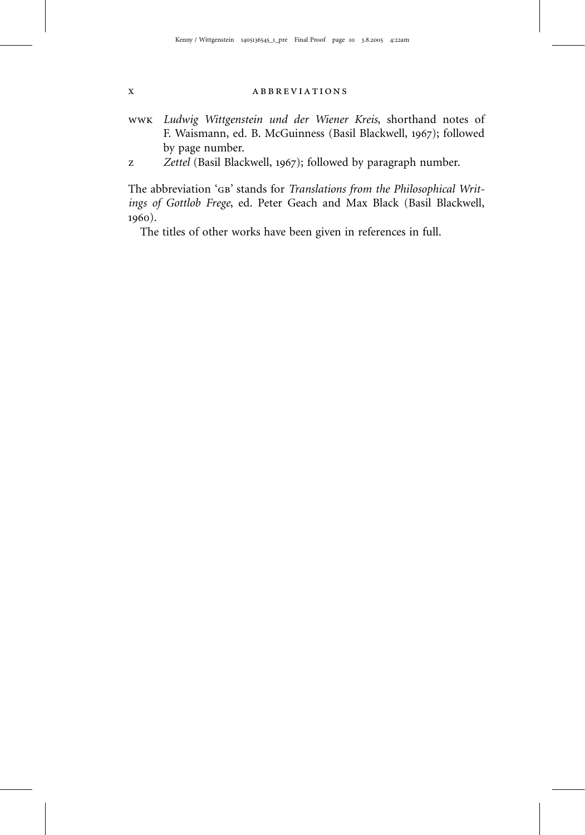- wwk Ludwig Wittgenstein und der Wiener Kreis, shorthand notes of F. Waismann, ed. B. McGuinness (Basil Blackwell, 1967); followed by page number.
- z Zettel (Basil Blackwell, 1967); followed by paragraph number.

The abbreviation 'GB' stands for Translations from the Philosophical Writings of Gottlob Frege, ed. Peter Geach and Max Black (Basil Blackwell, 1960).

The titles of other works have been given in references in full.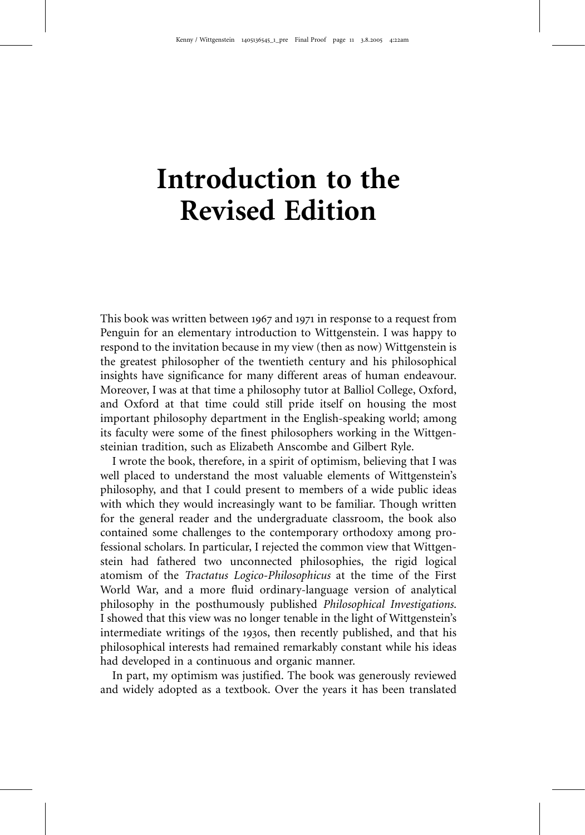#### Introduction to the Revised Edition

This book was written between 1967 and 1971 in response to a request from Penguin for an elementary introduction to Wittgenstein. I was happy to respond to the invitation because in my view (then as now) Wittgenstein is the greatest philosopher of the twentieth century and his philosophical insights have significance for many different areas of human endeavour. Moreover, I was at that time a philosophy tutor at Balliol College, Oxford, and Oxford at that time could still pride itself on housing the most important philosophy department in the English-speaking world; among its faculty were some of the finest philosophers working in the Wittgensteinian tradition, such as Elizabeth Anscombe and Gilbert Ryle.

I wrote the book, therefore, in a spirit of optimism, believing that I was well placed to understand the most valuable elements of Wittgenstein's philosophy, and that I could present to members of a wide public ideas with which they would increasingly want to be familiar. Though written for the general reader and the undergraduate classroom, the book also contained some challenges to the contemporary orthodoxy among professional scholars. In particular, I rejected the common view that Wittgenstein had fathered two unconnected philosophies, the rigid logical atomism of the Tractatus Logico-Philosophicus at the time of the First World War, and a more fluid ordinary-language version of analytical philosophy in the posthumously published Philosophical Investigations. I showed that this view was no longer tenable in the light of Wittgenstein's intermediate writings of the 1930s, then recently published, and that his philosophical interests had remained remarkably constant while his ideas had developed in a continuous and organic manner.

In part, my optimism was justified. The book was generously reviewed and widely adopted as a textbook. Over the years it has been translated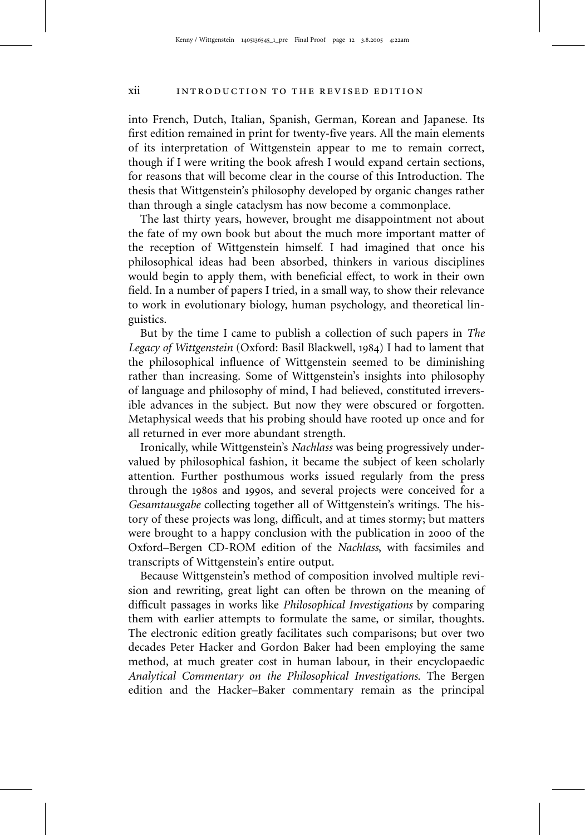into French, Dutch, Italian, Spanish, German, Korean and Japanese. Its first edition remained in print for twenty-five years. All the main elements of its interpretation of Wittgenstein appear to me to remain correct, though if I were writing the book afresh I would expand certain sections, for reasons that will become clear in the course of this Introduction. The thesis that Wittgenstein's philosophy developed by organic changes rather than through a single cataclysm has now become a commonplace.

The last thirty years, however, brought me disappointment not about the fate of my own book but about the much more important matter of the reception of Wittgenstein himself. I had imagined that once his philosophical ideas had been absorbed, thinkers in various disciplines would begin to apply them, with beneficial effect, to work in their own field. In a number of papers I tried, in a small way, to show their relevance to work in evolutionary biology, human psychology, and theoretical linguistics.

But by the time I came to publish a collection of such papers in The Legacy of Wittgenstein (Oxford: Basil Blackwell, 1984) I had to lament that the philosophical influence of Wittgenstein seemed to be diminishing rather than increasing. Some of Wittgenstein's insights into philosophy of language and philosophy of mind, I had believed, constituted irreversible advances in the subject. But now they were obscured or forgotten. Metaphysical weeds that his probing should have rooted up once and for all returned in ever more abundant strength.

Ironically, while Wittgenstein's Nachlass was being progressively undervalued by philosophical fashion, it became the subject of keen scholarly attention. Further posthumous works issued regularly from the press through the 1980s and 1990s, and several projects were conceived for a Gesamtausgabe collecting together all of Wittgenstein's writings. The history of these projects was long, difficult, and at times stormy; but matters were brought to a happy conclusion with the publication in 2000 of the Oxford–Bergen CD-ROM edition of the Nachlass, with facsimiles and transcripts of Wittgenstein's entire output.

Because Wittgenstein's method of composition involved multiple revision and rewriting, great light can often be thrown on the meaning of difficult passages in works like Philosophical Investigations by comparing them with earlier attempts to formulate the same, or similar, thoughts. The electronic edition greatly facilitates such comparisons; but over two decades Peter Hacker and Gordon Baker had been employing the same method, at much greater cost in human labour, in their encyclopaedic Analytical Commentary on the Philosophical Investigations. The Bergen edition and the Hacker–Baker commentary remain as the principal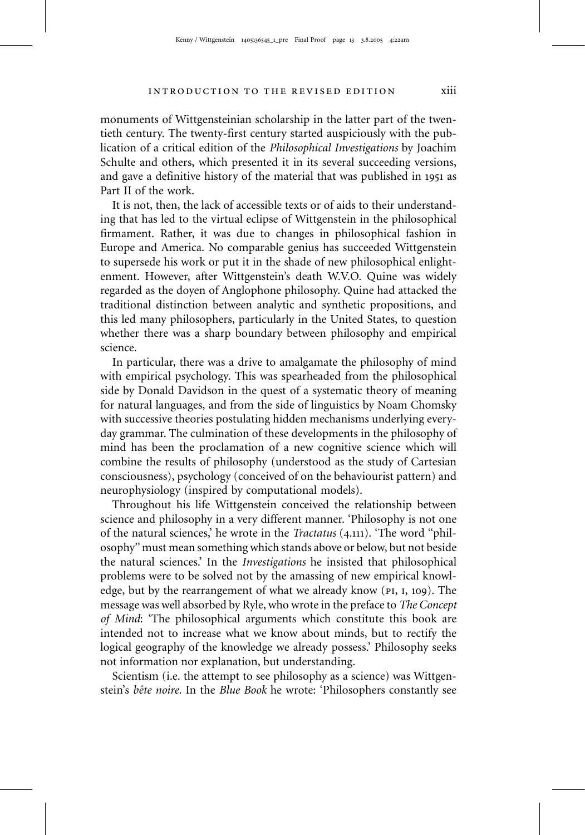monuments of Wittgensteinian scholarship in the latter part of the twentieth century. The twenty-first century started auspiciously with the publication of a critical edition of the Philosophical Investigations by Joachim Schulte and others, which presented it in its several succeeding versions, and gave a definitive history of the material that was published in 1951 as Part II of the work.

It is not, then, the lack of accessible texts or of aids to their understanding that has led to the virtual eclipse of Wittgenstein in the philosophical firmament. Rather, it was due to changes in philosophical fashion in Europe and America. No comparable genius has succeeded Wittgenstein to supersede his work or put it in the shade of new philosophical enlightenment. However, after Wittgenstein's death W.V.O. Quine was widely regarded as the doyen of Anglophone philosophy. Quine had attacked the traditional distinction between analytic and synthetic propositions, and this led many philosophers, particularly in the United States, to question whether there was a sharp boundary between philosophy and empirical science.

In particular, there was a drive to amalgamate the philosophy of mind with empirical psychology. This was spearheaded from the philosophical side by Donald Davidson in the quest of a systematic theory of meaning for natural languages, and from the side of linguistics by Noam Chomsky with successive theories postulating hidden mechanisms underlying everyday grammar. The culmination of these developments in the philosophy of mind has been the proclamation of a new cognitive science which will combine the results of philosophy (understood as the study of Cartesian consciousness), psychology (conceived of on the behaviourist pattern) and neurophysiology (inspired by computational models).

Throughout his life Wittgenstein conceived the relationship between science and philosophy in a very different manner. 'Philosophy is not one of the natural sciences,' he wrote in the Tractatus (4.111). 'The word ''philosophy'' must mean something which stands above or below, but not beside the natural sciences.' In the Investigations he insisted that philosophical problems were to be solved not by the amassing of new empirical knowledge, but by the rearrangement of what we already know (pi, i, 109). The message was well absorbed by Ryle, who wrote in the preface to The Concept of Mind: 'The philosophical arguments which constitute this book are intended not to increase what we know about minds, but to rectify the logical geography of the knowledge we already possess.' Philosophy seeks not information nor explanation, but understanding.

Scientism (i.e. the attempt to see philosophy as a science) was Wittgenstein's bête noire. In the Blue Book he wrote: 'Philosophers constantly see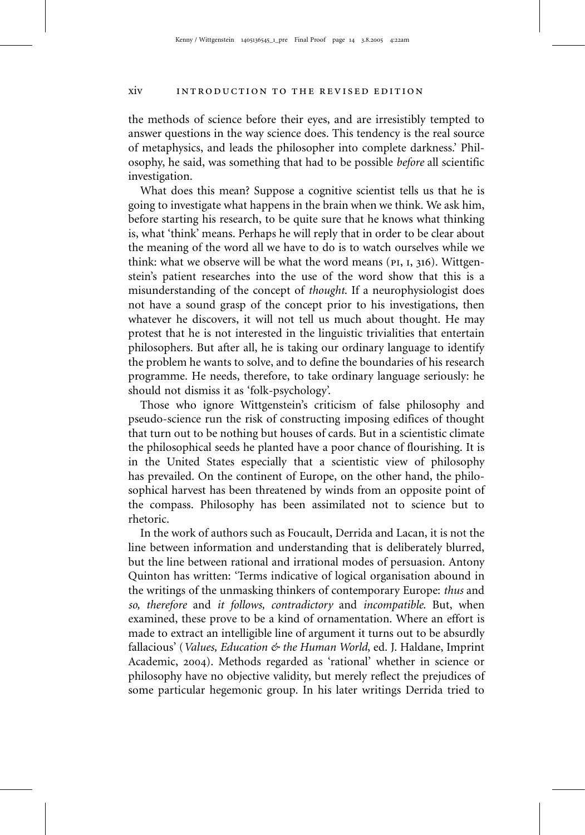the methods of science before their eyes, and are irresistibly tempted to answer questions in the way science does. This tendency is the real source of metaphysics, and leads the philosopher into complete darkness.' Philosophy, he said, was something that had to be possible before all scientific investigation.

What does this mean? Suppose a cognitive scientist tells us that he is going to investigate what happens in the brain when we think. We ask him, before starting his research, to be quite sure that he knows what thinking is, what 'think' means. Perhaps he will reply that in order to be clear about the meaning of the word all we have to do is to watch ourselves while we think: what we observe will be what the word means (pi, i, 316). Wittgenstein's patient researches into the use of the word show that this is a misunderstanding of the concept of thought. If a neurophysiologist does not have a sound grasp of the concept prior to his investigations, then whatever he discovers, it will not tell us much about thought. He may protest that he is not interested in the linguistic trivialities that entertain philosophers. But after all, he is taking our ordinary language to identify the problem he wants to solve, and to define the boundaries of his research programme. He needs, therefore, to take ordinary language seriously: he should not dismiss it as 'folk-psychology'.

Those who ignore Wittgenstein's criticism of false philosophy and pseudo-science run the risk of constructing imposing edifices of thought that turn out to be nothing but houses of cards. But in a scientistic climate the philosophical seeds he planted have a poor chance of flourishing. It is in the United States especially that a scientistic view of philosophy has prevailed. On the continent of Europe, on the other hand, the philosophical harvest has been threatened by winds from an opposite point of the compass. Philosophy has been assimilated not to science but to rhetoric.

In the work of authors such as Foucault, Derrida and Lacan, it is not the line between information and understanding that is deliberately blurred, but the line between rational and irrational modes of persuasion. Antony Quinton has written: 'Terms indicative of logical organisation abound in the writings of the unmasking thinkers of contemporary Europe: thus and so, therefore and it follows, contradictory and incompatible. But, when examined, these prove to be a kind of ornamentation. Where an effort is made to extract an intelligible line of argument it turns out to be absurdly fallacious' (Values, Education & the Human World, ed. J. Haldane, Imprint Academic, 2004). Methods regarded as 'rational' whether in science or philosophy have no objective validity, but merely reflect the prejudices of some particular hegemonic group. In his later writings Derrida tried to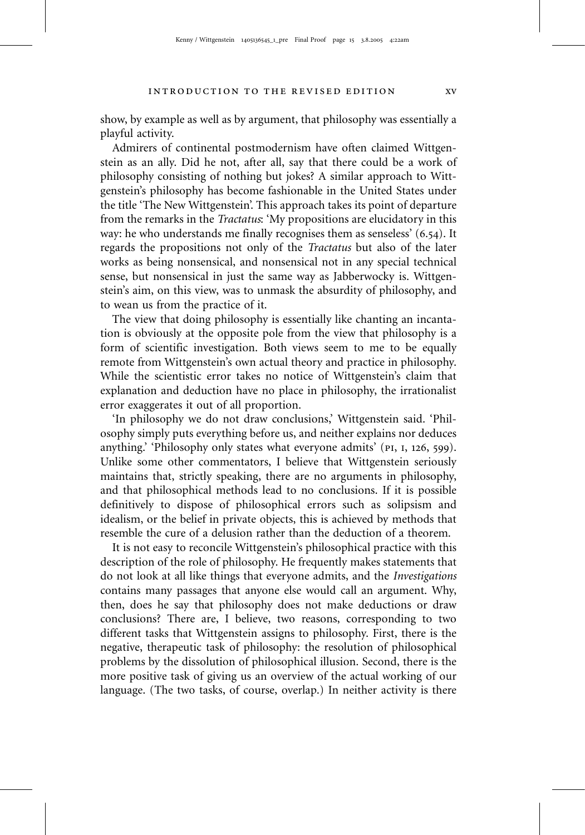show, by example as well as by argument, that philosophy was essentially a playful activity.

Admirers of continental postmodernism have often claimed Wittgenstein as an ally. Did he not, after all, say that there could be a work of philosophy consisting of nothing but jokes? A similar approach to Wittgenstein's philosophy has become fashionable in the United States under the title 'The New Wittgenstein'. This approach takes its point of departure from the remarks in the Tractatus: 'My propositions are elucidatory in this way: he who understands me finally recognises them as senseless' (6.54). It regards the propositions not only of the Tractatus but also of the later works as being nonsensical, and nonsensical not in any special technical sense, but nonsensical in just the same way as Jabberwocky is. Wittgenstein's aim, on this view, was to unmask the absurdity of philosophy, and to wean us from the practice of it.

The view that doing philosophy is essentially like chanting an incantation is obviously at the opposite pole from the view that philosophy is a form of scientific investigation. Both views seem to me to be equally remote from Wittgenstein's own actual theory and practice in philosophy. While the scientistic error takes no notice of Wittgenstein's claim that explanation and deduction have no place in philosophy, the irrationalist error exaggerates it out of all proportion.

'In philosophy we do not draw conclusions,' Wittgenstein said. 'Philosophy simply puts everything before us, and neither explains nor deduces anything.' 'Philosophy only states what everyone admits' (pi, i, 126, 599). Unlike some other commentators, I believe that Wittgenstein seriously maintains that, strictly speaking, there are no arguments in philosophy, and that philosophical methods lead to no conclusions. If it is possible definitively to dispose of philosophical errors such as solipsism and idealism, or the belief in private objects, this is achieved by methods that resemble the cure of a delusion rather than the deduction of a theorem.

It is not easy to reconcile Wittgenstein's philosophical practice with this description of the role of philosophy. He frequently makes statements that do not look at all like things that everyone admits, and the Investigations contains many passages that anyone else would call an argument. Why, then, does he say that philosophy does not make deductions or draw conclusions? There are, I believe, two reasons, corresponding to two different tasks that Wittgenstein assigns to philosophy. First, there is the negative, therapeutic task of philosophy: the resolution of philosophical problems by the dissolution of philosophical illusion. Second, there is the more positive task of giving us an overview of the actual working of our language. (The two tasks, of course, overlap.) In neither activity is there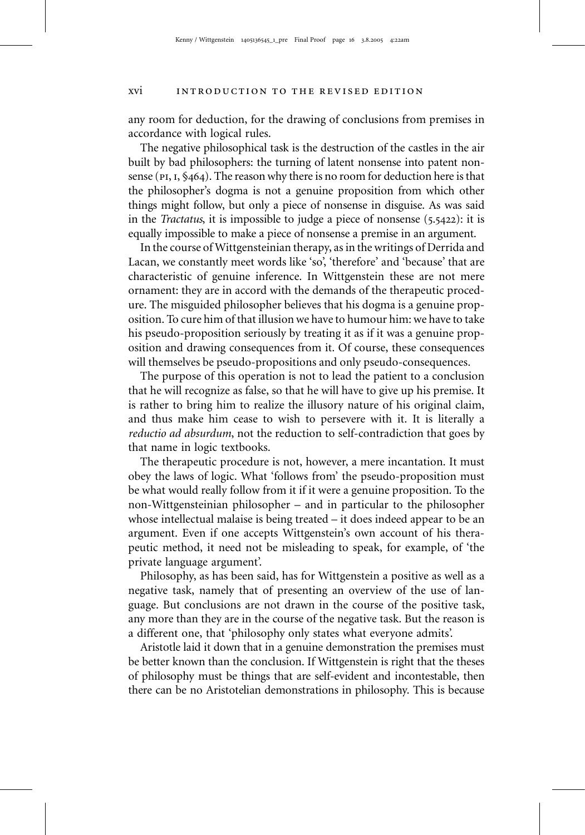any room for deduction, for the drawing of conclusions from premises in accordance with logical rules.

The negative philosophical task is the destruction of the castles in the air built by bad philosophers: the turning of latent nonsense into patent nonsense (pi, i, §464). The reason why there is no room for deduction here is that the philosopher's dogma is not a genuine proposition from which other things might follow, but only a piece of nonsense in disguise. As was said in the Tractatus, it is impossible to judge a piece of nonsense (5.5422): it is equally impossible to make a piece of nonsense a premise in an argument.

In the course of Wittgensteinian therapy, as in the writings of Derrida and Lacan, we constantly meet words like 'so', 'therefore' and 'because' that are characteristic of genuine inference. In Wittgenstein these are not mere ornament: they are in accord with the demands of the therapeutic procedure. The misguided philosopher believes that his dogma is a genuine proposition. To cure him of that illusion we have to humour him: we have to take his pseudo-proposition seriously by treating it as if it was a genuine proposition and drawing consequences from it. Of course, these consequences will themselves be pseudo-propositions and only pseudo-consequences.

The purpose of this operation is not to lead the patient to a conclusion that he will recognize as false, so that he will have to give up his premise. It is rather to bring him to realize the illusory nature of his original claim, and thus make him cease to wish to persevere with it. It is literally a reductio ad absurdum, not the reduction to self-contradiction that goes by that name in logic textbooks.

The therapeutic procedure is not, however, a mere incantation. It must obey the laws of logic. What 'follows from' the pseudo-proposition must be what would really follow from it if it were a genuine proposition. To the non-Wittgensteinian philosopher – and in particular to the philosopher whose intellectual malaise is being treated – it does indeed appear to be an argument. Even if one accepts Wittgenstein's own account of his therapeutic method, it need not be misleading to speak, for example, of 'the private language argument'.

Philosophy, as has been said, has for Wittgenstein a positive as well as a negative task, namely that of presenting an overview of the use of language. But conclusions are not drawn in the course of the positive task, any more than they are in the course of the negative task. But the reason is a different one, that 'philosophy only states what everyone admits'.

Aristotle laid it down that in a genuine demonstration the premises must be better known than the conclusion. If Wittgenstein is right that the theses of philosophy must be things that are self-evident and incontestable, then there can be no Aristotelian demonstrations in philosophy. This is because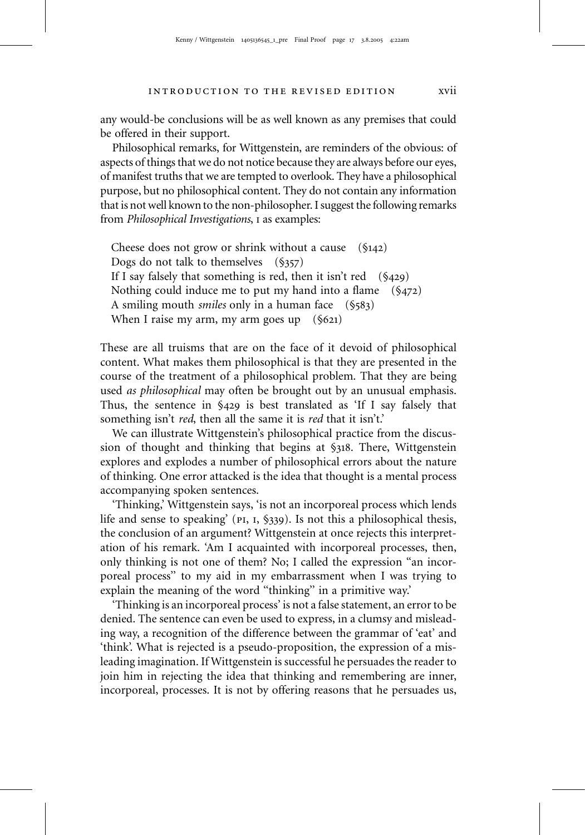any would-be conclusions will be as well known as any premises that could be offered in their support.

Philosophical remarks, for Wittgenstein, are reminders of the obvious: of aspects of things that we do not notice because they are always before our eyes, of manifest truths that we are tempted to overlook. They have a philosophical purpose, but no philosophical content. They do not contain any information that is not well known to the non-philosopher. I suggest the following remarks from Philosophical Investigations, I as examples:

Cheese does not grow or shrink without a cause (§142) Dogs do not talk to themselves (§357) If I say falsely that something is red, then it isn't red  $(§429)$ Nothing could induce me to put my hand into a flame (§472) A smiling mouth smiles only in a human face (§583) When I raise my arm, my arm goes up  $(§621)$ 

These are all truisms that are on the face of it devoid of philosophical content. What makes them philosophical is that they are presented in the course of the treatment of a philosophical problem. That they are being used as philosophical may often be brought out by an unusual emphasis. Thus, the sentence in §429 is best translated as 'If I say falsely that something isn't *red*, then all the same it is *red* that it isn't.'

We can illustrate Wittgenstein's philosophical practice from the discussion of thought and thinking that begins at §318. There, Wittgenstein explores and explodes a number of philosophical errors about the nature of thinking. One error attacked is the idea that thought is a mental process accompanying spoken sentences.

'Thinking,' Wittgenstein says, 'is not an incorporeal process which lends life and sense to speaking' (pi, i, §339). Is not this a philosophical thesis, the conclusion of an argument? Wittgenstein at once rejects this interpretation of his remark. 'Am I acquainted with incorporeal processes, then, only thinking is not one of them? No; I called the expression ''an incorporeal process'' to my aid in my embarrassment when I was trying to explain the meaning of the word ''thinking'' in a primitive way.'

'Thinking is an incorporeal process' is not a false statement, an error to be denied. The sentence can even be used to express, in a clumsy and misleading way, a recognition of the difference between the grammar of 'eat' and 'think'. What is rejected is a pseudo-proposition, the expression of a misleading imagination. If Wittgenstein is successful he persuades the reader to join him in rejecting the idea that thinking and remembering are inner, incorporeal, processes. It is not by offering reasons that he persuades us,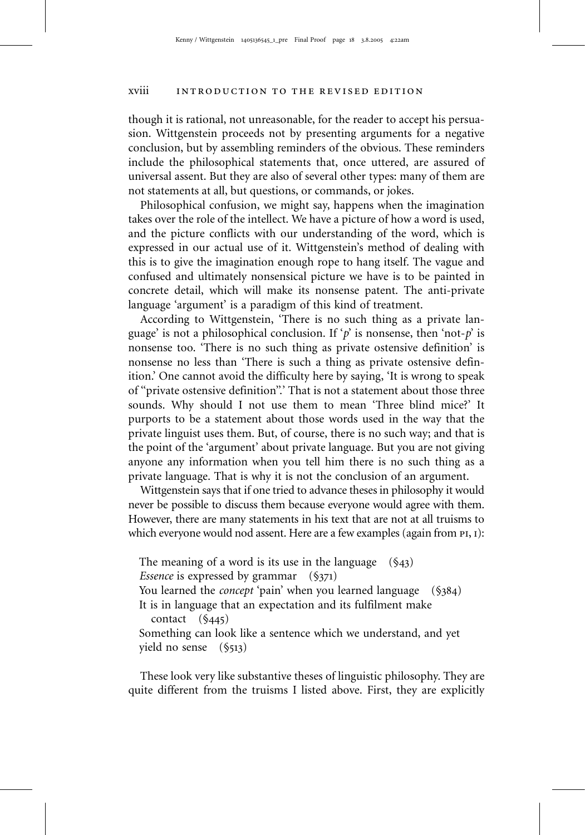though it is rational, not unreasonable, for the reader to accept his persuasion. Wittgenstein proceeds not by presenting arguments for a negative conclusion, but by assembling reminders of the obvious. These reminders include the philosophical statements that, once uttered, are assured of universal assent. But they are also of several other types: many of them are not statements at all, but questions, or commands, or jokes.

Philosophical confusion, we might say, happens when the imagination takes over the role of the intellect. We have a picture of how a word is used, and the picture conflicts with our understanding of the word, which is expressed in our actual use of it. Wittgenstein's method of dealing with this is to give the imagination enough rope to hang itself. The vague and confused and ultimately nonsensical picture we have is to be painted in concrete detail, which will make its nonsense patent. The anti-private language 'argument' is a paradigm of this kind of treatment.

According to Wittgenstein, 'There is no such thing as a private language' is not a philosophical conclusion. If 'p' is nonsense, then 'not-p' is nonsense too. 'There is no such thing as private ostensive definition' is nonsense no less than 'There is such a thing as private ostensive definition.' One cannot avoid the difficulty here by saying, 'It is wrong to speak of "private ostensive definition".' That is not a statement about those three sounds. Why should I not use them to mean 'Three blind mice?' It purports to be a statement about those words used in the way that the private linguist uses them. But, of course, there is no such way; and that is the point of the 'argument' about private language. But you are not giving anyone any information when you tell him there is no such thing as a private language. That is why it is not the conclusion of an argument.

Wittgenstein says that if one tried to advance theses in philosophy it would never be possible to discuss them because everyone would agree with them. However, there are many statements in his text that are not at all truisms to which everyone would nod assent. Here are a few examples (again from PI, I):

The meaning of a word is its use in the language  $(§43)$ Essence is expressed by grammar (§371) You learned the *concept* 'pain' when you learned language (§384) It is in language that an expectation and its fulfilment make contact (§445) Something can look like a sentence which we understand, and yet

yield no sense (§513)

These look very like substantive theses of linguistic philosophy. They are quite different from the truisms I listed above. First, they are explicitly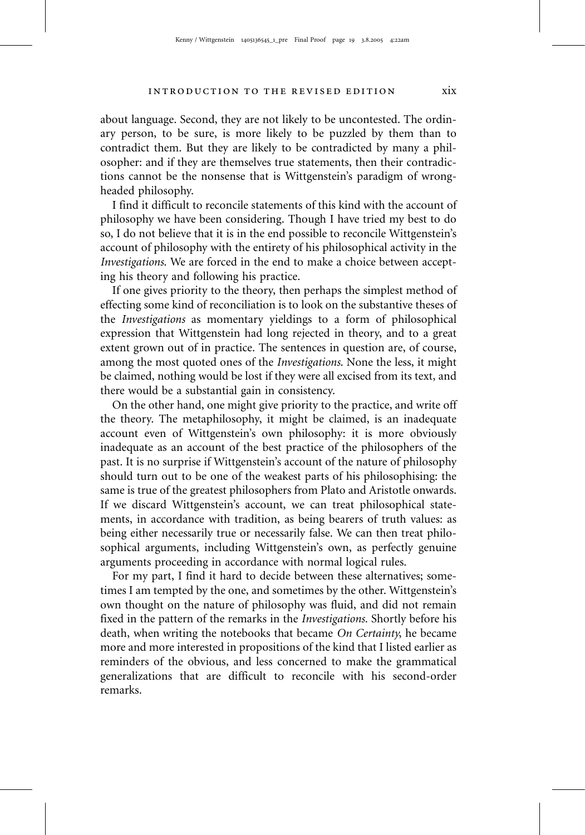about language. Second, they are not likely to be uncontested. The ordinary person, to be sure, is more likely to be puzzled by them than to contradict them. But they are likely to be contradicted by many a philosopher: and if they are themselves true statements, then their contradictions cannot be the nonsense that is Wittgenstein's paradigm of wrongheaded philosophy.

I find it difficult to reconcile statements of this kind with the account of philosophy we have been considering. Though I have tried my best to do so, I do not believe that it is in the end possible to reconcile Wittgenstein's account of philosophy with the entirety of his philosophical activity in the Investigations. We are forced in the end to make a choice between accepting his theory and following his practice.

If one gives priority to the theory, then perhaps the simplest method of effecting some kind of reconciliation is to look on the substantive theses of the Investigations as momentary yieldings to a form of philosophical expression that Wittgenstein had long rejected in theory, and to a great extent grown out of in practice. The sentences in question are, of course, among the most quoted ones of the Investigations. None the less, it might be claimed, nothing would be lost if they were all excised from its text, and there would be a substantial gain in consistency.

On the other hand, one might give priority to the practice, and write off the theory. The metaphilosophy, it might be claimed, is an inadequate account even of Wittgenstein's own philosophy: it is more obviously inadequate as an account of the best practice of the philosophers of the past. It is no surprise if Wittgenstein's account of the nature of philosophy should turn out to be one of the weakest parts of his philosophising: the same is true of the greatest philosophers from Plato and Aristotle onwards. If we discard Wittgenstein's account, we can treat philosophical statements, in accordance with tradition, as being bearers of truth values: as being either necessarily true or necessarily false. We can then treat philosophical arguments, including Wittgenstein's own, as perfectly genuine arguments proceeding in accordance with normal logical rules.

For my part, I find it hard to decide between these alternatives; sometimes I am tempted by the one, and sometimes by the other. Wittgenstein's own thought on the nature of philosophy was fluid, and did not remain fixed in the pattern of the remarks in the Investigations. Shortly before his death, when writing the notebooks that became On Certainty, he became more and more interested in propositions of the kind that I listed earlier as reminders of the obvious, and less concerned to make the grammatical generalizations that are difficult to reconcile with his second-order remarks.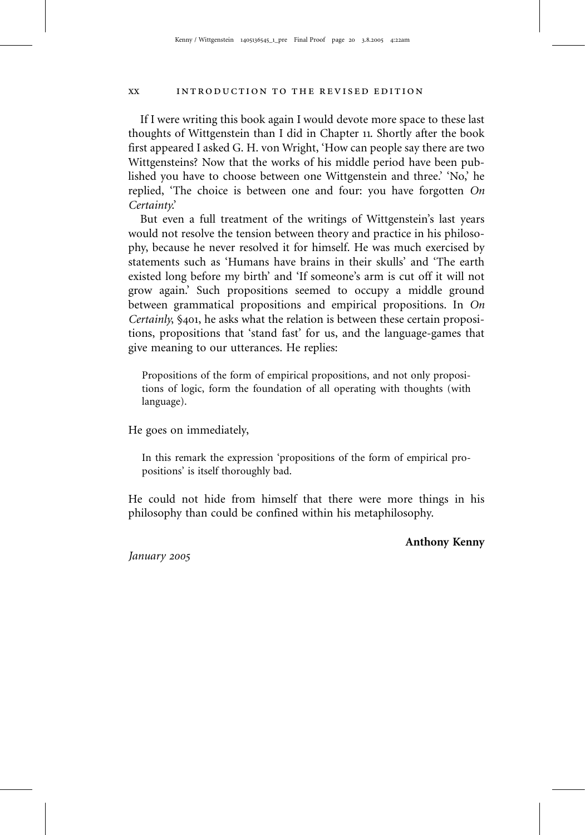If I were writing this book again I would devote more space to these last thoughts of Wittgenstein than I did in Chapter 11. Shortly after the book first appeared I asked G. H. von Wright, 'How can people say there are two Wittgensteins? Now that the works of his middle period have been published you have to choose between one Wittgenstein and three.' 'No,' he replied, 'The choice is between one and four: you have forgotten On Certainty.'

But even a full treatment of the writings of Wittgenstein's last years would not resolve the tension between theory and practice in his philosophy, because he never resolved it for himself. He was much exercised by statements such as 'Humans have brains in their skulls' and 'The earth existed long before my birth' and 'If someone's arm is cut off it will not grow again.' Such propositions seemed to occupy a middle ground between grammatical propositions and empirical propositions. In On Certainly, §401, he asks what the relation is between these certain propositions, propositions that 'stand fast' for us, and the language-games that give meaning to our utterances. He replies:

Propositions of the form of empirical propositions, and not only propositions of logic, form the foundation of all operating with thoughts (with language).

He goes on immediately,

In this remark the expression 'propositions of the form of empirical propositions' is itself thoroughly bad.

He could not hide from himself that there were more things in his philosophy than could be confined within his metaphilosophy.

Anthony Kenny

January 2005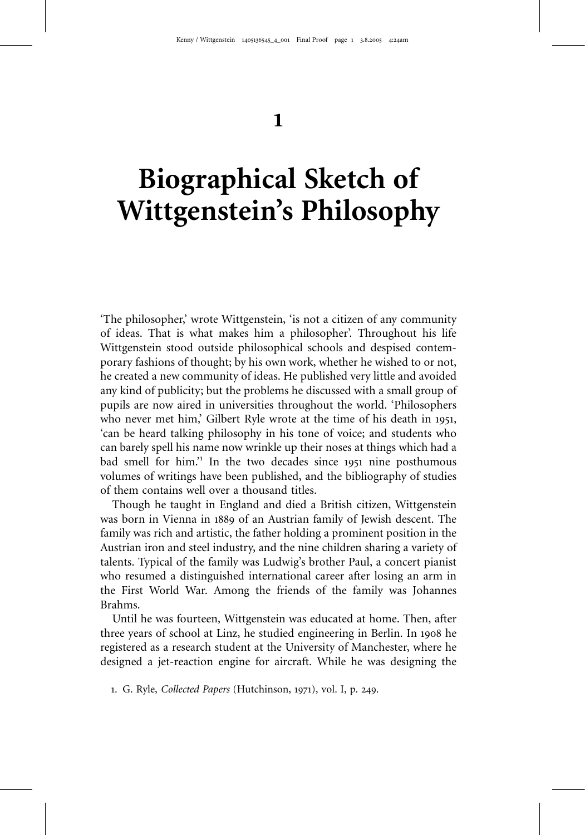### Biographical Sketch of Wittgenstein's Philosophy

'The philosopher,' wrote Wittgenstein, 'is not a citizen of any community of ideas. That is what makes him a philosopher'. Throughout his life Wittgenstein stood outside philosophical schools and despised contemporary fashions of thought; by his own work, whether he wished to or not, he created a new community of ideas. He published very little and avoided any kind of publicity; but the problems he discussed with a small group of pupils are now aired in universities throughout the world. 'Philosophers who never met him,' Gilbert Ryle wrote at the time of his death in 1951, 'can be heard talking philosophy in his tone of voice; and students who can barely spell his name now wrinkle up their noses at things which had a bad smell for him." In the two decades since 1951 nine posthumous volumes of writings have been published, and the bibliography of studies of them contains well over a thousand titles.

Though he taught in England and died a British citizen, Wittgenstein was born in Vienna in 1889 of an Austrian family of Jewish descent. The family was rich and artistic, the father holding a prominent position in the Austrian iron and steel industry, and the nine children sharing a variety of talents. Typical of the family was Ludwig's brother Paul, a concert pianist who resumed a distinguished international career after losing an arm in the First World War. Among the friends of the family was Johannes Brahms.

Until he was fourteen, Wittgenstein was educated at home. Then, after three years of school at Linz, he studied engineering in Berlin. In 1908 he registered as a research student at the University of Manchester, where he designed a jet-reaction engine for aircraft. While he was designing the

1. G. Ryle, Collected Papers (Hutchinson, 1971), vol. I, p. 249.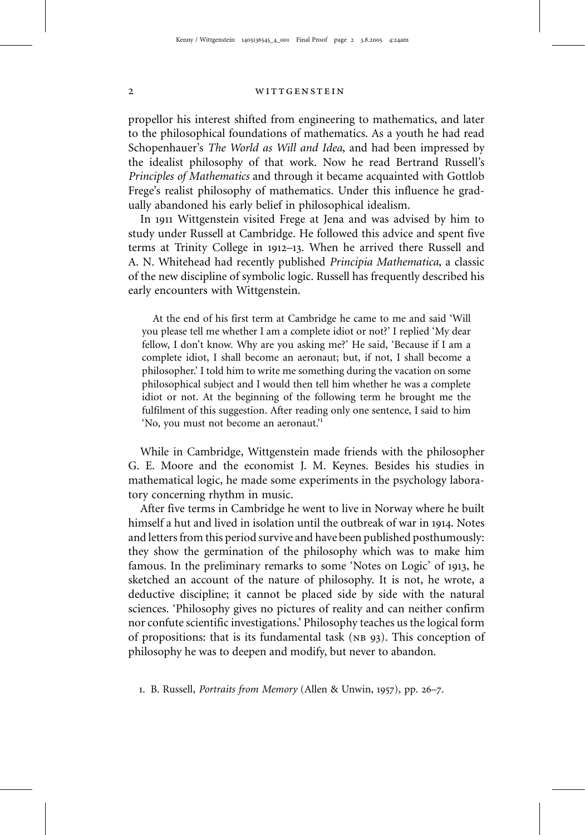propellor his interest shifted from engineering to mathematics, and later to the philosophical foundations of mathematics. As a youth he had read Schopenhauer's The World as Will and Idea, and had been impressed by the idealist philosophy of that work. Now he read Bertrand Russell's Principles of Mathematics and through it became acquainted with Gottlob Frege's realist philosophy of mathematics. Under this influence he gradually abandoned his early belief in philosophical idealism.

In 1911 Wittgenstein visited Frege at Jena and was advised by him to study under Russell at Cambridge. He followed this advice and spent five terms at Trinity College in 1912–13. When he arrived there Russell and A. N. Whitehead had recently published Principia Mathematica, a classic of the new discipline of symbolic logic. Russell has frequently described his early encounters with Wittgenstein.

At the end of his first term at Cambridge he came to me and said 'Will you please tell me whether I am a complete idiot or not?' I replied 'My dear fellow, I don't know. Why are you asking me?' He said, 'Because if I am a complete idiot, I shall become an aeronaut; but, if not, I shall become a philosopher.' I told him to write me something during the vacation on some philosophical subject and I would then tell him whether he was a complete idiot or not. At the beginning of the following term he brought me the fulfilment of this suggestion. After reading only one sentence, I said to him 'No, you must not become an aeronaut.'<sup>1</sup>

While in Cambridge, Wittgenstein made friends with the philosopher G. E. Moore and the economist J. M. Keynes. Besides his studies in mathematical logic, he made some experiments in the psychology laboratory concerning rhythm in music.

After five terms in Cambridge he went to live in Norway where he built himself a hut and lived in isolation until the outbreak of war in 1914. Notes and letters from this period survive and have been published posthumously: they show the germination of the philosophy which was to make him famous. In the preliminary remarks to some 'Notes on Logic' of 1913, he sketched an account of the nature of philosophy. It is not, he wrote, a deductive discipline; it cannot be placed side by side with the natural sciences. 'Philosophy gives no pictures of reality and can neither confirm nor confute scientific investigations.' Philosophy teaches us the logical form of propositions: that is its fundamental task ( $NB$  93). This conception of philosophy he was to deepen and modify, but never to abandon.

<sup>1</sup>. B. Russell, Portraits from Memory (Allen & Unwin, 1957), pp. 26–7.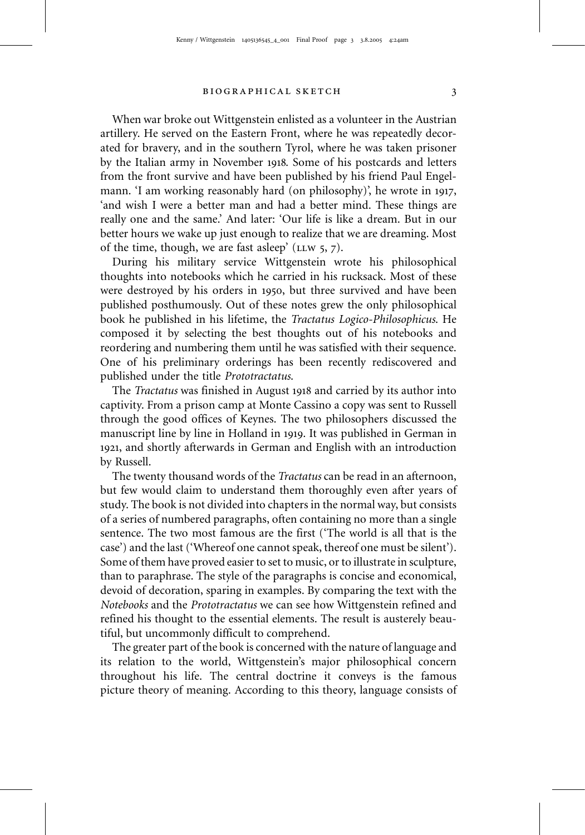When war broke out Wittgenstein enlisted as a volunteer in the Austrian artillery. He served on the Eastern Front, where he was repeatedly decorated for bravery, and in the southern Tyrol, where he was taken prisoner by the Italian army in November 1918. Some of his postcards and letters from the front survive and have been published by his friend Paul Engelmann. 'I am working reasonably hard (on philosophy)', he wrote in 1917, 'and wish I were a better man and had a better mind. These things are really one and the same.' And later: 'Our life is like a dream. But in our better hours we wake up just enough to realize that we are dreaming. Most of the time, though, we are fast asleep' (LLW  $5$ , 7).

During his military service Wittgenstein wrote his philosophical thoughts into notebooks which he carried in his rucksack. Most of these were destroyed by his orders in 1950, but three survived and have been published posthumously. Out of these notes grew the only philosophical book he published in his lifetime, the Tractatus Logico-Philosophicus. He composed it by selecting the best thoughts out of his notebooks and reordering and numbering them until he was satisfied with their sequence. One of his preliminary orderings has been recently rediscovered and published under the title Prototractatus.

The Tractatus was finished in August 1918 and carried by its author into captivity. From a prison camp at Monte Cassino a copy was sent to Russell through the good offices of Keynes. The two philosophers discussed the manuscript line by line in Holland in 1919. It was published in German in 1921, and shortly afterwards in German and English with an introduction by Russell.

The twenty thousand words of the Tractatus can be read in an afternoon, but few would claim to understand them thoroughly even after years of study. The book is not divided into chapters in the normal way, but consists of a series of numbered paragraphs, often containing no more than a single sentence. The two most famous are the first ('The world is all that is the case') and the last ('Whereof one cannot speak, thereof one must be silent'). Some of them have proved easier to set to music, or to illustrate in sculpture, than to paraphrase. The style of the paragraphs is concise and economical, devoid of decoration, sparing in examples. By comparing the text with the Notebooks and the Prototractatus we can see how Wittgenstein refined and refined his thought to the essential elements. The result is austerely beautiful, but uncommonly difficult to comprehend.

The greater part of the book is concerned with the nature of language and its relation to the world, Wittgenstein's major philosophical concern throughout his life. The central doctrine it conveys is the famous picture theory of meaning. According to this theory, language consists of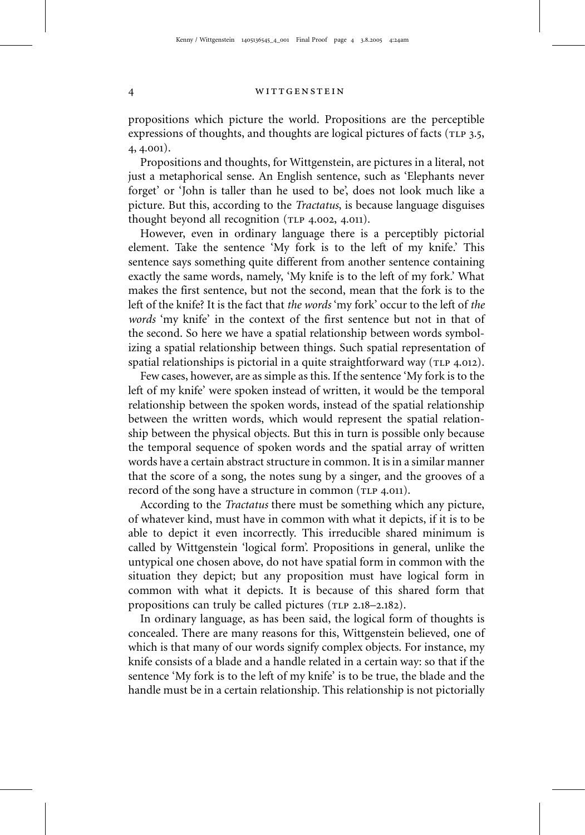#### 4 WITTGENSTEIN

propositions which picture the world. Propositions are the perceptible expressions of thoughts, and thoughts are logical pictures of facts ( $TLP$  3.5, 4, 4.001).

Propositions and thoughts, for Wittgenstein, are pictures in a literal, not just a metaphorical sense. An English sentence, such as 'Elephants never forget' or 'John is taller than he used to be', does not look much like a picture. But this, according to the Tractatus, is because language disguises thought beyond all recognition (tlp 4.002, 4.011).

However, even in ordinary language there is a perceptibly pictorial element. Take the sentence 'My fork is to the left of my knife.' This sentence says something quite different from another sentence containing exactly the same words, namely, 'My knife is to the left of my fork.' What makes the first sentence, but not the second, mean that the fork is to the left of the knife? It is the fact that the words 'my fork' occur to the left of the words 'my knife' in the context of the first sentence but not in that of the second. So here we have a spatial relationship between words symbolizing a spatial relationship between things. Such spatial representation of spatial relationships is pictorial in a quite straightforward way (TLP 4.012).

Few cases, however, are as simple as this. If the sentence 'My fork is to the left of my knife' were spoken instead of written, it would be the temporal relationship between the spoken words, instead of the spatial relationship between the written words, which would represent the spatial relationship between the physical objects. But this in turn is possible only because the temporal sequence of spoken words and the spatial array of written words have a certain abstract structure in common. It is in a similar manner that the score of a song, the notes sung by a singer, and the grooves of a record of the song have a structure in common (TLP 4.011).

According to the Tractatus there must be something which any picture, of whatever kind, must have in common with what it depicts, if it is to be able to depict it even incorrectly. This irreducible shared minimum is called by Wittgenstein 'logical form'. Propositions in general, unlike the untypical one chosen above, do not have spatial form in common with the situation they depict; but any proposition must have logical form in common with what it depicts. It is because of this shared form that propositions can truly be called pictures (TLP 2.18–2.182).

In ordinary language, as has been said, the logical form of thoughts is concealed. There are many reasons for this, Wittgenstein believed, one of which is that many of our words signify complex objects. For instance, my knife consists of a blade and a handle related in a certain way: so that if the sentence 'My fork is to the left of my knife' is to be true, the blade and the handle must be in a certain relationship. This relationship is not pictorially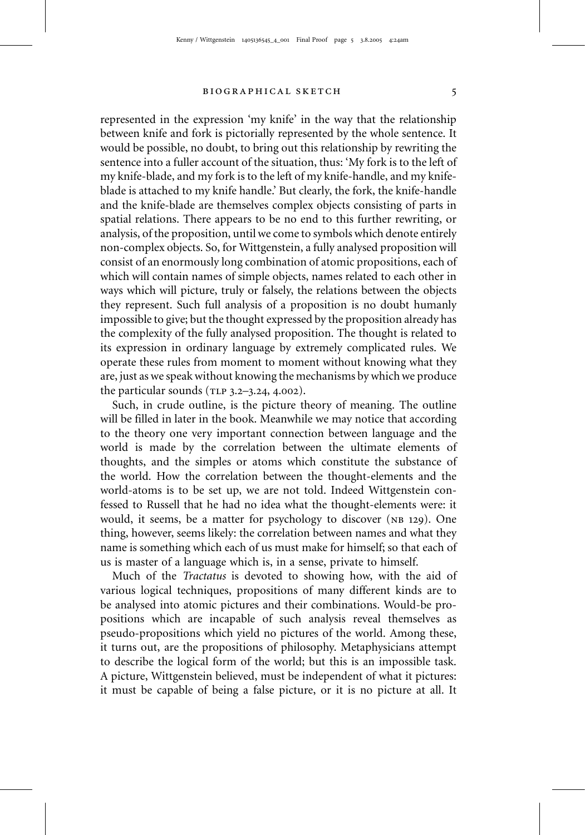represented in the expression 'my knife' in the way that the relationship between knife and fork is pictorially represented by the whole sentence. It would be possible, no doubt, to bring out this relationship by rewriting the sentence into a fuller account of the situation, thus: 'My fork is to the left of my knife-blade, and my fork is to the left of my knife-handle, and my knifeblade is attached to my knife handle.' But clearly, the fork, the knife-handle and the knife-blade are themselves complex objects consisting of parts in spatial relations. There appears to be no end to this further rewriting, or analysis, of the proposition, until we come to symbols which denote entirely non-complex objects. So, for Wittgenstein, a fully analysed proposition will consist of an enormously long combination of atomic propositions, each of which will contain names of simple objects, names related to each other in ways which will picture, truly or falsely, the relations between the objects they represent. Such full analysis of a proposition is no doubt humanly impossible to give; but the thought expressed by the proposition already has the complexity of the fully analysed proposition. The thought is related to its expression in ordinary language by extremely complicated rules. We operate these rules from moment to moment without knowing what they are, just as we speak without knowing the mechanisms by which we produce the particular sounds ( $TLP$  3.2–3.24, 4.002).

Such, in crude outline, is the picture theory of meaning. The outline will be filled in later in the book. Meanwhile we may notice that according to the theory one very important connection between language and the world is made by the correlation between the ultimate elements of thoughts, and the simples or atoms which constitute the substance of the world. How the correlation between the thought-elements and the world-atoms is to be set up, we are not told. Indeed Wittgenstein confessed to Russell that he had no idea what the thought-elements were: it would, it seems, be a matter for psychology to discover (NB 129). One thing, however, seems likely: the correlation between names and what they name is something which each of us must make for himself; so that each of us is master of a language which is, in a sense, private to himself.

Much of the Tractatus is devoted to showing how, with the aid of various logical techniques, propositions of many different kinds are to be analysed into atomic pictures and their combinations. Would-be propositions which are incapable of such analysis reveal themselves as pseudo-propositions which yield no pictures of the world. Among these, it turns out, are the propositions of philosophy. Metaphysicians attempt to describe the logical form of the world; but this is an impossible task. A picture, Wittgenstein believed, must be independent of what it pictures: it must be capable of being a false picture, or it is no picture at all. It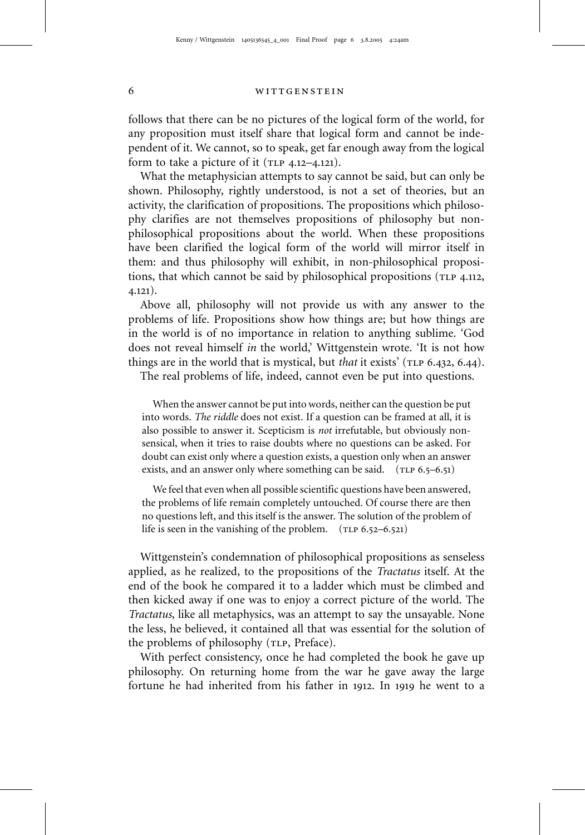follows that there can be no pictures of the logical form of the world, for any proposition must itself share that logical form and cannot be independent of it. We cannot, so to speak, get far enough away from the logical form to take a picture of it ( $TLP$  4.12–4.121).

What the metaphysician attempts to say cannot be said, but can only be shown. Philosophy, rightly understood, is not a set of theories, but an activity, the clarification of propositions. The propositions which philosophy clarifies are not themselves propositions of philosophy but nonphilosophical propositions about the world. When these propositions have been clarified the logical form of the world will mirror itself in them: and thus philosophy will exhibit, in non-philosophical propositions, that which cannot be said by philosophical propositions (TLP 4.112, 4.121).

Above all, philosophy will not provide us with any answer to the problems of life. Propositions show how things are; but how things are in the world is of no importance in relation to anything sublime. 'God does not reveal himself in the world,' Wittgenstein wrote. 'It is not how things are in the world that is mystical, but that it exists' ( $TLP$  6.432, 6.44).

The real problems of life, indeed, cannot even be put into questions.

When the answer cannot be put into words, neither can the question be put into words. The riddle does not exist. If a question can be framed at all, it is also possible to answer it. Scepticism is not irrefutable, but obviously nonsensical, when it tries to raise doubts where no questions can be asked. For doubt can exist only where a question exists, a question only when an answer exists, and an answer only where something can be said. (TLP 6.5–6.51)

We feel that even when all possible scientific questions have been answered, the problems of life remain completely untouched. Of course there are then no questions left, and this itself is the answer. The solution of the problem of life is seen in the vanishing of the problem.  $(TLP 6.52-6.521)$ 

Wittgenstein's condemnation of philosophical propositions as senseless applied, as he realized, to the propositions of the Tractatus itself. At the end of the book he compared it to a ladder which must be climbed and then kicked away if one was to enjoy a correct picture of the world. The Tractatus, like all metaphysics, was an attempt to say the unsayable. None the less, he believed, it contained all that was essential for the solution of the problems of philosophy (TLP, Preface).

With perfect consistency, once he had completed the book he gave up philosophy. On returning home from the war he gave away the large fortune he had inherited from his father in 1912. In 1919 he went to a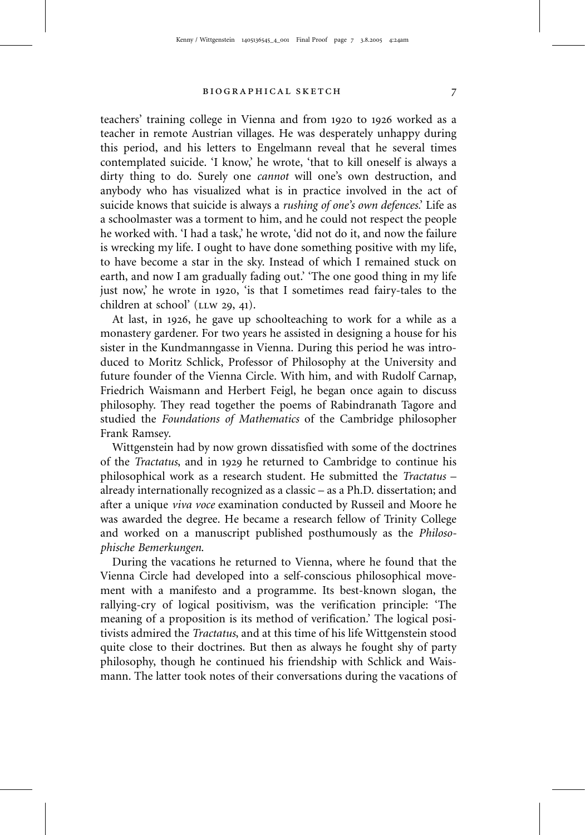teachers' training college in Vienna and from 1920 to 1926 worked as a teacher in remote Austrian villages. He was desperately unhappy during this period, and his letters to Engelmann reveal that he several times contemplated suicide. 'I know,' he wrote, 'that to kill oneself is always a dirty thing to do. Surely one cannot will one's own destruction, and anybody who has visualized what is in practice involved in the act of suicide knows that suicide is always a *rushing of one's own defences*.' Life as a schoolmaster was a torment to him, and he could not respect the people he worked with. 'I had a task,' he wrote, 'did not do it, and now the failure is wrecking my life. I ought to have done something positive with my life, to have become a star in the sky. Instead of which I remained stuck on earth, and now I am gradually fading out.' 'The one good thing in my life just now,' he wrote in 1920, 'is that I sometimes read fairy-tales to the children at school' (LLW 29, 41).

At last, in 1926, he gave up schoolteaching to work for a while as a monastery gardener. For two years he assisted in designing a house for his sister in the Kundmanngasse in Vienna. During this period he was introduced to Moritz Schlick, Professor of Philosophy at the University and future founder of the Vienna Circle. With him, and with Rudolf Carnap, Friedrich Waismann and Herbert Feigl, he began once again to discuss philosophy. They read together the poems of Rabindranath Tagore and studied the Foundations of Mathematics of the Cambridge philosopher Frank Ramsey.

Wittgenstein had by now grown dissatisfied with some of the doctrines of the Tractatus, and in 1929 he returned to Cambridge to continue his philosophical work as a research student. He submitted the Tractatus – already internationally recognized as a classic – as a Ph.D. dissertation; and after a unique viva voce examination conducted by Russeil and Moore he was awarded the degree. He became a research fellow of Trinity College and worked on a manuscript published posthumously as the Philosophische Bemerkungen.

During the vacations he returned to Vienna, where he found that the Vienna Circle had developed into a self-conscious philosophical movement with a manifesto and a programme. Its best-known slogan, the rallying-cry of logical positivism, was the verification principle: 'The meaning of a proposition is its method of verification.' The logical positivists admired the Tractatus, and at this time of his life Wittgenstein stood quite close to their doctrines. But then as always he fought shy of party philosophy, though he continued his friendship with Schlick and Waismann. The latter took notes of their conversations during the vacations of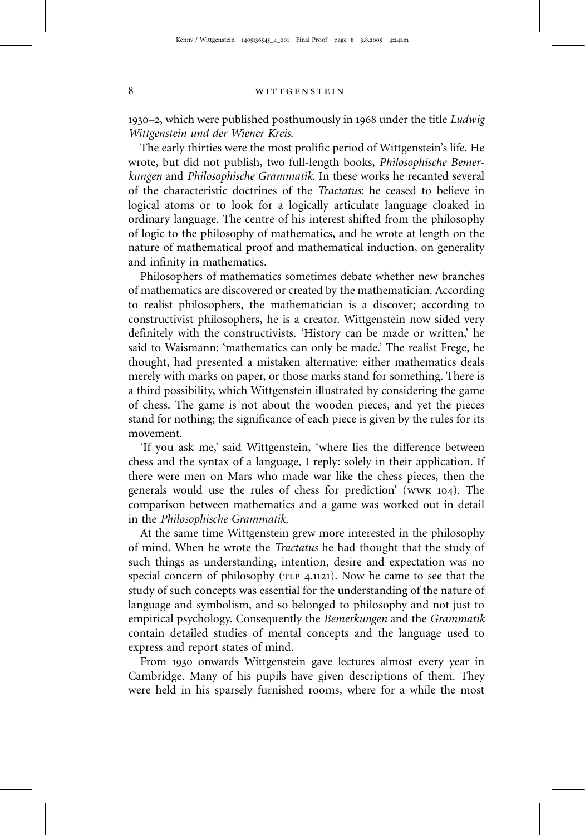1930–2, which were published posthumously in 1968 under the title Ludwig Wittgenstein und der Wiener Kreis.

The early thirties were the most prolific period of Wittgenstein's life. He wrote, but did not publish, two full-length books, Philosophische Bemerkungen and Philosophische Grammatik. In these works he recanted several of the characteristic doctrines of the Tractatus: he ceased to believe in logical atoms or to look for a logically articulate language cloaked in ordinary language. The centre of his interest shifted from the philosophy of logic to the philosophy of mathematics, and he wrote at length on the nature of mathematical proof and mathematical induction, on generality and infinity in mathematics.

Philosophers of mathematics sometimes debate whether new branches of mathematics are discovered or created by the mathematician. According to realist philosophers, the mathematician is a discover; according to constructivist philosophers, he is a creator. Wittgenstein now sided very definitely with the constructivists. 'History can be made or written,' he said to Waismann; 'mathematics can only be made.' The realist Frege, he thought, had presented a mistaken alternative: either mathematics deals merely with marks on paper, or those marks stand for something. There is a third possibility, which Wittgenstein illustrated by considering the game of chess. The game is not about the wooden pieces, and yet the pieces stand for nothing; the significance of each piece is given by the rules for its movement.

'If you ask me,' said Wittgenstein, 'where lies the difference between chess and the syntax of a language, I reply: solely in their application. If there were men on Mars who made war like the chess pieces, then the generals would use the rules of chess for prediction' (wwk 104). The comparison between mathematics and a game was worked out in detail in the Philosophische Grammatik.

At the same time Wittgenstein grew more interested in the philosophy of mind. When he wrote the Tractatus he had thought that the study of such things as understanding, intention, desire and expectation was no special concern of philosophy (TLP 4.1121). Now he came to see that the study of such concepts was essential for the understanding of the nature of language and symbolism, and so belonged to philosophy and not just to empirical psychology. Consequently the Bemerkungen and the Grammatik contain detailed studies of mental concepts and the language used to express and report states of mind.

From 1930 onwards Wittgenstein gave lectures almost every year in Cambridge. Many of his pupils have given descriptions of them. They were held in his sparsely furnished rooms, where for a while the most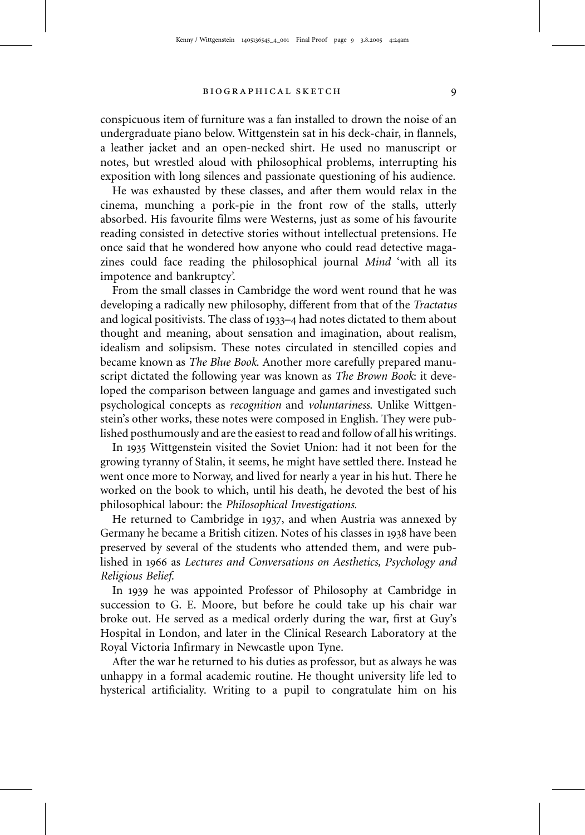conspicuous item of furniture was a fan installed to drown the noise of an undergraduate piano below. Wittgenstein sat in his deck-chair, in flannels, a leather jacket and an open-necked shirt. He used no manuscript or notes, but wrestled aloud with philosophical problems, interrupting his exposition with long silences and passionate questioning of his audience.

He was exhausted by these classes, and after them would relax in the cinema, munching a pork-pie in the front row of the stalls, utterly absorbed. His favourite films were Westerns, just as some of his favourite reading consisted in detective stories without intellectual pretensions. He once said that he wondered how anyone who could read detective magazines could face reading the philosophical journal Mind 'with all its impotence and bankruptcy'.

From the small classes in Cambridge the word went round that he was developing a radically new philosophy, different from that of the Tractatus and logical positivists. The class of 1933–4 had notes dictated to them about thought and meaning, about sensation and imagination, about realism, idealism and solipsism. These notes circulated in stencilled copies and became known as The Blue Book. Another more carefully prepared manuscript dictated the following year was known as The Brown Book: it developed the comparison between language and games and investigated such psychological concepts as recognition and voluntariness. Unlike Wittgenstein's other works, these notes were composed in English. They were published posthumously and are the easiest to read and follow of all his writings.

In 1935 Wittgenstein visited the Soviet Union: had it not been for the growing tyranny of Stalin, it seems, he might have settled there. Instead he went once more to Norway, and lived for nearly a year in his hut. There he worked on the book to which, until his death, he devoted the best of his philosophical labour: the Philosophical Investigations.

He returned to Cambridge in 1937, and when Austria was annexed by Germany he became a British citizen. Notes of his classes in 1938 have been preserved by several of the students who attended them, and were published in 1966 as Lectures and Conversations on Aesthetics, Psychology and Religious Belief.

In 1939 he was appointed Professor of Philosophy at Cambridge in succession to G. E. Moore, but before he could take up his chair war broke out. He served as a medical orderly during the war, first at Guy's Hospital in London, and later in the Clinical Research Laboratory at the Royal Victoria Infirmary in Newcastle upon Tyne.

After the war he returned to his duties as professor, but as always he was unhappy in a formal academic routine. He thought university life led to hysterical artificiality. Writing to a pupil to congratulate him on his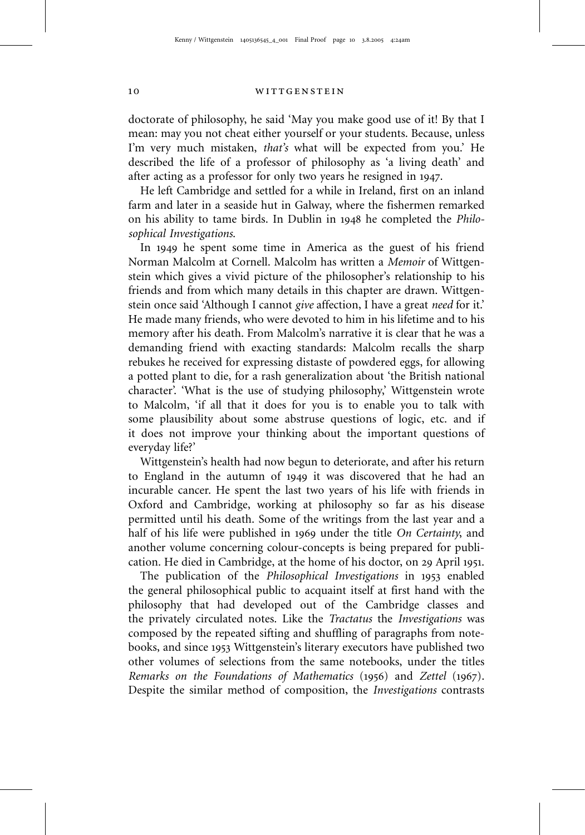doctorate of philosophy, he said 'May you make good use of it! By that I mean: may you not cheat either yourself or your students. Because, unless I'm very much mistaken, that's what will be expected from you.' He described the life of a professor of philosophy as 'a living death' and after acting as a professor for only two years he resigned in 1947.

He left Cambridge and settled for a while in Ireland, first on an inland farm and later in a seaside hut in Galway, where the fishermen remarked on his ability to tame birds. In Dublin in 1948 he completed the Philosophical Investigations.

In 1949 he spent some time in America as the guest of his friend Norman Malcolm at Cornell. Malcolm has written a Memoir of Wittgenstein which gives a vivid picture of the philosopher's relationship to his friends and from which many details in this chapter are drawn. Wittgenstein once said 'Although I cannot give affection, I have a great need for it.' He made many friends, who were devoted to him in his lifetime and to his memory after his death. From Malcolm's narrative it is clear that he was a demanding friend with exacting standards: Malcolm recalls the sharp rebukes he received for expressing distaste of powdered eggs, for allowing a potted plant to die, for a rash generalization about 'the British national character'. 'What is the use of studying philosophy,' Wittgenstein wrote to Malcolm, 'if all that it does for you is to enable you to talk with some plausibility about some abstruse questions of logic, etc. and if it does not improve your thinking about the important questions of everyday life?'

Wittgenstein's health had now begun to deteriorate, and after his return to England in the autumn of 1949 it was discovered that he had an incurable cancer. He spent the last two years of his life with friends in Oxford and Cambridge, working at philosophy so far as his disease permitted until his death. Some of the writings from the last year and a half of his life were published in 1969 under the title On Certainty, and another volume concerning colour-concepts is being prepared for publication. He died in Cambridge, at the home of his doctor, on 29 April 1951.

The publication of the Philosophical Investigations in 1953 enabled the general philosophical public to acquaint itself at first hand with the philosophy that had developed out of the Cambridge classes and the privately circulated notes. Like the Tractatus the Investigations was composed by the repeated sifting and shuffling of paragraphs from notebooks, and since 1953 Wittgenstein's literary executors have published two other volumes of selections from the same notebooks, under the titles Remarks on the Foundations of Mathematics (1956) and Zettel (1967). Despite the similar method of composition, the Investigations contrasts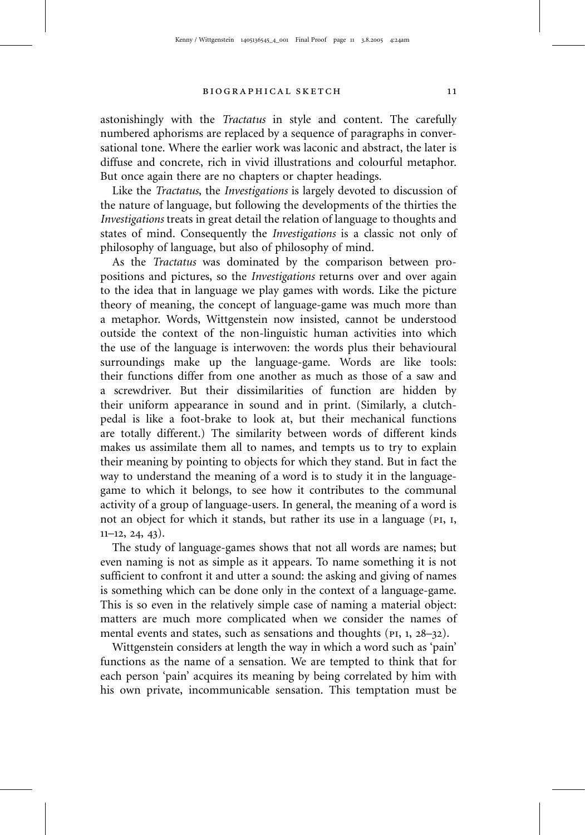astonishingly with the Tractatus in style and content. The carefully numbered aphorisms are replaced by a sequence of paragraphs in conversational tone. Where the earlier work was laconic and abstract, the later is diffuse and concrete, rich in vivid illustrations and colourful metaphor. But once again there are no chapters or chapter headings.

Like the Tractatus, the Investigations is largely devoted to discussion of the nature of language, but following the developments of the thirties the Investigations treats in great detail the relation of language to thoughts and states of mind. Consequently the Investigations is a classic not only of philosophy of language, but also of philosophy of mind.

As the Tractatus was dominated by the comparison between propositions and pictures, so the Investigations returns over and over again to the idea that in language we play games with words. Like the picture theory of meaning, the concept of language-game was much more than a metaphor. Words, Wittgenstein now insisted, cannot be understood outside the context of the non-linguistic human activities into which the use of the language is interwoven: the words plus their behavioural surroundings make up the language-game. Words are like tools: their functions differ from one another as much as those of a saw and a screwdriver. But their dissimilarities of function are hidden by their uniform appearance in sound and in print. (Similarly, a clutchpedal is like a foot-brake to look at, but their mechanical functions are totally different.) The similarity between words of different kinds makes us assimilate them all to names, and tempts us to try to explain their meaning by pointing to objects for which they stand. But in fact the way to understand the meaning of a word is to study it in the languagegame to which it belongs, to see how it contributes to the communal activity of a group of language-users. In general, the meaning of a word is not an object for which it stands, but rather its use in a language (pi, i, 11–12, 24, 43).

The study of language-games shows that not all words are names; but even naming is not as simple as it appears. To name something it is not sufficient to confront it and utter a sound: the asking and giving of names is something which can be done only in the context of a language-game. This is so even in the relatively simple case of naming a material object: matters are much more complicated when we consider the names of mental events and states, such as sensations and thoughts (pi, 1, 28–32).

Wittgenstein considers at length the way in which a word such as 'pain' functions as the name of a sensation. We are tempted to think that for each person 'pain' acquires its meaning by being correlated by him with his own private, incommunicable sensation. This temptation must be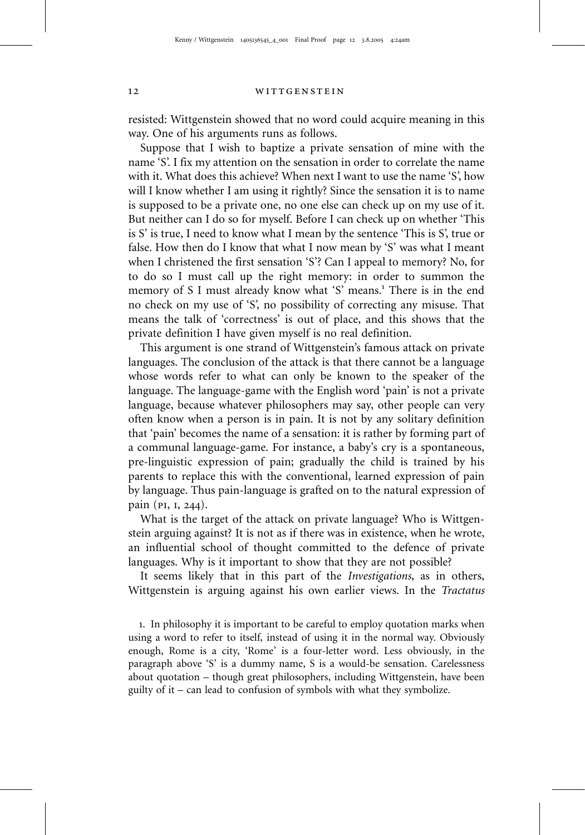resisted: Wittgenstein showed that no word could acquire meaning in this way. One of his arguments runs as follows.

Suppose that I wish to baptize a private sensation of mine with the name 'S'. I fix my attention on the sensation in order to correlate the name with it. What does this achieve? When next I want to use the name 'S', how will I know whether I am using it rightly? Since the sensation it is to name is supposed to be a private one, no one else can check up on my use of it. But neither can I do so for myself. Before I can check up on whether 'This is S' is true, I need to know what I mean by the sentence 'This is S', true or false. How then do I know that what I now mean by 'S' was what I meant when I christened the first sensation 'S'? Can I appeal to memory? No, for to do so I must call up the right memory: in order to summon the memory of S I must already know what 'S' means.<sup>1</sup> There is in the end no check on my use of 'S', no possibility of correcting any misuse. That means the talk of 'correctness' is out of place, and this shows that the private definition I have given myself is no real definition.

This argument is one strand of Wittgenstein's famous attack on private languages. The conclusion of the attack is that there cannot be a language whose words refer to what can only be known to the speaker of the language. The language-game with the English word 'pain' is not a private language, because whatever philosophers may say, other people can very often know when a person is in pain. It is not by any solitary definition that 'pain' becomes the name of a sensation: it is rather by forming part of a communal language-game. For instance, a baby's cry is a spontaneous, pre-linguistic expression of pain; gradually the child is trained by his parents to replace this with the conventional, learned expression of pain by language. Thus pain-language is grafted on to the natural expression of pain (pi, i, 244).

What is the target of the attack on private language? Who is Wittgenstein arguing against? It is not as if there was in existence, when he wrote, an influential school of thought committed to the defence of private languages. Why is it important to show that they are not possible?

It seems likely that in this part of the Investigations, as in others, Wittgenstein is arguing against his own earlier views. In the Tractatus

1. In philosophy it is important to be careful to employ quotation marks when using a word to refer to itself, instead of using it in the normal way. Obviously enough, Rome is a city, 'Rome' is a four-letter word. Less obviously, in the paragraph above 'S' is a dummy name, S is a would-be sensation. Carelessness about quotation – though great philosophers, including Wittgenstein, have been guilty of it – can lead to confusion of symbols with what they symbolize.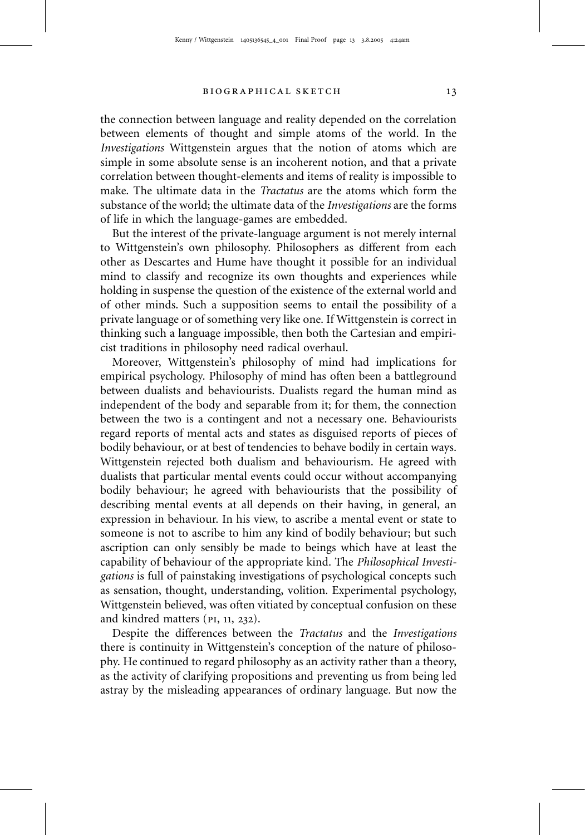the connection between language and reality depended on the correlation between elements of thought and simple atoms of the world. In the Investigations Wittgenstein argues that the notion of atoms which are simple in some absolute sense is an incoherent notion, and that a private correlation between thought-elements and items of reality is impossible to make. The ultimate data in the Tractatus are the atoms which form the substance of the world; the ultimate data of the Investigations are the forms of life in which the language-games are embedded.

But the interest of the private-language argument is not merely internal to Wittgenstein's own philosophy. Philosophers as different from each other as Descartes and Hume have thought it possible for an individual mind to classify and recognize its own thoughts and experiences while holding in suspense the question of the existence of the external world and of other minds. Such a supposition seems to entail the possibility of a private language or of something very like one. If Wittgenstein is correct in thinking such a language impossible, then both the Cartesian and empiricist traditions in philosophy need radical overhaul.

Moreover, Wittgenstein's philosophy of mind had implications for empirical psychology. Philosophy of mind has often been a battleground between dualists and behaviourists. Dualists regard the human mind as independent of the body and separable from it; for them, the connection between the two is a contingent and not a necessary one. Behaviourists regard reports of mental acts and states as disguised reports of pieces of bodily behaviour, or at best of tendencies to behave bodily in certain ways. Wittgenstein rejected both dualism and behaviourism. He agreed with dualists that particular mental events could occur without accompanying bodily behaviour; he agreed with behaviourists that the possibility of describing mental events at all depends on their having, in general, an expression in behaviour. In his view, to ascribe a mental event or state to someone is not to ascribe to him any kind of bodily behaviour; but such ascription can only sensibly be made to beings which have at least the capability of behaviour of the appropriate kind. The Philosophical Investigations is full of painstaking investigations of psychological concepts such as sensation, thought, understanding, volition. Experimental psychology, Wittgenstein believed, was often vitiated by conceptual confusion on these and kindred matters (pi, 11, 232).

Despite the differences between the Tractatus and the Investigations there is continuity in Wittgenstein's conception of the nature of philosophy. He continued to regard philosophy as an activity rather than a theory, as the activity of clarifying propositions and preventing us from being led astray by the misleading appearances of ordinary language. But now the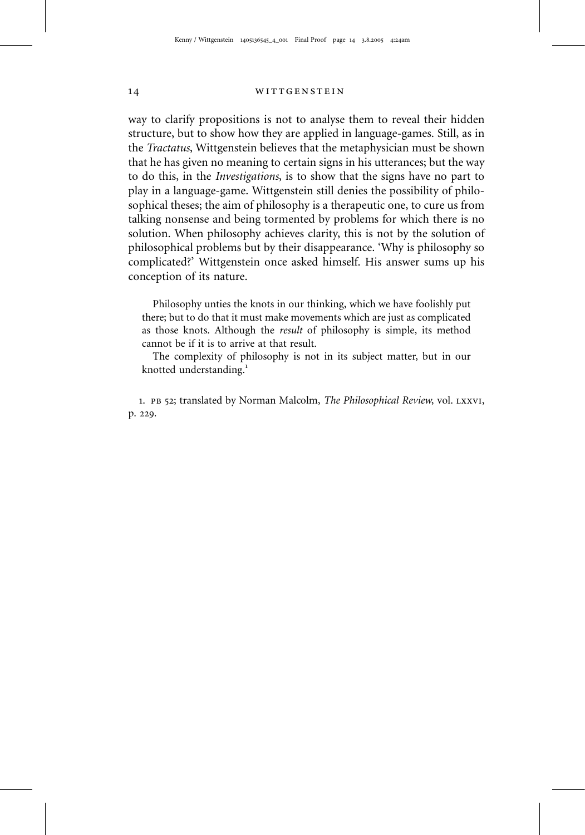#### 14 WITTGENSTEIN

way to clarify propositions is not to analyse them to reveal their hidden structure, but to show how they are applied in language-games. Still, as in the Tractatus, Wittgenstein believes that the metaphysician must be shown that he has given no meaning to certain signs in his utterances; but the way to do this, in the Investigations, is to show that the signs have no part to play in a language-game. Wittgenstein still denies the possibility of philosophical theses; the aim of philosophy is a therapeutic one, to cure us from talking nonsense and being tormented by problems for which there is no solution. When philosophy achieves clarity, this is not by the solution of philosophical problems but by their disappearance. 'Why is philosophy so complicated?' Wittgenstein once asked himself. His answer sums up his conception of its nature.

Philosophy unties the knots in our thinking, which we have foolishly put there; but to do that it must make movements which are just as complicated as those knots. Although the result of philosophy is simple, its method cannot be if it is to arrive at that result.

The complexity of philosophy is not in its subject matter, but in our knotted understanding.<sup>1</sup>

1. PB 52; translated by Norman Malcolm, The Philosophical Review, vol. LXXVI, p. 229.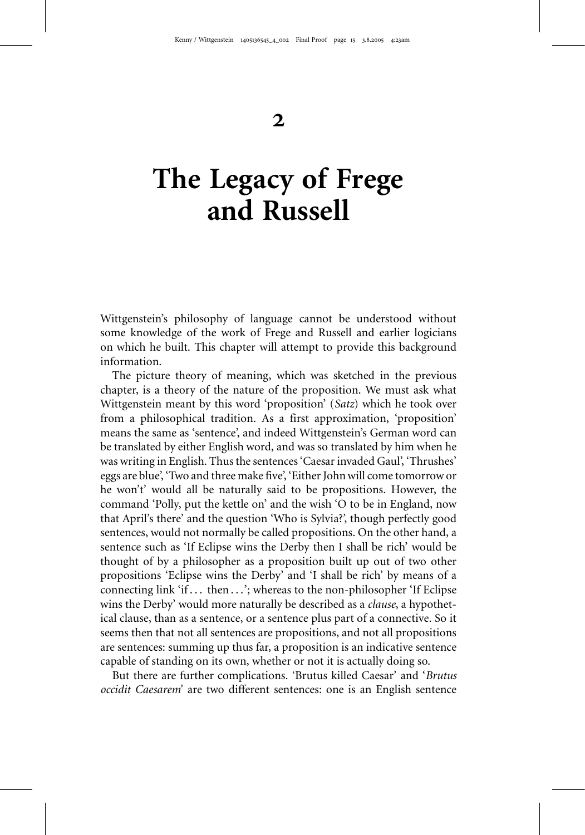### The Legacy of Frege and Russell

Wittgenstein's philosophy of language cannot be understood without some knowledge of the work of Frege and Russell and earlier logicians on which he built. This chapter will attempt to provide this background information.

The picture theory of meaning, which was sketched in the previous chapter, is a theory of the nature of the proposition. We must ask what Wittgenstein meant by this word 'proposition' (Satz) which he took over from a philosophical tradition. As a first approximation, 'proposition' means the same as 'sentence', and indeed Wittgenstein's German word can be translated by either English word, and was so translated by him when he was writing in English. Thus the sentences 'Caesar invaded Gaul', 'Thrushes' eggs are blue', 'Two and three make five', 'Either John will come tomorrow or he won't' would all be naturally said to be propositions. However, the command 'Polly, put the kettle on' and the wish 'O to be in England, now that April's there' and the question 'Who is Sylvia?', though perfectly good sentences, would not normally be called propositions. On the other hand, a sentence such as 'If Eclipse wins the Derby then I shall be rich' would be thought of by a philosopher as a proposition built up out of two other propositions 'Eclipse wins the Derby' and 'I shall be rich' by means of a connecting link 'if . . . then . . .'; whereas to the non-philosopher 'If Eclipse wins the Derby' would more naturally be described as a *clause*, a hypothetical clause, than as a sentence, or a sentence plus part of a connective. So it seems then that not all sentences are propositions, and not all propositions are sentences: summing up thus far, a proposition is an indicative sentence capable of standing on its own, whether or not it is actually doing so.

But there are further complications. 'Brutus killed Caesar' and 'Brutus occidit Caesarem' are two different sentences: one is an English sentence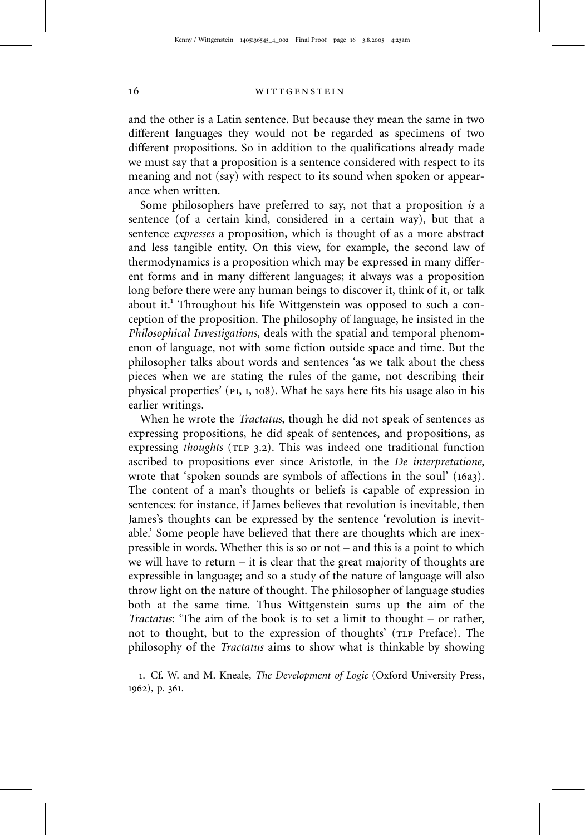and the other is a Latin sentence. But because they mean the same in two different languages they would not be regarded as specimens of two different propositions. So in addition to the qualifications already made we must say that a proposition is a sentence considered with respect to its meaning and not (say) with respect to its sound when spoken or appearance when written.

Some philosophers have preferred to say, not that a proposition is a sentence (of a certain kind, considered in a certain way), but that a sentence expresses a proposition, which is thought of as a more abstract and less tangible entity. On this view, for example, the second law of thermodynamics is a proposition which may be expressed in many different forms and in many different languages; it always was a proposition long before there were any human beings to discover it, think of it, or talk about it.<sup>1</sup> Throughout his life Wittgenstein was opposed to such a conception of the proposition. The philosophy of language, he insisted in the Philosophical Investigations, deals with the spatial and temporal phenomenon of language, not with some fiction outside space and time. But the philosopher talks about words and sentences 'as we talk about the chess pieces when we are stating the rules of the game, not describing their physical properties' (pi, i, 108). What he says here fits his usage also in his earlier writings.

When he wrote the *Tractatus*, though he did not speak of sentences as expressing propositions, he did speak of sentences, and propositions, as expressing thoughts ( $TLP$  3.2). This was indeed one traditional function ascribed to propositions ever since Aristotle, in the De interpretatione, wrote that 'spoken sounds are symbols of affections in the soul' (16a3). The content of a man's thoughts or beliefs is capable of expression in sentences: for instance, if James believes that revolution is inevitable, then James's thoughts can be expressed by the sentence 'revolution is inevitable.' Some people have believed that there are thoughts which are inexpressible in words. Whether this is so or not – and this is a point to which we will have to return  $-$  it is clear that the great majority of thoughts are expressible in language; and so a study of the nature of language will also throw light on the nature of thought. The philosopher of language studies both at the same time. Thus Wittgenstein sums up the aim of the Tractatus: 'The aim of the book is to set a limit to thought – or rather, not to thought, but to the expression of thoughts' (TLP Preface). The philosophy of the Tractatus aims to show what is thinkable by showing

1. Cf. W. and M. Kneale, The Development of Logic (Oxford University Press, 1962), p. 361.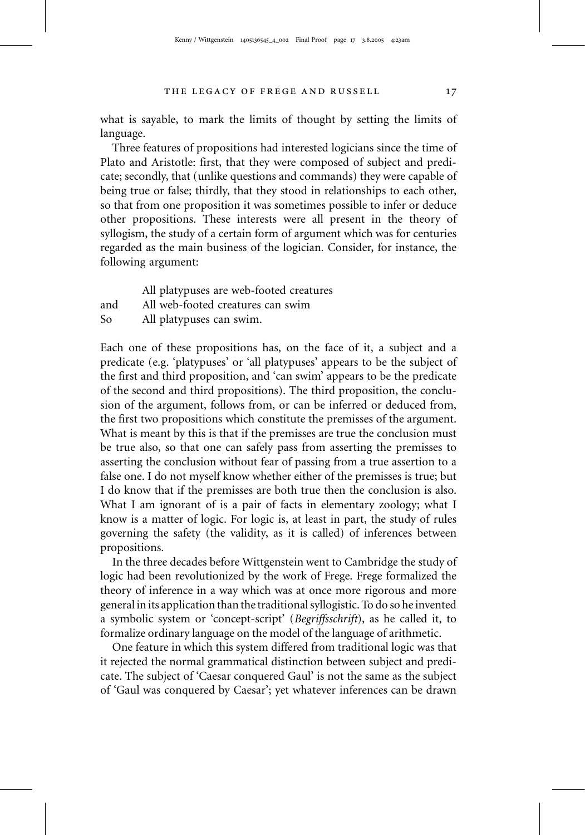what is sayable, to mark the limits of thought by setting the limits of language.

Three features of propositions had interested logicians since the time of Plato and Aristotle: first, that they were composed of subject and predicate; secondly, that (unlike questions and commands) they were capable of being true or false; thirdly, that they stood in relationships to each other, so that from one proposition it was sometimes possible to infer or deduce other propositions. These interests were all present in the theory of syllogism, the study of a certain form of argument which was for centuries regarded as the main business of the logician. Consider, for instance, the following argument:

All platypuses are web-footed creatures and All web-footed creatures can swim So All platypuses can swim.

Each one of these propositions has, on the face of it, a subject and a predicate (e.g. 'platypuses' or 'all platypuses' appears to be the subject of the first and third proposition, and 'can swim' appears to be the predicate of the second and third propositions). The third proposition, the conclusion of the argument, follows from, or can be inferred or deduced from, the first two propositions which constitute the premisses of the argument. What is meant by this is that if the premisses are true the conclusion must be true also, so that one can safely pass from asserting the premisses to asserting the conclusion without fear of passing from a true assertion to a false one. I do not myself know whether either of the premisses is true; but I do know that if the premisses are both true then the conclusion is also. What I am ignorant of is a pair of facts in elementary zoology; what I know is a matter of logic. For logic is, at least in part, the study of rules governing the safety (the validity, as it is called) of inferences between propositions.

In the three decades before Wittgenstein went to Cambridge the study of logic had been revolutionized by the work of Frege. Frege formalized the theory of inference in a way which was at once more rigorous and more general in its application than the traditional syllogistic. To do so he invented a symbolic system or 'concept-script' (Begriffsschrift), as he called it, to formalize ordinary language on the model of the language of arithmetic.

One feature in which this system differed from traditional logic was that it rejected the normal grammatical distinction between subject and predicate. The subject of 'Caesar conquered Gaul' is not the same as the subject of 'Gaul was conquered by Caesar'; yet whatever inferences can be drawn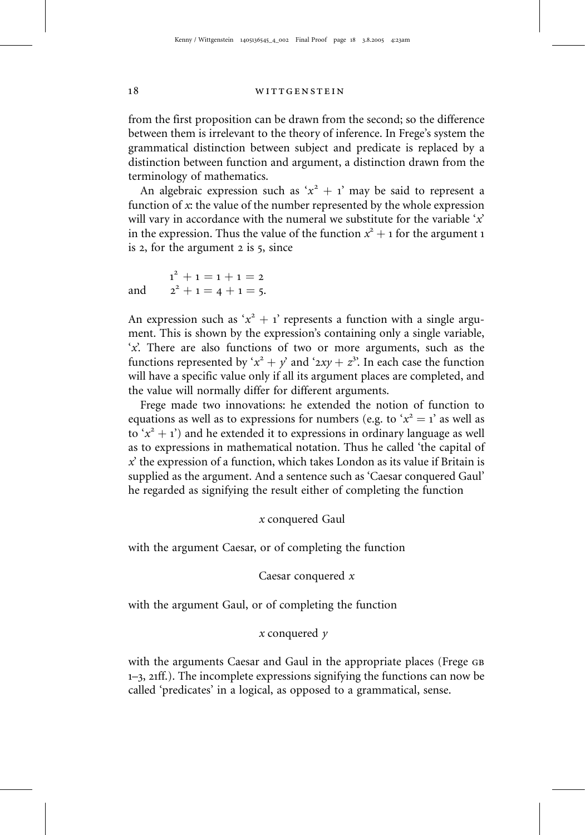from the first proposition can be drawn from the second; so the difference between them is irrelevant to the theory of inference. In Frege's system the grammatical distinction between subject and predicate is replaced by a distinction between function and argument, a distinction drawn from the terminology of mathematics.

An algebraic expression such as ' $x^2 + 1$ ' may be said to represent a function of  $x$ : the value of the number represented by the whole expression will vary in accordance with the numeral we substitute for the variable  $x'$ in the expression. Thus the value of the function  $x^2 + 1$  for the argument 1 is 2, for the argument 2 is 5, since

 $1^2 + 1 = 1 + 1 = 2$ and  $2^2 + 1 = 4 + 1 = 5.$ 

An expression such as ' $x^2 + 1$ ' represents a function with a single argument. This is shown by the expression's containing only a single variable, 'x'. There are also functions of two or more arguments, such as the functions represented by ' $x^2 + y$ ' and '2xy + z<sup>3</sup>'. In each case the function will have a specific value only if all its argument places are completed, and the value will normally differ for different arguments.

Frege made two innovations: he extended the notion of function to equations as well as to expressions for numbers (e.g. to ' $x^2 = 1$ ' as well as to  $x^2 + 1$ ) and he extended it to expressions in ordinary language as well as to expressions in mathematical notation. Thus he called 'the capital of  $x'$  the expression of a function, which takes London as its value if Britain is supplied as the argument. And a sentence such as 'Caesar conquered Gaul' he regarded as signifying the result either of completing the function

#### x conquered Gaul

with the argument Caesar, or of completing the function

Caesar conquered x

with the argument Gaul, or of completing the function

```
x conquered y
```
with the arguments Caesar and Gaul in the appropriate places (Frege GB 1–3, 21ff.). The incomplete expressions signifying the functions can now be called 'predicates' in a logical, as opposed to a grammatical, sense.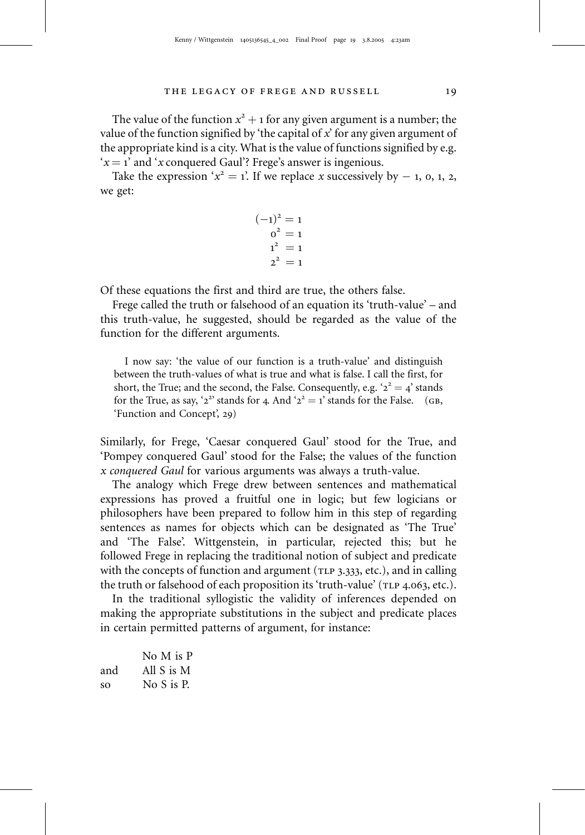The value of the function  $x^2 + 1$  for any given argument is a number; the value of the function signified by 'the capital of  $x$ ' for any given argument of the appropriate kind is a city. What is the value of functions signified by e.g.  $x = 1$ ' and 'x conquered Gaul'? Frege's answer is ingenious.

Take the expression ' $x^2 = 1$ '. If we replace x successively by  $-1$ , 0, 1, 2, we get:

$$
-1)^{2} = 1
$$

$$
0^{2} = 1
$$

$$
1^{2} = 1
$$

$$
2^{2} = 1
$$

Of these equations the first and third are true, the others false.

 $($ 

Frege called the truth or falsehood of an equation its 'truth-value' – and this truth-value, he suggested, should be regarded as the value of the function for the different arguments.

I now say: 'the value of our function is a truth-value' and distinguish between the truth-values of what is true and what is false. I call the first, for short, the True; and the second, the False. Consequently, e.g.  $2^2 = 4$  stands for the True, as say, '2<sup>2</sup>' stands for 4. And '2<sup>2</sup> = 1' stands for the False. (GB, 'Function and Concept', 29)

Similarly, for Frege, 'Caesar conquered Gaul' stood for the True, and 'Pompey conquered Gaul' stood for the False; the values of the function x conquered Gaul for various arguments was always a truth-value.

The analogy which Frege drew between sentences and mathematical expressions has proved a fruitful one in logic; but few logicians or philosophers have been prepared to follow him in this step of regarding sentences as names for objects which can be designated as 'The True' and 'The False'. Wittgenstein, in particular, rejected this; but he followed Frege in replacing the traditional notion of subject and predicate with the concepts of function and argument ( $TLP$  3.333, etc.), and in calling the truth or falsehood of each proposition its 'truth-value' (TLP 4.063, etc.).

In the traditional syllogistic the validity of inferences depended on making the appropriate substitutions in the subject and predicate places in certain permitted patterns of argument, for instance:

|     | No M is P       |
|-----|-----------------|
| and | All S is M      |
| SΟ  | No $S$ is $P$ . |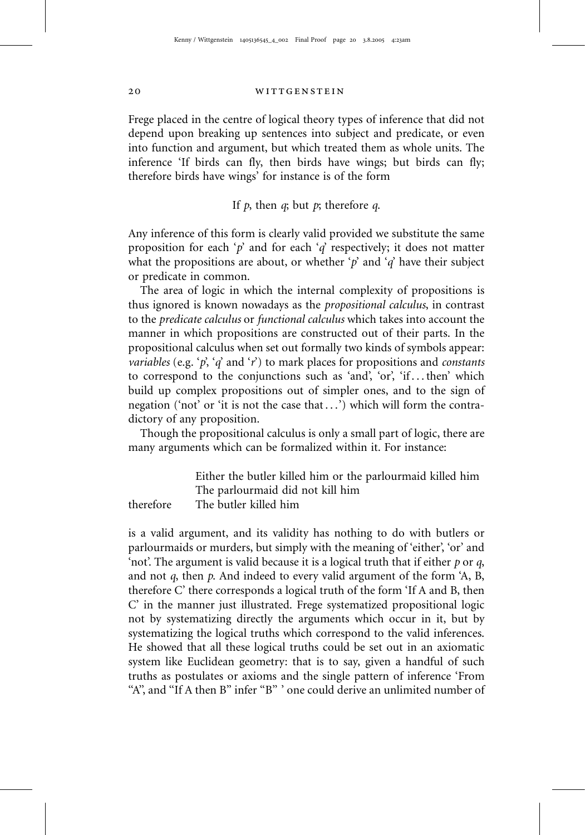Frege placed in the centre of logical theory types of inference that did not depend upon breaking up sentences into subject and predicate, or even into function and argument, but which treated them as whole units. The inference 'If birds can fly, then birds have wings; but birds can fly; therefore birds have wings' for instance is of the form

If p, then  $q$ ; but p; therefore  $q$ .

Any inference of this form is clearly valid provided we substitute the same proposition for each 'p' and for each 'q' respectively; it does not matter what the propositions are about, or whether ' $p'$  and 'q' have their subject or predicate in common.

The area of logic in which the internal complexity of propositions is thus ignored is known nowadays as the propositional calculus, in contrast to the predicate calculus or functional calculus which takes into account the manner in which propositions are constructed out of their parts. In the propositional calculus when set out formally two kinds of symbols appear: *variables* (e.g. ' $p'$ , 'q' and 'r') to mark places for propositions and *constants* to correspond to the conjunctions such as 'and', 'or', 'if . . . then' which build up complex propositions out of simpler ones, and to the sign of negation ('not' or 'it is not the case that ...') which will form the contradictory of any proposition.

Though the propositional calculus is only a small part of logic, there are many arguments which can be formalized within it. For instance:

Either the butler killed him or the parlourmaid killed him The parlourmaid did not kill him therefore The butler killed him

is a valid argument, and its validity has nothing to do with butlers or parlourmaids or murders, but simply with the meaning of 'either', 'or' and 'not'. The argument is valid because it is a logical truth that if either  $p$  or  $q$ , and not  $q$ , then  $p$ . And indeed to every valid argument of the form 'A, B, therefore C' there corresponds a logical truth of the form 'If A and B, then C' in the manner just illustrated. Frege systematized propositional logic not by systematizing directly the arguments which occur in it, but by systematizing the logical truths which correspond to the valid inferences. He showed that all these logical truths could be set out in an axiomatic system like Euclidean geometry: that is to say, given a handful of such truths as postulates or axioms and the single pattern of inference 'From "A", and "If A then B" infer "B" ' one could derive an unlimited number of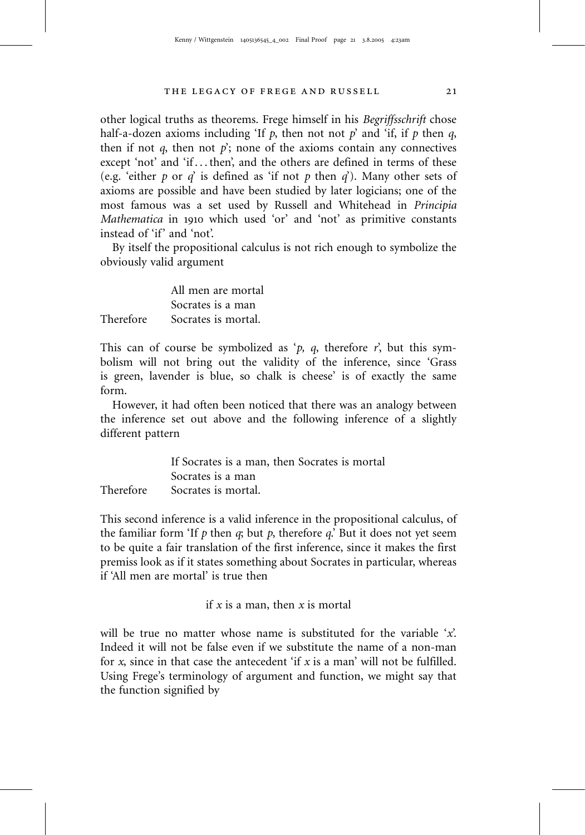other logical truths as theorems. Frege himself in his Begriffsschrift chose half-a-dozen axioms including 'If  $p$ , then not not  $p'$  and 'if, if  $p$  then  $q$ , then if not q, then not  $p'$ ; none of the axioms contain any connectives except 'not' and 'if ... then', and the others are defined in terms of these (e.g. 'either p or q' is defined as 'if not p then q'). Many other sets of axioms are possible and have been studied by later logicians; one of the most famous was a set used by Russell and Whitehead in Principia Mathematica in 1910 which used 'or' and 'not' as primitive constants instead of 'if' and 'not'.

By itself the propositional calculus is not rich enough to symbolize the obviously valid argument

|           | All men are mortal  |
|-----------|---------------------|
|           | Socrates is a man   |
| Therefore | Socrates is mortal. |

This can of course be symbolized as 'p, q, therefore r', but this symbolism will not bring out the validity of the inference, since 'Grass is green, lavender is blue, so chalk is cheese' is of exactly the same form.

However, it had often been noticed that there was an analogy between the inference set out above and the following inference of a slightly different pattern

| If Socrates is a man, then Socrates is mortal |
|-----------------------------------------------|
| Socrates is a man                             |
| Therefore Socrates is mortal.                 |

This second inference is a valid inference in the propositional calculus, of the familiar form 'If p then q; but p, therefore q.' But it does not yet seem to be quite a fair translation of the first inference, since it makes the first premiss look as if it states something about Socrates in particular, whereas if 'All men are mortal' is true then

if x is a man, then x is mortal

will be true no matter whose name is substituted for the variable  $x$ . Indeed it will not be false even if we substitute the name of a non-man for x, since in that case the antecedent 'if x is a man' will not be fulfilled. Using Frege's terminology of argument and function, we might say that the function signified by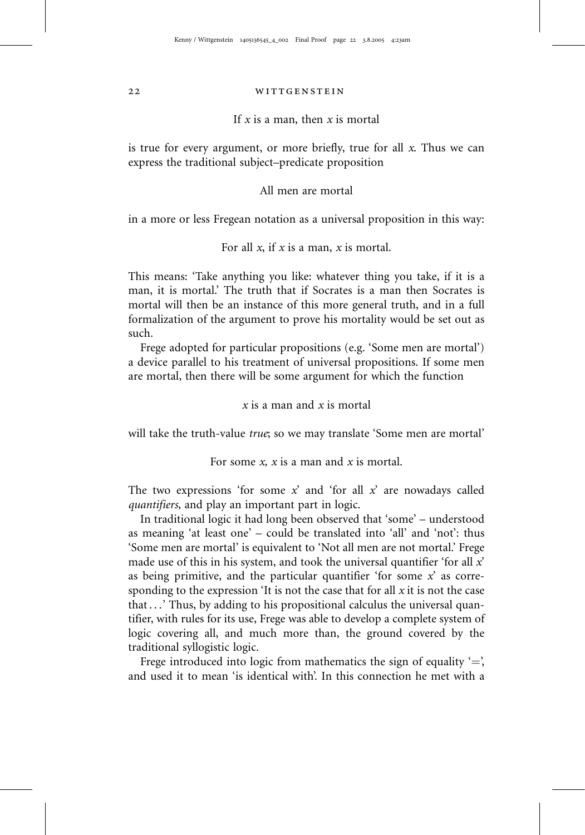#### 22 WITTGENSTEIN

## If  $x$  is a man, then  $x$  is mortal

is true for every argument, or more briefly, true for all  $x$ . Thus we can express the traditional subject–predicate proposition

## All men are mortal

in a more or less Fregean notation as a universal proposition in this way:

For all  $x$ , if  $x$  is a man,  $x$  is mortal.

This means: 'Take anything you like: whatever thing you take, if it is a man, it is mortal.' The truth that if Socrates is a man then Socrates is mortal will then be an instance of this more general truth, and in a full formalization of the argument to prove his mortality would be set out as such.

Frege adopted for particular propositions (e.g. 'Some men are mortal') a device parallel to his treatment of universal propositions. If some men are mortal, then there will be some argument for which the function

 $x$  is a man and  $x$  is mortal

will take the truth-value true; so we may translate 'Some men are mortal'

For some  $x$ ,  $x$  is a man and  $x$  is mortal.

The two expressions 'for some  $x'$  and 'for all  $x'$  are nowadays called quantifiers, and play an important part in logic.

In traditional logic it had long been observed that 'some' – understood as meaning 'at least one' – could be translated into 'all' and 'not': thus 'Some men are mortal' is equivalent to 'Not all men are not mortal.' Frege made use of this in his system, and took the universal quantifier 'for all  $x$ ' as being primitive, and the particular quantifier 'for some  $x'$  as corresponding to the expression 'It is not the case that for all  $x$  it is not the case that ...' Thus, by adding to his propositional calculus the universal quantifier, with rules for its use, Frege was able to develop a complete system of logic covering all, and much more than, the ground covered by the traditional syllogistic logic.

Frege introduced into logic from mathematics the sign of equality  $\equiv$ , and used it to mean 'is identical with'. In this connection he met with a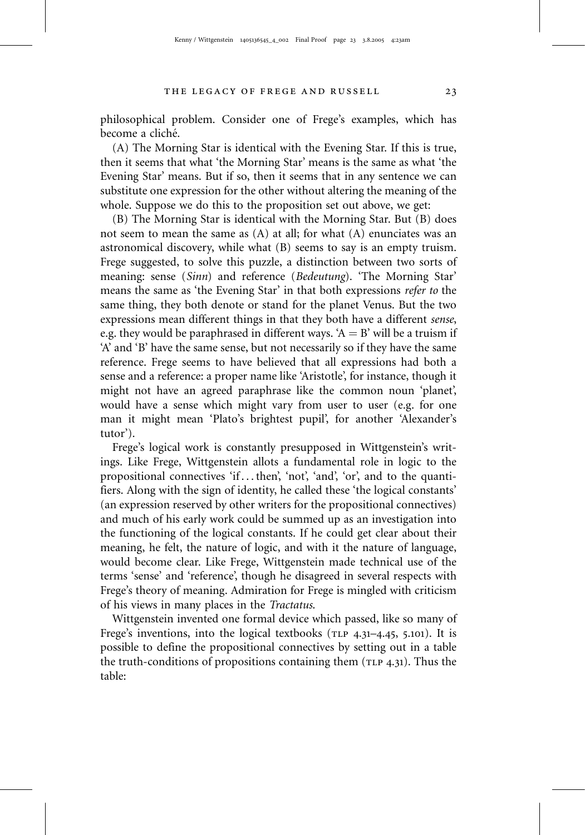philosophical problem. Consider one of Frege's examples, which has become a cliché.

(A) The Morning Star is identical with the Evening Star. If this is true, then it seems that what 'the Morning Star' means is the same as what 'the Evening Star' means. But if so, then it seems that in any sentence we can substitute one expression for the other without altering the meaning of the whole. Suppose we do this to the proposition set out above, we get:

(B) The Morning Star is identical with the Morning Star. But (B) does not seem to mean the same as (A) at all; for what (A) enunciates was an astronomical discovery, while what (B) seems to say is an empty truism. Frege suggested, to solve this puzzle, a distinction between two sorts of meaning: sense (Sinn) and reference (Bedeutung). 'The Morning Star' means the same as 'the Evening Star' in that both expressions refer to the same thing, they both denote or stand for the planet Venus. But the two expressions mean different things in that they both have a different sense, e.g. they would be paraphrased in different ways. ' $A = B'$  will be a truism if 'A' and 'B' have the same sense, but not necessarily so if they have the same reference. Frege seems to have believed that all expressions had both a sense and a reference: a proper name like 'Aristotle', for instance, though it might not have an agreed paraphrase like the common noun 'planet', would have a sense which might vary from user to user (e.g. for one man it might mean 'Plato's brightest pupil', for another 'Alexander's tutor').

Frege's logical work is constantly presupposed in Wittgenstein's writings. Like Frege, Wittgenstein allots a fundamental role in logic to the propositional connectives 'if ... then', 'not', 'and', 'or', and to the quantifiers. Along with the sign of identity, he called these 'the logical constants' (an expression reserved by other writers for the propositional connectives) and much of his early work could be summed up as an investigation into the functioning of the logical constants. If he could get clear about their meaning, he felt, the nature of logic, and with it the nature of language, would become clear. Like Frege, Wittgenstein made technical use of the terms 'sense' and 'reference', though he disagreed in several respects with Frege's theory of meaning. Admiration for Frege is mingled with criticism of his views in many places in the Tractatus.

Wittgenstein invented one formal device which passed, like so many of Frege's inventions, into the logical textbooks (TLP 4.31-4.45, 5.101). It is possible to define the propositional connectives by setting out in a table the truth-conditions of propositions containing them  $(TLP 4.31)$ . Thus the table: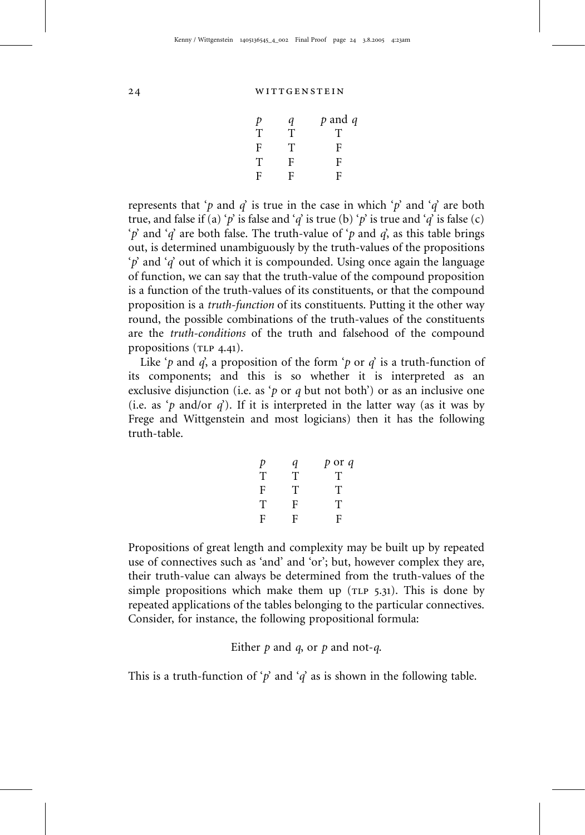| q | $p$ and $q$     |
|---|-----------------|
|   | т               |
| T | F               |
| F | F               |
| F | F               |
|   | $\tilde{\rm T}$ |

represents that 'p and  $q'$  is true in the case in which 'p' and 'q' are both true, and false if (a) 'p' is false and 'q' is true (b) 'p' is true and 'q' is false (c) 'p' and 'q' are both false. The truth-value of 'p and q', as this table brings out, is determined unambiguously by the truth-values of the propositions 'p' and 'q' out of which it is compounded. Using once again the language of function, we can say that the truth-value of the compound proposition is a function of the truth-values of its constituents, or that the compound proposition is a truth-function of its constituents. Putting it the other way round, the possible combinations of the truth-values of the constituents are the truth-conditions of the truth and falsehood of the compound propositions (TLP 4.41).

Like 'p and  $q'$ , a proposition of the form 'p or  $q'$  is a truth-function of its components; and this is so whether it is interpreted as an exclusive disjunction (i.e. as 'p or q but not both') or as an inclusive one (i.e. as 'p and/or q'). If it is interpreted in the latter way (as it was by Frege and Wittgenstein and most logicians) then it has the following truth-table.

| p | q | p or q |
|---|---|--------|
| T | T | T      |
| F | T | T      |
| T | F | T      |
| F | F | F      |

Propositions of great length and complexity may be built up by repeated use of connectives such as 'and' and 'or'; but, however complex they are, their truth-value can always be determined from the truth-values of the simple propositions which make them up  $(TLP 5.31)$ . This is done by repeated applications of the tables belonging to the particular connectives. Consider, for instance, the following propositional formula:

Either  $p$  and  $q$ , or  $p$  and not- $q$ .

This is a truth-function of 'p' and 'q' as is shown in the following table.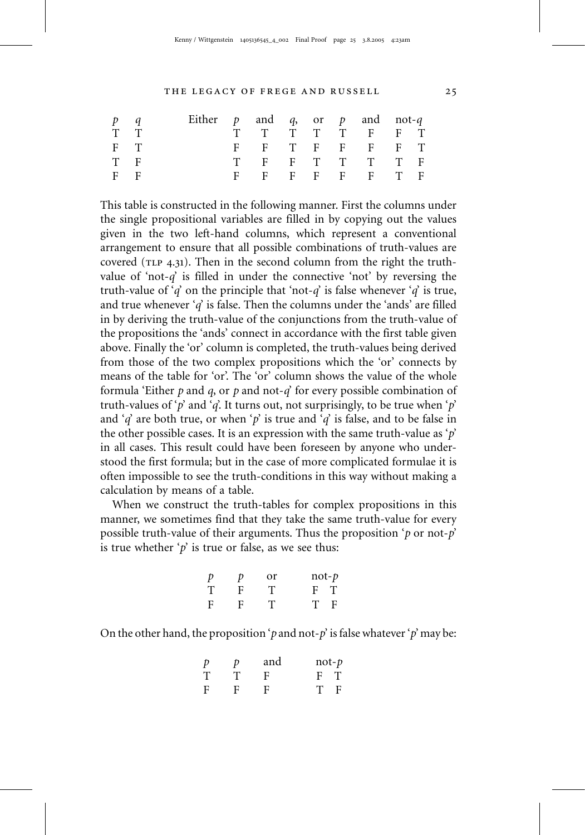|         | $p \ q$ | Either $p$ and $q$ , or $p$ and not- $q$ |  |  |                 |  |
|---------|---------|------------------------------------------|--|--|-----------------|--|
|         | T T     |                                          |  |  | T T T T T F F T |  |
|         | F T     |                                          |  |  | F F T F F F F T |  |
| T F     |         |                                          |  |  | T F F T T T T F |  |
| $F \tF$ |         |                                          |  |  | F F F F F F T F |  |
|         |         |                                          |  |  |                 |  |

This table is constructed in the following manner. First the columns under the single propositional variables are filled in by copying out the values given in the two left-hand columns, which represent a conventional arrangement to ensure that all possible combinations of truth-values are covered ( $TLP$  4.31). Then in the second column from the right the truthvalue of 'not- $q$ ' is filled in under the connective 'not' by reversing the truth-value of 'q' on the principle that 'not-q' is false whenever 'q' is true, and true whenever ' $q$ ' is false. Then the columns under the 'ands' are filled in by deriving the truth-value of the conjunctions from the truth-value of the propositions the 'ands' connect in accordance with the first table given above. Finally the 'or' column is completed, the truth-values being derived from those of the two complex propositions which the 'or' connects by means of the table for 'or'. The 'or' column shows the value of the whole formula 'Either p and q, or p and not-q' for every possible combination of truth-values of 'p' and 'q'. It turns out, not surprisingly, to be true when 'p' and 'q' are both true, or when 'p' is true and 'q' is false, and to be false in the other possible cases. It is an expression with the same truth-value as ' $p$ ' in all cases. This result could have been foreseen by anyone who understood the first formula; but in the case of more complicated formulae it is often impossible to see the truth-conditions in this way without making a calculation by means of a table.

When we construct the truth-tables for complex propositions in this manner, we sometimes find that they take the same truth-value for every possible truth-value of their arguments. Thus the proposition 'p or not- $p'$ is true whether ' $p$ ' is true or false, as we see thus:

| p |   | or | $not-p$   |
|---|---|----|-----------|
| T | F |    | F<br>- 71 |
| F | с |    | F<br>T    |

On the other hand, the proposition 'p and not-p' is false whatever 'p' may be:

| р | 1) | and | $not-p$   |
|---|----|-----|-----------|
| T |    | н   | F.<br>-71 |
| F | Ľ  | ы   | E         |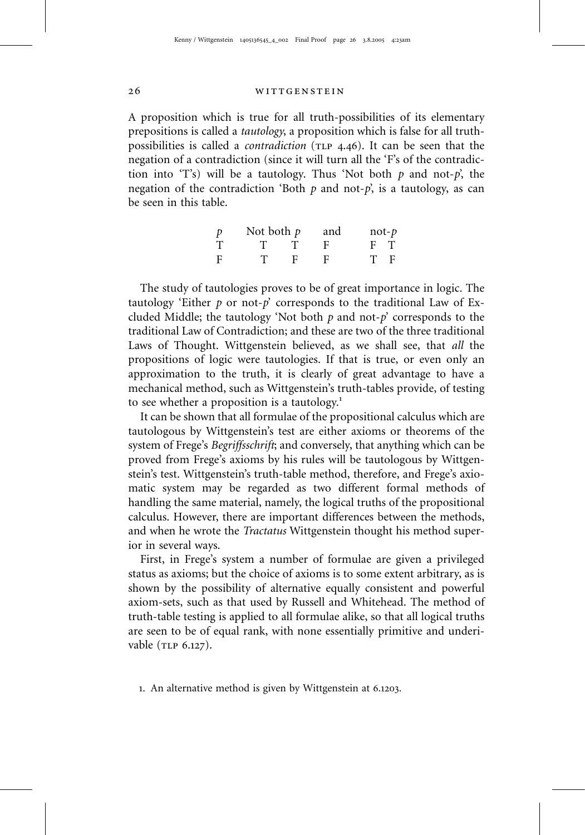#### 26 WITTGENSTEIN

A proposition which is true for all truth-possibilities of its elementary prepositions is called a tautology, a proposition which is false for all truthpossibilities is called a *contradiction* (TLP 4.46). It can be seen that the negation of a contradiction (since it will turn all the 'F's of the contradiction into 'T's) will be a tautology. Thus 'Not both  $p$  and not- $p'$ , the negation of the contradiction 'Both  $p$  and not- $p'$ , is a tautology, as can be seen in this table.

| $\mathcal{D}$ | Not both $p$     |    | and | $not-p$ |  |
|---------------|------------------|----|-----|---------|--|
| T             | $\sim$ 11 $\sim$ |    |     | F T     |  |
| F             | T                | Е. | F   | T F     |  |

The study of tautologies proves to be of great importance in logic. The tautology 'Either  $p$  or not- $p$ ' corresponds to the traditional Law of Excluded Middle; the tautology 'Not both  $p$  and not- $p'$  corresponds to the traditional Law of Contradiction; and these are two of the three traditional Laws of Thought. Wittgenstein believed, as we shall see, that all the propositions of logic were tautologies. If that is true, or even only an approximation to the truth, it is clearly of great advantage to have a mechanical method, such as Wittgenstein's truth-tables provide, of testing to see whether a proposition is a tautology.<sup>1</sup>

It can be shown that all formulae of the propositional calculus which are tautologous by Wittgenstein's test are either axioms or theorems of the system of Frege's Begriffsschrift; and conversely, that anything which can be proved from Frege's axioms by his rules will be tautologous by Wittgenstein's test. Wittgenstein's truth-table method, therefore, and Frege's axiomatic system may be regarded as two different formal methods of handling the same material, namely, the logical truths of the propositional calculus. However, there are important differences between the methods, and when he wrote the *Tractatus* Wittgenstein thought his method superior in several ways.

First, in Frege's system a number of formulae are given a privileged status as axioms; but the choice of axioms is to some extent arbitrary, as is shown by the possibility of alternative equally consistent and powerful axiom-sets, such as that used by Russell and Whitehead. The method of truth-table testing is applied to all formulae alike, so that all logical truths are seen to be of equal rank, with none essentially primitive and underivable ( $TLP$  6.127).

<sup>1</sup>. An alternative method is given by Wittgenstein at 6.1203.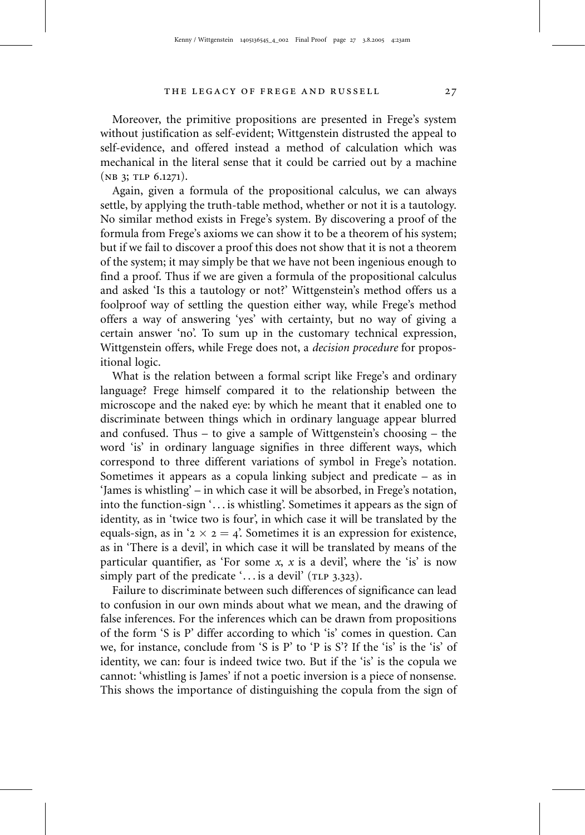Moreover, the primitive propositions are presented in Frege's system without justification as self-evident; Wittgenstein distrusted the appeal to self-evidence, and offered instead a method of calculation which was mechanical in the literal sense that it could be carried out by a machine (NB 3; TLP 6.1271).

Again, given a formula of the propositional calculus, we can always settle, by applying the truth-table method, whether or not it is a tautology. No similar method exists in Frege's system. By discovering a proof of the formula from Frege's axioms we can show it to be a theorem of his system; but if we fail to discover a proof this does not show that it is not a theorem of the system; it may simply be that we have not been ingenious enough to find a proof. Thus if we are given a formula of the propositional calculus and asked 'Is this a tautology or not?' Wittgenstein's method offers us a foolproof way of settling the question either way, while Frege's method offers a way of answering 'yes' with certainty, but no way of giving a certain answer 'no'. To sum up in the customary technical expression, Wittgenstein offers, while Frege does not, a decision procedure for propositional logic.

What is the relation between a formal script like Frege's and ordinary language? Frege himself compared it to the relationship between the microscope and the naked eye: by which he meant that it enabled one to discriminate between things which in ordinary language appear blurred and confused. Thus – to give a sample of Wittgenstein's choosing – the word 'is' in ordinary language signifies in three different ways, which correspond to three different variations of symbol in Frege's notation. Sometimes it appears as a copula linking subject and predicate – as in 'James is whistling' – in which case it will be absorbed, in Frege's notation, into the function-sign '. . . is whistling'. Sometimes it appears as the sign of identity, as in 'twice two is four', in which case it will be translated by the equals-sign, as in '2  $\times$  2 = 4'. Sometimes it is an expression for existence, as in 'There is a devil', in which case it will be translated by means of the particular quantifier, as 'For some  $x$ ,  $x$  is a devil', where the 'is' is now simply part of the predicate  $\ldots$  is a devil' (TLP 3.323).

Failure to discriminate between such differences of significance can lead to confusion in our own minds about what we mean, and the drawing of false inferences. For the inferences which can be drawn from propositions of the form 'S is P' differ according to which 'is' comes in question. Can we, for instance, conclude from 'S is P' to 'P is S'? If the 'is' is the 'is' of identity, we can: four is indeed twice two. But if the 'is' is the copula we cannot: 'whistling is James' if not a poetic inversion is a piece of nonsense. This shows the importance of distinguishing the copula from the sign of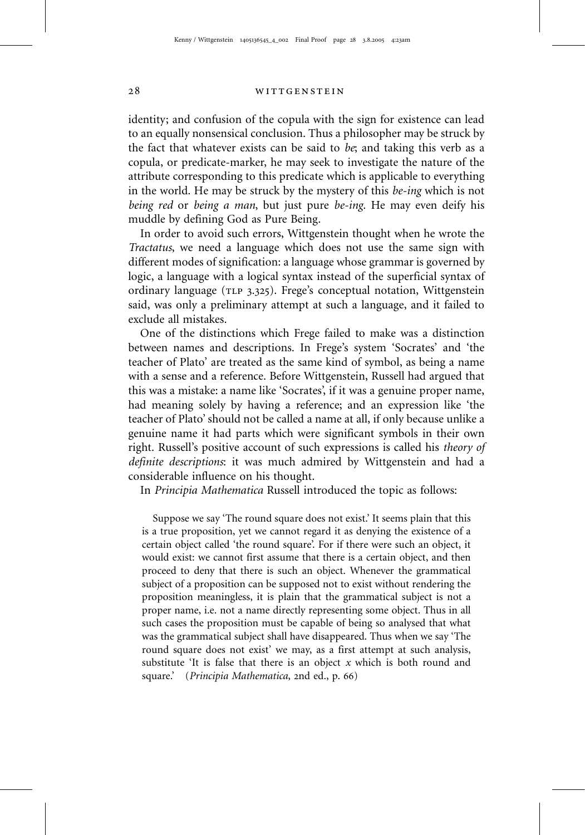#### 28 WITTGENSTEIN

identity; and confusion of the copula with the sign for existence can lead to an equally nonsensical conclusion. Thus a philosopher may be struck by the fact that whatever exists can be said to be; and taking this verb as a copula, or predicate-marker, he may seek to investigate the nature of the attribute corresponding to this predicate which is applicable to everything in the world. He may be struck by the mystery of this be-ing which is not being red or being a man, but just pure be-ing. He may even deify his muddle by defining God as Pure Being.

In order to avoid such errors, Wittgenstein thought when he wrote the Tractatus, we need a language which does not use the same sign with different modes of signification: a language whose grammar is governed by logic, a language with a logical syntax instead of the superficial syntax of ordinary language (TLP 3.325). Frege's conceptual notation, Wittgenstein said, was only a preliminary attempt at such a language, and it failed to exclude all mistakes.

One of the distinctions which Frege failed to make was a distinction between names and descriptions. In Frege's system 'Socrates' and 'the teacher of Plato' are treated as the same kind of symbol, as being a name with a sense and a reference. Before Wittgenstein, Russell had argued that this was a mistake: a name like 'Socrates', if it was a genuine proper name, had meaning solely by having a reference; and an expression like 'the teacher of Plato' should not be called a name at all, if only because unlike a genuine name it had parts which were significant symbols in their own right. Russell's positive account of such expressions is called his theory of definite descriptions: it was much admired by Wittgenstein and had a considerable influence on his thought.

In Principia Mathematica Russell introduced the topic as follows:

Suppose we say 'The round square does not exist.' It seems plain that this is a true proposition, yet we cannot regard it as denying the existence of a certain object called 'the round square'. For if there were such an object, it would exist: we cannot first assume that there is a certain object, and then proceed to deny that there is such an object. Whenever the grammatical subject of a proposition can be supposed not to exist without rendering the proposition meaningless, it is plain that the grammatical subject is not a proper name, i.e. not a name directly representing some object. Thus in all such cases the proposition must be capable of being so analysed that what was the grammatical subject shall have disappeared. Thus when we say 'The round square does not exist' we may, as a first attempt at such analysis, substitute 'It is false that there is an object  $x$  which is both round and square.' (Principia Mathematica, 2nd ed., p. 66)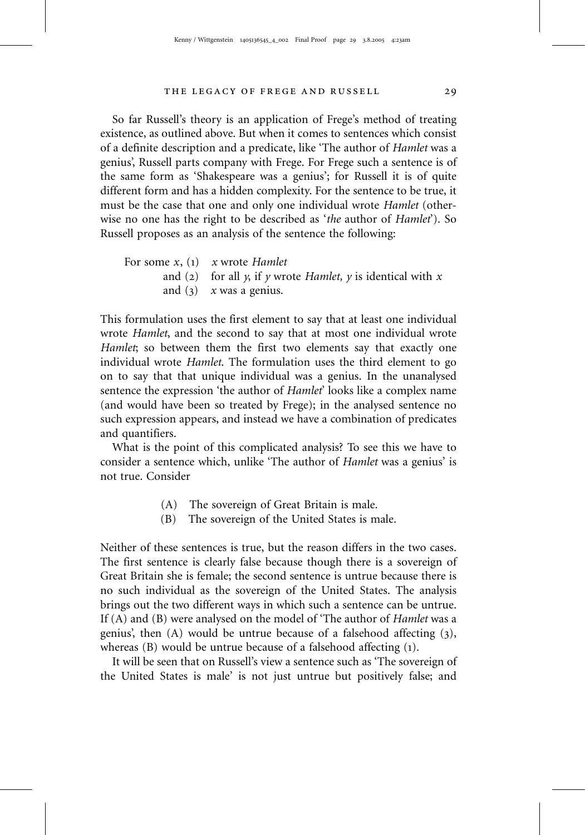So far Russell's theory is an application of Frege's method of treating existence, as outlined above. But when it comes to sentences which consist of a definite description and a predicate, like 'The author of Hamlet was a genius', Russell parts company with Frege. For Frege such a sentence is of the same form as 'Shakespeare was a genius'; for Russell it is of quite different form and has a hidden complexity. For the sentence to be true, it must be the case that one and only one individual wrote Hamlet (otherwise no one has the right to be described as 'the author of Hamlet'). So Russell proposes as an analysis of the sentence the following:

| For some $x$ , (1) x wrote Hamlet                                   |
|---------------------------------------------------------------------|
| and (2) for all y, if y wrote <i>Hamlet</i> , y is identical with x |
| and $(3)$ x was a genius.                                           |

This formulation uses the first element to say that at least one individual wrote Hamlet, and the second to say that at most one individual wrote Hamlet; so between them the first two elements say that exactly one individual wrote Hamlet. The formulation uses the third element to go on to say that that unique individual was a genius. In the unanalysed sentence the expression 'the author of *Hamlet'* looks like a complex name (and would have been so treated by Frege); in the analysed sentence no such expression appears, and instead we have a combination of predicates and quantifiers.

What is the point of this complicated analysis? To see this we have to consider a sentence which, unlike 'The author of Hamlet was a genius' is not true. Consider

- (A) The sovereign of Great Britain is male.
- (B) The sovereign of the United States is male.

Neither of these sentences is true, but the reason differs in the two cases. The first sentence is clearly false because though there is a sovereign of Great Britain she is female; the second sentence is untrue because there is no such individual as the sovereign of the United States. The analysis brings out the two different ways in which such a sentence can be untrue. If (A) and (B) were analysed on the model of 'The author of Hamlet was a genius', then (A) would be untrue because of a falsehood affecting (3), whereas (B) would be untrue because of a falsehood affecting (1).

It will be seen that on Russell's view a sentence such as 'The sovereign of the United States is male' is not just untrue but positively false; and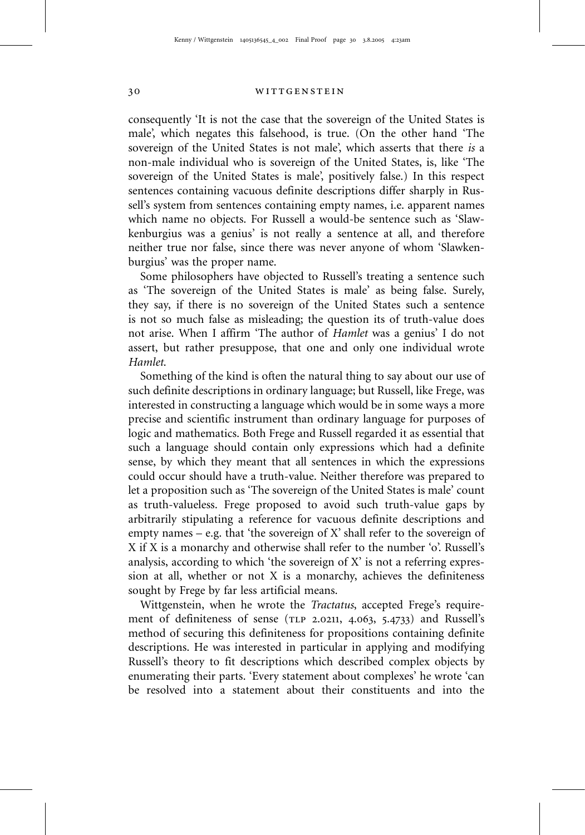consequently 'It is not the case that the sovereign of the United States is male', which negates this falsehood, is true. (On the other hand 'The sovereign of the United States is not male', which asserts that there is a non-male individual who is sovereign of the United States, is, like 'The sovereign of the United States is male', positively false.) In this respect sentences containing vacuous definite descriptions differ sharply in Russell's system from sentences containing empty names, i.e. apparent names which name no objects. For Russell a would-be sentence such as 'Slawkenburgius was a genius' is not really a sentence at all, and therefore neither true nor false, since there was never anyone of whom 'Slawkenburgius' was the proper name.

Some philosophers have objected to Russell's treating a sentence such as 'The sovereign of the United States is male' as being false. Surely, they say, if there is no sovereign of the United States such a sentence is not so much false as misleading; the question its of truth-value does not arise. When I affirm 'The author of Hamlet was a genius' I do not assert, but rather presuppose, that one and only one individual wrote Hamlet.

Something of the kind is often the natural thing to say about our use of such definite descriptions in ordinary language; but Russell, like Frege, was interested in constructing a language which would be in some ways a more precise and scientific instrument than ordinary language for purposes of logic and mathematics. Both Frege and Russell regarded it as essential that such a language should contain only expressions which had a definite sense, by which they meant that all sentences in which the expressions could occur should have a truth-value. Neither therefore was prepared to let a proposition such as 'The sovereign of the United States is male' count as truth-valueless. Frege proposed to avoid such truth-value gaps by arbitrarily stipulating a reference for vacuous definite descriptions and empty names  $-$  e.g. that 'the sovereign of X' shall refer to the sovereign of X if X is a monarchy and otherwise shall refer to the number 'o'. Russell's analysis, according to which 'the sovereign of X' is not a referring expression at all, whether or not X is a monarchy, achieves the definiteness sought by Frege by far less artificial means.

Wittgenstein, when he wrote the Tractatus, accepted Frege's requirement of definiteness of sense (TLP 2.0211, 4.063, 5.4733) and Russell's method of securing this definiteness for propositions containing definite descriptions. He was interested in particular in applying and modifying Russell's theory to fit descriptions which described complex objects by enumerating their parts. 'Every statement about complexes' he wrote 'can be resolved into a statement about their constituents and into the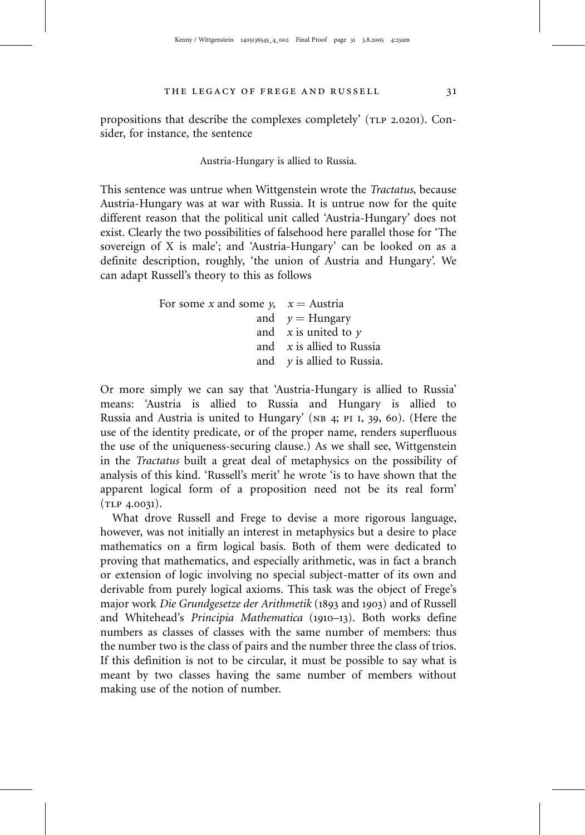propositions that describe the complexes completely' (TLP 2.0201). Consider, for instance, the sentence

Austria-Hungary is allied to Russia.

This sentence was untrue when Wittgenstein wrote the Tractatus, because Austria-Hungary was at war with Russia. It is untrue now for the quite different reason that the political unit called 'Austria-Hungary' does not exist. Clearly the two possibilities of falsehood here parallel those for 'The sovereign of X is male'; and 'Austria-Hungary' can be looked on as a definite description, roughly, 'the union of Austria and Hungary'. We can adapt Russell's theory to this as follows

```
For some x and some y, x = Austria
      and y = Hungary
      and x is united to yand x is allied to Russia
      and y is allied to Russia.
```
Or more simply we can say that 'Austria-Hungary is allied to Russia' means: 'Austria is allied to Russia and Hungary is allied to Russia and Austria is united to Hungary' (NB 4; PI I, 39, 60). (Here the use of the identity predicate, or of the proper name, renders superfluous the use of the uniqueness-securing clause.) As we shall see, Wittgenstein in the Tractatus built a great deal of metaphysics on the possibility of analysis of this kind. 'Russell's merit' he wrote 'is to have shown that the apparent logical form of a proposition need not be its real form'  $(TLP 4.0031)$ .

What drove Russell and Frege to devise a more rigorous language, however, was not initially an interest in metaphysics but a desire to place mathematics on a firm logical basis. Both of them were dedicated to proving that mathematics, and especially arithmetic, was in fact a branch or extension of logic involving no special subject-matter of its own and derivable from purely logical axioms. This task was the object of Frege's major work Die Grundgesetze der Arithmetik (1893 and 1903) and of Russell and Whitehead's Principia Mathematica (1910–13). Both works define numbers as classes of classes with the same number of members: thus the number two is the class of pairs and the number three the class of trios. If this definition is not to be circular, it must be possible to say what is meant by two classes having the same number of members without making use of the notion of number.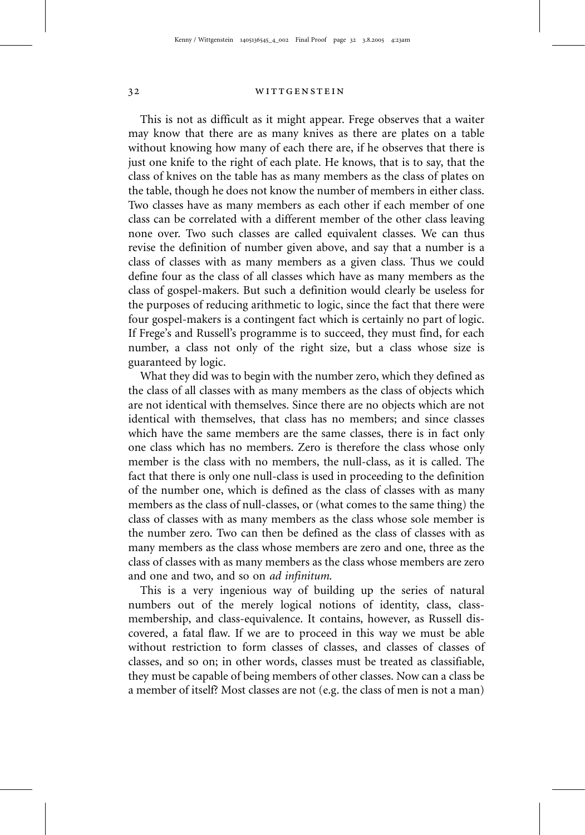This is not as difficult as it might appear. Frege observes that a waiter may know that there are as many knives as there are plates on a table without knowing how many of each there are, if he observes that there is just one knife to the right of each plate. He knows, that is to say, that the class of knives on the table has as many members as the class of plates on the table, though he does not know the number of members in either class. Two classes have as many members as each other if each member of one class can be correlated with a different member of the other class leaving none over. Two such classes are called equivalent classes. We can thus revise the definition of number given above, and say that a number is a class of classes with as many members as a given class. Thus we could define four as the class of all classes which have as many members as the class of gospel-makers. But such a definition would clearly be useless for the purposes of reducing arithmetic to logic, since the fact that there were four gospel-makers is a contingent fact which is certainly no part of logic. If Frege's and Russell's programme is to succeed, they must find, for each number, a class not only of the right size, but a class whose size is guaranteed by logic.

What they did was to begin with the number zero, which they defined as the class of all classes with as many members as the class of objects which are not identical with themselves. Since there are no objects which are not identical with themselves, that class has no members; and since classes which have the same members are the same classes, there is in fact only one class which has no members. Zero is therefore the class whose only member is the class with no members, the null-class, as it is called. The fact that there is only one null-class is used in proceeding to the definition of the number one, which is defined as the class of classes with as many members as the class of null-classes, or (what comes to the same thing) the class of classes with as many members as the class whose sole member is the number zero. Two can then be defined as the class of classes with as many members as the class whose members are zero and one, three as the class of classes with as many members as the class whose members are zero and one and two, and so on ad infinitum.

This is a very ingenious way of building up the series of natural numbers out of the merely logical notions of identity, class, classmembership, and class-equivalence. It contains, however, as Russell discovered, a fatal flaw. If we are to proceed in this way we must be able without restriction to form classes of classes, and classes of classes of classes, and so on; in other words, classes must be treated as classifiable, they must be capable of being members of other classes. Now can a class be a member of itself? Most classes are not (e.g. the class of men is not a man)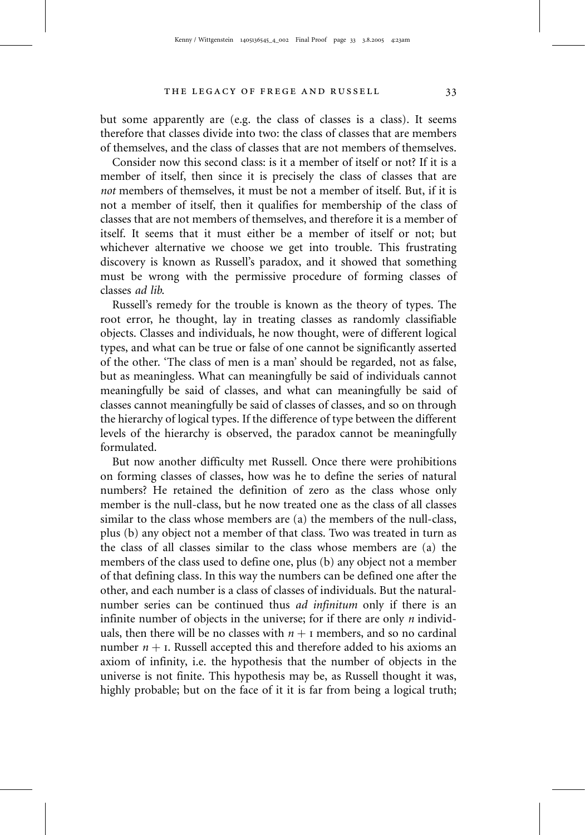but some apparently are (e.g. the class of classes is a class). It seems therefore that classes divide into two: the class of classes that are members of themselves, and the class of classes that are not members of themselves.

Consider now this second class: is it a member of itself or not? If it is a member of itself, then since it is precisely the class of classes that are not members of themselves, it must be not a member of itself. But, if it is not a member of itself, then it qualifies for membership of the class of classes that are not members of themselves, and therefore it is a member of itself. It seems that it must either be a member of itself or not; but whichever alternative we choose we get into trouble. This frustrating discovery is known as Russell's paradox, and it showed that something must be wrong with the permissive procedure of forming classes of classes ad lib.

Russell's remedy for the trouble is known as the theory of types. The root error, he thought, lay in treating classes as randomly classifiable objects. Classes and individuals, he now thought, were of different logical types, and what can be true or false of one cannot be significantly asserted of the other. 'The class of men is a man' should be regarded, not as false, but as meaningless. What can meaningfully be said of individuals cannot meaningfully be said of classes, and what can meaningfully be said of classes cannot meaningfully be said of classes of classes, and so on through the hierarchy of logical types. If the difference of type between the different levels of the hierarchy is observed, the paradox cannot be meaningfully formulated.

But now another difficulty met Russell. Once there were prohibitions on forming classes of classes, how was he to define the series of natural numbers? He retained the definition of zero as the class whose only member is the null-class, but he now treated one as the class of all classes similar to the class whose members are (a) the members of the null-class, plus (b) any object not a member of that class. Two was treated in turn as the class of all classes similar to the class whose members are (a) the members of the class used to define one, plus (b) any object not a member of that defining class. In this way the numbers can be defined one after the other, and each number is a class of classes of individuals. But the naturalnumber series can be continued thus ad infinitum only if there is an infinite number of objects in the universe; for if there are only  $n$  individuals, then there will be no classes with  $n + i$  members, and so no cardinal number  $n + i$ . Russell accepted this and therefore added to his axioms an axiom of infinity, i.e. the hypothesis that the number of objects in the universe is not finite. This hypothesis may be, as Russell thought it was, highly probable; but on the face of it it is far from being a logical truth;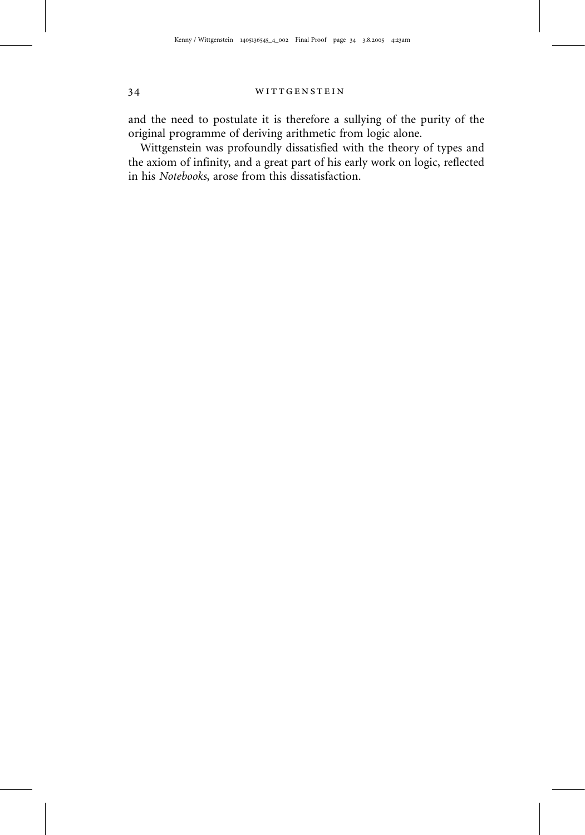and the need to postulate it is therefore a sullying of the purity of the original programme of deriving arithmetic from logic alone.

Wittgenstein was profoundly dissatisfied with the theory of types and the axiom of infinity, and a great part of his early work on logic, reflected in his Notebooks, arose from this dissatisfaction.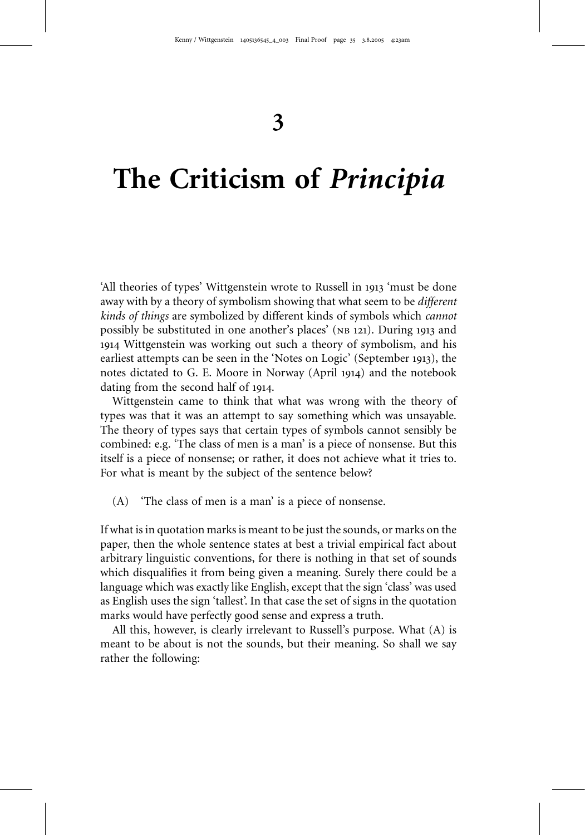# The Criticism of Principia

'All theories of types' Wittgenstein wrote to Russell in 1913 'must be done away with by a theory of symbolism showing that what seem to be different kinds of things are symbolized by different kinds of symbols which cannot possibly be substituted in one another's places' (NB 121). During 1913 and 1914 Wittgenstein was working out such a theory of symbolism, and his earliest attempts can be seen in the 'Notes on Logic' (September 1913), the notes dictated to G. E. Moore in Norway (April 1914) and the notebook dating from the second half of 1914.

Wittgenstein came to think that what was wrong with the theory of types was that it was an attempt to say something which was unsayable. The theory of types says that certain types of symbols cannot sensibly be combined: e.g. 'The class of men is a man' is a piece of nonsense. But this itself is a piece of nonsense; or rather, it does not achieve what it tries to. For what is meant by the subject of the sentence below?

(A) 'The class of men is a man' is a piece of nonsense.

If what is in quotation marks is meant to be just the sounds, or marks on the paper, then the whole sentence states at best a trivial empirical fact about arbitrary linguistic conventions, for there is nothing in that set of sounds which disqualifies it from being given a meaning. Surely there could be a language which was exactly like English, except that the sign 'class' was used as English uses the sign 'tallest'. In that case the set of signs in the quotation marks would have perfectly good sense and express a truth.

All this, however, is clearly irrelevant to Russell's purpose. What (A) is meant to be about is not the sounds, but their meaning. So shall we say rather the following: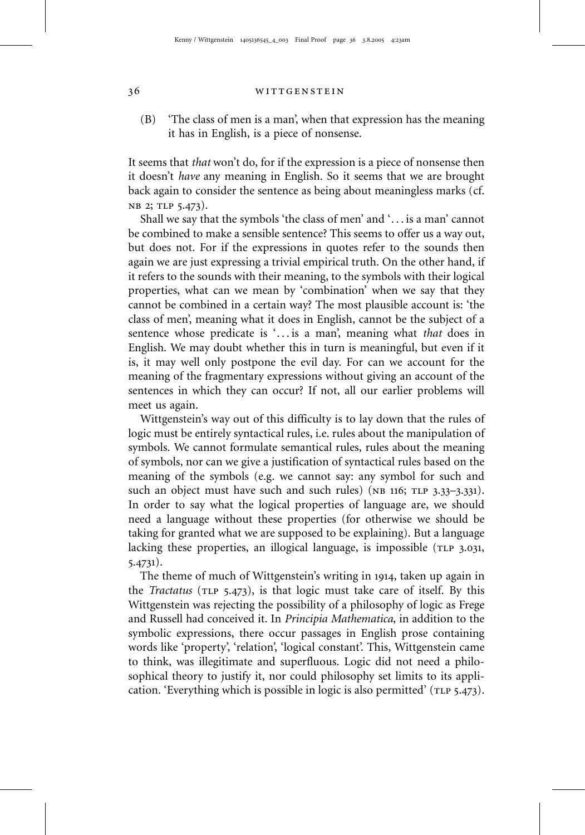(B) 'The class of men is a man', when that expression has the meaning it has in English, is a piece of nonsense.

It seems that that won't do, for if the expression is a piece of nonsense then it doesn't have any meaning in English. So it seems that we are brought back again to consider the sentence as being about meaningless marks (cf. nb 2; tlp 5.473).

Shall we say that the symbols 'the class of men' and '. . . is a man' cannot be combined to make a sensible sentence? This seems to offer us a way out, but does not. For if the expressions in quotes refer to the sounds then again we are just expressing a trivial empirical truth. On the other hand, if it refers to the sounds with their meaning, to the symbols with their logical properties, what can we mean by 'combination' when we say that they cannot be combined in a certain way? The most plausible account is: 'the class of men', meaning what it does in English, cannot be the subject of a sentence whose predicate is '... is a man', meaning what that does in English. We may doubt whether this in turn is meaningful, but even if it is, it may well only postpone the evil day. For can we account for the meaning of the fragmentary expressions without giving an account of the sentences in which they can occur? If not, all our earlier problems will meet us again.

Wittgenstein's way out of this difficulty is to lay down that the rules of logic must be entirely syntactical rules, i.e. rules about the manipulation of symbols. We cannot formulate semantical rules, rules about the meaning of symbols, nor can we give a justification of syntactical rules based on the meaning of the symbols (e.g. we cannot say: any symbol for such and such an object must have such and such rules) (NB 116; TLP 3.33-3.331). In order to say what the logical properties of language are, we should need a language without these properties (for otherwise we should be taking for granted what we are supposed to be explaining). But a language lacking these properties, an illogical language, is impossible (TLP 3.031, 5.4731).

The theme of much of Wittgenstein's writing in 1914, taken up again in the *Tractatus* ( $TLP$  5.473), is that logic must take care of itself. By this Wittgenstein was rejecting the possibility of a philosophy of logic as Frege and Russell had conceived it. In Principia Mathematica, in addition to the symbolic expressions, there occur passages in English prose containing words like 'property', 'relation', 'logical constant'. This, Wittgenstein came to think, was illegitimate and superfluous. Logic did not need a philosophical theory to justify it, nor could philosophy set limits to its application. 'Everything which is possible in logic is also permitted' (TLP 5.473).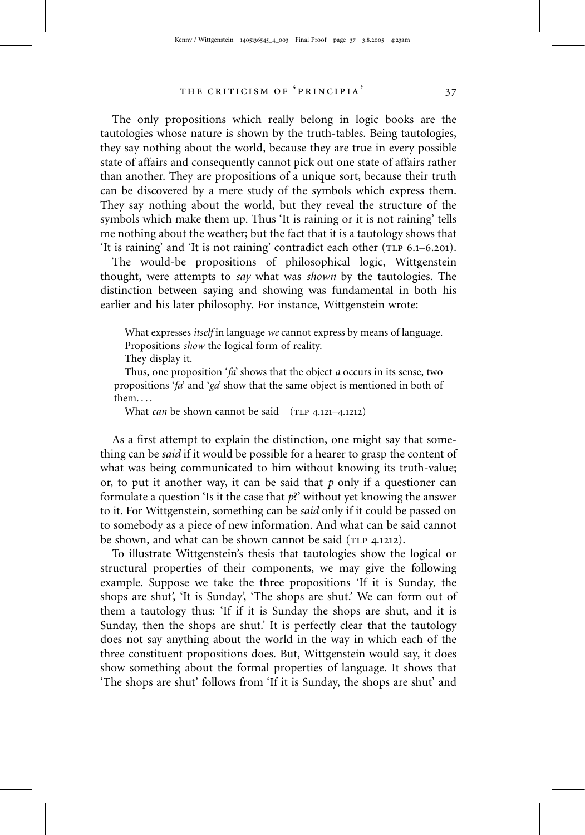The only propositions which really belong in logic books are the tautologies whose nature is shown by the truth-tables. Being tautologies, they say nothing about the world, because they are true in every possible state of affairs and consequently cannot pick out one state of affairs rather than another. They are propositions of a unique sort, because their truth can be discovered by a mere study of the symbols which express them. They say nothing about the world, but they reveal the structure of the symbols which make them up. Thus 'It is raining or it is not raining' tells me nothing about the weather; but the fact that it is a tautology shows that 'It is raining' and 'It is not raining' contradict each other (TLP 6.1–6.201).

The would-be propositions of philosophical logic, Wittgenstein thought, were attempts to say what was shown by the tautologies. The distinction between saying and showing was fundamental in both his earlier and his later philosophy. For instance, Wittgenstein wrote:

What expresses *itself* in language we cannot express by means of language.

Propositions show the logical form of reality.

They display it.

Thus, one proposition ' $fa$ ' shows that the object  $a$  occurs in its sense, two propositions 'fa' and 'ga' show that the same object is mentioned in both of them. . . .

What *can* be shown cannot be said  $(TLP 4.121-4.1212)$ 

As a first attempt to explain the distinction, one might say that something can be said if it would be possible for a hearer to grasp the content of what was being communicated to him without knowing its truth-value; or, to put it another way, it can be said that  $p$  only if a questioner can formulate a question 'Is it the case that  $p$ ?' without yet knowing the answer to it. For Wittgenstein, something can be said only if it could be passed on to somebody as a piece of new information. And what can be said cannot be shown, and what can be shown cannot be said  $(TLP 4.1212)$ .

To illustrate Wittgenstein's thesis that tautologies show the logical or structural properties of their components, we may give the following example. Suppose we take the three propositions 'If it is Sunday, the shops are shut', 'It is Sunday', 'The shops are shut.' We can form out of them a tautology thus: 'If if it is Sunday the shops are shut, and it is Sunday, then the shops are shut.' It is perfectly clear that the tautology does not say anything about the world in the way in which each of the three constituent propositions does. But, Wittgenstein would say, it does show something about the formal properties of language. It shows that 'The shops are shut' follows from 'If it is Sunday, the shops are shut' and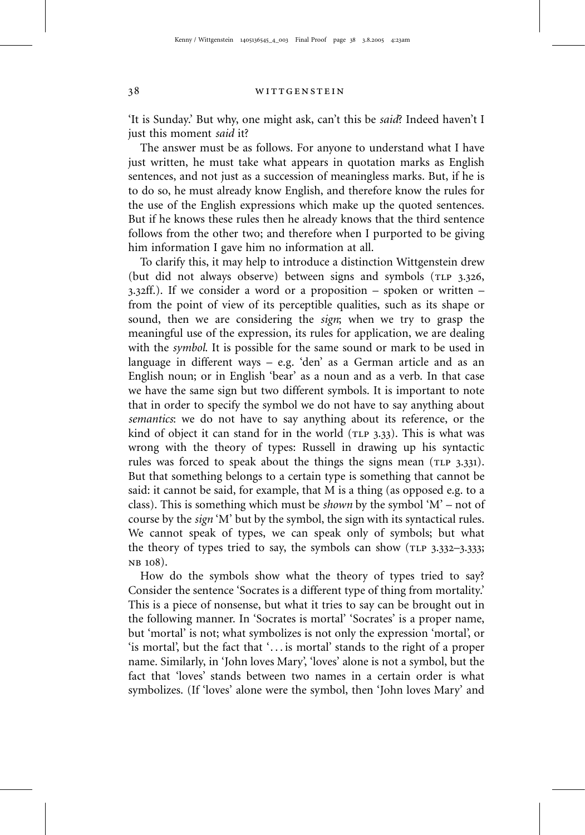'It is Sunday.' But why, one might ask, can't this be said? Indeed haven't I just this moment said it?

The answer must be as follows. For anyone to understand what I have just written, he must take what appears in quotation marks as English sentences, and not just as a succession of meaningless marks. But, if he is to do so, he must already know English, and therefore know the rules for the use of the English expressions which make up the quoted sentences. But if he knows these rules then he already knows that the third sentence follows from the other two; and therefore when I purported to be giving him information I gave him no information at all.

To clarify this, it may help to introduce a distinction Wittgenstein drew (but did not always observe) between signs and symbols ( $TLP$  3.326, 3.32ff.). If we consider a word or a proposition – spoken or written – from the point of view of its perceptible qualities, such as its shape or sound, then we are considering the sign; when we try to grasp the meaningful use of the expression, its rules for application, we are dealing with the symbol. It is possible for the same sound or mark to be used in language in different ways – e.g. 'den' as a German article and as an English noun; or in English 'bear' as a noun and as a verb. In that case we have the same sign but two different symbols. It is important to note that in order to specify the symbol we do not have to say anything about semantics: we do not have to say anything about its reference, or the kind of object it can stand for in the world  $(TLP 3.33)$ . This is what was wrong with the theory of types: Russell in drawing up his syntactic rules was forced to speak about the things the signs mean (TLP 3.331). But that something belongs to a certain type is something that cannot be said: it cannot be said, for example, that M is a thing (as opposed e.g. to a class). This is something which must be shown by the symbol 'M' – not of course by the sign 'M' but by the symbol, the sign with its syntactical rules. We cannot speak of types, we can speak only of symbols; but what the theory of types tried to say, the symbols can show  $(TLP_3.332-3.333;$  $NB$  108).

How do the symbols show what the theory of types tried to say? Consider the sentence 'Socrates is a different type of thing from mortality.' This is a piece of nonsense, but what it tries to say can be brought out in the following manner. In 'Socrates is mortal' 'Socrates' is a proper name, but 'mortal' is not; what symbolizes is not only the expression 'mortal', or 'is mortal', but the fact that '. . . is mortal' stands to the right of a proper name. Similarly, in 'John loves Mary', 'loves' alone is not a symbol, but the fact that 'loves' stands between two names in a certain order is what symbolizes. (If 'loves' alone were the symbol, then 'John loves Mary' and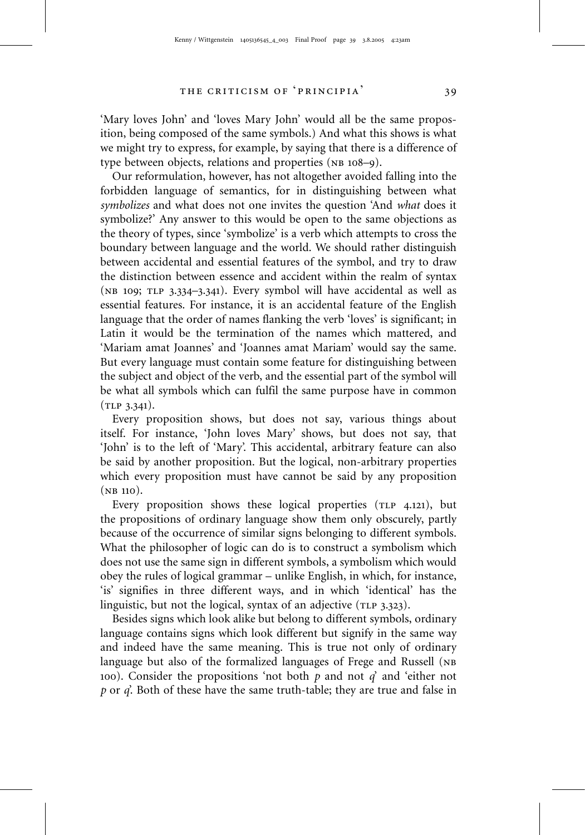'Mary loves John' and 'loves Mary John' would all be the same proposition, being composed of the same symbols.) And what this shows is what we might try to express, for example, by saying that there is a difference of type between objects, relations and properties (NB 108–9).

Our reformulation, however, has not altogether avoided falling into the forbidden language of semantics, for in distinguishing between what symbolizes and what does not one invites the question 'And what does it symbolize?' Any answer to this would be open to the same objections as the theory of types, since 'symbolize' is a verb which attempts to cross the boundary between language and the world. We should rather distinguish between accidental and essential features of the symbol, and try to draw the distinction between essence and accident within the realm of syntax (nb 109; tlp 3.334–3.341). Every symbol will have accidental as well as essential features. For instance, it is an accidental feature of the English language that the order of names flanking the verb 'loves' is significant; in Latin it would be the termination of the names which mattered, and 'Mariam amat Joannes' and 'Joannes amat Mariam' would say the same. But every language must contain some feature for distinguishing between the subject and object of the verb, and the essential part of the symbol will be what all symbols which can fulfil the same purpose have in common  $(TLP 3.341).$ 

Every proposition shows, but does not say, various things about itself. For instance, 'John loves Mary' shows, but does not say, that 'John' is to the left of 'Mary'. This accidental, arbitrary feature can also be said by another proposition. But the logical, non-arbitrary properties which every proposition must have cannot be said by any proposition  $(NB 110)$ .

Every proposition shows these logical properties ( $TLP$  4.121), but the propositions of ordinary language show them only obscurely, partly because of the occurrence of similar signs belonging to different symbols. What the philosopher of logic can do is to construct a symbolism which does not use the same sign in different symbols, a symbolism which would obey the rules of logical grammar – unlike English, in which, for instance, 'is' signifies in three different ways, and in which 'identical' has the linguistic, but not the logical, syntax of an adjective  $(TLP 3.323)$ .

Besides signs which look alike but belong to different symbols, ordinary language contains signs which look different but signify in the same way and indeed have the same meaning. This is true not only of ordinary language but also of the formalized languages of Frege and Russell (NB) 100). Consider the propositions 'not both  $p$  and not  $q'$  and 'either not  $p$  or  $q$ . Both of these have the same truth-table; they are true and false in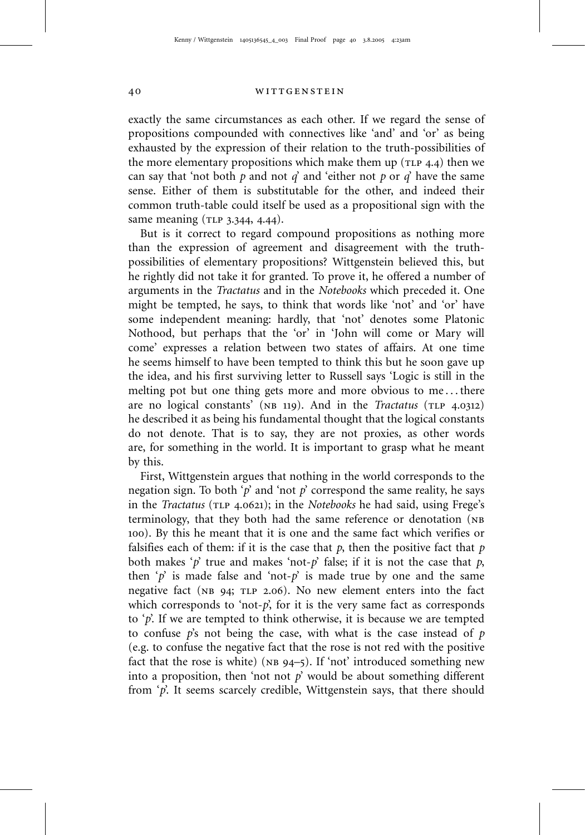#### 40 WITTGENSTEIN

exactly the same circumstances as each other. If we regard the sense of propositions compounded with connectives like 'and' and 'or' as being exhausted by the expression of their relation to the truth-possibilities of the more elementary propositions which make them up  $(TLP 4.4)$  then we can say that 'not both p and not q' and 'either not p or q' have the same sense. Either of them is substitutable for the other, and indeed their common truth-table could itself be used as a propositional sign with the same meaning (TLP 3.344, 4.44).

But is it correct to regard compound propositions as nothing more than the expression of agreement and disagreement with the truthpossibilities of elementary propositions? Wittgenstein believed this, but he rightly did not take it for granted. To prove it, he offered a number of arguments in the Tractatus and in the Notebooks which preceded it. One might be tempted, he says, to think that words like 'not' and 'or' have some independent meaning: hardly, that 'not' denotes some Platonic Nothood, but perhaps that the 'or' in 'John will come or Mary will come' expresses a relation between two states of affairs. At one time he seems himself to have been tempted to think this but he soon gave up the idea, and his first surviving letter to Russell says 'Logic is still in the melting pot but one thing gets more and more obvious to me . . . there are no logical constants' (NB 119). And in the Tractatus (TLP 4.0312) he described it as being his fundamental thought that the logical constants do not denote. That is to say, they are not proxies, as other words are, for something in the world. It is important to grasp what he meant by this.

First, Wittgenstein argues that nothing in the world corresponds to the negation sign. To both 'p' and 'not p' correspond the same reality, he says in the *Tractatus* (TLP 4.0621); in the Notebooks he had said, using Frege's terminology, that they both had the same reference or denotation (nb 100). By this he meant that it is one and the same fact which verifies or falsifies each of them: if it is the case that  $p$ , then the positive fact that  $p$ both makes 'p' true and makes 'not-p' false; if it is not the case that  $p$ , then ' $p$ ' is made false and 'not- $p$ ' is made true by one and the same negative fact ( $NB$  94;  $TLP$  2.06). No new element enters into the fact which corresponds to 'not-p', for it is the very same fact as corresponds to ' $\hat{p}$ '. If we are tempted to think otherwise, it is because we are tempted to confuse  $p$ 's not being the case, with what is the case instead of  $p$ (e.g. to confuse the negative fact that the rose is not red with the positive fact that the rose is white) ( $NB \ 94-5$ ). If 'not' introduced something new into a proposition, then 'not not  $p'$  would be about something different from 'p'. It seems scarcely credible, Wittgenstein says, that there should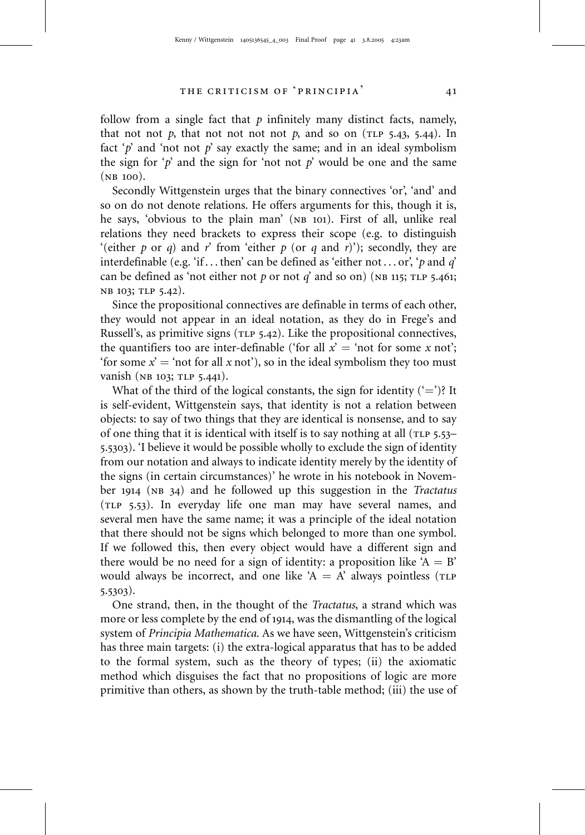follow from a single fact that  $p$  infinitely many distinct facts, namely, that not not p, that not not not not p, and so on (TLP 5.43, 5.44). In fact ' $p'$  and 'not not  $p'$  say exactly the same; and in an ideal symbolism the sign for 'p' and the sign for 'not not p' would be one and the same  $(NB 100)$ .

Secondly Wittgenstein urges that the binary connectives 'or', 'and' and so on do not denote relations. He offers arguments for this, though it is, he says, 'obvious to the plain man' (NB 101). First of all, unlike real relations they need brackets to express their scope (e.g. to distinguish '(either p or q) and r' from 'either p (or q and r)'); secondly, they are interdefinable (e.g. 'if ... then' can be defined as 'either not ... or', 'p and  $q'$ can be defined as 'not either not p or not q' and so on) (NB 115; TLP 5.461; nb 103; tlp 5.42).

Since the propositional connectives are definable in terms of each other, they would not appear in an ideal notation, as they do in Frege's and Russell's, as primitive signs  $(TLP 5.42)$ . Like the propositional connectives, the quantifiers too are inter-definable ('for all  $x' = \text{'not}$  for some x not'; 'for some  $x' =$ 'not for all x not'), so in the ideal symbolism they too must vanish (NB 103; TLP 5.441).

What of the third of the logical constants, the sign for identity  $(2)$ ? It is self-evident, Wittgenstein says, that identity is not a relation between objects: to say of two things that they are identical is nonsense, and to say of one thing that it is identical with itself is to say nothing at all  $(TLP 5.53–$ 5.5303). 'I believe it would be possible wholly to exclude the sign of identity from our notation and always to indicate identity merely by the identity of the signs (in certain circumstances)' he wrote in his notebook in November 1914 ( $NB$  34) and he followed up this suggestion in the Tractatus (tlp 5.53). In everyday life one man may have several names, and several men have the same name; it was a principle of the ideal notation that there should not be signs which belonged to more than one symbol. If we followed this, then every object would have a different sign and there would be no need for a sign of identity: a proposition like  $A = B'$ would always be incorrect, and one like 'A = A' always pointless (TLP 5.5303).

One strand, then, in the thought of the Tractatus, a strand which was more or less complete by the end of 1914, was the dismantling of the logical system of Principia Mathematica. As we have seen, Wittgenstein's criticism has three main targets: (i) the extra-logical apparatus that has to be added to the formal system, such as the theory of types; (ii) the axiomatic method which disguises the fact that no propositions of logic are more primitive than others, as shown by the truth-table method; (iii) the use of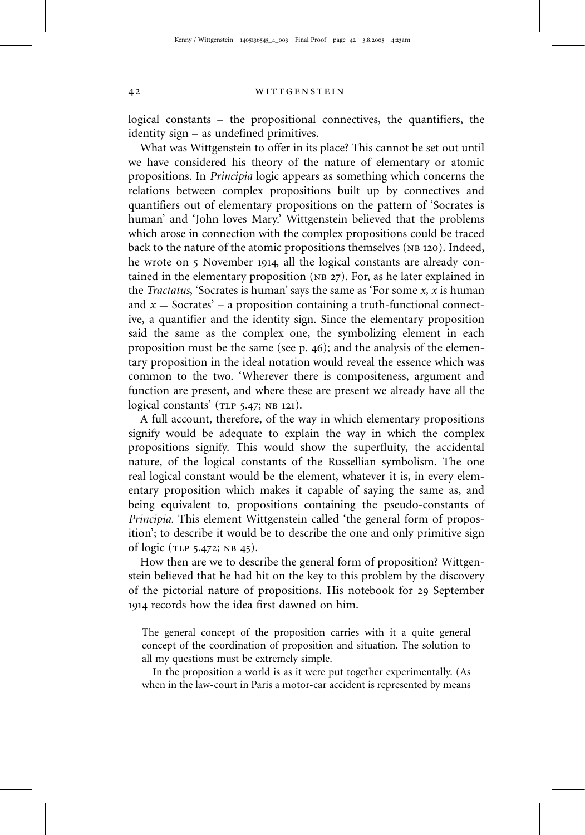logical constants – the propositional connectives, the quantifiers, the identity sign – as undefined primitives.

What was Wittgenstein to offer in its place? This cannot be set out until we have considered his theory of the nature of elementary or atomic propositions. In Principia logic appears as something which concerns the relations between complex propositions built up by connectives and quantifiers out of elementary propositions on the pattern of 'Socrates is human' and 'John loves Mary.' Wittgenstein believed that the problems which arose in connection with the complex propositions could be traced back to the nature of the atomic propositions themselves (NB 120). Indeed, he wrote on 5 November 1914, all the logical constants are already contained in the elementary proposition ( $NB$   $27$ ). For, as he later explained in the *Tractatus*, 'Socrates is human' says the same as 'For some  $x$ ,  $x$  is human and  $x =$  Socrates' – a proposition containing a truth-functional connective, a quantifier and the identity sign. Since the elementary proposition said the same as the complex one, the symbolizing element in each proposition must be the same (see p. 46); and the analysis of the elementary proposition in the ideal notation would reveal the essence which was common to the two. 'Wherever there is compositeness, argument and function are present, and where these are present we already have all the logical constants' ( $TLP$  5.47; NB 121).

A full account, therefore, of the way in which elementary propositions signify would be adequate to explain the way in which the complex propositions signify. This would show the superfluity, the accidental nature, of the logical constants of the Russellian symbolism. The one real logical constant would be the element, whatever it is, in every elementary proposition which makes it capable of saying the same as, and being equivalent to, propositions containing the pseudo-constants of Principia. This element Wittgenstein called 'the general form of proposition'; to describe it would be to describe the one and only primitive sign of logic (tlp 5.472; nb 45).

How then are we to describe the general form of proposition? Wittgenstein believed that he had hit on the key to this problem by the discovery of the pictorial nature of propositions. His notebook for 29 September 1914 records how the idea first dawned on him.

The general concept of the proposition carries with it a quite general concept of the coordination of proposition and situation. The solution to all my questions must be extremely simple.

In the proposition a world is as it were put together experimentally. (As when in the law-court in Paris a motor-car accident is represented by means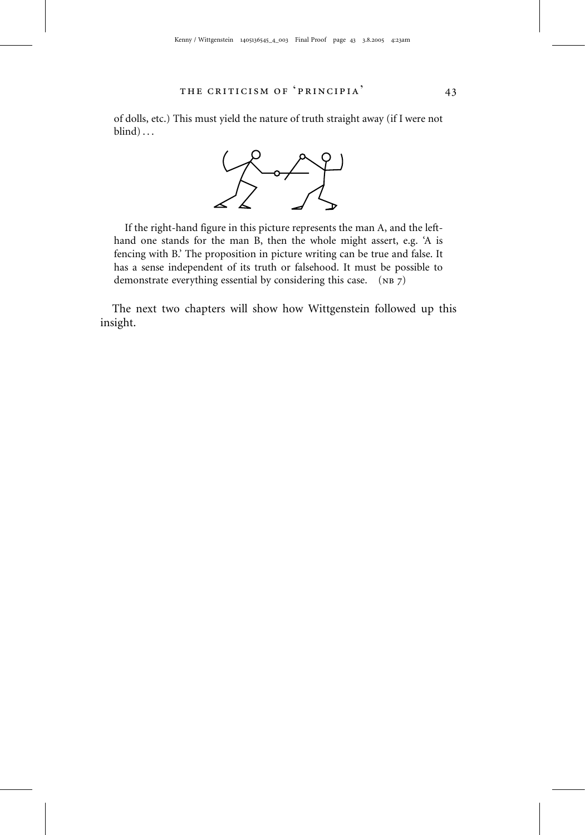of dolls, etc.) This must yield the nature of truth straight away (if I were not  $blind) \ldots$ 



If the right-hand figure in this picture represents the man A, and the lefthand one stands for the man B, then the whole might assert, e.g. 'A is fencing with B.' The proposition in picture writing can be true and false. It has a sense independent of its truth or falsehood. It must be possible to demonstrate everything essential by considering this case.  $(NB 7)$ 

The next two chapters will show how Wittgenstein followed up this insight.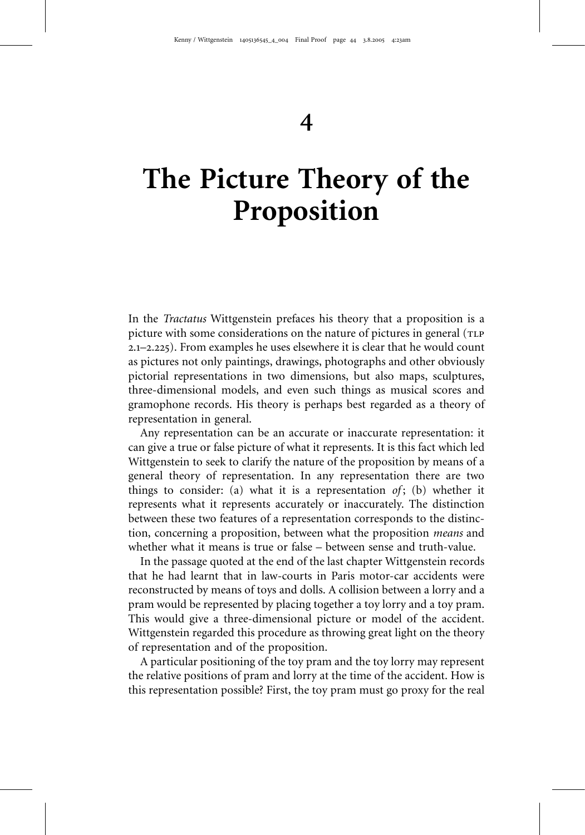# The Picture Theory of the Proposition

In the Tractatus Wittgenstein prefaces his theory that a proposition is a picture with some considerations on the nature of pictures in general (TLP 2.1–2.225). From examples he uses elsewhere it is clear that he would count as pictures not only paintings, drawings, photographs and other obviously pictorial representations in two dimensions, but also maps, sculptures, three-dimensional models, and even such things as musical scores and gramophone records. His theory is perhaps best regarded as a theory of representation in general.

Any representation can be an accurate or inaccurate representation: it can give a true or false picture of what it represents. It is this fact which led Wittgenstein to seek to clarify the nature of the proposition by means of a general theory of representation. In any representation there are two things to consider: (a) what it is a representation of; (b) whether it represents what it represents accurately or inaccurately. The distinction between these two features of a representation corresponds to the distinction, concerning a proposition, between what the proposition means and whether what it means is true or false – between sense and truth-value.

In the passage quoted at the end of the last chapter Wittgenstein records that he had learnt that in law-courts in Paris motor-car accidents were reconstructed by means of toys and dolls. A collision between a lorry and a pram would be represented by placing together a toy lorry and a toy pram. This would give a three-dimensional picture or model of the accident. Wittgenstein regarded this procedure as throwing great light on the theory of representation and of the proposition.

A particular positioning of the toy pram and the toy lorry may represent the relative positions of pram and lorry at the time of the accident. How is this representation possible? First, the toy pram must go proxy for the real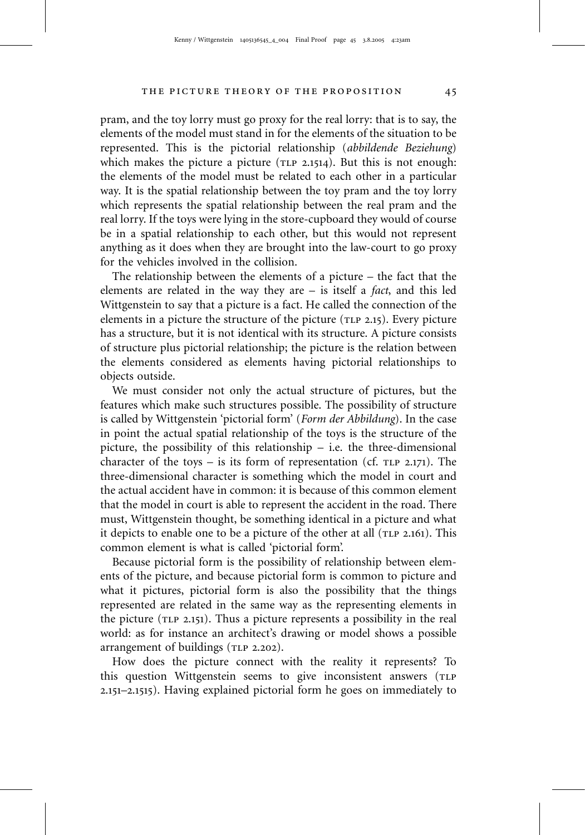pram, and the toy lorry must go proxy for the real lorry: that is to say, the elements of the model must stand in for the elements of the situation to be represented. This is the pictorial relationship (abbildende Beziehung) which makes the picture a picture ( $TLP$  2.1514). But this is not enough: the elements of the model must be related to each other in a particular way. It is the spatial relationship between the toy pram and the toy lorry which represents the spatial relationship between the real pram and the real lorry. If the toys were lying in the store-cupboard they would of course be in a spatial relationship to each other, but this would not represent anything as it does when they are brought into the law-court to go proxy for the vehicles involved in the collision.

The relationship between the elements of a picture – the fact that the elements are related in the way they are – is itself a fact, and this led Wittgenstein to say that a picture is a fact. He called the connection of the elements in a picture the structure of the picture  $(TLP 2.15)$ . Every picture has a structure, but it is not identical with its structure. A picture consists of structure plus pictorial relationship; the picture is the relation between the elements considered as elements having pictorial relationships to objects outside.

We must consider not only the actual structure of pictures, but the features which make such structures possible. The possibility of structure is called by Wittgenstein 'pictorial form' (Form der Abbildung). In the case in point the actual spatial relationship of the toys is the structure of the picture, the possibility of this relationship – i.e. the three-dimensional character of the toys – is its form of representation (cf. TLP 2.171). The three-dimensional character is something which the model in court and the actual accident have in common: it is because of this common element that the model in court is able to represent the accident in the road. There must, Wittgenstein thought, be something identical in a picture and what it depicts to enable one to be a picture of the other at all  $(TLP 2.161)$ . This common element is what is called 'pictorial form'.

Because pictorial form is the possibility of relationship between elements of the picture, and because pictorial form is common to picture and what it pictures, pictorial form is also the possibility that the things represented are related in the same way as the representing elements in the picture (TLP 2.151). Thus a picture represents a possibility in the real world: as for instance an architect's drawing or model shows a possible arrangement of buildings (TLP 2.202).

How does the picture connect with the reality it represents? To this question Wittgenstein seems to give inconsistent answers (TLP 2.151–2.1515). Having explained pictorial form he goes on immediately to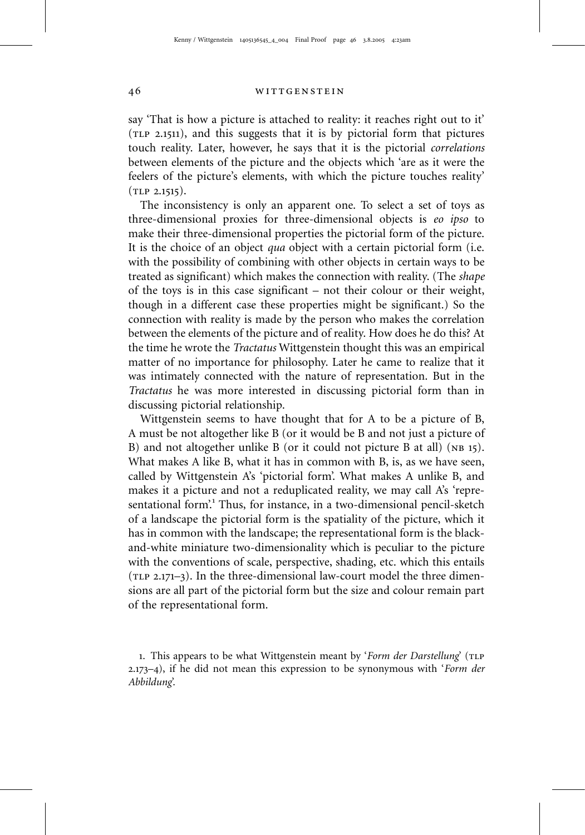say 'That is how a picture is attached to reality: it reaches right out to it'  $(TLP 2.1511)$ , and this suggests that it is by pictorial form that pictures touch reality. Later, however, he says that it is the pictorial correlations between elements of the picture and the objects which 'are as it were the feelers of the picture's elements, with which the picture touches reality'  $(TLP 2.1515)$ .

The inconsistency is only an apparent one. To select a set of toys as three-dimensional proxies for three-dimensional objects is eo ipso to make their three-dimensional properties the pictorial form of the picture. It is the choice of an object *qua* object with a certain pictorial form (i.e. with the possibility of combining with other objects in certain ways to be treated as significant) which makes the connection with reality. (The shape of the toys is in this case significant – not their colour or their weight, though in a different case these properties might be significant.) So the connection with reality is made by the person who makes the correlation between the elements of the picture and of reality. How does he do this? At the time he wrote the Tractatus Wittgenstein thought this was an empirical matter of no importance for philosophy. Later he came to realize that it was intimately connected with the nature of representation. But in the Tractatus he was more interested in discussing pictorial form than in discussing pictorial relationship.

Wittgenstein seems to have thought that for A to be a picture of B, A must be not altogether like B (or it would be B and not just a picture of B) and not altogether unlike B (or it could not picture B at all) ( $NB 15$ ). What makes A like B, what it has in common with B, is, as we have seen, called by Wittgenstein A's 'pictorial form'. What makes A unlike B, and makes it a picture and not a reduplicated reality, we may call A's 'representational form'.<sup>1</sup> Thus, for instance, in a two-dimensional pencil-sketch of a landscape the pictorial form is the spatiality of the picture, which it has in common with the landscape; the representational form is the blackand-white miniature two-dimensionality which is peculiar to the picture with the conventions of scale, perspective, shading, etc. which this entails  $(\text{TLP 2.171–3}).$  In the three-dimensional law-court model the three dimensions are all part of the pictorial form but the size and colour remain part of the representational form.

1. This appears to be what Wittgenstein meant by 'Form der Darstellung' (TLP 2.173–4), if he did not mean this expression to be synonymous with 'Form der Abbildung'.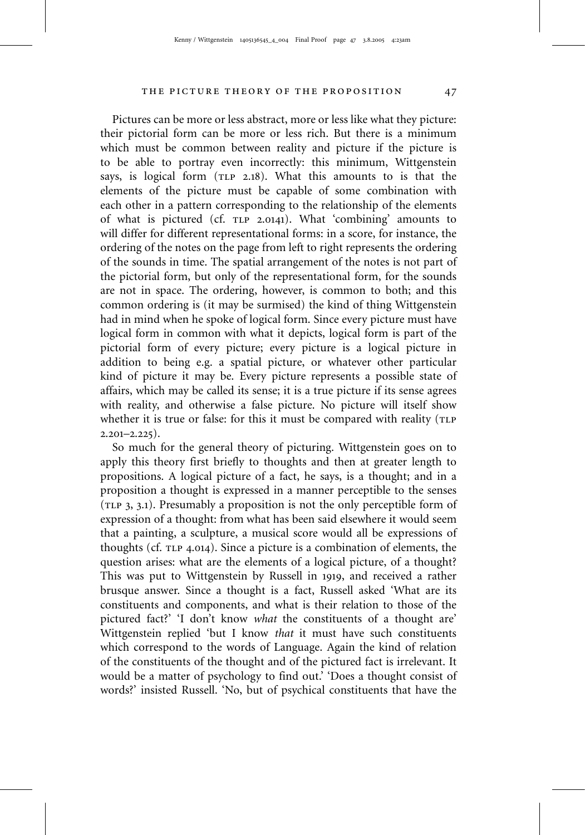Pictures can be more or less abstract, more or less like what they picture: their pictorial form can be more or less rich. But there is a minimum which must be common between reality and picture if the picture is to be able to portray even incorrectly: this minimum, Wittgenstein says, is logical form (TLP 2.18). What this amounts to is that the elements of the picture must be capable of some combination with each other in a pattern corresponding to the relationship of the elements of what is pictured (cf. tlp 2.0141). What 'combining' amounts to will differ for different representational forms: in a score, for instance, the ordering of the notes on the page from left to right represents the ordering of the sounds in time. The spatial arrangement of the notes is not part of the pictorial form, but only of the representational form, for the sounds are not in space. The ordering, however, is common to both; and this common ordering is (it may be surmised) the kind of thing Wittgenstein had in mind when he spoke of logical form. Since every picture must have logical form in common with what it depicts, logical form is part of the pictorial form of every picture; every picture is a logical picture in addition to being e.g. a spatial picture, or whatever other particular kind of picture it may be. Every picture represents a possible state of affairs, which may be called its sense; it is a true picture if its sense agrees with reality, and otherwise a false picture. No picture will itself show whether it is true or false: for this it must be compared with reality  $(TLP)$  $2.201 - 2.225$ ).

So much for the general theory of picturing. Wittgenstein goes on to apply this theory first briefly to thoughts and then at greater length to propositions. A logical picture of a fact, he says, is a thought; and in a proposition a thought is expressed in a manner perceptible to the senses (TLP 3, 3.1). Presumably a proposition is not the only perceptible form of expression of a thought: from what has been said elsewhere it would seem that a painting, a sculpture, a musical score would all be expressions of thoughts (cf. tlp 4.014). Since a picture is a combination of elements, the question arises: what are the elements of a logical picture, of a thought? This was put to Wittgenstein by Russell in 1919, and received a rather brusque answer. Since a thought is a fact, Russell asked 'What are its constituents and components, and what is their relation to those of the pictured fact?' 'I don't know what the constituents of a thought are' Wittgenstein replied 'but I know that it must have such constituents which correspond to the words of Language. Again the kind of relation of the constituents of the thought and of the pictured fact is irrelevant. It would be a matter of psychology to find out.' 'Does a thought consist of words?' insisted Russell. 'No, but of psychical constituents that have the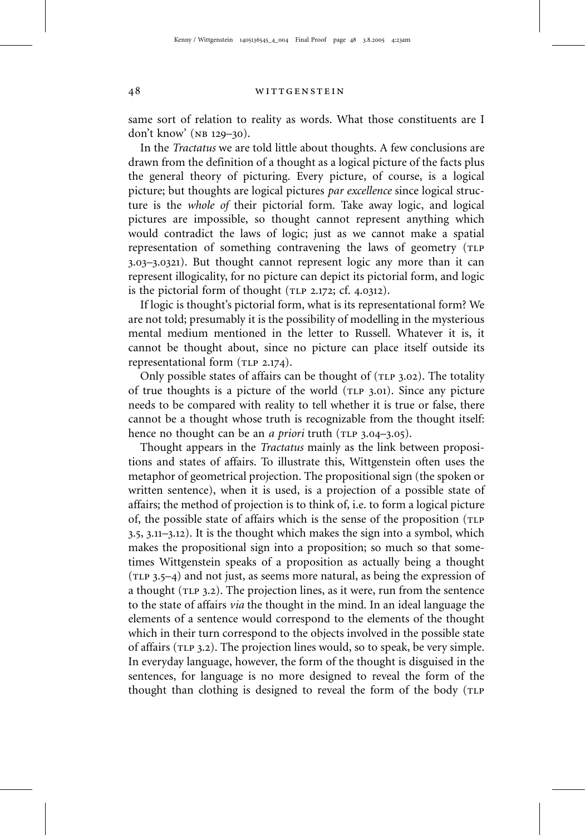same sort of relation to reality as words. What those constituents are I don't know' (nb 129–30).

In the Tractatus we are told little about thoughts. A few conclusions are drawn from the definition of a thought as a logical picture of the facts plus the general theory of picturing. Every picture, of course, is a logical picture; but thoughts are logical pictures par excellence since logical structure is the whole of their pictorial form. Take away logic, and logical pictures are impossible, so thought cannot represent anything which would contradict the laws of logic; just as we cannot make a spatial representation of something contravening the laws of geometry (TLP 3.03–3.0321). But thought cannot represent logic any more than it can represent illogicality, for no picture can depict its pictorial form, and logic is the pictorial form of thought ( $TLP$  2.172; cf. 4.0312).

If logic is thought's pictorial form, what is its representational form? We are not told; presumably it is the possibility of modelling in the mysterious mental medium mentioned in the letter to Russell. Whatever it is, it cannot be thought about, since no picture can place itself outside its representational form (TLP 2.174).

Only possible states of affairs can be thought of  $(TLP 3.02)$ . The totality of true thoughts is a picture of the world  $(TLP 3.01)$ . Since any picture needs to be compared with reality to tell whether it is true or false, there cannot be a thought whose truth is recognizable from the thought itself: hence no thought can be an *a priori* truth ( $TLP$  3.04–3.05).

Thought appears in the Tractatus mainly as the link between propositions and states of affairs. To illustrate this, Wittgenstein often uses the metaphor of geometrical projection. The propositional sign (the spoken or written sentence), when it is used, is a projection of a possible state of affairs; the method of projection is to think of, i.e. to form a logical picture of, the possible state of affairs which is the sense of the proposition (TLP) 3.5, 3.11–3.12). It is the thought which makes the sign into a symbol, which makes the propositional sign into a proposition; so much so that sometimes Wittgenstein speaks of a proposition as actually being a thought  $(TLP 3.5-4)$  and not just, as seems more natural, as being the expression of a thought (TLP 3.2). The projection lines, as it were, run from the sentence to the state of affairs via the thought in the mind. In an ideal language the elements of a sentence would correspond to the elements of the thought which in their turn correspond to the objects involved in the possible state of affairs (TLP 3.2). The projection lines would, so to speak, be very simple. In everyday language, however, the form of the thought is disguised in the sentences, for language is no more designed to reveal the form of the thought than clothing is designed to reveal the form of the body (TLP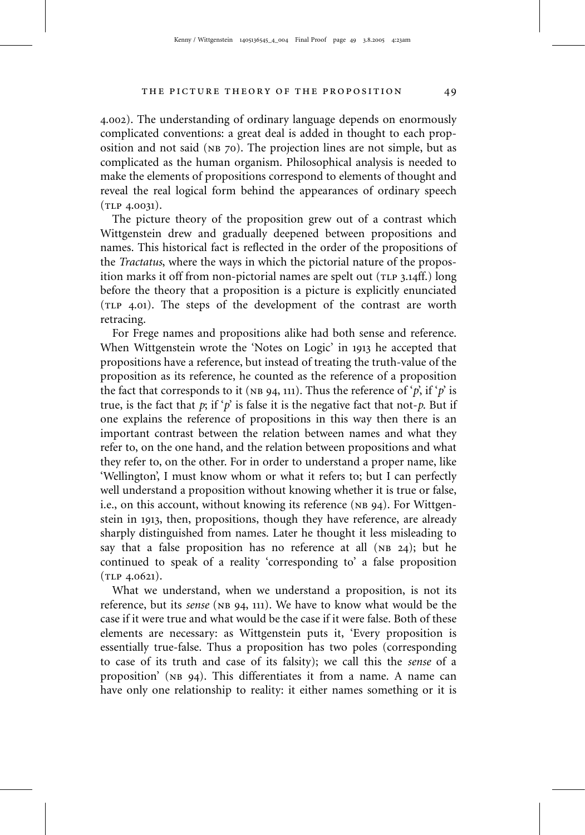4.002). The understanding of ordinary language depends on enormously complicated conventions: a great deal is added in thought to each proposition and not said (nb 70). The projection lines are not simple, but as complicated as the human organism. Philosophical analysis is needed to make the elements of propositions correspond to elements of thought and reveal the real logical form behind the appearances of ordinary speech  $(TLP 4.0031)$ .

The picture theory of the proposition grew out of a contrast which Wittgenstein drew and gradually deepened between propositions and names. This historical fact is reflected in the order of the propositions of the Tractatus, where the ways in which the pictorial nature of the proposition marks it off from non-pictorial names are spelt out (TLP 3.14ff.) long before the theory that a proposition is a picture is explicitly enunciated (tlp 4.01). The steps of the development of the contrast are worth retracing.

For Frege names and propositions alike had both sense and reference. When Wittgenstein wrote the 'Notes on Logic' in 1913 he accepted that propositions have a reference, but instead of treating the truth-value of the proposition as its reference, he counted as the reference of a proposition the fact that corresponds to it (NB 94, 111). Thus the reference of ' $p'$ , if ' $p'$  is true, is the fact that  $p$ ; if ' $p$ ' is false it is the negative fact that not- $p$ . But if one explains the reference of propositions in this way then there is an important contrast between the relation between names and what they refer to, on the one hand, and the relation between propositions and what they refer to, on the other. For in order to understand a proper name, like 'Wellington', I must know whom or what it refers to; but I can perfectly well understand a proposition without knowing whether it is true or false, i.e., on this account, without knowing its reference (NB 94). For Wittgenstein in 1913, then, propositions, though they have reference, are already sharply distinguished from names. Later he thought it less misleading to say that a false proposition has no reference at all  $(NB 24)$ ; but he continued to speak of a reality 'corresponding to' a false proposition  $(TLP 4.0621)$ .

What we understand, when we understand a proposition, is not its reference, but its *sense* (NB 94, 111). We have to know what would be the case if it were true and what would be the case if it were false. Both of these elements are necessary: as Wittgenstein puts it, 'Every proposition is essentially true-false. Thus a proposition has two poles (corresponding to case of its truth and case of its falsity); we call this the sense of a proposition' (nb 94). This differentiates it from a name. A name can have only one relationship to reality: it either names something or it is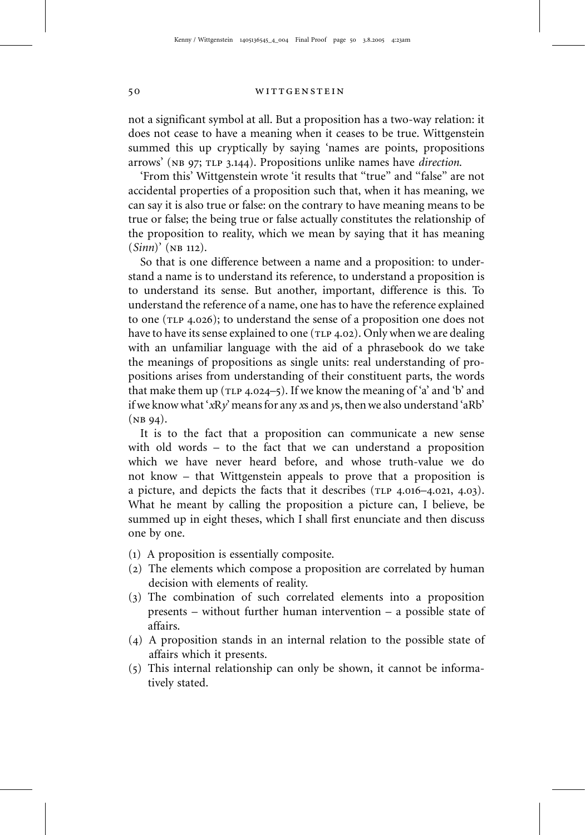not a significant symbol at all. But a proposition has a two-way relation: it does not cease to have a meaning when it ceases to be true. Wittgenstein summed this up cryptically by saying 'names are points, propositions arrows' (NB 97; TLP 3.144). Propositions unlike names have direction.

'From this' Wittgenstein wrote 'it results that ''true'' and ''false'' are not accidental properties of a proposition such that, when it has meaning, we can say it is also true or false: on the contrary to have meaning means to be true or false; the being true or false actually constitutes the relationship of the proposition to reality, which we mean by saying that it has meaning  $(Sinn)'$  (NB 112).

So that is one difference between a name and a proposition: to understand a name is to understand its reference, to understand a proposition is to understand its sense. But another, important, difference is this. To understand the reference of a name, one has to have the reference explained to one (TLP 4.026); to understand the sense of a proposition one does not have to have its sense explained to one (TLP 4.02). Only when we are dealing with an unfamiliar language with the aid of a phrasebook do we take the meanings of propositions as single units: real understanding of propositions arises from understanding of their constituent parts, the words that make them up ( $TLP$  4.024–5). If we know the meaning of 'a' and 'b' and if we know what 'xRy' means for any xs and ys, then we also understand 'aRb'  $(NB 94)$ .

It is to the fact that a proposition can communicate a new sense with old words – to the fact that we can understand a proposition which we have never heard before, and whose truth-value we do not know – that Wittgenstein appeals to prove that a proposition is a picture, and depicts the facts that it describes ( $TLP$  4.016–4.021, 4.03). What he meant by calling the proposition a picture can, I believe, be summed up in eight theses, which I shall first enunciate and then discuss one by one.

- (1) A proposition is essentially composite.
- (2) The elements which compose a proposition are correlated by human decision with elements of reality.
- (3) The combination of such correlated elements into a proposition presents – without further human intervention – a possible state of affairs.
- (4) A proposition stands in an internal relation to the possible state of affairs which it presents.
- (5) This internal relationship can only be shown, it cannot be informatively stated.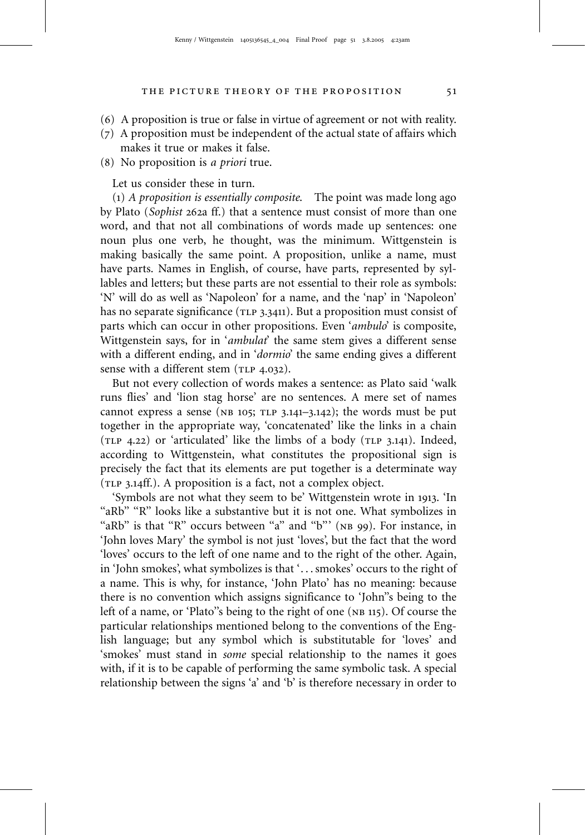- (6) A proposition is true or false in virtue of agreement or not with reality.
- (7) A proposition must be independent of the actual state of affairs which makes it true or makes it false.
- (8) No proposition is a priori true.

Let us consider these in turn.

(1) A proposition is essentially composite. The point was made long ago by Plato (Sophist 262a ff.) that a sentence must consist of more than one word, and that not all combinations of words made up sentences: one noun plus one verb, he thought, was the minimum. Wittgenstein is making basically the same point. A proposition, unlike a name, must have parts. Names in English, of course, have parts, represented by syllables and letters; but these parts are not essential to their role as symbols: 'N' will do as well as 'Napoleon' for a name, and the 'nap' in 'Napoleon' has no separate significance (TLP 3.3411). But a proposition must consist of parts which can occur in other propositions. Even 'ambulo' is composite, Wittgenstein says, for in 'ambulat' the same stem gives a different sense with a different ending, and in '*dormio*' the same ending gives a different sense with a different stem  $(TLP 4.032)$ .

But not every collection of words makes a sentence: as Plato said 'walk runs flies' and 'lion stag horse' are no sentences. A mere set of names cannot express a sense (NB 105; TLP 3.141–3.142); the words must be put together in the appropriate way, 'concatenated' like the links in a chain (TLP 4.22) or 'articulated' like the limbs of a body (TLP  $3.141$ ). Indeed, according to Wittgenstein, what constitutes the propositional sign is precisely the fact that its elements are put together is a determinate way (tlp 3.14ff.). A proposition is a fact, not a complex object.

'Symbols are not what they seem to be' Wittgenstein wrote in 1913. 'In "aRb" "R" looks like a substantive but it is not one. What symbolizes in "aRb" is that "R" occurs between "a" and "b"' (NB 99). For instance, in 'John loves Mary' the symbol is not just 'loves', but the fact that the word 'loves' occurs to the left of one name and to the right of the other. Again, in 'John smokes', what symbolizes is that '. . . smokes' occurs to the right of a name. This is why, for instance, 'John Plato' has no meaning: because there is no convention which assigns significance to 'John''s being to the left of a name, or 'Plato''s being to the right of one (NB 115). Of course the particular relationships mentioned belong to the conventions of the English language; but any symbol which is substitutable for 'loves' and 'smokes' must stand in some special relationship to the names it goes with, if it is to be capable of performing the same symbolic task. A special relationship between the signs 'a' and 'b' is therefore necessary in order to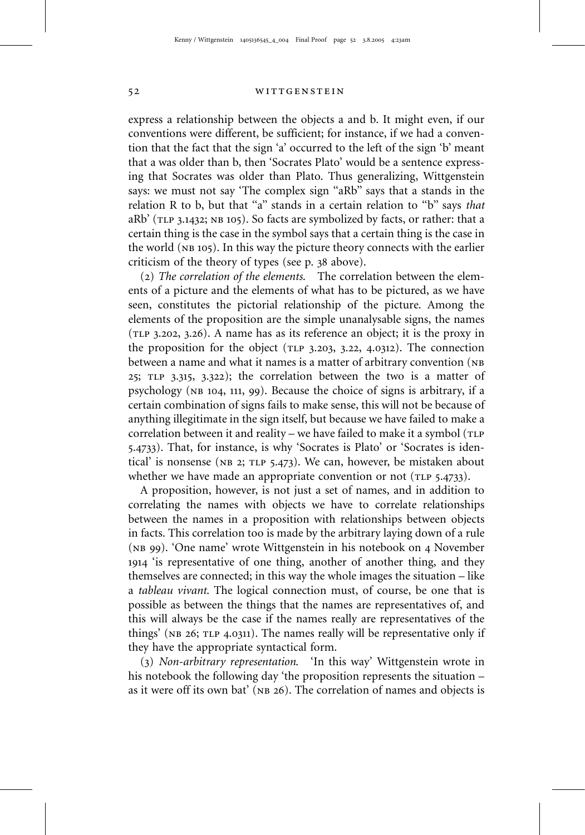express a relationship between the objects a and b. It might even, if our conventions were different, be sufficient; for instance, if we had a convention that the fact that the sign 'a' occurred to the left of the sign 'b' meant that a was older than b, then 'Socrates Plato' would be a sentence expressing that Socrates was older than Plato. Thus generalizing, Wittgenstein says: we must not say 'The complex sign ''aRb'' says that a stands in the relation R to b, but that "a" stands in a certain relation to "b" says that aRb' (TLP 3.1432; NB 105). So facts are symbolized by facts, or rather: that a certain thing is the case in the symbol says that a certain thing is the case in the world (nb 105). In this way the picture theory connects with the earlier criticism of the theory of types (see p. 38 above).

(2) The correlation of the elements. The correlation between the elements of a picture and the elements of what has to be pictured, as we have seen, constitutes the pictorial relationship of the picture. Among the elements of the proposition are the simple unanalysable signs, the names (tlp 3.202, 3.26). A name has as its reference an object; it is the proxy in the proposition for the object ( $TLP$  3.203, 3.22, 4.0312). The connection between a name and what it names is a matter of arbitrary convention (NB 25; TLP  $3.315$ ,  $3.322$ ); the correlation between the two is a matter of psychology (nb 104, 111, 99). Because the choice of signs is arbitrary, if a certain combination of signs fails to make sense, this will not be because of anything illegitimate in the sign itself, but because we have failed to make a correlation between it and reality – we have failed to make it a symbol  $(TLP)$ 5.4733). That, for instance, is why 'Socrates is Plato' or 'Socrates is identical' is nonsense (NB 2; TLP 5.473). We can, however, be mistaken about whether we have made an appropriate convention or not (TLP 5.4733).

A proposition, however, is not just a set of names, and in addition to correlating the names with objects we have to correlate relationships between the names in a proposition with relationships between objects in facts. This correlation too is made by the arbitrary laying down of a rule (nb 99). 'One name' wrote Wittgenstein in his notebook on 4 November 1914 'is representative of one thing, another of another thing, and they themselves are connected; in this way the whole images the situation – like a tableau vivant. The logical connection must, of course, be one that is possible as between the things that the names are representatives of, and this will always be the case if the names really are representatives of the things' (NB 26; TLP 4.0311). The names really will be representative only if they have the appropriate syntactical form.

(3) Non-arbitrary representation. 'In this way' Wittgenstein wrote in his notebook the following day 'the proposition represents the situation – as it were off its own bat' (nb 26). The correlation of names and objects is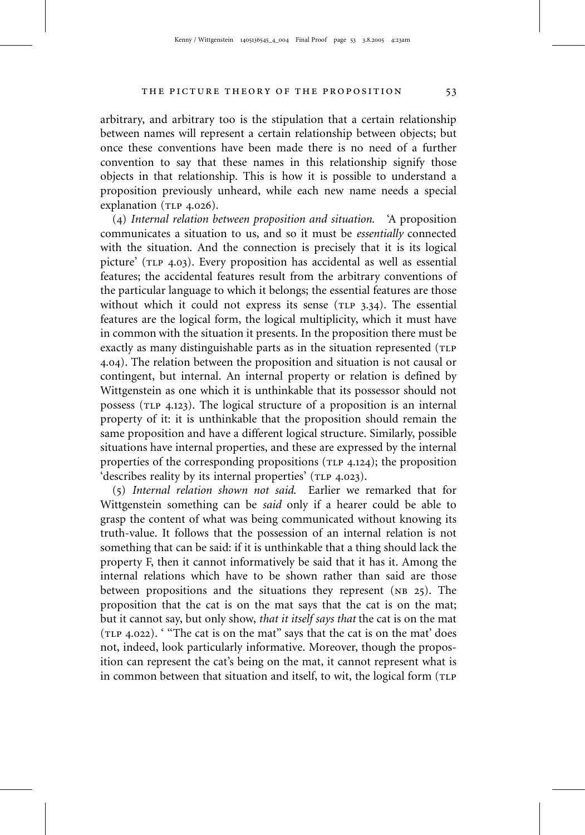arbitrary, and arbitrary too is the stipulation that a certain relationship between names will represent a certain relationship between objects; but once these conventions have been made there is no need of a further convention to say that these names in this relationship signify those objects in that relationship. This is how it is possible to understand a proposition previously unheard, while each new name needs a special explanation (TLP 4.026).

(4) Internal relation between proposition and situation. 'A proposition communicates a situation to us, and so it must be essentially connected with the situation. And the connection is precisely that it is its logical picture' (TLP 4.03). Every proposition has accidental as well as essential features; the accidental features result from the arbitrary conventions of the particular language to which it belongs; the essential features are those without which it could not express its sense  $(TLP 3.34)$ . The essential features are the logical form, the logical multiplicity, which it must have in common with the situation it presents. In the proposition there must be exactly as many distinguishable parts as in the situation represented (TLP 4.04). The relation between the proposition and situation is not causal or contingent, but internal. An internal property or relation is defined by Wittgenstein as one which it is unthinkable that its possessor should not possess (TLP 4.123). The logical structure of a proposition is an internal property of it: it is unthinkable that the proposition should remain the same proposition and have a different logical structure. Similarly, possible situations have internal properties, and these are expressed by the internal properties of the corresponding propositions ( $TLP$  4.124); the proposition 'describes reality by its internal properties' (TLP 4.023).

(5) Internal relation shown not said. Earlier we remarked that for Wittgenstein something can be said only if a hearer could be able to grasp the content of what was being communicated without knowing its truth-value. It follows that the possession of an internal relation is not something that can be said: if it is unthinkable that a thing should lack the property F, then it cannot informatively be said that it has it. Among the internal relations which have to be shown rather than said are those between propositions and the situations they represent  $(NB 25)$ . The proposition that the cat is on the mat says that the cat is on the mat; but it cannot say, but only show, that it itself says that the cat is on the mat (tlp 4.022). ' ''The cat is on the mat'' says that the cat is on the mat' does not, indeed, look particularly informative. Moreover, though the proposition can represent the cat's being on the mat, it cannot represent what is in common between that situation and itself, to wit, the logical form (TLP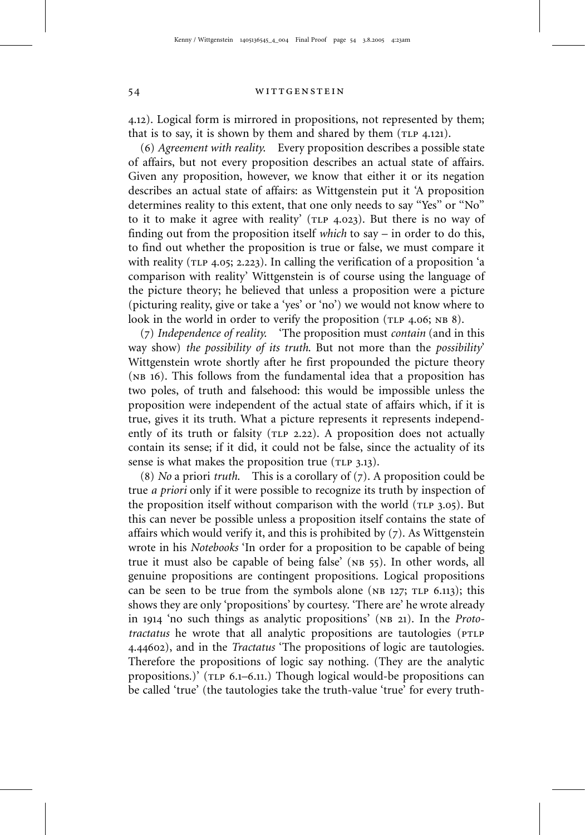4.12). Logical form is mirrored in propositions, not represented by them; that is to say, it is shown by them and shared by them  $(TLP 4.121)$ .

(6) Agreement with reality. Every proposition describes a possible state of affairs, but not every proposition describes an actual state of affairs. Given any proposition, however, we know that either it or its negation describes an actual state of affairs: as Wittgenstein put it 'A proposition determines reality to this extent, that one only needs to say ''Yes'' or ''No'' to it to make it agree with reality' (TLP 4.023). But there is no way of finding out from the proposition itself which to say – in order to do this, to find out whether the proposition is true or false, we must compare it with reality (TLP 4.05; 2.223). In calling the verification of a proposition 'a comparison with reality' Wittgenstein is of course using the language of the picture theory; he believed that unless a proposition were a picture (picturing reality, give or take a 'yes' or 'no') we would not know where to look in the world in order to verify the proposition ( $TLP$  4.06; NB 8).

(7) Independence of reality. 'The proposition must contain (and in this way show) the possibility of its truth. But not more than the possibility' Wittgenstein wrote shortly after he first propounded the picture theory (nb 16). This follows from the fundamental idea that a proposition has two poles, of truth and falsehood: this would be impossible unless the proposition were independent of the actual state of affairs which, if it is true, gives it its truth. What a picture represents it represents independently of its truth or falsity ( $TLP$  2.22). A proposition does not actually contain its sense; if it did, it could not be false, since the actuality of its sense is what makes the proposition true  $(TLP 3.13)$ .

(8) No a priori truth. This is a corollary of  $(7)$ . A proposition could be true a priori only if it were possible to recognize its truth by inspection of the proposition itself without comparison with the world ( $TLP$  3.05). But this can never be possible unless a proposition itself contains the state of affairs which would verify it, and this is prohibited by (7). As Wittgenstein wrote in his Notebooks 'In order for a proposition to be capable of being true it must also be capable of being false' (NB 55). In other words, all genuine propositions are contingent propositions. Logical propositions can be seen to be true from the symbols alone ( $NB$  127; TLP 6.113); this shows they are only 'propositions' by courtesy. 'There are' he wrote already in 1914 'no such things as analytic propositions' (NB 21). In the Prototractatus he wrote that all analytic propositions are tautologies (PTLP 4.44602), and in the Tractatus 'The propositions of logic are tautologies. Therefore the propositions of logic say nothing. (They are the analytic propositions.)<sup> $\int$ </sup> ( $TLP$  6.1–6.11.) Though logical would-be propositions can be called 'true' (the tautologies take the truth-value 'true' for every truth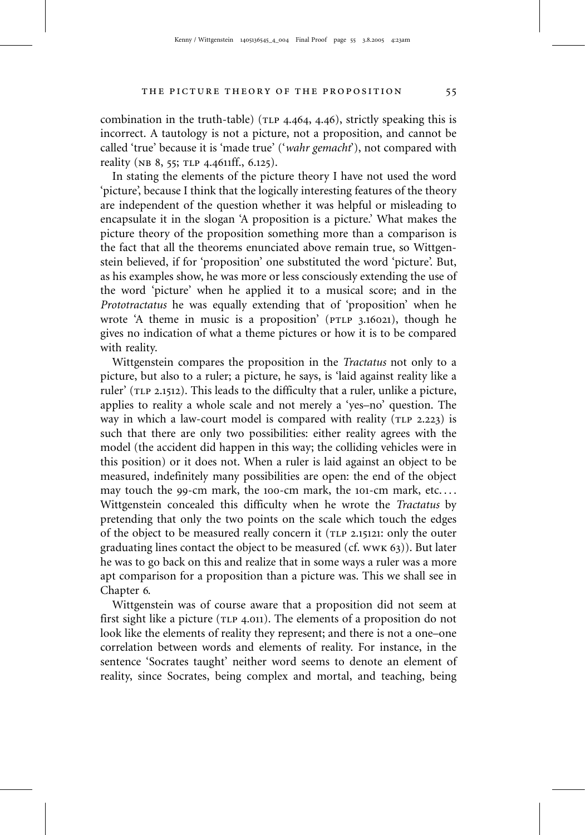combination in the truth-table) ( $TLP$  4.464, 4.46), strictly speaking this is incorrect. A tautology is not a picture, not a proposition, and cannot be called 'true' because it is 'made true' ('wahr gemacht'), not compared with reality (NB 8, 55; TLP 4.4611ff., 6.125).

In stating the elements of the picture theory I have not used the word 'picture', because I think that the logically interesting features of the theory are independent of the question whether it was helpful or misleading to encapsulate it in the slogan 'A proposition is a picture.' What makes the picture theory of the proposition something more than a comparison is the fact that all the theorems enunciated above remain true, so Wittgenstein believed, if for 'proposition' one substituted the word 'picture'. But, as his examples show, he was more or less consciously extending the use of the word 'picture' when he applied it to a musical score; and in the Prototractatus he was equally extending that of 'proposition' when he wrote 'A theme in music is a proposition' (PTLP 3.16021), though he gives no indication of what a theme pictures or how it is to be compared with reality.

Wittgenstein compares the proposition in the Tractatus not only to a picture, but also to a ruler; a picture, he says, is 'laid against reality like a ruler' (TLP 2.1512). This leads to the difficulty that a ruler, unlike a picture, applies to reality a whole scale and not merely a 'yes–no' question. The way in which a law-court model is compared with reality  $(TLP 2.223)$  is such that there are only two possibilities: either reality agrees with the model (the accident did happen in this way; the colliding vehicles were in this position) or it does not. When a ruler is laid against an object to be measured, indefinitely many possibilities are open: the end of the object may touch the 99-cm mark, the 100-cm mark, the 101-cm mark, etc.... Wittgenstein concealed this difficulty when he wrote the Tractatus by pretending that only the two points on the scale which touch the edges of the object to be measured really concern it (TLP 2.15121: only the outer graduating lines contact the object to be measured (cf. wwk 63)). But later he was to go back on this and realize that in some ways a ruler was a more apt comparison for a proposition than a picture was. This we shall see in Chapter 6.

Wittgenstein was of course aware that a proposition did not seem at first sight like a picture (TLP 4.011). The elements of a proposition do not look like the elements of reality they represent; and there is not a one–one correlation between words and elements of reality. For instance, in the sentence 'Socrates taught' neither word seems to denote an element of reality, since Socrates, being complex and mortal, and teaching, being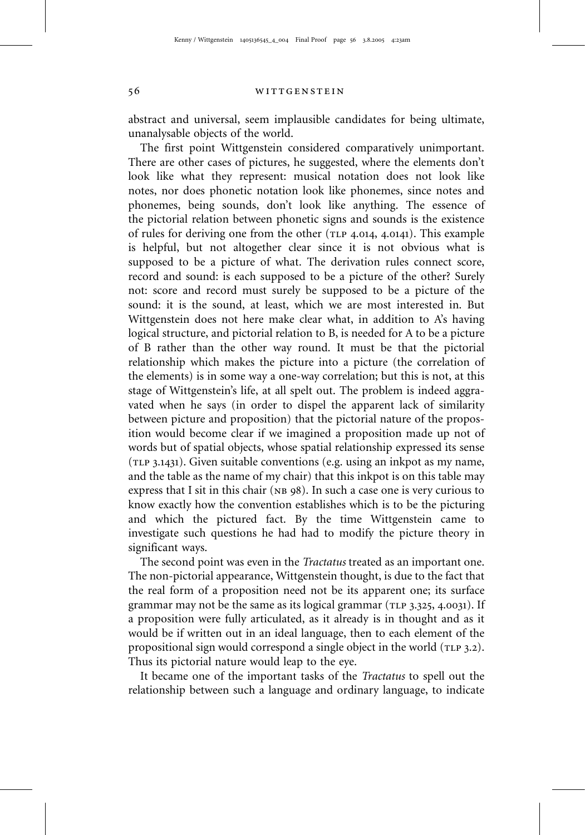abstract and universal, seem implausible candidates for being ultimate, unanalysable objects of the world.

The first point Wittgenstein considered comparatively unimportant. There are other cases of pictures, he suggested, where the elements don't look like what they represent: musical notation does not look like notes, nor does phonetic notation look like phonemes, since notes and phonemes, being sounds, don't look like anything. The essence of the pictorial relation between phonetic signs and sounds is the existence of rules for deriving one from the other  $(TLP 4.014, 4.0141)$ . This example is helpful, but not altogether clear since it is not obvious what is supposed to be a picture of what. The derivation rules connect score, record and sound: is each supposed to be a picture of the other? Surely not: score and record must surely be supposed to be a picture of the sound: it is the sound, at least, which we are most interested in. But Wittgenstein does not here make clear what, in addition to A's having logical structure, and pictorial relation to B, is needed for A to be a picture of B rather than the other way round. It must be that the pictorial relationship which makes the picture into a picture (the correlation of the elements) is in some way a one-way correlation; but this is not, at this stage of Wittgenstein's life, at all spelt out. The problem is indeed aggravated when he says (in order to dispel the apparent lack of similarity between picture and proposition) that the pictorial nature of the proposition would become clear if we imagined a proposition made up not of words but of spatial objects, whose spatial relationship expressed its sense  $(TLP_3.1431)$ . Given suitable conventions (e.g. using an inkpot as my name, and the table as the name of my chair) that this inkpot is on this table may express that I sit in this chair (NB 98). In such a case one is very curious to know exactly how the convention establishes which is to be the picturing and which the pictured fact. By the time Wittgenstein came to investigate such questions he had had to modify the picture theory in significant ways.

The second point was even in the Tractatus treated as an important one. The non-pictorial appearance, Wittgenstein thought, is due to the fact that the real form of a proposition need not be its apparent one; its surface grammar may not be the same as its logical grammar ( $TLP$  3.325, 4.0031). If a proposition were fully articulated, as it already is in thought and as it would be if written out in an ideal language, then to each element of the propositional sign would correspond a single object in the world (TLP 3.2). Thus its pictorial nature would leap to the eye.

It became one of the important tasks of the Tractatus to spell out the relationship between such a language and ordinary language, to indicate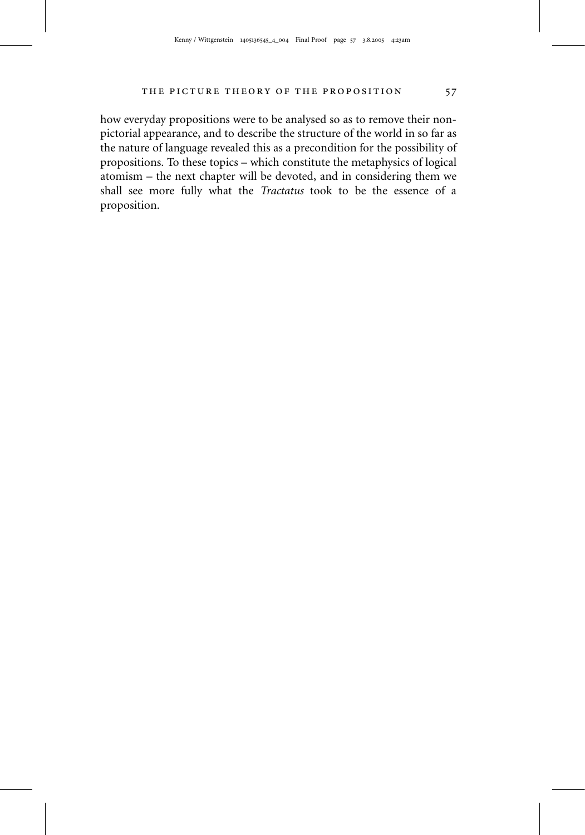how everyday propositions were to be analysed so as to remove their nonpictorial appearance, and to describe the structure of the world in so far as the nature of language revealed this as a precondition for the possibility of propositions. To these topics – which constitute the metaphysics of logical atomism – the next chapter will be devoted, and in considering them we shall see more fully what the Tractatus took to be the essence of a proposition.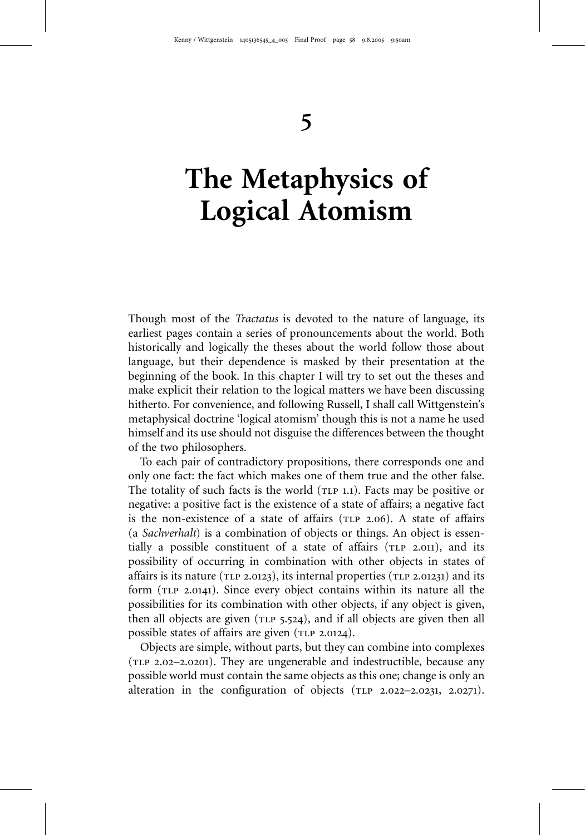## The Metaphysics of Logical Atomism

Though most of the Tractatus is devoted to the nature of language, its earliest pages contain a series of pronouncements about the world. Both historically and logically the theses about the world follow those about language, but their dependence is masked by their presentation at the beginning of the book. In this chapter I will try to set out the theses and make explicit their relation to the logical matters we have been discussing hitherto. For convenience, and following Russell, I shall call Wittgenstein's metaphysical doctrine 'logical atomism' though this is not a name he used himself and its use should not disguise the differences between the thought of the two philosophers.

To each pair of contradictory propositions, there corresponds one and only one fact: the fact which makes one of them true and the other false. The totality of such facts is the world  $(TLP 1.1)$ . Facts may be positive or negative: a positive fact is the existence of a state of affairs; a negative fact is the non-existence of a state of affairs  $(TLP 2.06)$ . A state of affairs (a Sachverhalt) is a combination of objects or things. An object is essentially a possible constituent of a state of affairs (TLP 2.011), and its possibility of occurring in combination with other objects in states of affairs is its nature ( $TLP 2.0123$ ), its internal properties ( $TLP 2.01231$ ) and its form (TLP 2.0141). Since every object contains within its nature all the possibilities for its combination with other objects, if any object is given, then all objects are given  $(TLP 5.524)$ , and if all objects are given then all possible states of affairs are given (TLP 2.0124).

Objects are simple, without parts, but they can combine into complexes (tlp 2.02–2.0201). They are ungenerable and indestructible, because any possible world must contain the same objects as this one; change is only an alteration in the configuration of objects (TLP 2.022-2.0231, 2.0271).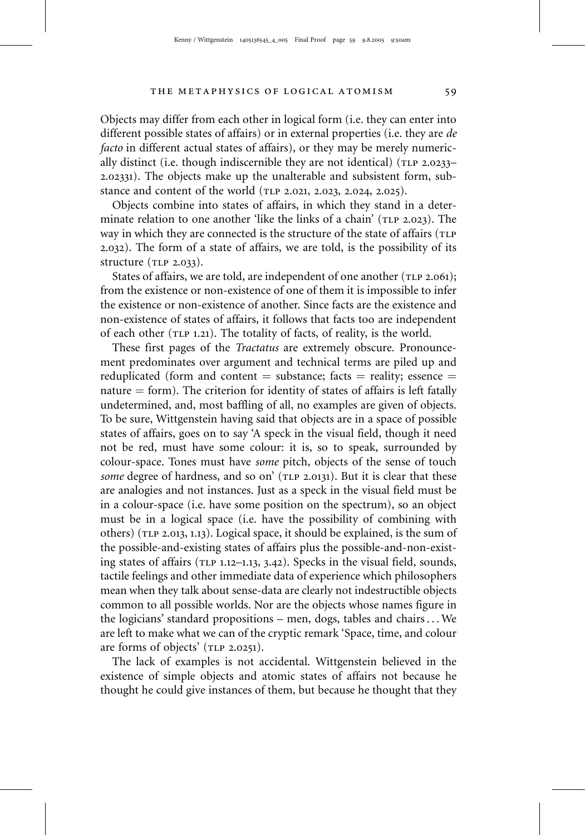Objects may differ from each other in logical form (i.e. they can enter into different possible states of affairs) or in external properties (i.e. they are de facto in different actual states of affairs), or they may be merely numerically distinct (i.e. though indiscernible they are not identical) ( $TLP$  2.0233– 2.02331). The objects make up the unalterable and subsistent form, substance and content of the world ( $TLP$  2.021, 2.023, 2.024, 2.025).

Objects combine into states of affairs, in which they stand in a determinate relation to one another 'like the links of a chain' (TLP 2.023). The way in which they are connected is the structure of the state of affairs (TLP 2.032). The form of a state of affairs, we are told, is the possibility of its structure  $(TLP 2.033)$ .

States of affairs, we are told, are independent of one another  $(TLP 2.061)$ ; from the existence or non-existence of one of them it is impossible to infer the existence or non-existence of another. Since facts are the existence and non-existence of states of affairs, it follows that facts too are independent of each other (TLP 1.21). The totality of facts, of reality, is the world.

These first pages of the Tractatus are extremely obscure. Pronouncement predominates over argument and technical terms are piled up and reduplicated (form and content  $=$  substance; facts  $=$  reality; essence  $=$ nature  $=$  form). The criterion for identity of states of affairs is left fatally undetermined, and, most baffling of all, no examples are given of objects. To be sure, Wittgenstein having said that objects are in a space of possible states of affairs, goes on to say 'A speck in the visual field, though it need not be red, must have some colour: it is, so to speak, surrounded by colour-space. Tones must have some pitch, objects of the sense of touch some degree of hardness, and so on' (TLP 2.0131). But it is clear that these are analogies and not instances. Just as a speck in the visual field must be in a colour-space (i.e. have some position on the spectrum), so an object must be in a logical space (i.e. have the possibility of combining with others) ( $TLP$  2.013, 1.13). Logical space, it should be explained, is the sum of the possible-and-existing states of affairs plus the possible-and-non-existing states of affairs ( $TLP$  1.12–1.13, 3.42). Specks in the visual field, sounds, tactile feelings and other immediate data of experience which philosophers mean when they talk about sense-data are clearly not indestructible objects common to all possible worlds. Nor are the objects whose names figure in the logicians' standard propositions – men, dogs, tables and chairs. . . We are left to make what we can of the cryptic remark 'Space, time, and colour are forms of objects' (TLP 2.0251).

The lack of examples is not accidental. Wittgenstein believed in the existence of simple objects and atomic states of affairs not because he thought he could give instances of them, but because he thought that they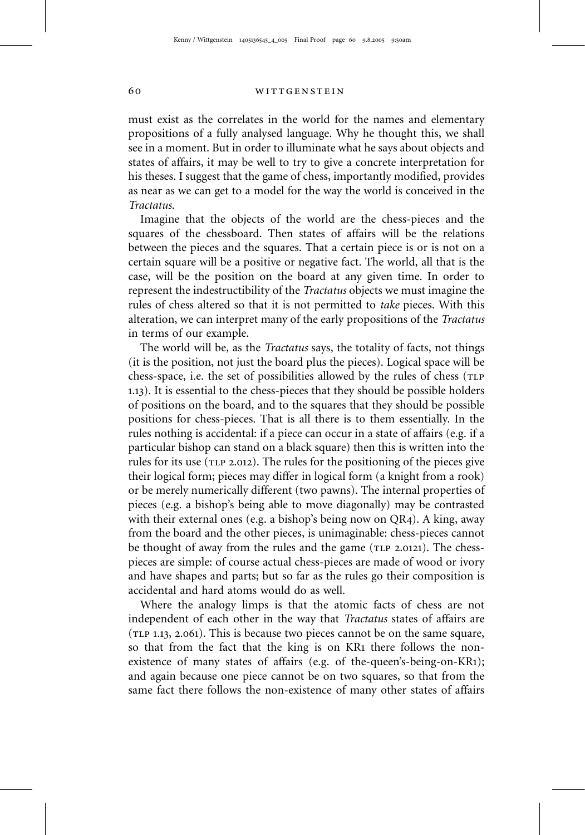must exist as the correlates in the world for the names and elementary propositions of a fully analysed language. Why he thought this, we shall see in a moment. But in order to illuminate what he says about objects and states of affairs, it may be well to try to give a concrete interpretation for his theses. I suggest that the game of chess, importantly modified, provides as near as we can get to a model for the way the world is conceived in the **Tractatus** 

Imagine that the objects of the world are the chess-pieces and the squares of the chessboard. Then states of affairs will be the relations between the pieces and the squares. That a certain piece is or is not on a certain square will be a positive or negative fact. The world, all that is the case, will be the position on the board at any given time. In order to represent the indestructibility of the Tractatus objects we must imagine the rules of chess altered so that it is not permitted to take pieces. With this alteration, we can interpret many of the early propositions of the Tractatus in terms of our example.

The world will be, as the Tractatus says, the totality of facts, not things (it is the position, not just the board plus the pieces). Logical space will be chess-space, i.e. the set of possibilities allowed by the rules of chess (TLP 1.13). It is essential to the chess-pieces that they should be possible holders of positions on the board, and to the squares that they should be possible positions for chess-pieces. That is all there is to them essentially. In the rules nothing is accidental: if a piece can occur in a state of affairs (e.g. if a particular bishop can stand on a black square) then this is written into the rules for its use (TLP 2.012). The rules for the positioning of the pieces give their logical form; pieces may differ in logical form (a knight from a rook) or be merely numerically different (two pawns). The internal properties of pieces (e.g. a bishop's being able to move diagonally) may be contrasted with their external ones (e.g. a bishop's being now on QR4). A king, away from the board and the other pieces, is unimaginable: chess-pieces cannot be thought of away from the rules and the game (TLP 2.0121). The chesspieces are simple: of course actual chess-pieces are made of wood or ivory and have shapes and parts; but so far as the rules go their composition is accidental and hard atoms would do as well.

Where the analogy limps is that the atomic facts of chess are not independent of each other in the way that Tractatus states of affairs are  $(TLP 1.13, 2.061)$ . This is because two pieces cannot be on the same square, so that from the fact that the king is on KR1 there follows the nonexistence of many states of affairs (e.g. of the-queen's-being-on-KR1); and again because one piece cannot be on two squares, so that from the same fact there follows the non-existence of many other states of affairs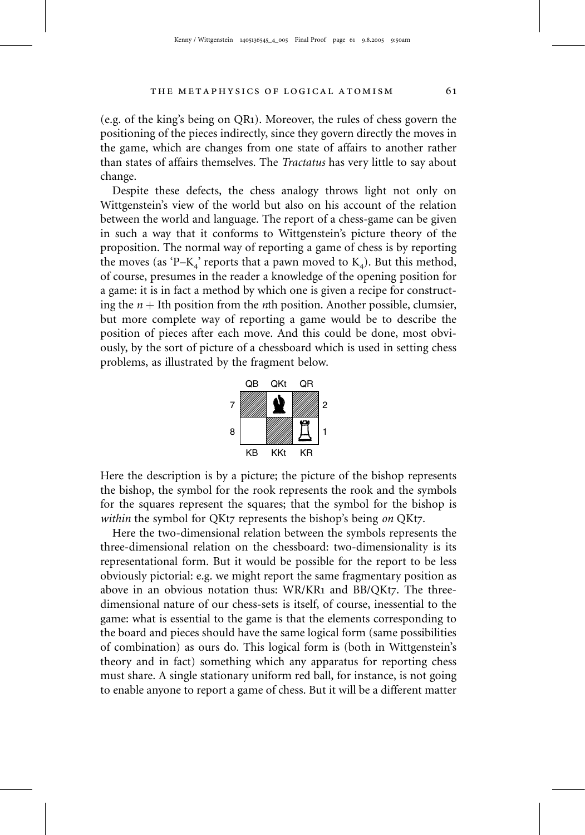(e.g. of the king's being on QR1). Moreover, the rules of chess govern the positioning of the pieces indirectly, since they govern directly the moves in the game, which are changes from one state of affairs to another rather than states of affairs themselves. The Tractatus has very little to say about change.

Despite these defects, the chess analogy throws light not only on Wittgenstein's view of the world but also on his account of the relation between the world and language. The report of a chess-game can be given in such a way that it conforms to Wittgenstein's picture theory of the proposition. The normal way of reporting a game of chess is by reporting the moves (as 'P– $K_4$ ' reports that a pawn moved to  $K_4$ ). But this method, of course, presumes in the reader a knowledge of the opening position for a game: it is in fact a method by which one is given a recipe for constructing the  $n +$  Ith position from the *n*th position. Another possible, clumsier, but more complete way of reporting a game would be to describe the position of pieces after each move. And this could be done, most obviously, by the sort of picture of a chessboard which is used in setting chess problems, as illustrated by the fragment below.



Here the description is by a picture; the picture of the bishop represents the bishop, the symbol for the rook represents the rook and the symbols for the squares represent the squares; that the symbol for the bishop is within the symbol for QKt7 represents the bishop's being on QKt7.

Here the two-dimensional relation between the symbols represents the three-dimensional relation on the chessboard: two-dimensionality is its representational form. But it would be possible for the report to be less obviously pictorial: e.g. we might report the same fragmentary position as above in an obvious notation thus: WR/KR1 and BB/QKt7. The threedimensional nature of our chess-sets is itself, of course, inessential to the game: what is essential to the game is that the elements corresponding to the board and pieces should have the same logical form (same possibilities of combination) as ours do. This logical form is (both in Wittgenstein's theory and in fact) something which any apparatus for reporting chess must share. A single stationary uniform red ball, for instance, is not going to enable anyone to report a game of chess. But it will be a different matter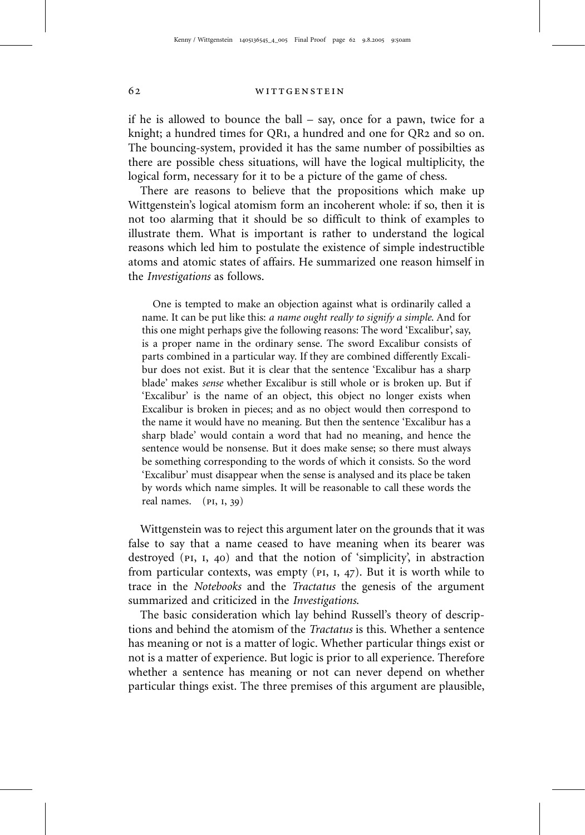if he is allowed to bounce the ball – say, once for a pawn, twice for a knight; a hundred times for QR1, a hundred and one for QR2 and so on. The bouncing-system, provided it has the same number of possibilties as there are possible chess situations, will have the logical multiplicity, the logical form, necessary for it to be a picture of the game of chess.

There are reasons to believe that the propositions which make up Wittgenstein's logical atomism form an incoherent whole: if so, then it is not too alarming that it should be so difficult to think of examples to illustrate them. What is important is rather to understand the logical reasons which led him to postulate the existence of simple indestructible atoms and atomic states of affairs. He summarized one reason himself in the Investigations as follows.

One is tempted to make an objection against what is ordinarily called a name. It can be put like this: a name ought really to signify a simple. And for this one might perhaps give the following reasons: The word 'Excalibur', say, is a proper name in the ordinary sense. The sword Excalibur consists of parts combined in a particular way. If they are combined differently Excalibur does not exist. But it is clear that the sentence 'Excalibur has a sharp blade' makes sense whether Excalibur is still whole or is broken up. But if 'Excalibur' is the name of an object, this object no longer exists when Excalibur is broken in pieces; and as no object would then correspond to the name it would have no meaning. But then the sentence 'Excalibur has a sharp blade' would contain a word that had no meaning, and hence the sentence would be nonsense. But it does make sense; so there must always be something corresponding to the words of which it consists. So the word 'Excalibur' must disappear when the sense is analysed and its place be taken by words which name simples. It will be reasonable to call these words the real names.  $(pI, I, 39)$ 

Wittgenstein was to reject this argument later on the grounds that it was false to say that a name ceased to have meaning when its bearer was destroyed (pi, i, 40) and that the notion of 'simplicity', in abstraction from particular contexts, was empty (pi, i, 47). But it is worth while to trace in the Notebooks and the Tractatus the genesis of the argument summarized and criticized in the Investigations.

The basic consideration which lay behind Russell's theory of descriptions and behind the atomism of the Tractatus is this. Whether a sentence has meaning or not is a matter of logic. Whether particular things exist or not is a matter of experience. But logic is prior to all experience. Therefore whether a sentence has meaning or not can never depend on whether particular things exist. The three premises of this argument are plausible,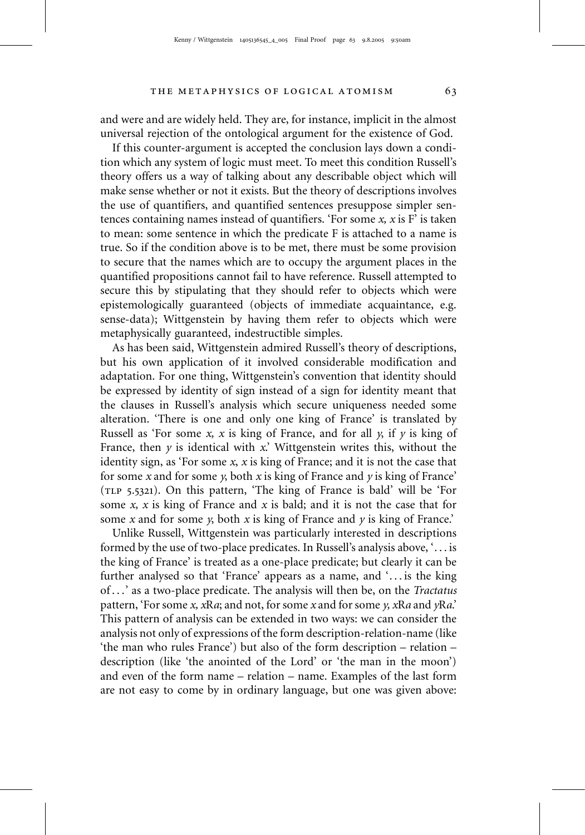and were and are widely held. They are, for instance, implicit in the almost universal rejection of the ontological argument for the existence of God.

If this counter-argument is accepted the conclusion lays down a condition which any system of logic must meet. To meet this condition Russell's theory offers us a way of talking about any describable object which will make sense whether or not it exists. But the theory of descriptions involves the use of quantifiers, and quantified sentences presuppose simpler sentences containing names instead of quantifiers. 'For some  $x$ ,  $x$  is  $F'$  is taken to mean: some sentence in which the predicate F is attached to a name is true. So if the condition above is to be met, there must be some provision to secure that the names which are to occupy the argument places in the quantified propositions cannot fail to have reference. Russell attempted to secure this by stipulating that they should refer to objects which were epistemologically guaranteed (objects of immediate acquaintance, e.g. sense-data); Wittgenstein by having them refer to objects which were metaphysically guaranteed, indestructible simples.

As has been said, Wittgenstein admired Russell's theory of descriptions, but his own application of it involved considerable modification and adaptation. For one thing, Wittgenstein's convention that identity should be expressed by identity of sign instead of a sign for identity meant that the clauses in Russell's analysis which secure uniqueness needed some alteration. 'There is one and only one king of France' is translated by Russell as 'For some x, x is king of France, and for all  $y$ , if  $y$  is king of France, then  $y$  is identical with  $x$ . Wittgenstein writes this, without the identity sign, as 'For some  $x$ ,  $x$  is king of France; and it is not the case that for some x and for some y, both x is king of France and  $y$  is king of France' (tlp 5.5321). On this pattern, 'The king of France is bald' will be 'For some  $x$ ,  $x$  is king of France and  $x$  is bald; and it is not the case that for some x and for some y, both x is king of France and  $\gamma$  is king of France.'

Unlike Russell, Wittgenstein was particularly interested in descriptions formed by the use of two-place predicates. In Russell's analysis above, '. . . is the king of France' is treated as a one-place predicate; but clearly it can be further analysed so that 'France' appears as a name, and '... is the king of . . .' as a two-place predicate. The analysis will then be, on the Tractatus pattern, 'For some x, xRa; and not, for some x and for some y, xRa and yRa.' This pattern of analysis can be extended in two ways: we can consider the analysis not only of expressions of the form description-relation-name (like 'the man who rules France') but also of the form description – relation – description (like 'the anointed of the Lord' or 'the man in the moon') and even of the form name – relation – name. Examples of the last form are not easy to come by in ordinary language, but one was given above: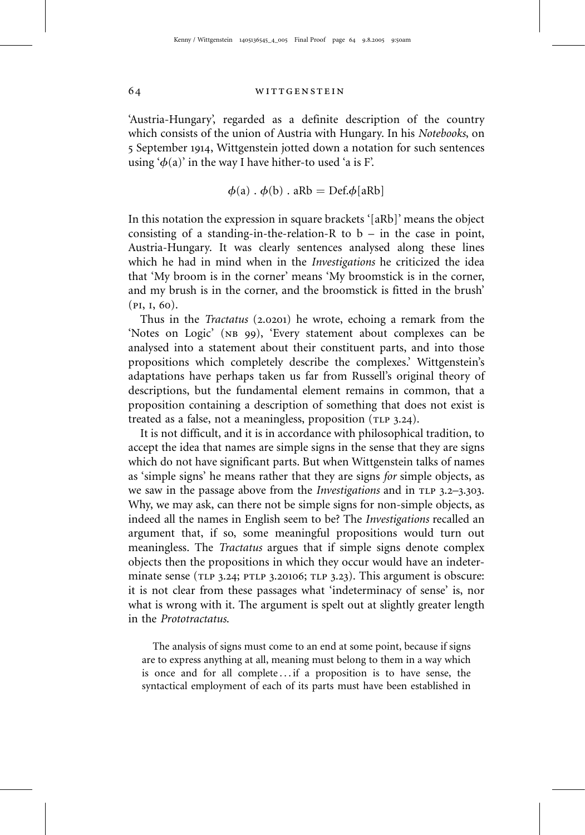'Austria-Hungary', regarded as a definite description of the country which consists of the union of Austria with Hungary. In his Notebooks, on 5 September 1914, Wittgenstein jotted down a notation for such sentences using ' $\phi$ (a)' in the way I have hither-to used 'a is F'.

$$
\phi(a) \cdot \phi(b) \cdot aRb = Def.\phi[aRb]
$$

In this notation the expression in square brackets '[aRb]' means the object consisting of a standing-in-the-relation-R to  $b - in$  the case in point, Austria-Hungary. It was clearly sentences analysed along these lines which he had in mind when in the Investigations he criticized the idea that 'My broom is in the corner' means 'My broomstick is in the corner, and my brush is in the corner, and the broomstick is fitted in the brush' (pi, i, 60).

Thus in the Tractatus (2.0201) he wrote, echoing a remark from the 'Notes on Logic' (NB 99), 'Every statement about complexes can be analysed into a statement about their constituent parts, and into those propositions which completely describe the complexes.' Wittgenstein's adaptations have perhaps taken us far from Russell's original theory of descriptions, but the fundamental element remains in common, that a proposition containing a description of something that does not exist is treated as a false, not a meaningless, proposition (TLP 3.24).

It is not difficult, and it is in accordance with philosophical tradition, to accept the idea that names are simple signs in the sense that they are signs which do not have significant parts. But when Wittgenstein talks of names as 'simple signs' he means rather that they are signs for simple objects, as we saw in the passage above from the *Investigations* and in TLP 3.2–3.303. Why, we may ask, can there not be simple signs for non-simple objects, as indeed all the names in English seem to be? The Investigations recalled an argument that, if so, some meaningful propositions would turn out meaningless. The Tractatus argues that if simple signs denote complex objects then the propositions in which they occur would have an indeterminate sense (TLP 3.24; PTLP 3.20106; TLP 3.23). This argument is obscure: it is not clear from these passages what 'indeterminacy of sense' is, nor what is wrong with it. The argument is spelt out at slightly greater length in the Prototractatus.

The analysis of signs must come to an end at some point, because if signs are to express anything at all, meaning must belong to them in a way which is once and for all complete . . . if a proposition is to have sense, the syntactical employment of each of its parts must have been established in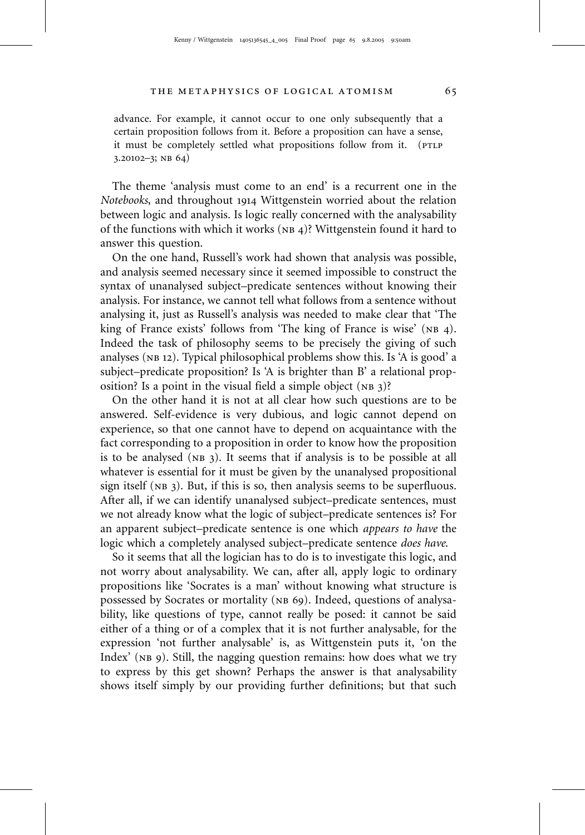advance. For example, it cannot occur to one only subsequently that a certain proposition follows from it. Before a proposition can have a sense, it must be completely settled what propositions follow from it. (PTLP 3.20102–3; nb 64)

The theme 'analysis must come to an end' is a recurrent one in the Notebooks, and throughout 1914 Wittgenstein worried about the relation between logic and analysis. Is logic really concerned with the analysability of the functions with which it works ( $NB$  4)? Wittgenstein found it hard to answer this question.

On the one hand, Russell's work had shown that analysis was possible, and analysis seemed necessary since it seemed impossible to construct the syntax of unanalysed subject–predicate sentences without knowing their analysis. For instance, we cannot tell what follows from a sentence without analysing it, just as Russell's analysis was needed to make clear that 'The king of France exists' follows from 'The king of France is wise' (NB 4). Indeed the task of philosophy seems to be precisely the giving of such analyses (nb 12). Typical philosophical problems show this. Is 'A is good' a subject–predicate proposition? Is 'A is brighter than B' a relational proposition? Is a point in the visual field a simple object  $(NB_3)$ ?

On the other hand it is not at all clear how such questions are to be answered. Self-evidence is very dubious, and logic cannot depend on experience, so that one cannot have to depend on acquaintance with the fact corresponding to a proposition in order to know how the proposition is to be analysed  $(NB_3)$ . It seems that if analysis is to be possible at all whatever is essential for it must be given by the unanalysed propositional sign itself (NB 3). But, if this is so, then analysis seems to be superfluous. After all, if we can identify unanalysed subject–predicate sentences, must we not already know what the logic of subject–predicate sentences is? For an apparent subject–predicate sentence is one which appears to have the logic which a completely analysed subject–predicate sentence does have.

So it seems that all the logician has to do is to investigate this logic, and not worry about analysability. We can, after all, apply logic to ordinary propositions like 'Socrates is a man' without knowing what structure is possessed by Socrates or mortality (NB 69). Indeed, questions of analysability, like questions of type, cannot really be posed: it cannot be said either of a thing or of a complex that it is not further analysable, for the expression 'not further analysable' is, as Wittgenstein puts it, 'on the Index' (NB 9). Still, the nagging question remains: how does what we try to express by this get shown? Perhaps the answer is that analysability shows itself simply by our providing further definitions; but that such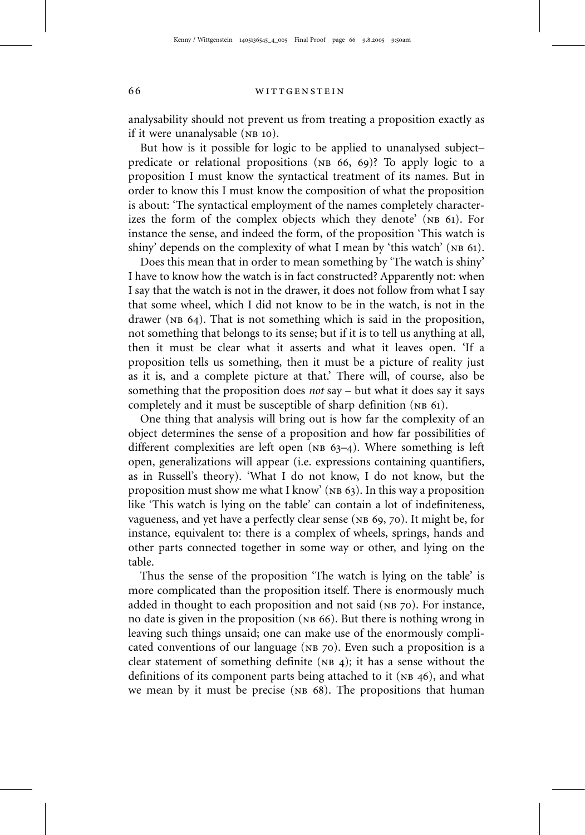analysability should not prevent us from treating a proposition exactly as if it were unanalysable (NB 10).

But how is it possible for logic to be applied to unanalysed subject– predicate or relational propositions ( $NB\ 66, 69$ )? To apply logic to a proposition I must know the syntactical treatment of its names. But in order to know this I must know the composition of what the proposition is about: 'The syntactical employment of the names completely characterizes the form of the complex objects which they denote' (NB 61). For instance the sense, and indeed the form, of the proposition 'This watch is shiny' depends on the complexity of what I mean by 'this watch' (NB 61).

Does this mean that in order to mean something by 'The watch is shiny' I have to know how the watch is in fact constructed? Apparently not: when I say that the watch is not in the drawer, it does not follow from what I say that some wheel, which I did not know to be in the watch, is not in the drawer (nb 64). That is not something which is said in the proposition, not something that belongs to its sense; but if it is to tell us anything at all, then it must be clear what it asserts and what it leaves open. 'If a proposition tells us something, then it must be a picture of reality just as it is, and a complete picture at that.' There will, of course, also be something that the proposition does not say – but what it does say it says completely and it must be susceptible of sharp definition (NB 61).

One thing that analysis will bring out is how far the complexity of an object determines the sense of a proposition and how far possibilities of different complexities are left open ( $NB\ 63-4$ ). Where something is left open, generalizations will appear (i.e. expressions containing quantifiers, as in Russell's theory). 'What I do not know, I do not know, but the proposition must show me what I know' ( $NB\ 63$ ). In this way a proposition like 'This watch is lying on the table' can contain a lot of indefiniteness, vagueness, and yet have a perfectly clear sense (NB 69, 70). It might be, for instance, equivalent to: there is a complex of wheels, springs, hands and other parts connected together in some way or other, and lying on the table.

Thus the sense of the proposition 'The watch is lying on the table' is more complicated than the proposition itself. There is enormously much added in thought to each proposition and not said ( $NB$  70). For instance, no date is given in the proposition (NB 66). But there is nothing wrong in leaving such things unsaid; one can make use of the enormously complicated conventions of our language ( $NB$  70). Even such a proposition is a clear statement of something definite ( $NB$  4); it has a sense without the definitions of its component parts being attached to it (NB 46), and what we mean by it must be precise (NB 68). The propositions that human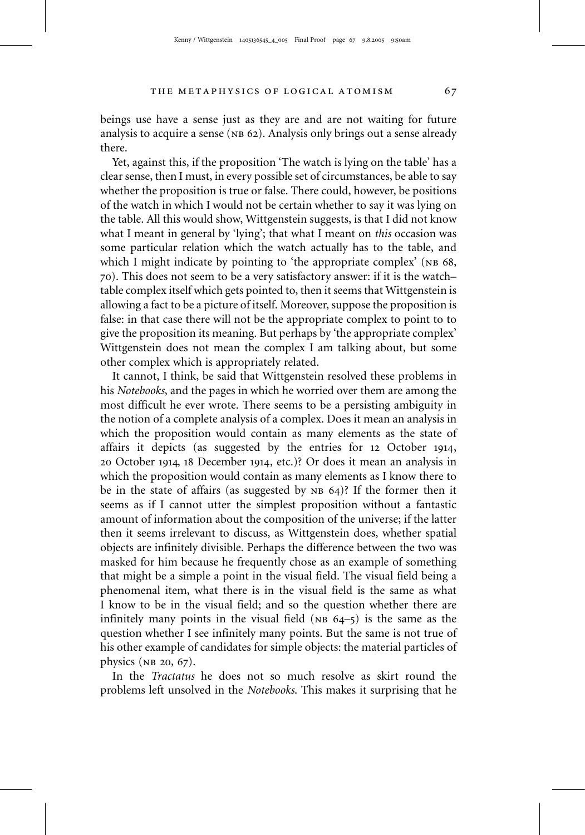beings use have a sense just as they are and are not waiting for future analysis to acquire a sense (NB 62). Analysis only brings out a sense already there.

Yet, against this, if the proposition 'The watch is lying on the table' has a clear sense, then I must, in every possible set of circumstances, be able to say whether the proposition is true or false. There could, however, be positions of the watch in which I would not be certain whether to say it was lying on the table. All this would show, Wittgenstein suggests, is that I did not know what I meant in general by 'lying'; that what I meant on this occasion was some particular relation which the watch actually has to the table, and which I might indicate by pointing to 'the appropriate complex' (NB 68, 70). This does not seem to be a very satisfactory answer: if it is the watch– table complex itself which gets pointed to, then it seems that Wittgenstein is allowing a fact to be a picture of itself. Moreover, suppose the proposition is false: in that case there will not be the appropriate complex to point to to give the proposition its meaning. But perhaps by 'the appropriate complex' Wittgenstein does not mean the complex I am talking about, but some other complex which is appropriately related.

It cannot, I think, be said that Wittgenstein resolved these problems in his Notebooks, and the pages in which he worried over them are among the most difficult he ever wrote. There seems to be a persisting ambiguity in the notion of a complete analysis of a complex. Does it mean an analysis in which the proposition would contain as many elements as the state of affairs it depicts (as suggested by the entries for 12 October 1914, 20 October 1914, 18 December 1914, etc.)? Or does it mean an analysis in which the proposition would contain as many elements as I know there to be in the state of affairs (as suggested by  $NB$  64)? If the former then it seems as if I cannot utter the simplest proposition without a fantastic amount of information about the composition of the universe; if the latter then it seems irrelevant to discuss, as Wittgenstein does, whether spatial objects are infinitely divisible. Perhaps the difference between the two was masked for him because he frequently chose as an example of something that might be a simple a point in the visual field. The visual field being a phenomenal item, what there is in the visual field is the same as what I know to be in the visual field; and so the question whether there are infinitely many points in the visual field ( $NB\ 64-5$ ) is the same as the question whether I see infinitely many points. But the same is not true of his other example of candidates for simple objects: the material particles of physics ( $NB$  20, 67).

In the Tractatus he does not so much resolve as skirt round the problems left unsolved in the Notebooks. This makes it surprising that he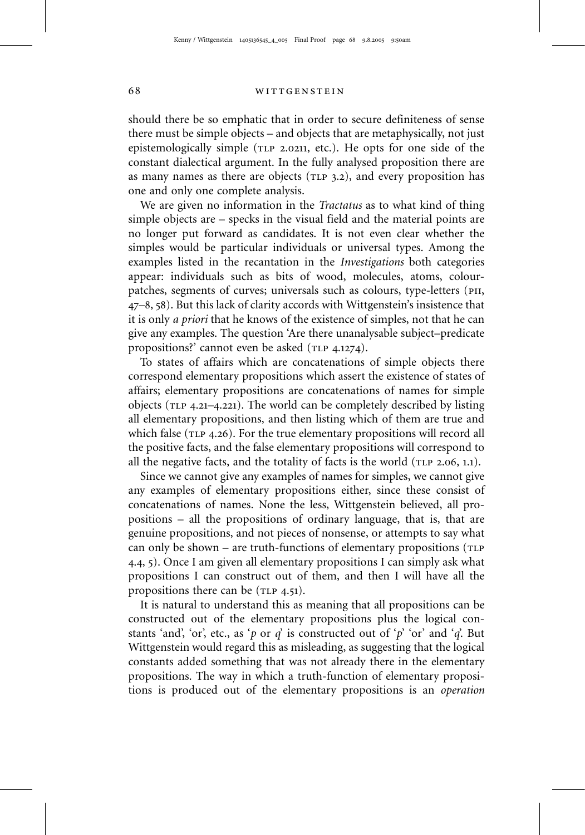should there be so emphatic that in order to secure definiteness of sense there must be simple objects – and objects that are metaphysically, not just epistemologically simple ( $TLP$  2.0211, etc.). He opts for one side of the constant dialectical argument. In the fully analysed proposition there are as many names as there are objects  $(TLP 3.2)$ , and every proposition has one and only one complete analysis.

We are given no information in the *Tractatus* as to what kind of thing simple objects are – specks in the visual field and the material points are no longer put forward as candidates. It is not even clear whether the simples would be particular individuals or universal types. Among the examples listed in the recantation in the Investigations both categories appear: individuals such as bits of wood, molecules, atoms, colourpatches, segments of curves; universals such as colours, type-letters (pii, 47–8, 58). But this lack of clarity accords with Wittgenstein's insistence that it is only a priori that he knows of the existence of simples, not that he can give any examples. The question 'Are there unanalysable subject–predicate propositions?' cannot even be asked  $(TLP 4.1274)$ .

To states of affairs which are concatenations of simple objects there correspond elementary propositions which assert the existence of states of affairs; elementary propositions are concatenations of names for simple objects ( $TLP$  4.21–4.221). The world can be completely described by listing all elementary propositions, and then listing which of them are true and which false (TLP 4.26). For the true elementary propositions will record all the positive facts, and the false elementary propositions will correspond to all the negative facts, and the totality of facts is the world  $(TLP 2.06, 1.1)$ .

Since we cannot give any examples of names for simples, we cannot give any examples of elementary propositions either, since these consist of concatenations of names. None the less, Wittgenstein believed, all propositions – all the propositions of ordinary language, that is, that are genuine propositions, and not pieces of nonsense, or attempts to say what can only be shown – are truth-functions of elementary propositions ( $TLP$ 4.4, 5). Once I am given all elementary propositions I can simply ask what propositions I can construct out of them, and then I will have all the propositions there can be  $(TLP 4.51)$ .

It is natural to understand this as meaning that all propositions can be constructed out of the elementary propositions plus the logical constants 'and', 'or', etc., as 'p or  $q$ ' is constructed out of 'p' 'or' and 'q'. But Wittgenstein would regard this as misleading, as suggesting that the logical constants added something that was not already there in the elementary propositions. The way in which a truth-function of elementary propositions is produced out of the elementary propositions is an operation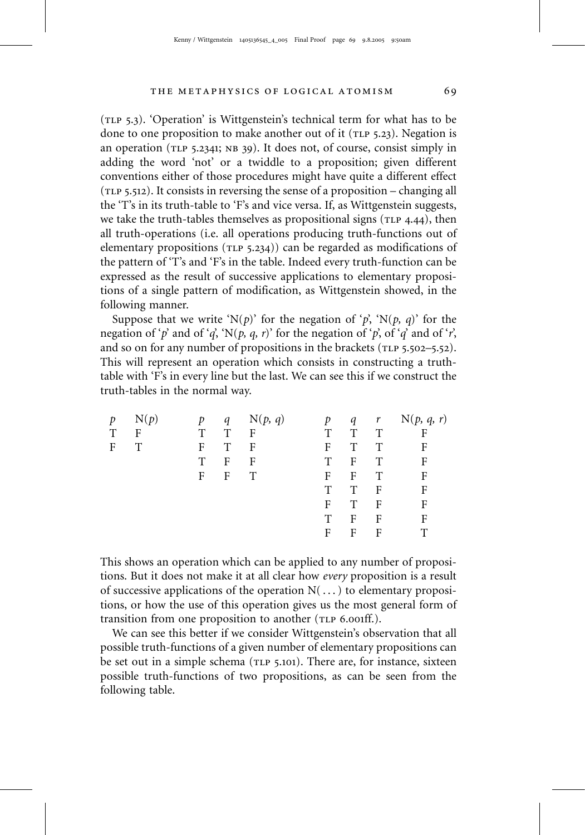(tlp 5.3). 'Operation' is Wittgenstein's technical term for what has to be done to one proposition to make another out of it ( $TLP$  5.23). Negation is an operation ( $TLP$  5.2341; NB 39). It does not, of course, consist simply in adding the word 'not' or a twiddle to a proposition; given different conventions either of those procedures might have quite a different effect  $(TLP 5.512)$ . It consists in reversing the sense of a proposition – changing all the 'T's in its truth-table to 'F's and vice versa. If, as Wittgenstein suggests, we take the truth-tables themselves as propositional signs ( $TLP$  4.44), then all truth-operations (i.e. all operations producing truth-functions out of elementary propositions ( $TLP$  5.234)) can be regarded as modifications of the pattern of 'T's and 'F's in the table. Indeed every truth-function can be expressed as the result of successive applications to elementary propositions of a single pattern of modification, as Wittgenstein showed, in the following manner.

Suppose that we write 'N(p)' for the negation of 'p', 'N(p, q)' for the negation of 'p' and of 'q', 'N(p, q, r)' for the negation of 'p', of 'q' and of 'r', and so on for any number of propositions in the brackets ( $TLP$  5.502–5.52). This will represent an operation which consists in constructing a truthtable with 'F's in every line but the last. We can see this if we construct the truth-tables in the normal way.

| p | N(p) |       |         | $p \qquad q \qquad N(p, q)$ |       |              |   | $p \quad q \quad r \quad \mathcal{N}(p, q, r)$ |
|---|------|-------|---------|-----------------------------|-------|--------------|---|------------------------------------------------|
| T | F    | T     | T F     |                             | T     | T.           | T | F                                              |
| F | T    | $F -$ | T       | - F                         | F.    | T            | T | F                                              |
|   |      | T     | $F -$   | - F                         | T     | F            | T | $\boldsymbol{F}$                               |
|   |      |       | $F \tF$ | T                           | $F -$ | -F           | T | F                                              |
|   |      |       |         |                             | T     | T            | F | F                                              |
|   |      |       |         |                             | F     | T            | F | $\mathbf{F}$                                   |
|   |      |       |         |                             | T.    | $\mathbf{F}$ | F | F                                              |
|   |      |       |         |                             | F     | F            | F | T                                              |

This shows an operation which can be applied to any number of propositions. But it does not make it at all clear how every proposition is a result of successive applications of the operation  $N(\ldots)$  to elementary propositions, or how the use of this operation gives us the most general form of transition from one proposition to another (TLP 6.001ff.).

We can see this better if we consider Wittgenstein's observation that all possible truth-functions of a given number of elementary propositions can be set out in a simple schema (TLP 5.101). There are, for instance, sixteen possible truth-functions of two propositions, as can be seen from the following table.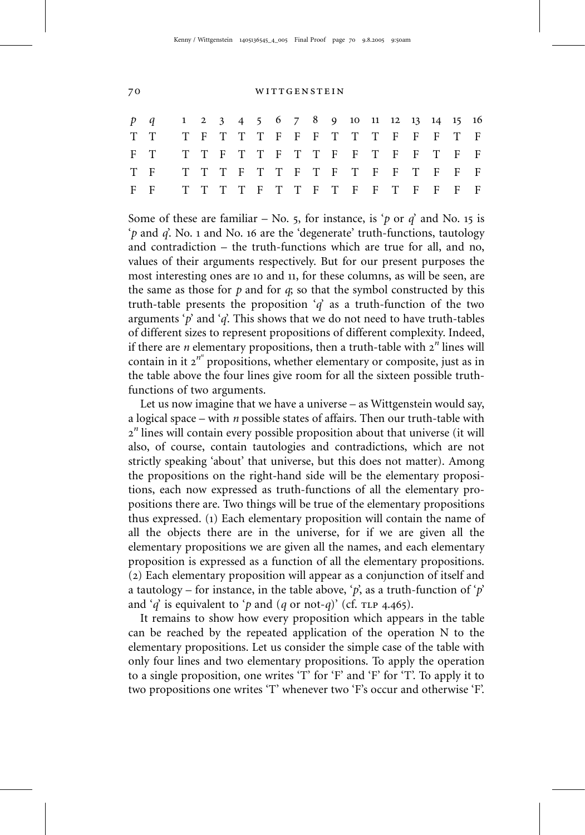| p q 1 2 3 4 5 6 7 8 9 10 11 12 13 14 15 16  |  |  |  |  |  |  |  |  |
|---------------------------------------------|--|--|--|--|--|--|--|--|
| T T T F T T T F F F T T T F F T T F F T T F |  |  |  |  |  |  |  |  |
| F T T T F T T F T T F F T F T F F T F F     |  |  |  |  |  |  |  |  |
| TF TTTFTFTFTFFFFFFFF                        |  |  |  |  |  |  |  |  |
|                                             |  |  |  |  |  |  |  |  |

Some of these are familiar – No. 5, for instance, is 'p or  $q$ ' and No. 15 is 'p and q'. No. 1 and No. 16 are the 'degenerate' truth-functions, tautology and contradiction – the truth-functions which are true for all, and no, values of their arguments respectively. But for our present purposes the most interesting ones are 10 and 11, for these columns, as will be seen, are the same as those for  $p$  and for  $q$ ; so that the symbol constructed by this truth-table presents the proposition  $q'$  as a truth-function of the two arguments ' $p'$  and ' $q'$ . This shows that we do not need to have truth-tables of different sizes to represent propositions of different complexity. Indeed, if there are  $n$  elementary propositions, then a truth-table with  $2^n$  lines will contain in it  $2^{n^n}$  propositions, whether elementary or composite, just as in the table above the four lines give room for all the sixteen possible truthfunctions of two arguments.

Let us now imagine that we have a universe – as Wittgenstein would say, a logical space – with  $n$  possible states of affairs. Then our truth-table with 2<sup>n</sup> lines will contain every possible proposition about that universe (it will also, of course, contain tautologies and contradictions, which are not strictly speaking 'about' that universe, but this does not matter). Among the propositions on the right-hand side will be the elementary propositions, each now expressed as truth-functions of all the elementary propositions there are. Two things will be true of the elementary propositions thus expressed. (1) Each elementary proposition will contain the name of all the objects there are in the universe, for if we are given all the elementary propositions we are given all the names, and each elementary proposition is expressed as a function of all the elementary propositions. (2) Each elementary proposition will appear as a conjunction of itself and a tautology – for instance, in the table above, ' $p'$ , as a truth-function of ' $p'$ ' and 'q' is equivalent to 'p and  $(q \text{ or } not-q)$ ' (cf. TLP 4.465).

It remains to show how every proposition which appears in the table can be reached by the repeated application of the operation N to the elementary propositions. Let us consider the simple case of the table with only four lines and two elementary propositions. To apply the operation to a single proposition, one writes 'T' for 'F' and 'F' for 'T'. To apply it to two propositions one writes 'T' whenever two 'F's occur and otherwise 'F'.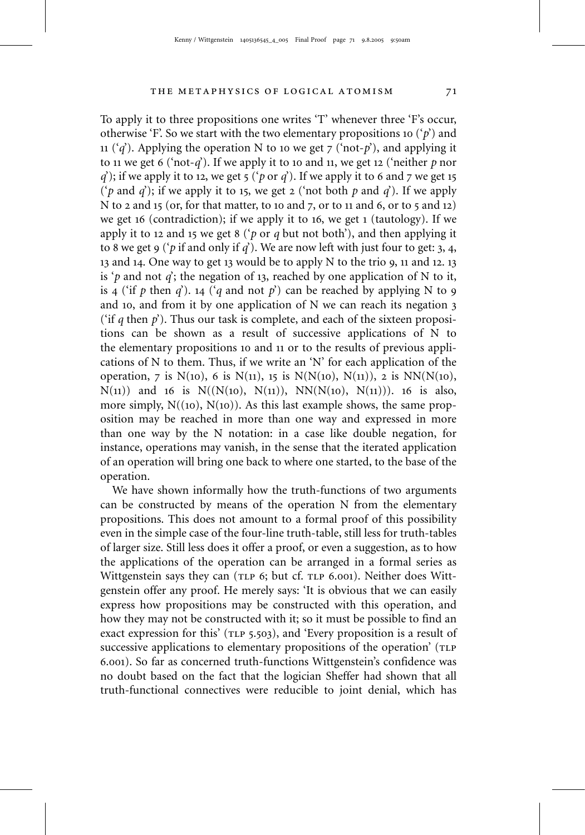To apply it to three propositions one writes 'T' whenever three 'F's occur, otherwise 'F'. So we start with the two elementary propositions 10  $(^{\circ}p)$  and 11  $({\cal G})$ . Applying the operation N to 10 we get 7  $({\text{not-}p})$ , and applying it to 11 we get 6 ('not-q'). If we apply it to 10 and 11, we get 12 ('neither  $p$  nor  $q$ ); if we apply it to 12, we get 5 ('p or q'). If we apply it to 6 and 7 we get 15 ('p and q'); if we apply it to 15, we get 2 ('not both p and q'). If we apply N to 2 and 15 (or, for that matter, to 10 and 7, or to 11 and 6, or to 5 and 12) we get 16 (contradiction); if we apply it to 16, we get 1 (tautology). If we apply it to 12 and 15 we get 8 ( $\gamma$  or q but not both), and then applying it to 8 we get 9 ( $\pi$ ) if and only if q'). We are now left with just four to get: 3, 4, 13 and 14. One way to get 13 would be to apply N to the trio 9, 11 and 12. 13 is 'p and not  $q$ '; the negation of 13, reached by one application of N to it, is 4 ('if p then q'). 14 ('q and not p') can be reached by applying N to 9 and 10, and from it by one application of N we can reach its negation 3 ('if q then  $p'$ ). Thus our task is complete, and each of the sixteen propositions can be shown as a result of successive applications of N to the elementary propositions 10 and 11 or to the results of previous applications of N to them. Thus, if we write an 'N' for each application of the operation, 7 is N(10), 6 is N(11), 15 is N(N(10), N(11)), 2 is NN(N(10),  $N(11)$  and 16 is  $N((N(10), N(11)), NN(N(10), N(11)))$ . 16 is also, more simply,  $N((10), N(10))$ . As this last example shows, the same proposition may be reached in more than one way and expressed in more than one way by the N notation: in a case like double negation, for instance, operations may vanish, in the sense that the iterated application of an operation will bring one back to where one started, to the base of the operation.

We have shown informally how the truth-functions of two arguments can be constructed by means of the operation N from the elementary propositions. This does not amount to a formal proof of this possibility even in the simple case of the four-line truth-table, still less for truth-tables of larger size. Still less does it offer a proof, or even a suggestion, as to how the applications of the operation can be arranged in a formal series as Wittgenstein says they can (TLP 6; but cf. TLP 6.001). Neither does Wittgenstein offer any proof. He merely says: 'It is obvious that we can easily express how propositions may be constructed with this operation, and how they may not be constructed with it; so it must be possible to find an exact expression for this' (TLP 5.503), and 'Every proposition is a result of successive applications to elementary propositions of the operation' (TLP 6.001). So far as concerned truth-functions Wittgenstein's confidence was no doubt based on the fact that the logician Sheffer had shown that all truth-functional connectives were reducible to joint denial, which has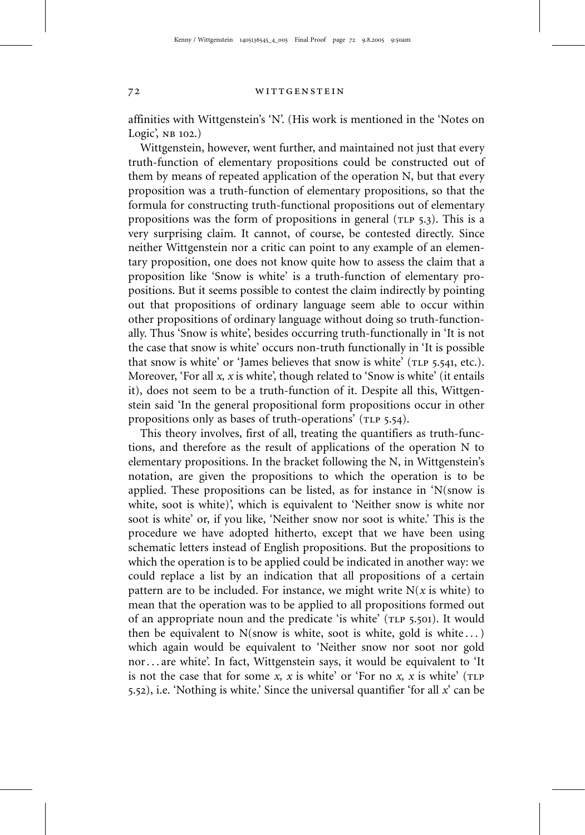affinities with Wittgenstein's 'N'. (His work is mentioned in the 'Notes on Logic', NB 102.)

Wittgenstein, however, went further, and maintained not just that every truth-function of elementary propositions could be constructed out of them by means of repeated application of the operation N, but that every proposition was a truth-function of elementary propositions, so that the formula for constructing truth-functional propositions out of elementary propositions was the form of propositions in general ( $TLP$  5.3). This is a very surprising claim. It cannot, of course, be contested directly. Since neither Wittgenstein nor a critic can point to any example of an elementary proposition, one does not know quite how to assess the claim that a proposition like 'Snow is white' is a truth-function of elementary propositions. But it seems possible to contest the claim indirectly by pointing out that propositions of ordinary language seem able to occur within other propositions of ordinary language without doing so truth-functionally. Thus 'Snow is white', besides occurring truth-functionally in 'It is not the case that snow is white' occurs non-truth functionally in 'It is possible that snow is white' or 'James believes that snow is white' (TLP 5.541, etc.). Moreover, 'For all  $x$ ,  $x$  is white', though related to 'Snow is white' (it entails it), does not seem to be a truth-function of it. Despite all this, Wittgenstein said 'In the general propositional form propositions occur in other propositions only as bases of truth-operations' (TLP 5.54).

This theory involves, first of all, treating the quantifiers as truth-functions, and therefore as the result of applications of the operation N to elementary propositions. In the bracket following the N, in Wittgenstein's notation, are given the propositions to which the operation is to be applied. These propositions can be listed, as for instance in 'N(snow is white, soot is white)', which is equivalent to 'Neither snow is white nor soot is white' or, if you like, 'Neither snow nor soot is white.' This is the procedure we have adopted hitherto, except that we have been using schematic letters instead of English propositions. But the propositions to which the operation is to be applied could be indicated in another way: we could replace a list by an indication that all propositions of a certain pattern are to be included. For instance, we might write  $N(x)$  is white) to mean that the operation was to be applied to all propositions formed out of an appropriate noun and the predicate 'is white' (TLP 5.501). It would then be equivalent to  $N(snow is white, soot is white, gold is white...)$ which again would be equivalent to 'Neither snow nor soot nor gold nor. . . are white'. In fact, Wittgenstein says, it would be equivalent to 'It is not the case that for some x, x is white' or 'For no x, x is white' (TLP 5.52), i.e. 'Nothing is white.' Since the universal quantifier 'for all  $x'$  can be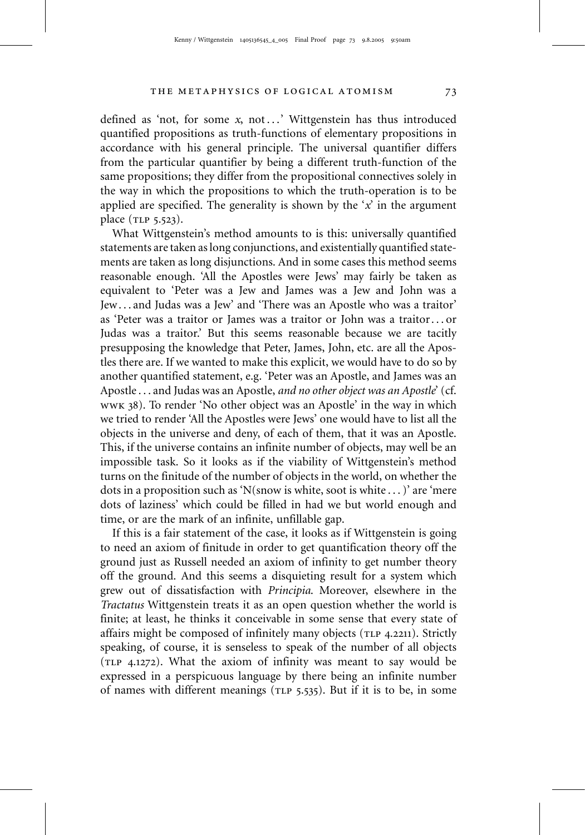defined as 'not, for some  $x$ , not...' Wittgenstein has thus introduced quantified propositions as truth-functions of elementary propositions in accordance with his general principle. The universal quantifier differs from the particular quantifier by being a different truth-function of the same propositions; they differ from the propositional connectives solely in the way in which the propositions to which the truth-operation is to be applied are specified. The generality is shown by the  $x'$  in the argument place  $(TLP 5.523)$ .

What Wittgenstein's method amounts to is this: universally quantified statements are taken as long conjunctions, and existentially quantified statements are taken as long disjunctions. And in some cases this method seems reasonable enough. 'All the Apostles were Jews' may fairly be taken as equivalent to 'Peter was a Jew and James was a Jew and John was a Jew . . . and Judas was a Jew' and 'There was an Apostle who was a traitor' as 'Peter was a traitor or James was a traitor or John was a traitor. . . or Judas was a traitor.' But this seems reasonable because we are tacitly presupposing the knowledge that Peter, James, John, etc. are all the Apostles there are. If we wanted to make this explicit, we would have to do so by another quantified statement, e.g. 'Peter was an Apostle, and James was an Apostle ... and Judas was an Apostle, and no other object was an Apostle' (cf. wwk 38). To render 'No other object was an Apostle' in the way in which we tried to render 'All the Apostles were Jews' one would have to list all the objects in the universe and deny, of each of them, that it was an Apostle. This, if the universe contains an infinite number of objects, may well be an impossible task. So it looks as if the viability of Wittgenstein's method turns on the finitude of the number of objects in the world, on whether the dots in a proposition such as 'N(snow is white, soot is white . . . )' are 'mere dots of laziness' which could be filled in had we but world enough and time, or are the mark of an infinite, unfillable gap.

If this is a fair statement of the case, it looks as if Wittgenstein is going to need an axiom of finitude in order to get quantification theory off the ground just as Russell needed an axiom of infinity to get number theory off the ground. And this seems a disquieting result for a system which grew out of dissatisfaction with Principia. Moreover, elsewhere in the Tractatus Wittgenstein treats it as an open question whether the world is finite; at least, he thinks it conceivable in some sense that every state of affairs might be composed of infinitely many objects (TLP 4.2211). Strictly speaking, of course, it is senseless to speak of the number of all objects  $(TLP 4.1272)$ . What the axiom of infinity was meant to say would be expressed in a perspicuous language by there being an infinite number of names with different meanings (TLP 5.535). But if it is to be, in some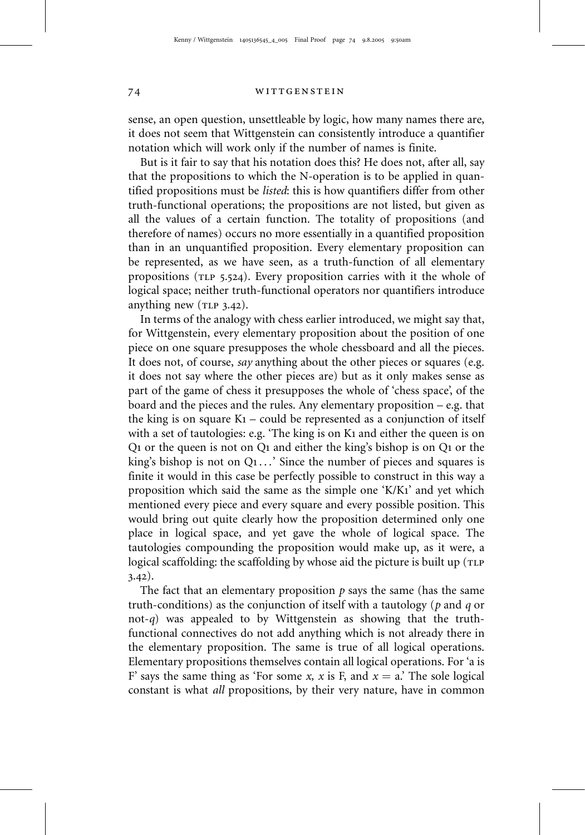sense, an open question, unsettleable by logic, how many names there are, it does not seem that Wittgenstein can consistently introduce a quantifier notation which will work only if the number of names is finite.

But is it fair to say that his notation does this? He does not, after all, say that the propositions to which the N-operation is to be applied in quantified propositions must be listed: this is how quantifiers differ from other truth-functional operations; the propositions are not listed, but given as all the values of a certain function. The totality of propositions (and therefore of names) occurs no more essentially in a quantified proposition than in an unquantified proposition. Every elementary proposition can be represented, as we have seen, as a truth-function of all elementary propositions (TLP 5.524). Every proposition carries with it the whole of logical space; neither truth-functional operators nor quantifiers introduce anything new  $(TLP 3.42)$ .

In terms of the analogy with chess earlier introduced, we might say that, for Wittgenstein, every elementary proposition about the position of one piece on one square presupposes the whole chessboard and all the pieces. It does not, of course, say anything about the other pieces or squares (e.g. it does not say where the other pieces are) but as it only makes sense as part of the game of chess it presupposes the whole of 'chess space', of the board and the pieces and the rules. Any elementary proposition – e.g. that the king is on square  $K_1$  – could be represented as a conjunction of itself with a set of tautologies: e.g. 'The king is on K1 and either the queen is on Q1 or the queen is not on Q1 and either the king's bishop is on Q1 or the king's bishop is not on  $Q_1 \ldots$ ' Since the number of pieces and squares is finite it would in this case be perfectly possible to construct in this way a proposition which said the same as the simple one 'K/K1' and yet which mentioned every piece and every square and every possible position. This would bring out quite clearly how the proposition determined only one place in logical space, and yet gave the whole of logical space. The tautologies compounding the proposition would make up, as it were, a logical scaffolding: the scaffolding by whose aid the picture is built up (TLP 3.42).

The fact that an elementary proposition  $p$  says the same (has the same truth-conditions) as the conjunction of itself with a tautology ( $p$  and  $q$  or not-q) was appealed to by Wittgenstein as showing that the truthfunctional connectives do not add anything which is not already there in the elementary proposition. The same is true of all logical operations. Elementary propositions themselves contain all logical operations. For 'a is F' says the same thing as 'For some x, x is F, and  $x = a$ .' The sole logical constant is what all propositions, by their very nature, have in common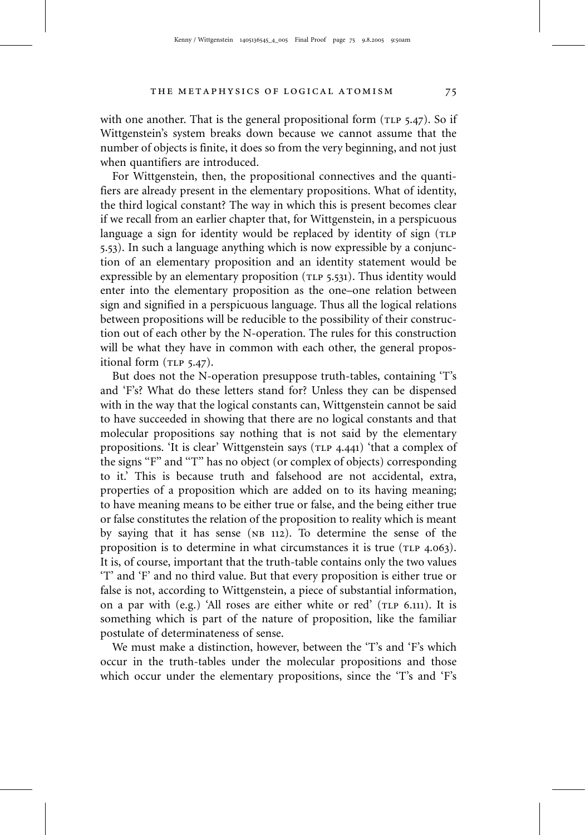with one another. That is the general propositional form  $(\text{TLP } 5.47)$ . So if Wittgenstein's system breaks down because we cannot assume that the number of objects is finite, it does so from the very beginning, and not just when quantifiers are introduced.

For Wittgenstein, then, the propositional connectives and the quantifiers are already present in the elementary propositions. What of identity, the third logical constant? The way in which this is present becomes clear if we recall from an earlier chapter that, for Wittgenstein, in a perspicuous language a sign for identity would be replaced by identity of sign (TLP 5.53). In such a language anything which is now expressible by a conjunction of an elementary proposition and an identity statement would be expressible by an elementary proposition  $(TLP 5.531)$ . Thus identity would enter into the elementary proposition as the one–one relation between sign and signified in a perspicuous language. Thus all the logical relations between propositions will be reducible to the possibility of their construction out of each other by the N-operation. The rules for this construction will be what they have in common with each other, the general propositional form  $(\text{TLP } 5.47)$ .

But does not the N-operation presuppose truth-tables, containing 'T's and 'F's? What do these letters stand for? Unless they can be dispensed with in the way that the logical constants can, Wittgenstein cannot be said to have succeeded in showing that there are no logical constants and that molecular propositions say nothing that is not said by the elementary propositions. 'It is clear' Wittgenstein says (TLP 4.441) 'that a complex of the signs "F" and "T" has no object (or complex of objects) corresponding to it.' This is because truth and falsehood are not accidental, extra, properties of a proposition which are added on to its having meaning; to have meaning means to be either true or false, and the being either true or false constitutes the relation of the proposition to reality which is meant by saying that it has sense (NB 112). To determine the sense of the proposition is to determine in what circumstances it is true (TLP 4.063). It is, of course, important that the truth-table contains only the two values 'T' and 'F' and no third value. But that every proposition is either true or false is not, according to Wittgenstein, a piece of substantial information, on a par with (e.g.) 'All roses are either white or red' (TLP 6.111). It is something which is part of the nature of proposition, like the familiar postulate of determinateness of sense.

We must make a distinction, however, between the 'T's and 'F's which occur in the truth-tables under the molecular propositions and those which occur under the elementary propositions, since the 'T's and 'F's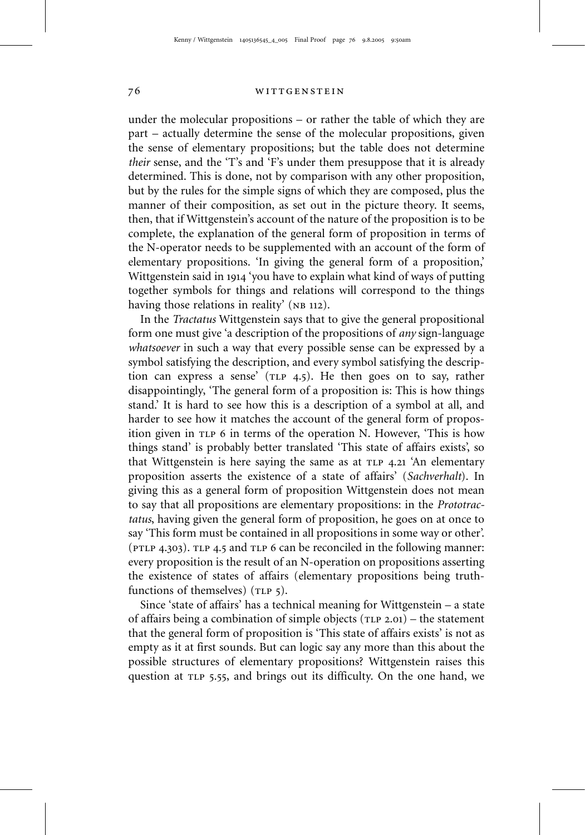under the molecular propositions – or rather the table of which they are part – actually determine the sense of the molecular propositions, given the sense of elementary propositions; but the table does not determine their sense, and the 'T's and 'F's under them presuppose that it is already determined. This is done, not by comparison with any other proposition, but by the rules for the simple signs of which they are composed, plus the manner of their composition, as set out in the picture theory. It seems, then, that if Wittgenstein's account of the nature of the proposition is to be complete, the explanation of the general form of proposition in terms of the N-operator needs to be supplemented with an account of the form of elementary propositions. 'In giving the general form of a proposition,' Wittgenstein said in 1914 'you have to explain what kind of ways of putting together symbols for things and relations will correspond to the things having those relations in reality' (NB 112).

In the Tractatus Wittgenstein says that to give the general propositional form one must give 'a description of the propositions of any sign-language whatsoever in such a way that every possible sense can be expressed by a symbol satisfying the description, and every symbol satisfying the description can express a sense' (TLP 4.5). He then goes on to say, rather disappointingly, 'The general form of a proposition is: This is how things stand.' It is hard to see how this is a description of a symbol at all, and harder to see how it matches the account of the general form of proposition given in TLP 6 in terms of the operation N. However, 'This is how things stand' is probably better translated 'This state of affairs exists', so that Wittgenstein is here saying the same as at  $TLP$  4.21 'An elementary proposition asserts the existence of a state of affairs' (Sachverhalt). In giving this as a general form of proposition Wittgenstein does not mean to say that all propositions are elementary propositions: in the Prototractatus, having given the general form of proposition, he goes on at once to say 'This form must be contained in all propositions in some way or other'. (PTLP 4.303). TLP 4.5 and TLP 6 can be reconciled in the following manner: every proposition is the result of an N-operation on propositions asserting the existence of states of affairs (elementary propositions being truthfunctions of themselves)  $(TLP 5)$ .

Since 'state of affairs' has a technical meaning for Wittgenstein – a state of affairs being a combination of simple objects  $(TLP 2.01)$  – the statement that the general form of proposition is 'This state of affairs exists' is not as empty as it at first sounds. But can logic say any more than this about the possible structures of elementary propositions? Wittgenstein raises this question at TLP 5.55, and brings out its difficulty. On the one hand, we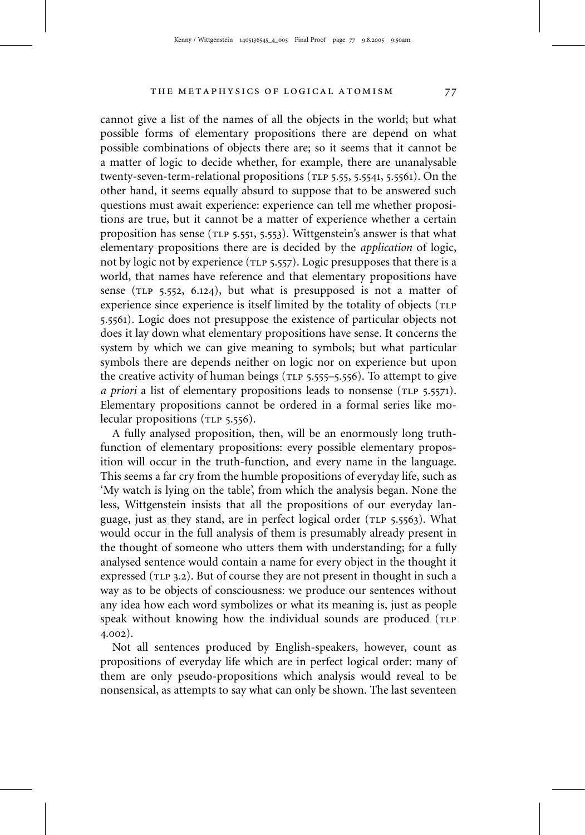cannot give a list of the names of all the objects in the world; but what possible forms of elementary propositions there are depend on what possible combinations of objects there are; so it seems that it cannot be a matter of logic to decide whether, for example, there are unanalysable twenty-seven-term-relational propositions (TLP 5.55, 5.5541, 5.5561). On the other hand, it seems equally absurd to suppose that to be answered such questions must await experience: experience can tell me whether propositions are true, but it cannot be a matter of experience whether a certain proposition has sense (TLP 5.551, 5.553). Wittgenstein's answer is that what elementary propositions there are is decided by the application of logic, not by logic not by experience (TLP 5.557). Logic presupposes that there is a world, that names have reference and that elementary propositions have sense (TLP 5.552, 6.124), but what is presupposed is not a matter of experience since experience is itself limited by the totality of objects (TLP 5.5561). Logic does not presuppose the existence of particular objects not does it lay down what elementary propositions have sense. It concerns the system by which we can give meaning to symbols; but what particular symbols there are depends neither on logic nor on experience but upon the creative activity of human beings ( $TLP$  5.555–5.556). To attempt to give a priori a list of elementary propositions leads to nonsense (TLP 5.5571). Elementary propositions cannot be ordered in a formal series like molecular propositions (TLP 5.556).

A fully analysed proposition, then, will be an enormously long truthfunction of elementary propositions: every possible elementary proposition will occur in the truth-function, and every name in the language. This seems a far cry from the humble propositions of everyday life, such as 'My watch is lying on the table', from which the analysis began. None the less, Wittgenstein insists that all the propositions of our everyday language, just as they stand, are in perfect logical order (TLP 5.5563). What would occur in the full analysis of them is presumably already present in the thought of someone who utters them with understanding; for a fully analysed sentence would contain a name for every object in the thought it expressed (TLP 3.2). But of course they are not present in thought in such a way as to be objects of consciousness: we produce our sentences without any idea how each word symbolizes or what its meaning is, just as people speak without knowing how the individual sounds are produced (TLP 4.002).

Not all sentences produced by English-speakers, however, count as propositions of everyday life which are in perfect logical order: many of them are only pseudo-propositions which analysis would reveal to be nonsensical, as attempts to say what can only be shown. The last seventeen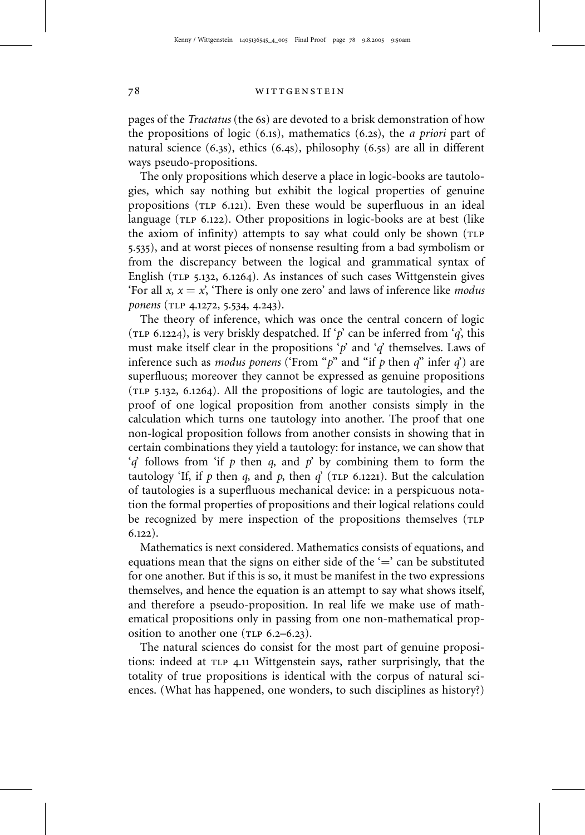pages of the Tractatus (the 6s) are devoted to a brisk demonstration of how the propositions of logic (6.1s), mathematics (6.2s), the a priori part of natural science (6.3s), ethics (6.4s), philosophy (6.5s) are all in different ways pseudo-propositions.

The only propositions which deserve a place in logic-books are tautologies, which say nothing but exhibit the logical properties of genuine propositions (TLP 6.121). Even these would be superfluous in an ideal language (TLP 6.122). Other propositions in logic-books are at best (like the axiom of infinity) attempts to say what could only be shown (TLP 5.535), and at worst pieces of nonsense resulting from a bad symbolism or from the discrepancy between the logical and grammatical syntax of English (TLP 5.132, 6.1264). As instances of such cases Wittgenstein gives 'For all  $x$ ,  $x = x'$ , 'There is only one zero' and laws of inference like *modus* ponens (TLP 4.1272, 5.534, 4.243).

The theory of inference, which was once the central concern of logic (TLP 6.1224), is very briskly despatched. If 'p' can be inferred from 'q', this must make itself clear in the propositions  $\hat{p}$  and  $\hat{q}$  themselves. Laws of inference such as *modus ponens* ('From " $p$ " and "if p then  $q$ " infer  $q$ ') are superfluous; moreover they cannot be expressed as genuine propositions ( $TLP$  5.132, 6.1264). All the propositions of logic are tautologies, and the proof of one logical proposition from another consists simply in the calculation which turns one tautology into another. The proof that one non-logical proposition follows from another consists in showing that in certain combinations they yield a tautology: for instance, we can show that 'q' follows from 'if p then q, and p' by combining them to form the tautology 'If, if p then q, and p, then  $q'$  (TLP 6.1221). But the calculation of tautologies is a superfluous mechanical device: in a perspicuous notation the formal properties of propositions and their logical relations could be recognized by mere inspection of the propositions themselves (TLP 6.122).

Mathematics is next considered. Mathematics consists of equations, and equations mean that the signs on either side of the  $=$ ' can be substituted for one another. But if this is so, it must be manifest in the two expressions themselves, and hence the equation is an attempt to say what shows itself, and therefore a pseudo-proposition. In real life we make use of mathematical propositions only in passing from one non-mathematical proposition to another one ( $TLP$  6.2–6.23).

The natural sciences do consist for the most part of genuine propositions: indeed at TLP 4.11 Wittgenstein says, rather surprisingly, that the totality of true propositions is identical with the corpus of natural sciences. (What has happened, one wonders, to such disciplines as history?)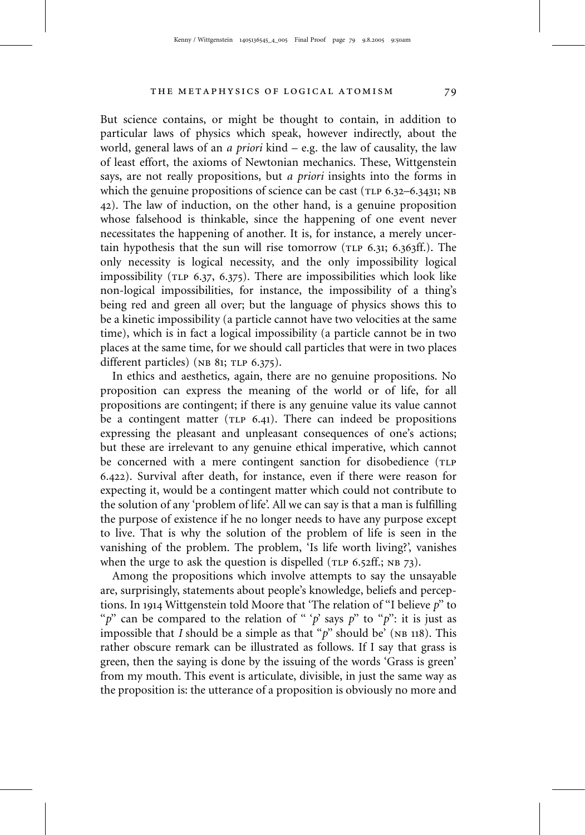But science contains, or might be thought to contain, in addition to particular laws of physics which speak, however indirectly, about the world, general laws of an  $a$  priori kind – e.g. the law of causality, the law of least effort, the axioms of Newtonian mechanics. These, Wittgenstein says, are not really propositions, but a priori insights into the forms in which the genuine propositions of science can be cast ( $TLP$  6.32–6.3431; NB 42). The law of induction, on the other hand, is a genuine proposition whose falsehood is thinkable, since the happening of one event never necessitates the happening of another. It is, for instance, a merely uncertain hypothesis that the sun will rise tomorrow ( $TLP$  6.31; 6.363ff.). The only necessity is logical necessity, and the only impossibility logical impossibility ( $TLP$  6.37, 6.375). There are impossibilities which look like non-logical impossibilities, for instance, the impossibility of a thing's being red and green all over; but the language of physics shows this to be a kinetic impossibility (a particle cannot have two velocities at the same time), which is in fact a logical impossibility (a particle cannot be in two places at the same time, for we should call particles that were in two places different particles) ( $NB 81$ ; TLP  $6.375$ ).

In ethics and aesthetics, again, there are no genuine propositions. No proposition can express the meaning of the world or of life, for all propositions are contingent; if there is any genuine value its value cannot be a contingent matter ( $TLP$  6.41). There can indeed be propositions expressing the pleasant and unpleasant consequences of one's actions; but these are irrelevant to any genuine ethical imperative, which cannot be concerned with a mere contingent sanction for disobedience (TLP 6.422). Survival after death, for instance, even if there were reason for expecting it, would be a contingent matter which could not contribute to the solution of any 'problem of life'. All we can say is that a man is fulfilling the purpose of existence if he no longer needs to have any purpose except to live. That is why the solution of the problem of life is seen in the vanishing of the problem. The problem, 'Is life worth living?', vanishes when the urge to ask the question is dispelled ( $TLP$  6.52ff.; NB 73).

Among the propositions which involve attempts to say the unsayable are, surprisingly, statements about people's knowledge, beliefs and perceptions. In 1914 Wittgenstein told Moore that 'The relation of ''I believe p'' to "p" can be compared to the relation of " 'p' says p" to "p": it is just as impossible that I should be a simple as that " $p$ " should be' (NB 118). This rather obscure remark can be illustrated as follows. If I say that grass is green, then the saying is done by the issuing of the words 'Grass is green' from my mouth. This event is articulate, divisible, in just the same way as the proposition is: the utterance of a proposition is obviously no more and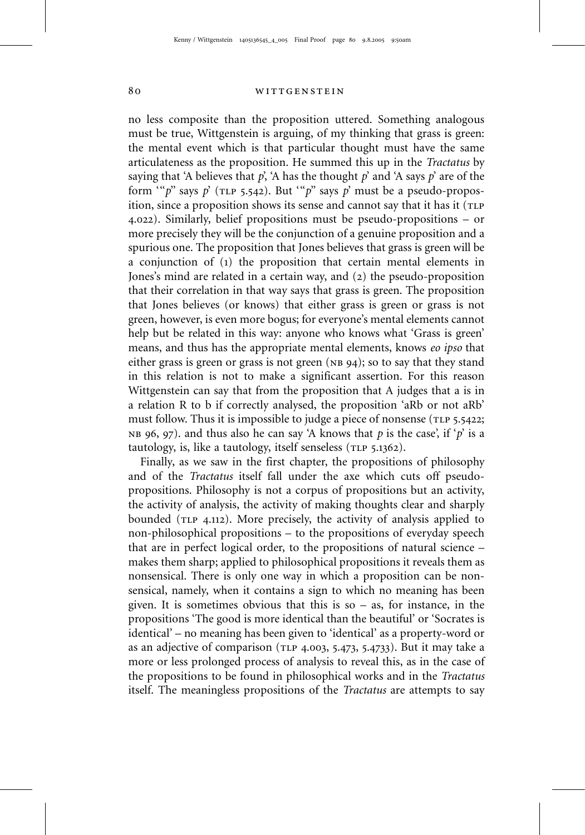no less composite than the proposition uttered. Something analogous must be true, Wittgenstein is arguing, of my thinking that grass is green: the mental event which is that particular thought must have the same articulateness as the proposition. He summed this up in the Tractatus by saying that 'A believes that  $p'$ , 'A has the thought  $p'$  and 'A says  $p'$  are of the form " $p$ " says p' (TLP 5.542). But " $p$ " says p' must be a pseudo-proposition, since a proposition shows its sense and cannot say that it has it  $(TLP)$ 4.022). Similarly, belief propositions must be pseudo-propositions – or more precisely they will be the conjunction of a genuine proposition and a spurious one. The proposition that Jones believes that grass is green will be a conjunction of (1) the proposition that certain mental elements in Jones's mind are related in a certain way, and (2) the pseudo-proposition that their correlation in that way says that grass is green. The proposition that Jones believes (or knows) that either grass is green or grass is not green, however, is even more bogus; for everyone's mental elements cannot help but be related in this way: anyone who knows what 'Grass is green' means, and thus has the appropriate mental elements, knows eo ipso that either grass is green or grass is not green ( $NB\ 94$ ); so to say that they stand in this relation is not to make a significant assertion. For this reason Wittgenstein can say that from the proposition that A judges that a is in a relation R to b if correctly analysed, the proposition 'aRb or not aRb' must follow. Thus it is impossible to judge a piece of nonsense ( $TLP$  5.5422; NB 96, 97). and thus also he can say 'A knows that p is the case', if 'p' is a  $tautology, is, like a tautology, itself senseless (TLP 5.1362).$ 

Finally, as we saw in the first chapter, the propositions of philosophy and of the Tractatus itself fall under the axe which cuts off pseudopropositions. Philosophy is not a corpus of propositions but an activity, the activity of analysis, the activity of making thoughts clear and sharply bounded (TLP 4.112). More precisely, the activity of analysis applied to non-philosophical propositions – to the propositions of everyday speech that are in perfect logical order, to the propositions of natural science – makes them sharp; applied to philosophical propositions it reveals them as nonsensical. There is only one way in which a proposition can be nonsensical, namely, when it contains a sign to which no meaning has been given. It is sometimes obvious that this is so  $-$  as, for instance, in the propositions 'The good is more identical than the beautiful' or 'Socrates is identical' – no meaning has been given to 'identical' as a property-word or as an adjective of comparison (TLP 4.003, 5.473, 5.4733). But it may take a more or less prolonged process of analysis to reveal this, as in the case of the propositions to be found in philosophical works and in the Tractatus itself. The meaningless propositions of the Tractatus are attempts to say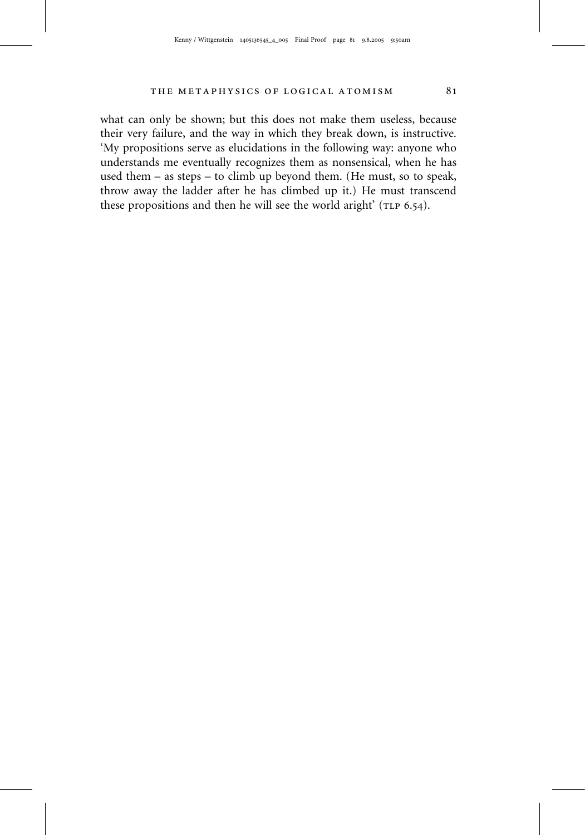what can only be shown; but this does not make them useless, because their very failure, and the way in which they break down, is instructive. 'My propositions serve as elucidations in the following way: anyone who understands me eventually recognizes them as nonsensical, when he has used them – as steps – to climb up beyond them. (He must, so to speak, throw away the ladder after he has climbed up it.) He must transcend these propositions and then he will see the world aright' ( $TLP$  6.54).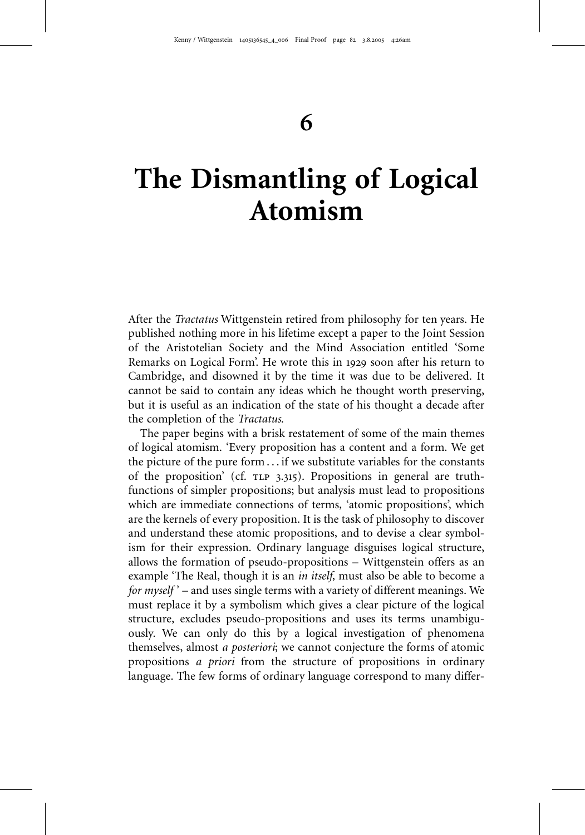## The Dismantling of Logical Atomism

After the Tractatus Wittgenstein retired from philosophy for ten years. He published nothing more in his lifetime except a paper to the Joint Session of the Aristotelian Society and the Mind Association entitled 'Some Remarks on Logical Form'. He wrote this in 1929 soon after his return to Cambridge, and disowned it by the time it was due to be delivered. It cannot be said to contain any ideas which he thought worth preserving, but it is useful as an indication of the state of his thought a decade after the completion of the Tractatus.

The paper begins with a brisk restatement of some of the main themes of logical atomism. 'Every proposition has a content and a form. We get the picture of the pure form . . . if we substitute variables for the constants of the proposition' (cf. tlp 3.315). Propositions in general are truthfunctions of simpler propositions; but analysis must lead to propositions which are immediate connections of terms, 'atomic propositions', which are the kernels of every proposition. It is the task of philosophy to discover and understand these atomic propositions, and to devise a clear symbolism for their expression. Ordinary language disguises logical structure, allows the formation of pseudo-propositions – Wittgenstein offers as an example 'The Real, though it is an in itself, must also be able to become a for *myself* ' – and uses single terms with a variety of different meanings. We must replace it by a symbolism which gives a clear picture of the logical structure, excludes pseudo-propositions and uses its terms unambiguously. We can only do this by a logical investigation of phenomena themselves, almost a posteriori; we cannot conjecture the forms of atomic propositions a priori from the structure of propositions in ordinary language. The few forms of ordinary language correspond to many differ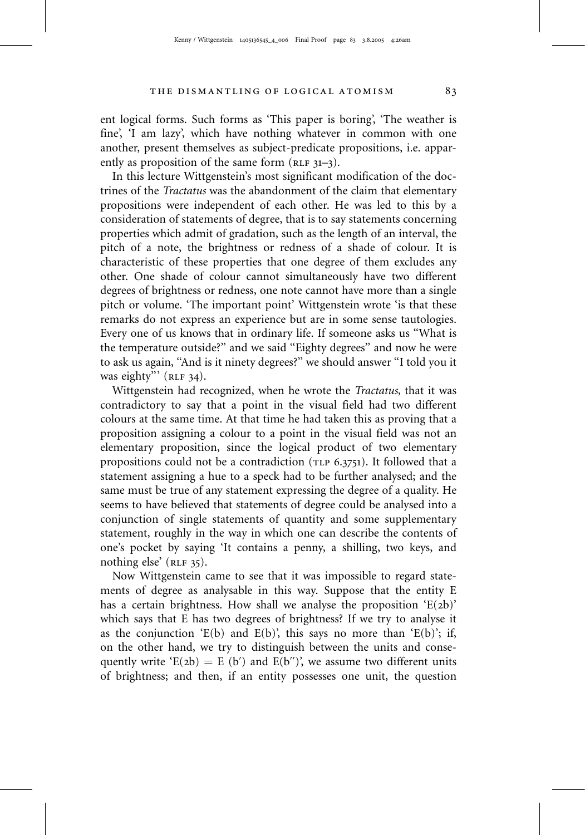ent logical forms. Such forms as 'This paper is boring', 'The weather is fine', 'I am lazy', which have nothing whatever in common with one another, present themselves as subject-predicate propositions, i.e. apparently as proposition of the same form  $(RLF 31–3)$ .

In this lecture Wittgenstein's most significant modification of the doctrines of the Tractatus was the abandonment of the claim that elementary propositions were independent of each other. He was led to this by a consideration of statements of degree, that is to say statements concerning properties which admit of gradation, such as the length of an interval, the pitch of a note, the brightness or redness of a shade of colour. It is characteristic of these properties that one degree of them excludes any other. One shade of colour cannot simultaneously have two different degrees of brightness or redness, one note cannot have more than a single pitch or volume. 'The important point' Wittgenstein wrote 'is that these remarks do not express an experience but are in some sense tautologies. Every one of us knows that in ordinary life. If someone asks us ''What is the temperature outside?'' and we said ''Eighty degrees'' and now he were to ask us again, ''And is it ninety degrees?'' we should answer ''I told you it was eighty"' (RLF 34).

Wittgenstein had recognized, when he wrote the Tractatus, that it was contradictory to say that a point in the visual field had two different colours at the same time. At that time he had taken this as proving that a proposition assigning a colour to a point in the visual field was not an elementary proposition, since the logical product of two elementary propositions could not be a contradiction ( $TLP$  6.3751). It followed that a statement assigning a hue to a speck had to be further analysed; and the same must be true of any statement expressing the degree of a quality. He seems to have believed that statements of degree could be analysed into a conjunction of single statements of quantity and some supplementary statement, roughly in the way in which one can describe the contents of one's pocket by saying 'It contains a penny, a shilling, two keys, and nothing else'  $(RLF 35)$ .

Now Wittgenstein came to see that it was impossible to regard statements of degree as analysable in this way. Suppose that the entity E has a certain brightness. How shall we analyse the proposition 'E(2b)' which says that E has two degrees of brightness? If we try to analyse it as the conjunction 'E(b) and E(b)', this says no more than 'E(b)'; if, on the other hand, we try to distinguish between the units and consequently write 'E(2b) = E (b') and E(b'')', we assume two different units of brightness; and then, if an entity possesses one unit, the question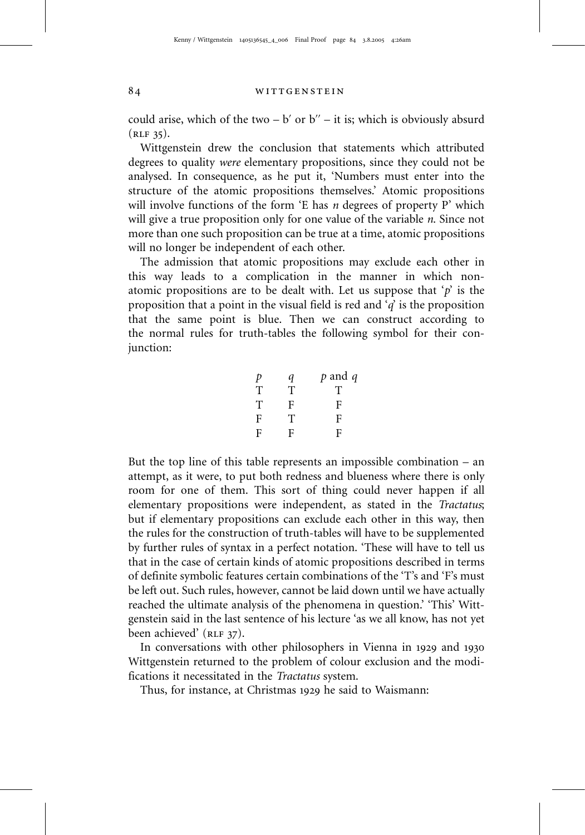could arise, which of the two – b' or  $b''$  – it is; which is obviously absurd  $(RLF 35)$ .

Wittgenstein drew the conclusion that statements which attributed degrees to quality were elementary propositions, since they could not be analysed. In consequence, as he put it, 'Numbers must enter into the structure of the atomic propositions themselves.' Atomic propositions will involve functions of the form  $E$  has *n* degrees of property P' which will give a true proposition only for one value of the variable *n*. Since not more than one such proposition can be true at a time, atomic propositions will no longer be independent of each other.

The admission that atomic propositions may exclude each other in this way leads to a complication in the manner in which nonatomic propositions are to be dealt with. Let us suppose that  $\hat{p}$  is the proposition that a point in the visual field is red and  $q'$  is the proposition that the same point is blue. Then we can construct according to the normal rules for truth-tables the following symbol for their conjunction:

| p | q | $p$ and $q$ |
|---|---|-------------|
| T | T | Т           |
| T | F | F           |
| F | T | F           |
| F | F | F           |

But the top line of this table represents an impossible combination – an attempt, as it were, to put both redness and blueness where there is only room for one of them. This sort of thing could never happen if all elementary propositions were independent, as stated in the Tractatus; but if elementary propositions can exclude each other in this way, then the rules for the construction of truth-tables will have to be supplemented by further rules of syntax in a perfect notation. 'These will have to tell us that in the case of certain kinds of atomic propositions described in terms of definite symbolic features certain combinations of the 'T's and 'F's must be left out. Such rules, however, cannot be laid down until we have actually reached the ultimate analysis of the phenomena in question.' 'This' Wittgenstein said in the last sentence of his lecture 'as we all know, has not yet been achieved'  $(RLF 37)$ .

In conversations with other philosophers in Vienna in 1929 and 1930 Wittgenstein returned to the problem of colour exclusion and the modifications it necessitated in the Tractatus system.

Thus, for instance, at Christmas 1929 he said to Waismann: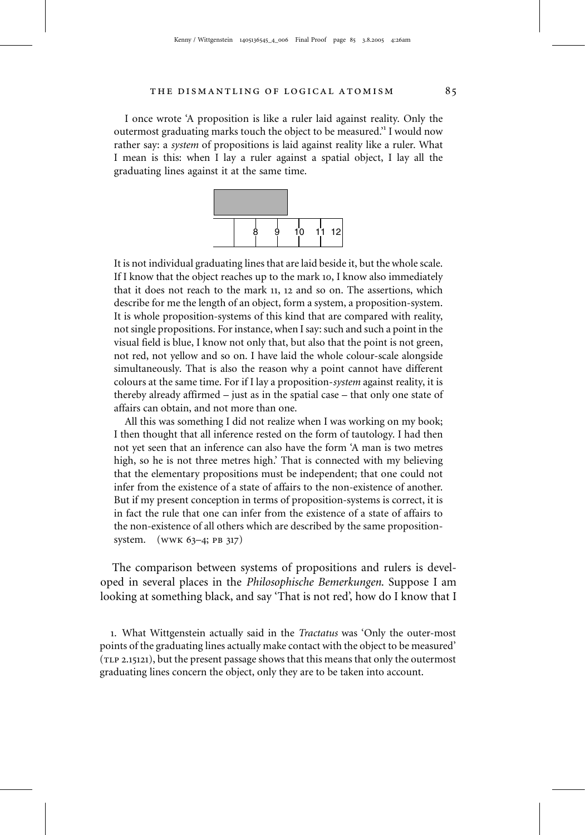I once wrote 'A proposition is like a ruler laid against reality. Only the outermost graduating marks touch the object to be measured.<sup>1</sup> I would now rather say: a system of propositions is laid against reality like a ruler. What I mean is this: when I lay a ruler against a spatial object, I lay all the graduating lines against it at the same time.



It is not individual graduating lines that are laid beside it, but the whole scale. If I know that the object reaches up to the mark 10, I know also immediately that it does not reach to the mark 11, 12 and so on. The assertions, which describe for me the length of an object, form a system, a proposition-system. It is whole proposition-systems of this kind that are compared with reality, not single propositions. For instance, when I say: such and such a point in the visual field is blue, I know not only that, but also that the point is not green, not red, not yellow and so on. I have laid the whole colour-scale alongside simultaneously. That is also the reason why a point cannot have different colours at the same time. For if I lay a proposition-system against reality, it is thereby already affirmed – just as in the spatial case – that only one state of affairs can obtain, and not more than one.

All this was something I did not realize when I was working on my book; I then thought that all inference rested on the form of tautology. I had then not yet seen that an inference can also have the form 'A man is two metres high, so he is not three metres high.' That is connected with my believing that the elementary propositions must be independent; that one could not infer from the existence of a state of affairs to the non-existence of another. But if my present conception in terms of proposition-systems is correct, it is in fact the rule that one can infer from the existence of a state of affairs to the non-existence of all others which are described by the same propositionsystem. (wwk 63–4; PB 317)

The comparison between systems of propositions and rulers is developed in several places in the Philosophische Bemerkungen. Suppose I am looking at something black, and say 'That is not red', how do I know that I

1. What Wittgenstein actually said in the Tractatus was 'Only the outer-most points of the graduating lines actually make contact with the object to be measured' (TLP 2.15121), but the present passage shows that this means that only the outermost graduating lines concern the object, only they are to be taken into account.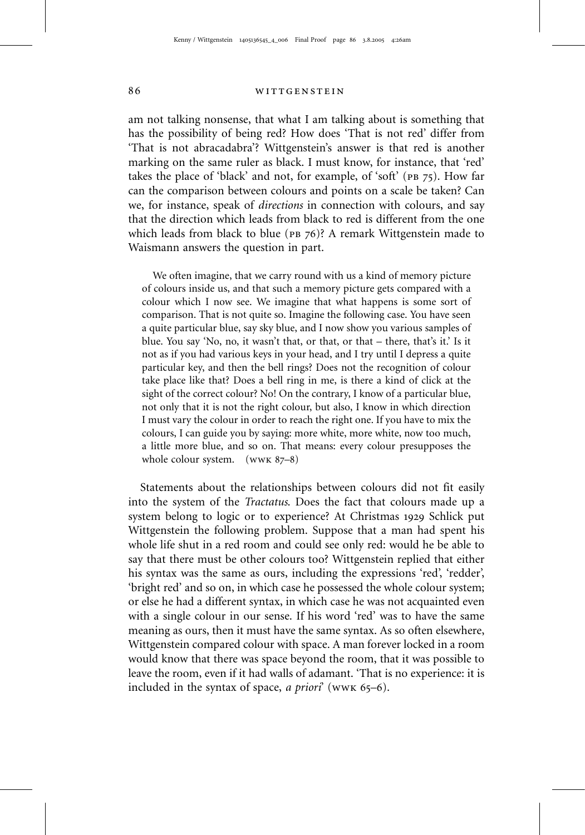## 86 WITTGENSTEIN

am not talking nonsense, that what I am talking about is something that has the possibility of being red? How does 'That is not red' differ from 'That is not abracadabra'? Wittgenstein's answer is that red is another marking on the same ruler as black. I must know, for instance, that 'red' takes the place of 'black' and not, for example, of 'soft' ( $PB$  75). How far can the comparison between colours and points on a scale be taken? Can we, for instance, speak of directions in connection with colours, and say that the direction which leads from black to red is different from the one which leads from black to blue ( $pB 76$ )? A remark Wittgenstein made to Waismann answers the question in part.

We often imagine, that we carry round with us a kind of memory picture of colours inside us, and that such a memory picture gets compared with a colour which I now see. We imagine that what happens is some sort of comparison. That is not quite so. Imagine the following case. You have seen a quite particular blue, say sky blue, and I now show you various samples of blue. You say 'No, no, it wasn't that, or that, or that – there, that's it.' Is it not as if you had various keys in your head, and I try until I depress a quite particular key, and then the bell rings? Does not the recognition of colour take place like that? Does a bell ring in me, is there a kind of click at the sight of the correct colour? No! On the contrary, I know of a particular blue, not only that it is not the right colour, but also, I know in which direction I must vary the colour in order to reach the right one. If you have to mix the colours, I can guide you by saying: more white, more white, now too much, a little more blue, and so on. That means: every colour presupposes the whole colour system. (www. 87–8)

Statements about the relationships between colours did not fit easily into the system of the Tractatus. Does the fact that colours made up a system belong to logic or to experience? At Christmas 1929 Schlick put Wittgenstein the following problem. Suppose that a man had spent his whole life shut in a red room and could see only red: would he be able to say that there must be other colours too? Wittgenstein replied that either his syntax was the same as ours, including the expressions 'red', 'redder', 'bright red' and so on, in which case he possessed the whole colour system; or else he had a different syntax, in which case he was not acquainted even with a single colour in our sense. If his word 'red' was to have the same meaning as ours, then it must have the same syntax. As so often elsewhere, Wittgenstein compared colour with space. A man forever locked in a room would know that there was space beyond the room, that it was possible to leave the room, even if it had walls of adamant. 'That is no experience: it is included in the syntax of space, a priori' (www.  $65-6$ ).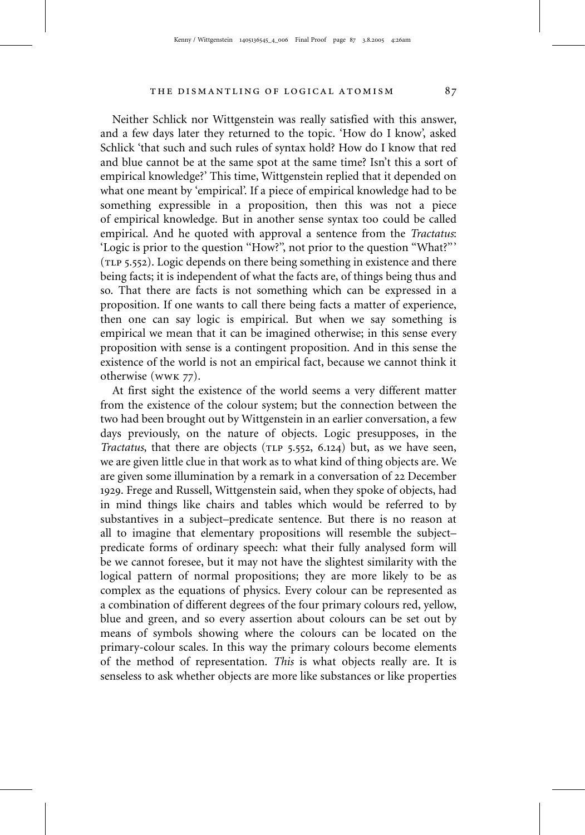Neither Schlick nor Wittgenstein was really satisfied with this answer, and a few days later they returned to the topic. 'How do I know', asked Schlick 'that such and such rules of syntax hold? How do I know that red and blue cannot be at the same spot at the same time? Isn't this a sort of empirical knowledge?' This time, Wittgenstein replied that it depended on what one meant by 'empirical'. If a piece of empirical knowledge had to be something expressible in a proposition, then this was not a piece of empirical knowledge. But in another sense syntax too could be called empirical. And he quoted with approval a sentence from the Tractatus: 'Logic is prior to the question ''How?'', not prior to the question ''What?''' (TLP 5.552). Logic depends on there being something in existence and there being facts; it is independent of what the facts are, of things being thus and so. That there are facts is not something which can be expressed in a proposition. If one wants to call there being facts a matter of experience, then one can say logic is empirical. But when we say something is empirical we mean that it can be imagined otherwise; in this sense every proposition with sense is a contingent proposition. And in this sense the existence of the world is not an empirical fact, because we cannot think it otherwise (wwk 77).

At first sight the existence of the world seems a very different matter from the existence of the colour system; but the connection between the two had been brought out by Wittgenstein in an earlier conversation, a few days previously, on the nature of objects. Logic presupposes, in the Tractatus, that there are objects (TLP 5.552, 6.124) but, as we have seen, we are given little clue in that work as to what kind of thing objects are. We are given some illumination by a remark in a conversation of 22 December 1929. Frege and Russell, Wittgenstein said, when they spoke of objects, had in mind things like chairs and tables which would be referred to by substantives in a subject–predicate sentence. But there is no reason at all to imagine that elementary propositions will resemble the subject– predicate forms of ordinary speech: what their fully analysed form will be we cannot foresee, but it may not have the slightest similarity with the logical pattern of normal propositions; they are more likely to be as complex as the equations of physics. Every colour can be represented as a combination of different degrees of the four primary colours red, yellow, blue and green, and so every assertion about colours can be set out by means of symbols showing where the colours can be located on the primary-colour scales. In this way the primary colours become elements of the method of representation. This is what objects really are. It is senseless to ask whether objects are more like substances or like properties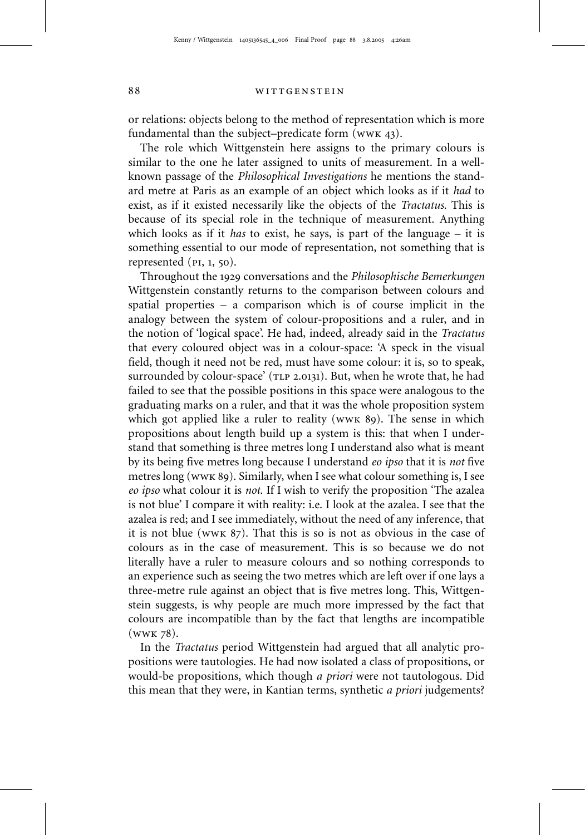or relations: objects belong to the method of representation which is more fundamental than the subject–predicate form (wwk 43).

The role which Wittgenstein here assigns to the primary colours is similar to the one he later assigned to units of measurement. In a wellknown passage of the Philosophical Investigations he mentions the standard metre at Paris as an example of an object which looks as if it had to exist, as if it existed necessarily like the objects of the Tractatus. This is because of its special role in the technique of measurement. Anything which looks as if it has to exist, he says, is part of the language  $-$  it is something essential to our mode of representation, not something that is represented (pi, 1, 50).

Throughout the 1929 conversations and the Philosophische Bemerkungen Wittgenstein constantly returns to the comparison between colours and spatial properties – a comparison which is of course implicit in the analogy between the system of colour-propositions and a ruler, and in the notion of 'logical space'. He had, indeed, already said in the Tractatus that every coloured object was in a colour-space: 'A speck in the visual field, though it need not be red, must have some colour: it is, so to speak, surrounded by colour-space' (TLP 2.0131). But, when he wrote that, he had failed to see that the possible positions in this space were analogous to the graduating marks on a ruler, and that it was the whole proposition system which got applied like a ruler to reality (www. 89). The sense in which propositions about length build up a system is this: that when I understand that something is three metres long I understand also what is meant by its being five metres long because I understand eo ipso that it is not five metres long (wwk 89). Similarly, when I see what colour something is, I see eo ipso what colour it is not. If I wish to verify the proposition 'The azalea is not blue' I compare it with reality: i.e. I look at the azalea. I see that the azalea is red; and I see immediately, without the need of any inference, that it is not blue (wwk 87). That this is so is not as obvious in the case of colours as in the case of measurement. This is so because we do not literally have a ruler to measure colours and so nothing corresponds to an experience such as seeing the two metres which are left over if one lays a three-metre rule against an object that is five metres long. This, Wittgenstein suggests, is why people are much more impressed by the fact that colours are incompatible than by the fact that lengths are incompatible (wwk 78).

In the Tractatus period Wittgenstein had argued that all analytic propositions were tautologies. He had now isolated a class of propositions, or would-be propositions, which though a priori were not tautologous. Did this mean that they were, in Kantian terms, synthetic a priori judgements?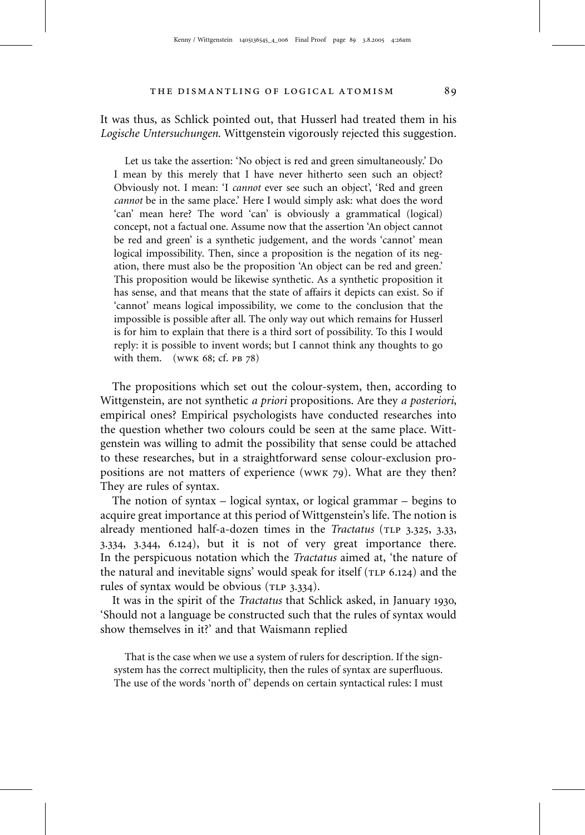It was thus, as Schlick pointed out, that Husserl had treated them in his Logische Untersuchungen. Wittgenstein vigorously rejected this suggestion.

Let us take the assertion: 'No object is red and green simultaneously.' Do I mean by this merely that I have never hitherto seen such an object? Obviously not. I mean: 'I cannot ever see such an object', 'Red and green cannot be in the same place.' Here I would simply ask: what does the word 'can' mean here? The word 'can' is obviously a grammatical (logical) concept, not a factual one. Assume now that the assertion 'An object cannot be red and green' is a synthetic judgement, and the words 'cannot' mean logical impossibility. Then, since a proposition is the negation of its negation, there must also be the proposition 'An object can be red and green.' This proposition would be likewise synthetic. As a synthetic proposition it has sense, and that means that the state of affairs it depicts can exist. So if 'cannot' means logical impossibility, we come to the conclusion that the impossible is possible after all. The only way out which remains for Husserl is for him to explain that there is a third sort of possibility. To this I would reply: it is possible to invent words; but I cannot think any thoughts to go with them. (wwk  $68$ ; cf.  $PB$  78)

The propositions which set out the colour-system, then, according to Wittgenstein, are not synthetic a priori propositions. Are they a posteriori, empirical ones? Empirical psychologists have conducted researches into the question whether two colours could be seen at the same place. Wittgenstein was willing to admit the possibility that sense could be attached to these researches, but in a straightforward sense colour-exclusion propositions are not matters of experience (wwk 79). What are they then? They are rules of syntax.

The notion of syntax – logical syntax, or logical grammar – begins to acquire great importance at this period of Wittgenstein's life. The notion is already mentioned half-a-dozen times in the *Tractatus* ( $TLP$  3.325, 3.33, 3.334, 3.344, 6.124), but it is not of very great importance there. In the perspicuous notation which the Tractatus aimed at, 'the nature of the natural and inevitable signs' would speak for itself ( $TLP$  6.124) and the rules of syntax would be obvious (TLP 3.334).

It was in the spirit of the Tractatus that Schlick asked, in January 1930, 'Should not a language be constructed such that the rules of syntax would show themselves in it?' and that Waismann replied

That is the case when we use a system of rulers for description. If the signsystem has the correct multiplicity, then the rules of syntax are superfluous. The use of the words 'north of' depends on certain syntactical rules: I must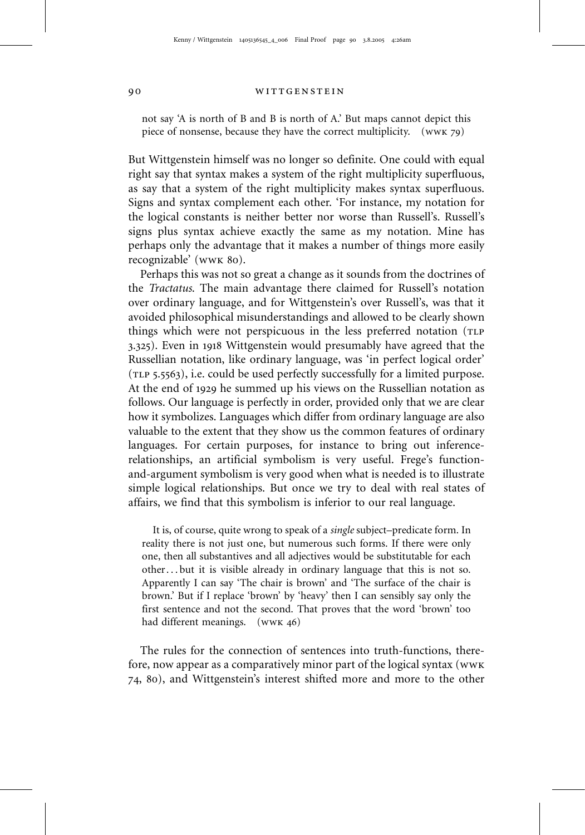not say 'A is north of B and B is north of A.' But maps cannot depict this piece of nonsense, because they have the correct multiplicity. (wwk 79)

But Wittgenstein himself was no longer so definite. One could with equal right say that syntax makes a system of the right multiplicity superfluous, as say that a system of the right multiplicity makes syntax superfluous. Signs and syntax complement each other. 'For instance, my notation for the logical constants is neither better nor worse than Russell's. Russell's signs plus syntax achieve exactly the same as my notation. Mine has perhaps only the advantage that it makes a number of things more easily recognizable' (wwk 80).

Perhaps this was not so great a change as it sounds from the doctrines of the Tractatus. The main advantage there claimed for Russell's notation over ordinary language, and for Wittgenstein's over Russell's, was that it avoided philosophical misunderstandings and allowed to be clearly shown things which were not perspicuous in the less preferred notation (TLP 3.325). Even in 1918 Wittgenstein would presumably have agreed that the Russellian notation, like ordinary language, was 'in perfect logical order' (tlp 5.5563), i.e. could be used perfectly successfully for a limited purpose. At the end of 1929 he summed up his views on the Russellian notation as follows. Our language is perfectly in order, provided only that we are clear how it symbolizes. Languages which differ from ordinary language are also valuable to the extent that they show us the common features of ordinary languages. For certain purposes, for instance to bring out inferencerelationships, an artificial symbolism is very useful. Frege's functionand-argument symbolism is very good when what is needed is to illustrate simple logical relationships. But once we try to deal with real states of affairs, we find that this symbolism is inferior to our real language.

It is, of course, quite wrong to speak of a single subject–predicate form. In reality there is not just one, but numerous such forms. If there were only one, then all substantives and all adjectives would be substitutable for each other. . . but it is visible already in ordinary language that this is not so. Apparently I can say 'The chair is brown' and 'The surface of the chair is brown.' But if I replace 'brown' by 'heavy' then I can sensibly say only the first sentence and not the second. That proves that the word 'brown' too had different meanings. (wwk 46)

The rules for the connection of sentences into truth-functions, therefore, now appear as a comparatively minor part of the logical syntax (wwk 74, 80), and Wittgenstein's interest shifted more and more to the other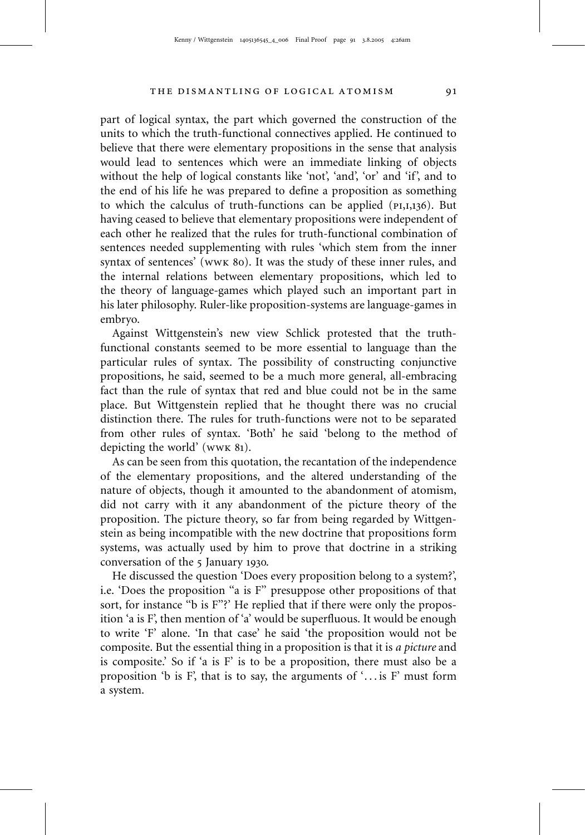part of logical syntax, the part which governed the construction of the units to which the truth-functional connectives applied. He continued to believe that there were elementary propositions in the sense that analysis would lead to sentences which were an immediate linking of objects without the help of logical constants like 'not', 'and', 'or' and 'if', and to the end of his life he was prepared to define a proposition as something to which the calculus of truth-functions can be applied  $(p_{I,I,136})$ . But having ceased to believe that elementary propositions were independent of each other he realized that the rules for truth-functional combination of sentences needed supplementing with rules 'which stem from the inner syntax of sentences' (wwk 80). It was the study of these inner rules, and the internal relations between elementary propositions, which led to the theory of language-games which played such an important part in his later philosophy. Ruler-like proposition-systems are language-games in embryo.

Against Wittgenstein's new view Schlick protested that the truthfunctional constants seemed to be more essential to language than the particular rules of syntax. The possibility of constructing conjunctive propositions, he said, seemed to be a much more general, all-embracing fact than the rule of syntax that red and blue could not be in the same place. But Wittgenstein replied that he thought there was no crucial distinction there. The rules for truth-functions were not to be separated from other rules of syntax. 'Both' he said 'belong to the method of depicting the world' (wwk 81).

As can be seen from this quotation, the recantation of the independence of the elementary propositions, and the altered understanding of the nature of objects, though it amounted to the abandonment of atomism, did not carry with it any abandonment of the picture theory of the proposition. The picture theory, so far from being regarded by Wittgenstein as being incompatible with the new doctrine that propositions form systems, was actually used by him to prove that doctrine in a striking conversation of the 5 January 1930.

He discussed the question 'Does every proposition belong to a system?', i.e. 'Does the proposition "a is F" presuppose other propositions of that sort, for instance "b is F"?' He replied that if there were only the proposition 'a is F', then mention of 'a' would be superfluous. It would be enough to write 'F' alone. 'In that case' he said 'the proposition would not be composite. But the essential thing in a proposition is that it is a picture and is composite.' So if 'a is F' is to be a proposition, there must also be a proposition 'b is F', that is to say, the arguments of '... is F' must form a system.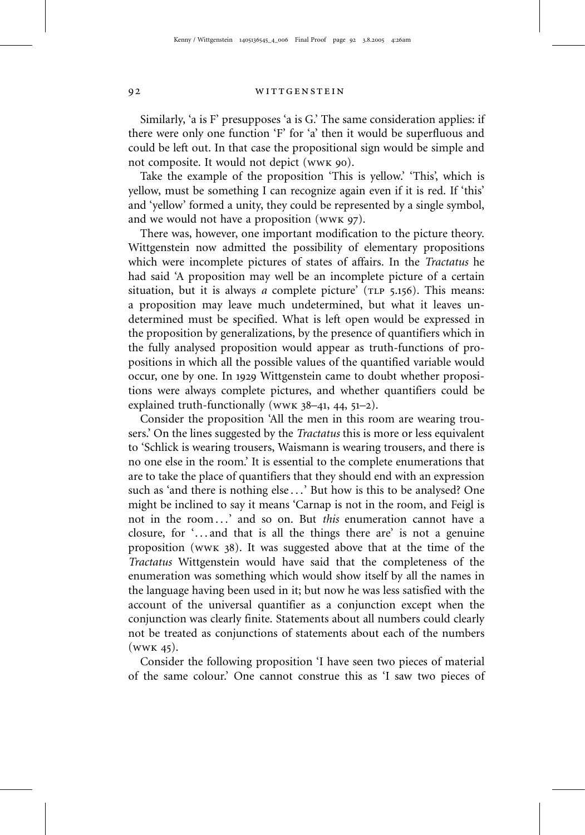Similarly, 'a is F' presupposes 'a is G.' The same consideration applies: if there were only one function 'F' for 'a' then it would be superfluous and could be left out. In that case the propositional sign would be simple and not composite. It would not depict (wwk 90).

Take the example of the proposition 'This is yellow.' 'This', which is yellow, must be something I can recognize again even if it is red. If 'this' and 'yellow' formed a unity, they could be represented by a single symbol, and we would not have a proposition (wwk 97).

There was, however, one important modification to the picture theory. Wittgenstein now admitted the possibility of elementary propositions which were incomplete pictures of states of affairs. In the Tractatus he had said 'A proposition may well be an incomplete picture of a certain situation, but it is always  $a$  complete picture' (TLP 5.156). This means: a proposition may leave much undetermined, but what it leaves undetermined must be specified. What is left open would be expressed in the proposition by generalizations, by the presence of quantifiers which in the fully analysed proposition would appear as truth-functions of propositions in which all the possible values of the quantified variable would occur, one by one. In 1929 Wittgenstein came to doubt whether propositions were always complete pictures, and whether quantifiers could be explained truth-functionally (wwk 38–41, 44, 51–2).

Consider the proposition 'All the men in this room are wearing trousers.' On the lines suggested by the Tractatus this is more or less equivalent to 'Schlick is wearing trousers, Waismann is wearing trousers, and there is no one else in the room.' It is essential to the complete enumerations that are to take the place of quantifiers that they should end with an expression such as 'and there is nothing else ...' But how is this to be analysed? One might be inclined to say it means 'Carnap is not in the room, and Feigl is not in the room ...' and so on. But this enumeration cannot have a closure, for '. . . and that is all the things there are' is not a genuine proposition (wwk 38). It was suggested above that at the time of the Tractatus Wittgenstein would have said that the completeness of the enumeration was something which would show itself by all the names in the language having been used in it; but now he was less satisfied with the account of the universal quantifier as a conjunction except when the conjunction was clearly finite. Statements about all numbers could clearly not be treated as conjunctions of statements about each of the numbers (wwk 45).

Consider the following proposition 'I have seen two pieces of material of the same colour.' One cannot construe this as 'I saw two pieces of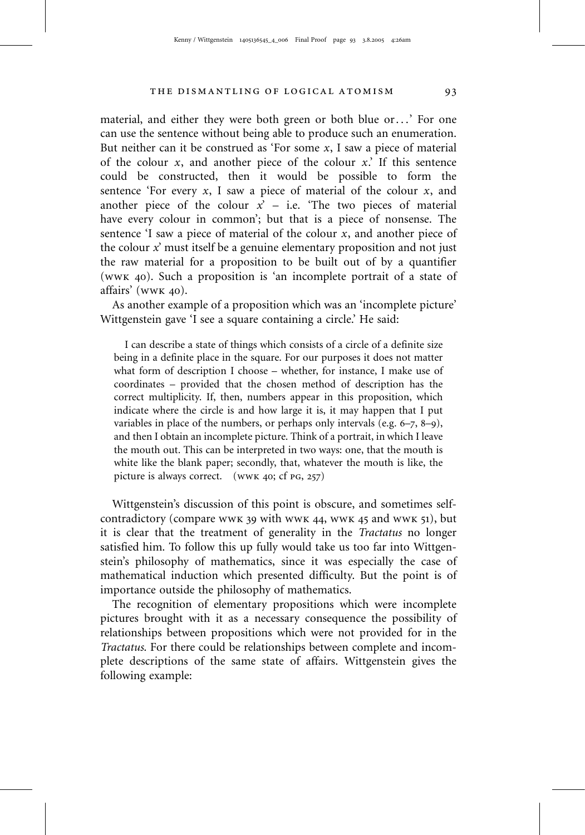material, and either they were both green or both blue or...' For one can use the sentence without being able to produce such an enumeration. But neither can it be construed as 'For some  $x$ , I saw a piece of material of the colour  $x$ , and another piece of the colour  $x$ . If this sentence could be constructed, then it would be possible to form the sentence 'For every  $x$ , I saw a piece of material of the colour  $x$ , and another piece of the colour  $x^2$  – i.e. The two pieces of material have every colour in common'; but that is a piece of nonsense. The sentence 'I saw a piece of material of the colour  $x$ , and another piece of the colour  $x'$  must itself be a genuine elementary proposition and not just the raw material for a proposition to be built out of by a quantifier (wwk 40). Such a proposition is 'an incomplete portrait of a state of affairs' (wwk 40).

As another example of a proposition which was an 'incomplete picture' Wittgenstein gave 'I see a square containing a circle.' He said:

I can describe a state of things which consists of a circle of a definite size being in a definite place in the square. For our purposes it does not matter what form of description I choose – whether, for instance, I make use of coordinates – provided that the chosen method of description has the correct multiplicity. If, then, numbers appear in this proposition, which indicate where the circle is and how large it is, it may happen that I put variables in place of the numbers, or perhaps only intervals (e.g. 6–7, 8–9), and then I obtain an incomplete picture. Think of a portrait, in which I leave the mouth out. This can be interpreted in two ways: one, that the mouth is white like the blank paper; secondly, that, whatever the mouth is like, the picture is always correct. (wwk 40; cf pg, 257)

Wittgenstein's discussion of this point is obscure, and sometimes selfcontradictory (compare wwk 39 with wwk 44, wwk 45 and wwk 51), but it is clear that the treatment of generality in the Tractatus no longer satisfied him. To follow this up fully would take us too far into Wittgenstein's philosophy of mathematics, since it was especially the case of mathematical induction which presented difficulty. But the point is of importance outside the philosophy of mathematics.

The recognition of elementary propositions which were incomplete pictures brought with it as a necessary consequence the possibility of relationships between propositions which were not provided for in the Tractatus. For there could be relationships between complete and incomplete descriptions of the same state of affairs. Wittgenstein gives the following example: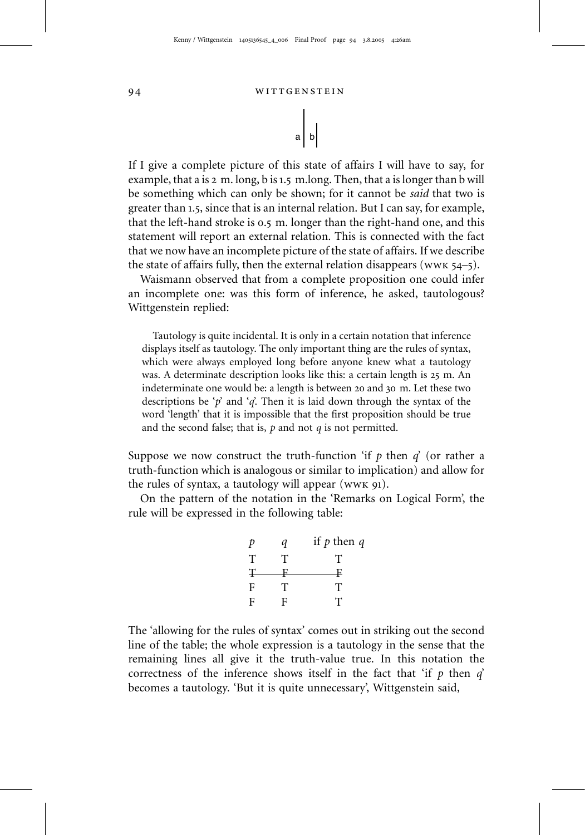$a \mid b$ 

If I give a complete picture of this state of affairs I will have to say, for example, that a is 2 m. long, b is1.5 m.long. Then, that a is longer than b will be something which can only be shown; for it cannot be said that two is greater than 1.5, since that is an internal relation. But I can say, for example, that the left-hand stroke is 0.5 m. longer than the right-hand one, and this statement will report an external relation. This is connected with the fact that we now have an incomplete picture of the state of affairs. If we describe the state of affairs fully, then the external relation disappears (wwk 54–5).

Waismann observed that from a complete proposition one could infer an incomplete one: was this form of inference, he asked, tautologous? Wittgenstein replied:

Tautology is quite incidental. It is only in a certain notation that inference displays itself as tautology. The only important thing are the rules of syntax, which were always employed long before anyone knew what a tautology was. A determinate description looks like this: a certain length is 25 m. An indeterminate one would be: a length is between 20 and 30 m. Let these two descriptions be 'p' and 'q'. Then it is laid down through the syntax of the word 'length' that it is impossible that the first proposition should be true and the second false; that is,  $p$  and not  $q$  is not permitted.

Suppose we now construct the truth-function 'if p then  $q'$  (or rather a truth-function which is analogous or similar to implication) and allow for the rules of syntax, a tautology will appear (www.91).

On the pattern of the notation in the 'Remarks on Logical Form', the rule will be expressed in the following table:

| $p$ | $q$ | if $p$ then $q$ |
|-----|-----|-----------------|
| T   | T   | T               |
| T   | F   | F               |
| F   | T   | T               |
| F   | F   | T               |

The 'allowing for the rules of syntax' comes out in striking out the second line of the table; the whole expression is a tautology in the sense that the remaining lines all give it the truth-value true. In this notation the correctness of the inference shows itself in the fact that 'if  $p$  then  $q$ ' becomes a tautology. 'But it is quite unnecessary', Wittgenstein said,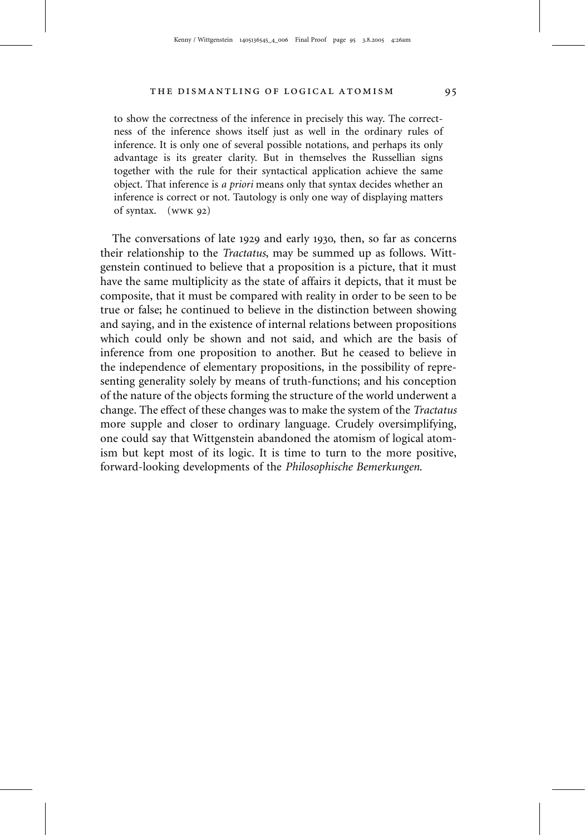to show the correctness of the inference in precisely this way. The correctness of the inference shows itself just as well in the ordinary rules of inference. It is only one of several possible notations, and perhaps its only advantage is its greater clarity. But in themselves the Russellian signs together with the rule for their syntactical application achieve the same object. That inference is a priori means only that syntax decides whether an inference is correct or not. Tautology is only one way of displaying matters of syntax. (wwk 92)

The conversations of late 1929 and early 1930, then, so far as concerns their relationship to the Tractatus, may be summed up as follows. Wittgenstein continued to believe that a proposition is a picture, that it must have the same multiplicity as the state of affairs it depicts, that it must be composite, that it must be compared with reality in order to be seen to be true or false; he continued to believe in the distinction between showing and saying, and in the existence of internal relations between propositions which could only be shown and not said, and which are the basis of inference from one proposition to another. But he ceased to believe in the independence of elementary propositions, in the possibility of representing generality solely by means of truth-functions; and his conception of the nature of the objects forming the structure of the world underwent a change. The effect of these changes was to make the system of the Tractatus more supple and closer to ordinary language. Crudely oversimplifying, one could say that Wittgenstein abandoned the atomism of logical atomism but kept most of its logic. It is time to turn to the more positive, forward-looking developments of the Philosophische Bemerkungen.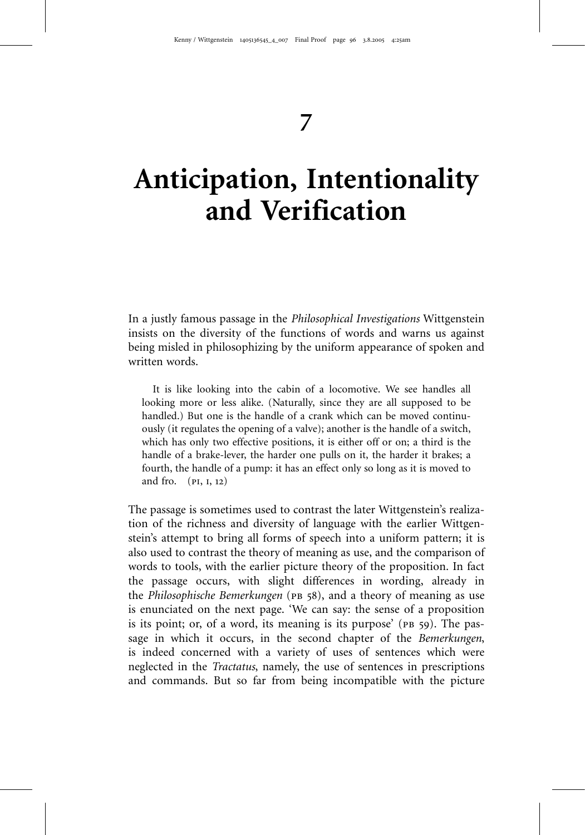## Anticipation, Intentionality and Verification

In a justly famous passage in the Philosophical Investigations Wittgenstein insists on the diversity of the functions of words and warns us against being misled in philosophizing by the uniform appearance of spoken and written words.

It is like looking into the cabin of a locomotive. We see handles all looking more or less alike. (Naturally, since they are all supposed to be handled.) But one is the handle of a crank which can be moved continuously (it regulates the opening of a valve); another is the handle of a switch, which has only two effective positions, it is either off or on; a third is the handle of a brake-lever, the harder one pulls on it, the harder it brakes; a fourth, the handle of a pump: it has an effect only so long as it is moved to and fro. (pi, i, 12)

The passage is sometimes used to contrast the later Wittgenstein's realization of the richness and diversity of language with the earlier Wittgenstein's attempt to bring all forms of speech into a uniform pattern; it is also used to contrast the theory of meaning as use, and the comparison of words to tools, with the earlier picture theory of the proposition. In fact the passage occurs, with slight differences in wording, already in the Philosophische Bemerkungen (pb 58), and a theory of meaning as use is enunciated on the next page. 'We can say: the sense of a proposition is its point; or, of a word, its meaning is its purpose' (PB 59). The passage in which it occurs, in the second chapter of the Bemerkungen, is indeed concerned with a variety of uses of sentences which were neglected in the Tractatus, namely, the use of sentences in prescriptions and commands. But so far from being incompatible with the picture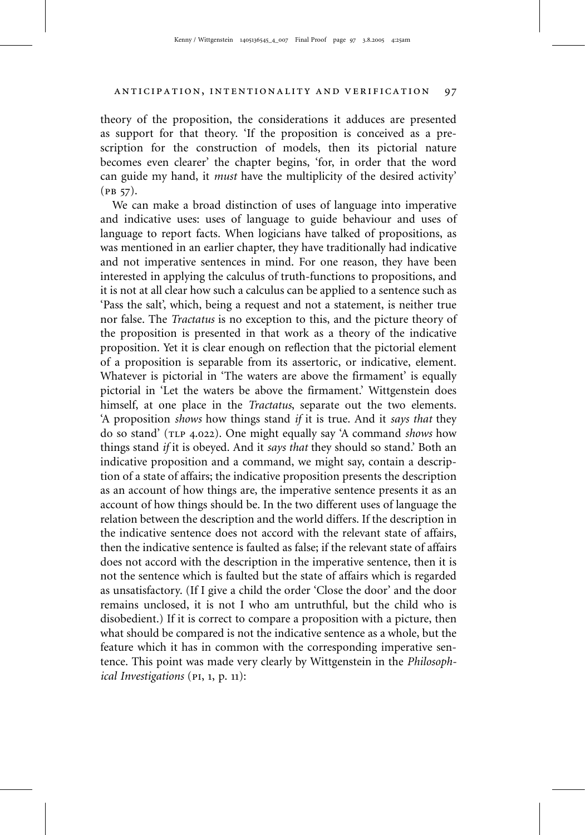theory of the proposition, the considerations it adduces are presented as support for that theory. 'If the proposition is conceived as a prescription for the construction of models, then its pictorial nature becomes even clearer' the chapter begins, 'for, in order that the word can guide my hand, it must have the multiplicity of the desired activity'  $(PB 57)$ .

We can make a broad distinction of uses of language into imperative and indicative uses: uses of language to guide behaviour and uses of language to report facts. When logicians have talked of propositions, as was mentioned in an earlier chapter, they have traditionally had indicative and not imperative sentences in mind. For one reason, they have been interested in applying the calculus of truth-functions to propositions, and it is not at all clear how such a calculus can be applied to a sentence such as 'Pass the salt', which, being a request and not a statement, is neither true nor false. The Tractatus is no exception to this, and the picture theory of the proposition is presented in that work as a theory of the indicative proposition. Yet it is clear enough on reflection that the pictorial element of a proposition is separable from its assertoric, or indicative, element. Whatever is pictorial in 'The waters are above the firmament' is equally pictorial in 'Let the waters be above the firmament.' Wittgenstein does himself, at one place in the Tractatus, separate out the two elements. 'A proposition shows how things stand if it is true. And it says that they do so stand' (tlp 4.022). One might equally say 'A command shows how things stand *if* it is obeyed. And it says that they should so stand.' Both an indicative proposition and a command, we might say, contain a description of a state of affairs; the indicative proposition presents the description as an account of how things are, the imperative sentence presents it as an account of how things should be. In the two different uses of language the relation between the description and the world differs. If the description in the indicative sentence does not accord with the relevant state of affairs, then the indicative sentence is faulted as false; if the relevant state of affairs does not accord with the description in the imperative sentence, then it is not the sentence which is faulted but the state of affairs which is regarded as unsatisfactory. (If I give a child the order 'Close the door' and the door remains unclosed, it is not I who am untruthful, but the child who is disobedient.) If it is correct to compare a proposition with a picture, then what should be compared is not the indicative sentence as a whole, but the feature which it has in common with the corresponding imperative sentence. This point was made very clearly by Wittgenstein in the Philosophical Investigations (PI, 1, p. 11):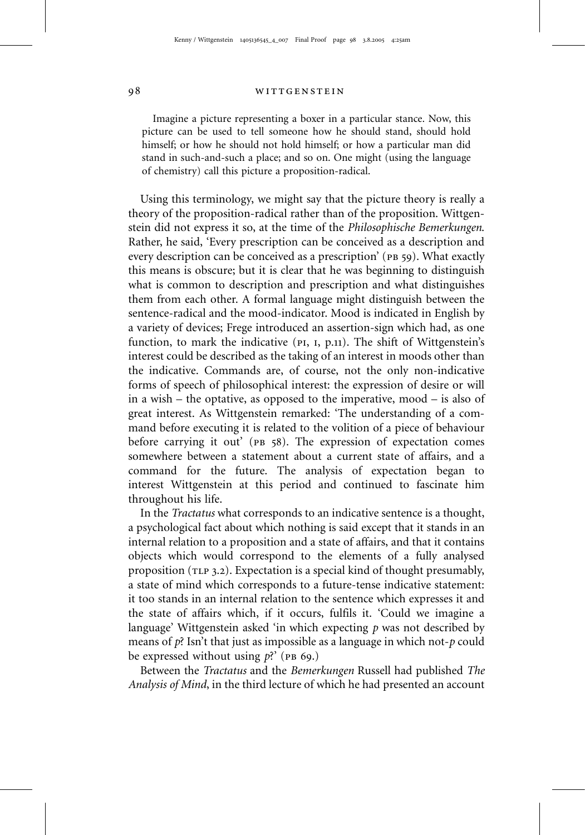## 98 WITTGENSTEIN

Imagine a picture representing a boxer in a particular stance. Now, this picture can be used to tell someone how he should stand, should hold himself; or how he should not hold himself; or how a particular man did stand in such-and-such a place; and so on. One might (using the language of chemistry) call this picture a proposition-radical.

Using this terminology, we might say that the picture theory is really a theory of the proposition-radical rather than of the proposition. Wittgenstein did not express it so, at the time of the Philosophische Bemerkungen. Rather, he said, 'Every prescription can be conceived as a description and every description can be conceived as a prescription' (PB 59). What exactly this means is obscure; but it is clear that he was beginning to distinguish what is common to description and prescription and what distinguishes them from each other. A formal language might distinguish between the sentence-radical and the mood-indicator. Mood is indicated in English by a variety of devices; Frege introduced an assertion-sign which had, as one function, to mark the indicative (pi, i, p.11). The shift of Wittgenstein's interest could be described as the taking of an interest in moods other than the indicative. Commands are, of course, not the only non-indicative forms of speech of philosophical interest: the expression of desire or will in a wish – the optative, as opposed to the imperative, mood – is also of great interest. As Wittgenstein remarked: 'The understanding of a command before executing it is related to the volition of a piece of behaviour before carrying it out' (pb 58). The expression of expectation comes somewhere between a statement about a current state of affairs, and a command for the future. The analysis of expectation began to interest Wittgenstein at this period and continued to fascinate him throughout his life.

In the Tractatus what corresponds to an indicative sentence is a thought, a psychological fact about which nothing is said except that it stands in an internal relation to a proposition and a state of affairs, and that it contains objects which would correspond to the elements of a fully analysed proposition (TLP 3.2). Expectation is a special kind of thought presumably, a state of mind which corresponds to a future-tense indicative statement: it too stands in an internal relation to the sentence which expresses it and the state of affairs which, if it occurs, fulfils it. 'Could we imagine a language' Wittgenstein asked 'in which expecting  $p$  was not described by means of  $p$ ? Isn't that just as impossible as a language in which not- $p$  could be expressed without using  $p$ ?' (PB 69.)

Between the Tractatus and the Bemerkungen Russell had published The Analysis of Mind, in the third lecture of which he had presented an account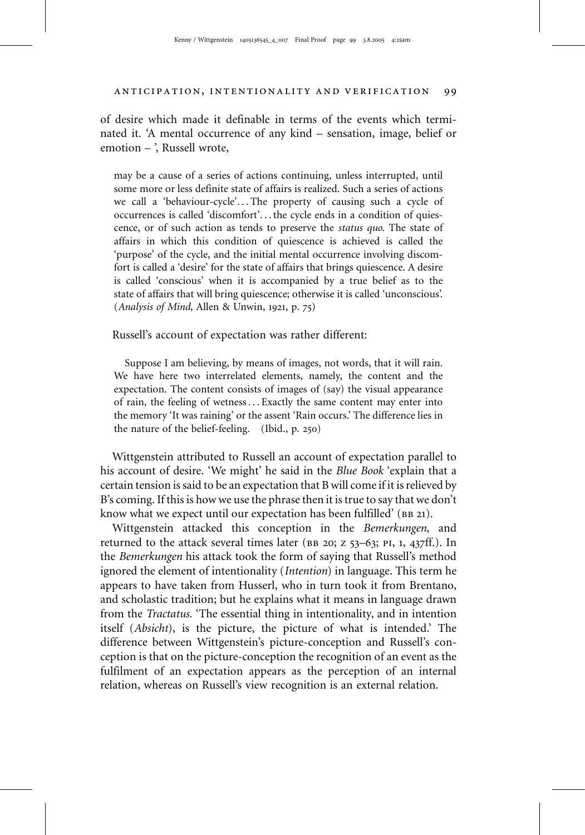of desire which made it definable in terms of the events which terminated it. 'A mental occurrence of any kind – sensation, image, belief or emotion – ', Russell wrote,

may be a cause of a series of actions continuing, unless interrupted, until some more or less definite state of affairs is realized. Such a series of actions we call a 'behaviour-cycle'...The property of causing such a cycle of occurrences is called 'discomfort'. . . the cycle ends in a condition of quiescence, or of such action as tends to preserve the status quo. The state of affairs in which this condition of quiescence is achieved is called the 'purpose' of the cycle, and the initial mental occurrence involving discomfort is called a 'desire' for the state of affairs that brings quiescence. A desire is called 'conscious' when it is accompanied by a true belief as to the state of affairs that will bring quiescence; otherwise it is called 'unconscious'. (Analysis of Mind, Allen & Unwin, 1921, p. 75)

Russell's account of expectation was rather different:

Suppose I am believing, by means of images, not words, that it will rain. We have here two interrelated elements, namely, the content and the expectation. The content consists of images of (say) the visual appearance of rain, the feeling of wetness. . . Exactly the same content may enter into the memory 'It was raining' or the assent 'Rain occurs.' The difference lies in the nature of the belief-feeling. (Ibid., p. 250)

Wittgenstein attributed to Russell an account of expectation parallel to his account of desire. 'We might' he said in the Blue Book 'explain that a certain tension is said to be an expectation that B will come if it is relieved by B's coming. If this is how we use the phrase then it is true to say that we don't know what we expect until our expectation has been fulfilled' (BB 21).

Wittgenstein attacked this conception in the Bemerkungen, and returned to the attack several times later (BB 20;  $\alpha$  53–63; PI, 1, 437ff.). In the Bemerkungen his attack took the form of saying that Russell's method ignored the element of intentionality (Intention) in language. This term he appears to have taken from Husserl, who in turn took it from Brentano, and scholastic tradition; but he explains what it means in language drawn from the Tractatus. 'The essential thing in intentionality, and in intention itself (Absicht), is the picture, the picture of what is intended.' The difference between Wittgenstein's picture-conception and Russell's conception is that on the picture-conception the recognition of an event as the fulfilment of an expectation appears as the perception of an internal relation, whereas on Russell's view recognition is an external relation.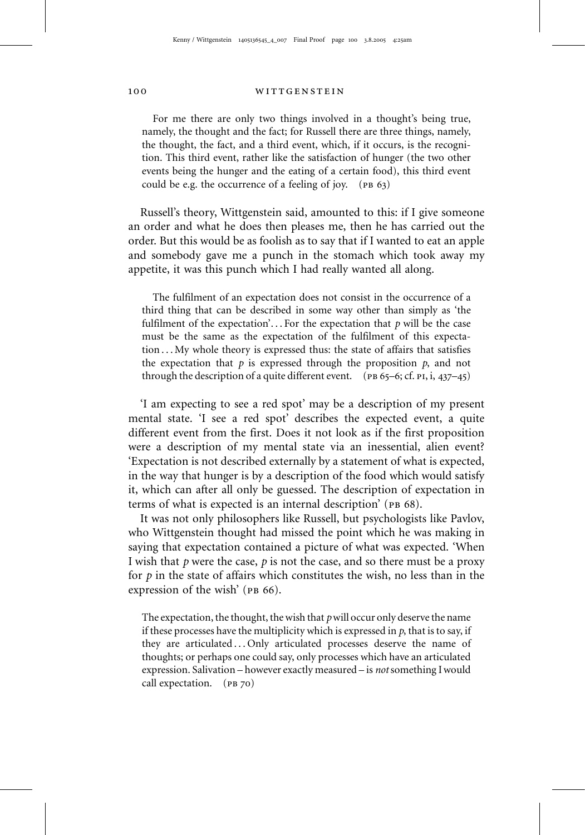## 100 WITTGENSTEIN

For me there are only two things involved in a thought's being true, namely, the thought and the fact; for Russell there are three things, namely, the thought, the fact, and a third event, which, if it occurs, is the recognition. This third event, rather like the satisfaction of hunger (the two other events being the hunger and the eating of a certain food), this third event could be e.g. the occurrence of a feeling of joy.  $(pB 63)$ 

Russell's theory, Wittgenstein said, amounted to this: if I give someone an order and what he does then pleases me, then he has carried out the order. But this would be as foolish as to say that if I wanted to eat an apple and somebody gave me a punch in the stomach which took away my appetite, it was this punch which I had really wanted all along.

The fulfilment of an expectation does not consist in the occurrence of a third thing that can be described in some way other than simply as 'the fulfilment of the expectation'... For the expectation that  $p$  will be the case must be the same as the expectation of the fulfilment of this expectation ... My whole theory is expressed thus: the state of affairs that satisfies the expectation that  $p$  is expressed through the proposition  $p$ , and not through the description of a quite different event. (PB 65–6; cf. PI, i,  $437-45$ )

'I am expecting to see a red spot' may be a description of my present mental state. 'I see a red spot' describes the expected event, a quite different event from the first. Does it not look as if the first proposition were a description of my mental state via an inessential, alien event? 'Expectation is not described externally by a statement of what is expected, in the way that hunger is by a description of the food which would satisfy it, which can after all only be guessed. The description of expectation in terms of what is expected is an internal description' (PB 68).

It was not only philosophers like Russell, but psychologists like Pavlov, who Wittgenstein thought had missed the point which he was making in saying that expectation contained a picture of what was expected. 'When I wish that  $p$  were the case,  $p$  is not the case, and so there must be a proxy for  $p$  in the state of affairs which constitutes the wish, no less than in the expression of the wish' (PB 66).

The expectation, the thought, the wish that  $p$  will occur only deserve the name if these processes have the multiplicity which is expressed in  $p$ , that is to say, if they are articulated ... Only articulated processes deserve the name of thoughts; or perhaps one could say, only processes which have an articulated expression. Salivation – however exactly measured – is notsomething I would call expectation. (PB 70)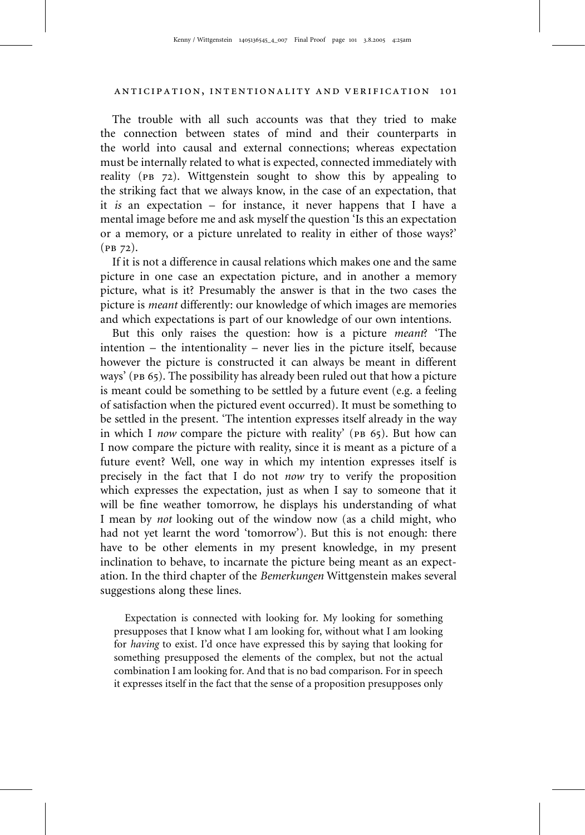The trouble with all such accounts was that they tried to make the connection between states of mind and their counterparts in the world into causal and external connections; whereas expectation must be internally related to what is expected, connected immediately with reality (pb 72). Wittgenstein sought to show this by appealing to the striking fact that we always know, in the case of an expectation, that it is an expectation – for instance, it never happens that I have a mental image before me and ask myself the question 'Is this an expectation or a memory, or a picture unrelated to reality in either of those ways?'  $(PB 72)$ .

If it is not a difference in causal relations which makes one and the same picture in one case an expectation picture, and in another a memory picture, what is it? Presumably the answer is that in the two cases the picture is meant differently: our knowledge of which images are memories and which expectations is part of our knowledge of our own intentions.

But this only raises the question: how is a picture meant? 'The intention – the intentionality – never lies in the picture itself, because however the picture is constructed it can always be meant in different ways' (PB 65). The possibility has already been ruled out that how a picture is meant could be something to be settled by a future event (e.g. a feeling of satisfaction when the pictured event occurred). It must be something to be settled in the present. 'The intention expresses itself already in the way in which I now compare the picture with reality' (PB 65). But how can I now compare the picture with reality, since it is meant as a picture of a future event? Well, one way in which my intention expresses itself is precisely in the fact that I do not now try to verify the proposition which expresses the expectation, just as when I say to someone that it will be fine weather tomorrow, he displays his understanding of what I mean by not looking out of the window now (as a child might, who had not yet learnt the word 'tomorrow'). But this is not enough: there have to be other elements in my present knowledge, in my present inclination to behave, to incarnate the picture being meant as an expectation. In the third chapter of the Bemerkungen Wittgenstein makes several suggestions along these lines.

Expectation is connected with looking for. My looking for something presupposes that I know what I am looking for, without what I am looking for having to exist. I'd once have expressed this by saying that looking for something presupposed the elements of the complex, but not the actual combination I am looking for. And that is no bad comparison. For in speech it expresses itself in the fact that the sense of a proposition presupposes only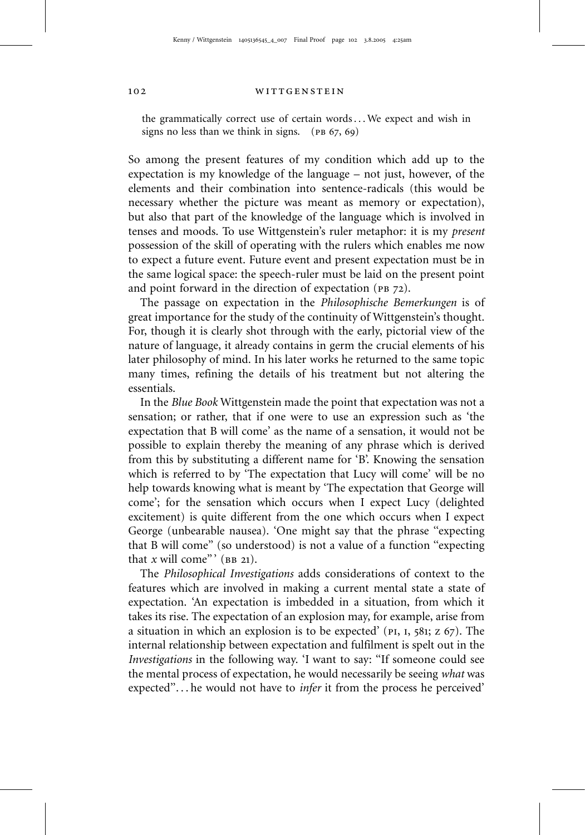the grammatically correct use of certain words. . . We expect and wish in signs no less than we think in signs.  $(\text{PB } 67, 69)$ 

So among the present features of my condition which add up to the expectation is my knowledge of the language – not just, however, of the elements and their combination into sentence-radicals (this would be necessary whether the picture was meant as memory or expectation), but also that part of the knowledge of the language which is involved in tenses and moods. To use Wittgenstein's ruler metaphor: it is my present possession of the skill of operating with the rulers which enables me now to expect a future event. Future event and present expectation must be in the same logical space: the speech-ruler must be laid on the present point and point forward in the direction of expectation  $(pB 72)$ .

The passage on expectation in the Philosophische Bemerkungen is of great importance for the study of the continuity of Wittgenstein's thought. For, though it is clearly shot through with the early, pictorial view of the nature of language, it already contains in germ the crucial elements of his later philosophy of mind. In his later works he returned to the same topic many times, refining the details of his treatment but not altering the essentials.

In the Blue Book Wittgenstein made the point that expectation was not a sensation; or rather, that if one were to use an expression such as 'the expectation that B will come' as the name of a sensation, it would not be possible to explain thereby the meaning of any phrase which is derived from this by substituting a different name for 'B'. Knowing the sensation which is referred to by 'The expectation that Lucy will come' will be no help towards knowing what is meant by 'The expectation that George will come'; for the sensation which occurs when I expect Lucy (delighted excitement) is quite different from the one which occurs when I expect George (unbearable nausea). 'One might say that the phrase ''expecting that B will come'' (so understood) is not a value of a function ''expecting that  $x$  will come"' (BB 21).

The Philosophical Investigations adds considerations of context to the features which are involved in making a current mental state a state of expectation. 'An expectation is imbedded in a situation, from which it takes its rise. The expectation of an explosion may, for example, arise from a situation in which an explosion is to be expected' (pi, i, 581; z 67). The internal relationship between expectation and fulfilment is spelt out in the Investigations in the following way. 'I want to say: ''If someone could see the mental process of expectation, he would necessarily be seeing what was expected''. . . he would not have to infer it from the process he perceived'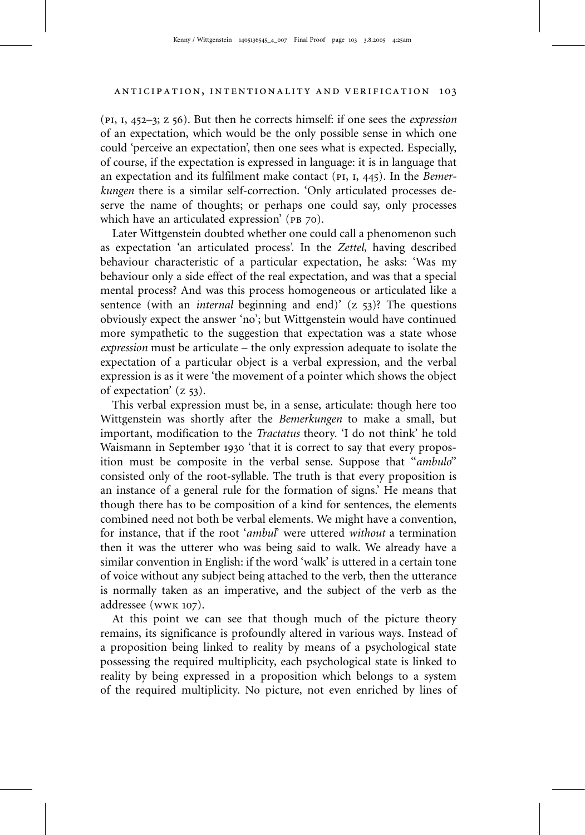$(p<sub>I</sub>, I, 452-3; Z 56)$ . But then he corrects himself: if one sees the *expression* of an expectation, which would be the only possible sense in which one could 'perceive an expectation', then one sees what is expected. Especially, of course, if the expectation is expressed in language: it is in language that an expectation and its fulfilment make contact (pi, i, 445). In the Bemerkungen there is a similar self-correction. 'Only articulated processes deserve the name of thoughts; or perhaps one could say, only processes which have an articulated expression' (PB 70).

Later Wittgenstein doubted whether one could call a phenomenon such as expectation 'an articulated process'. In the Zettel, having described behaviour characteristic of a particular expectation, he asks: 'Was my behaviour only a side effect of the real expectation, and was that a special mental process? And was this process homogeneous or articulated like a sentence (with an *internal* beginning and end)'  $(z, 53)$ ? The questions obviously expect the answer 'no'; but Wittgenstein would have continued more sympathetic to the suggestion that expectation was a state whose expression must be articulate – the only expression adequate to isolate the expectation of a particular object is a verbal expression, and the verbal expression is as it were 'the movement of a pointer which shows the object of expectation' (z 53).

This verbal expression must be, in a sense, articulate: though here too Wittgenstein was shortly after the Bemerkungen to make a small, but important, modification to the Tractatus theory. 'I do not think' he told Waismann in September 1930 'that it is correct to say that every proposition must be composite in the verbal sense. Suppose that ''ambulo'' consisted only of the root-syllable. The truth is that every proposition is an instance of a general rule for the formation of signs.' He means that though there has to be composition of a kind for sentences, the elements combined need not both be verbal elements. We might have a convention, for instance, that if the root 'ambul' were uttered without a termination then it was the utterer who was being said to walk. We already have a similar convention in English: if the word 'walk' is uttered in a certain tone of voice without any subject being attached to the verb, then the utterance is normally taken as an imperative, and the subject of the verb as the addressee (wwk 107).

At this point we can see that though much of the picture theory remains, its significance is profoundly altered in various ways. Instead of a proposition being linked to reality by means of a psychological state possessing the required multiplicity, each psychological state is linked to reality by being expressed in a proposition which belongs to a system of the required multiplicity. No picture, not even enriched by lines of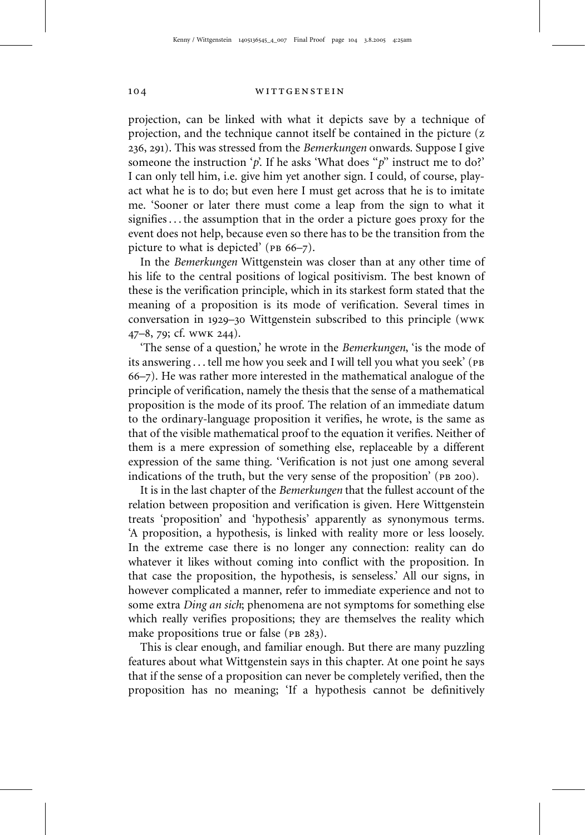projection, can be linked with what it depicts save by a technique of projection, and the technique cannot itself be contained in the picture (z 236, 291). This was stressed from the Bemerkungen onwards. Suppose I give someone the instruction 'p'. If he asks 'What does " $p$ " instruct me to do?' I can only tell him, i.e. give him yet another sign. I could, of course, playact what he is to do; but even here I must get across that he is to imitate me. 'Sooner or later there must come a leap from the sign to what it signifies . . . the assumption that in the order a picture goes proxy for the event does not help, because even so there has to be the transition from the picture to what is depicted' ( $PB 66–7$ ).

In the Bemerkungen Wittgenstein was closer than at any other time of his life to the central positions of logical positivism. The best known of these is the verification principle, which in its starkest form stated that the meaning of a proposition is its mode of verification. Several times in conversation in 1929–30 Wittgenstein subscribed to this principle (wwk 47–8, 79; cf. wwk 244).

'The sense of a question,' he wrote in the Bemerkungen, 'is the mode of its answering . . . tell me how you seek and I will tell you what you seek' (PB 66–7). He was rather more interested in the mathematical analogue of the principle of verification, namely the thesis that the sense of a mathematical proposition is the mode of its proof. The relation of an immediate datum to the ordinary-language proposition it verifies, he wrote, is the same as that of the visible mathematical proof to the equation it verifies. Neither of them is a mere expression of something else, replaceable by a different expression of the same thing. 'Verification is not just one among several indications of the truth, but the very sense of the proposition' (PB 200).

It is in the last chapter of the Bemerkungen that the fullest account of the relation between proposition and verification is given. Here Wittgenstein treats 'proposition' and 'hypothesis' apparently as synonymous terms. 'A proposition, a hypothesis, is linked with reality more or less loosely. In the extreme case there is no longer any connection: reality can do whatever it likes without coming into conflict with the proposition. In that case the proposition, the hypothesis, is senseless.' All our signs, in however complicated a manner, refer to immediate experience and not to some extra Ding an sich; phenomena are not symptoms for something else which really verifies propositions; they are themselves the reality which make propositions true or false ( $PB$  283).

This is clear enough, and familiar enough. But there are many puzzling features about what Wittgenstein says in this chapter. At one point he says that if the sense of a proposition can never be completely verified, then the proposition has no meaning; 'If a hypothesis cannot be definitively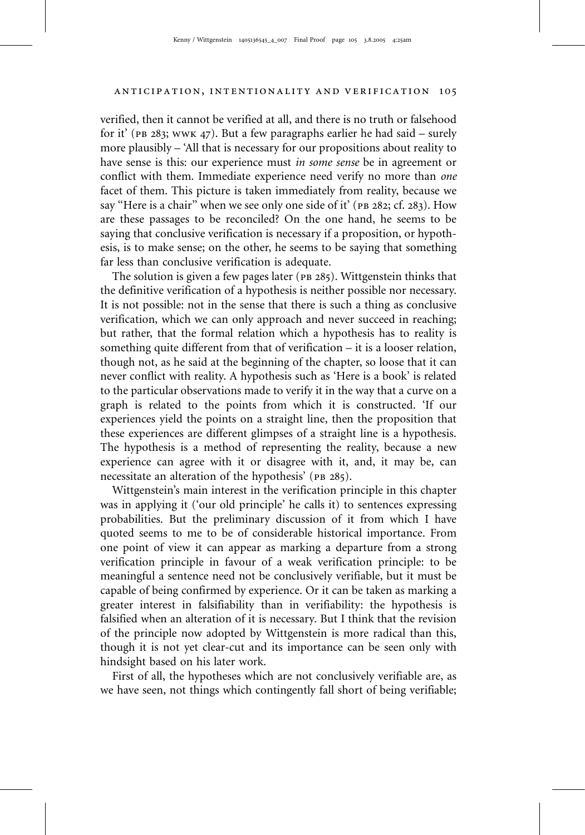verified, then it cannot be verified at all, and there is no truth or falsehood for it' (PB 283; WWK 47). But a few paragraphs earlier he had said – surely more plausibly – 'All that is necessary for our propositions about reality to have sense is this: our experience must in some sense be in agreement or conflict with them. Immediate experience need verify no more than one facet of them. This picture is taken immediately from reality, because we say "Here is a chair" when we see only one side of it' (PB 282; cf. 283). How are these passages to be reconciled? On the one hand, he seems to be saying that conclusive verification is necessary if a proposition, or hypothesis, is to make sense; on the other, he seems to be saying that something far less than conclusive verification is adequate.

The solution is given a few pages later ( $PB$  285). Wittgenstein thinks that the definitive verification of a hypothesis is neither possible nor necessary. It is not possible: not in the sense that there is such a thing as conclusive verification, which we can only approach and never succeed in reaching; but rather, that the formal relation which a hypothesis has to reality is something quite different from that of verification – it is a looser relation, though not, as he said at the beginning of the chapter, so loose that it can never conflict with reality. A hypothesis such as 'Here is a book' is related to the particular observations made to verify it in the way that a curve on a graph is related to the points from which it is constructed. 'If our experiences yield the points on a straight line, then the proposition that these experiences are different glimpses of a straight line is a hypothesis. The hypothesis is a method of representing the reality, because a new experience can agree with it or disagree with it, and, it may be, can necessitate an alteration of the hypothesis' (PB 285).

Wittgenstein's main interest in the verification principle in this chapter was in applying it ('our old principle' he calls it) to sentences expressing probabilities. But the preliminary discussion of it from which I have quoted seems to me to be of considerable historical importance. From one point of view it can appear as marking a departure from a strong verification principle in favour of a weak verification principle: to be meaningful a sentence need not be conclusively verifiable, but it must be capable of being confirmed by experience. Or it can be taken as marking a greater interest in falsifiability than in verifiability: the hypothesis is falsified when an alteration of it is necessary. But I think that the revision of the principle now adopted by Wittgenstein is more radical than this, though it is not yet clear-cut and its importance can be seen only with hindsight based on his later work.

First of all, the hypotheses which are not conclusively verifiable are, as we have seen, not things which contingently fall short of being verifiable;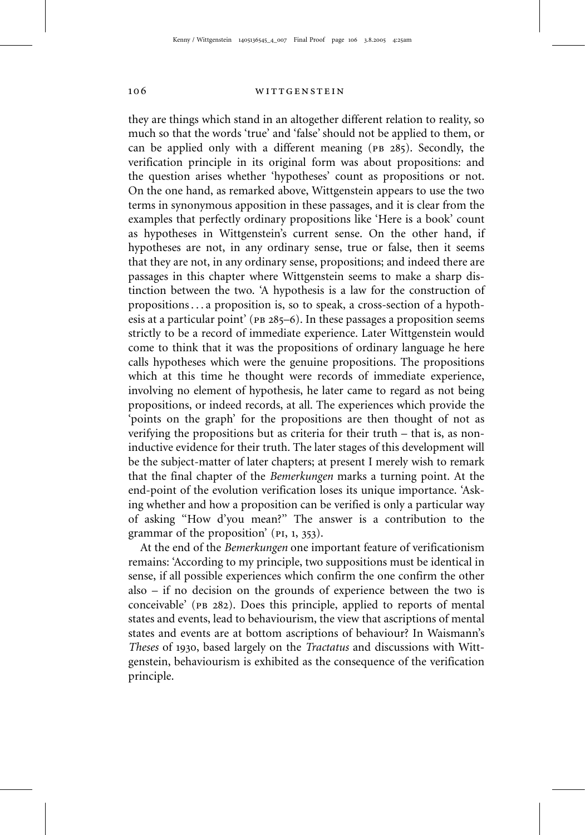they are things which stand in an altogether different relation to reality, so much so that the words 'true' and 'false' should not be applied to them, or can be applied only with a different meaning  $(pB 285)$ . Secondly, the verification principle in its original form was about propositions: and the question arises whether 'hypotheses' count as propositions or not. On the one hand, as remarked above, Wittgenstein appears to use the two terms in synonymous apposition in these passages, and it is clear from the examples that perfectly ordinary propositions like 'Here is a book' count as hypotheses in Wittgenstein's current sense. On the other hand, if hypotheses are not, in any ordinary sense, true or false, then it seems that they are not, in any ordinary sense, propositions; and indeed there are passages in this chapter where Wittgenstein seems to make a sharp distinction between the two. 'A hypothesis is a law for the construction of propositions. . . a proposition is, so to speak, a cross-section of a hypothesis at a particular point' (pb 285–6). In these passages a proposition seems strictly to be a record of immediate experience. Later Wittgenstein would come to think that it was the propositions of ordinary language he here calls hypotheses which were the genuine propositions. The propositions which at this time he thought were records of immediate experience, involving no element of hypothesis, he later came to regard as not being propositions, or indeed records, at all. The experiences which provide the 'points on the graph' for the propositions are then thought of not as verifying the propositions but as criteria for their truth – that is, as noninductive evidence for their truth. The later stages of this development will be the subject-matter of later chapters; at present I merely wish to remark that the final chapter of the Bemerkungen marks a turning point. At the end-point of the evolution verification loses its unique importance. 'Asking whether and how a proposition can be verified is only a particular way of asking ''How d'you mean?'' The answer is a contribution to the grammar of the proposition' (pi, 1, 353).

At the end of the Bemerkungen one important feature of verificationism remains: 'According to my principle, two suppositions must be identical in sense, if all possible experiences which confirm the one confirm the other also – if no decision on the grounds of experience between the two is conceivable' (pb 282). Does this principle, applied to reports of mental states and events, lead to behaviourism, the view that ascriptions of mental states and events are at bottom ascriptions of behaviour? In Waismann's Theses of 1930, based largely on the Tractatus and discussions with Wittgenstein, behaviourism is exhibited as the consequence of the verification principle.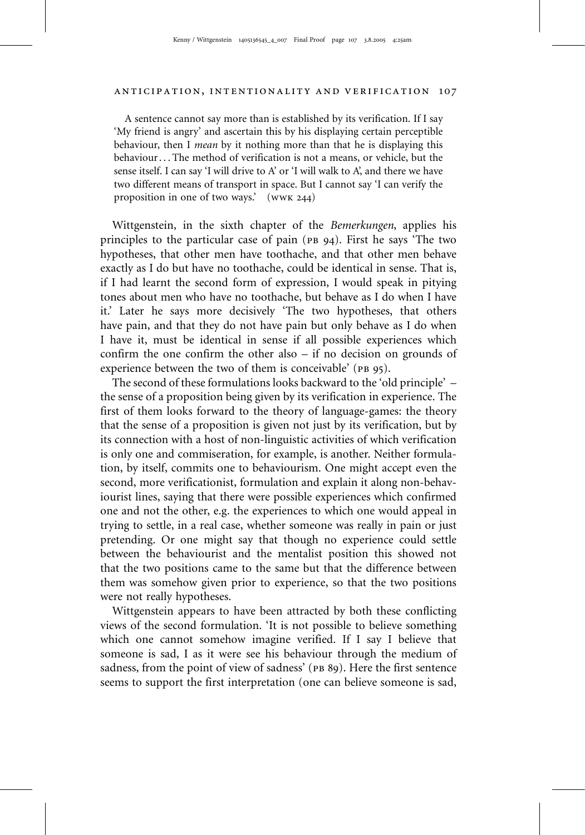A sentence cannot say more than is established by its verification. If I say 'My friend is angry' and ascertain this by his displaying certain perceptible behaviour, then I mean by it nothing more than that he is displaying this behaviour ... The method of verification is not a means, or vehicle, but the sense itself. I can say 'I will drive to A' or 'I will walk to A', and there we have two different means of transport in space. But I cannot say 'I can verify the proposition in one of two ways.' (wwk 244)

Wittgenstein, in the sixth chapter of the Bemerkungen, applies his principles to the particular case of pain (PB 94). First he says 'The two hypotheses, that other men have toothache, and that other men behave exactly as I do but have no toothache, could be identical in sense. That is, if I had learnt the second form of expression, I would speak in pitying tones about men who have no toothache, but behave as I do when I have it.' Later he says more decisively 'The two hypotheses, that others have pain, and that they do not have pain but only behave as I do when I have it, must be identical in sense if all possible experiences which confirm the one confirm the other also – if no decision on grounds of experience between the two of them is conceivable' (PB 95).

The second of these formulations looks backward to the 'old principle' – the sense of a proposition being given by its verification in experience. The first of them looks forward to the theory of language-games: the theory that the sense of a proposition is given not just by its verification, but by its connection with a host of non-linguistic activities of which verification is only one and commiseration, for example, is another. Neither formulation, by itself, commits one to behaviourism. One might accept even the second, more verificationist, formulation and explain it along non-behaviourist lines, saying that there were possible experiences which confirmed one and not the other, e.g. the experiences to which one would appeal in trying to settle, in a real case, whether someone was really in pain or just pretending. Or one might say that though no experience could settle between the behaviourist and the mentalist position this showed not that the two positions came to the same but that the difference between them was somehow given prior to experience, so that the two positions were not really hypotheses.

Wittgenstein appears to have been attracted by both these conflicting views of the second formulation. 'It is not possible to believe something which one cannot somehow imagine verified. If I say I believe that someone is sad, I as it were see his behaviour through the medium of sadness, from the point of view of sadness' (PB 89). Here the first sentence seems to support the first interpretation (one can believe someone is sad,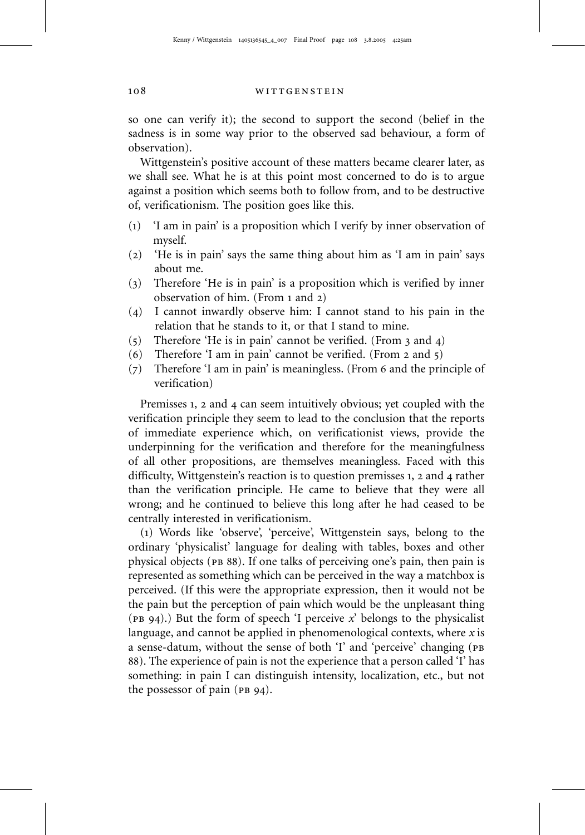so one can verify it); the second to support the second (belief in the sadness is in some way prior to the observed sad behaviour, a form of observation).

Wittgenstein's positive account of these matters became clearer later, as we shall see. What he is at this point most concerned to do is to argue against a position which seems both to follow from, and to be destructive of, verificationism. The position goes like this.

- (1) 'I am in pain' is a proposition which I verify by inner observation of myself.
- (2) 'He is in pain' says the same thing about him as 'I am in pain' says about me.
- (3) Therefore 'He is in pain' is a proposition which is verified by inner observation of him. (From 1 and 2)
- (4) I cannot inwardly observe him: I cannot stand to his pain in the relation that he stands to it, or that I stand to mine.
- (5) Therefore 'He is in pain' cannot be verified. (From 3 and 4)
- (6) Therefore 'I am in pain' cannot be verified. (From 2 and 5)
- (7) Therefore 'I am in pain' is meaningless. (From 6 and the principle of verification)

Premisses 1, 2 and 4 can seem intuitively obvious; yet coupled with the verification principle they seem to lead to the conclusion that the reports of immediate experience which, on verificationist views, provide the underpinning for the verification and therefore for the meaningfulness of all other propositions, are themselves meaningless. Faced with this difficulty, Wittgenstein's reaction is to question premisses 1, 2 and 4 rather than the verification principle. He came to believe that they were all wrong; and he continued to believe this long after he had ceased to be centrally interested in verificationism.

(1) Words like 'observe', 'perceive', Wittgenstein says, belong to the ordinary 'physicalist' language for dealing with tables, boxes and other physical objects (pb 88). If one talks of perceiving one's pain, then pain is represented as something which can be perceived in the way a matchbox is perceived. (If this were the appropriate expression, then it would not be the pain but the perception of pain which would be the unpleasant thing (PB 94).) But the form of speech 'I perceive  $x'$  belongs to the physicalist language, and cannot be applied in phenomenological contexts, where  $x$  is a sense-datum, without the sense of both 'I' and 'perceive' changing (pb 88). The experience of pain is not the experience that a person called 'I' has something: in pain I can distinguish intensity, localization, etc., but not the possessor of pain ( $PB$  94).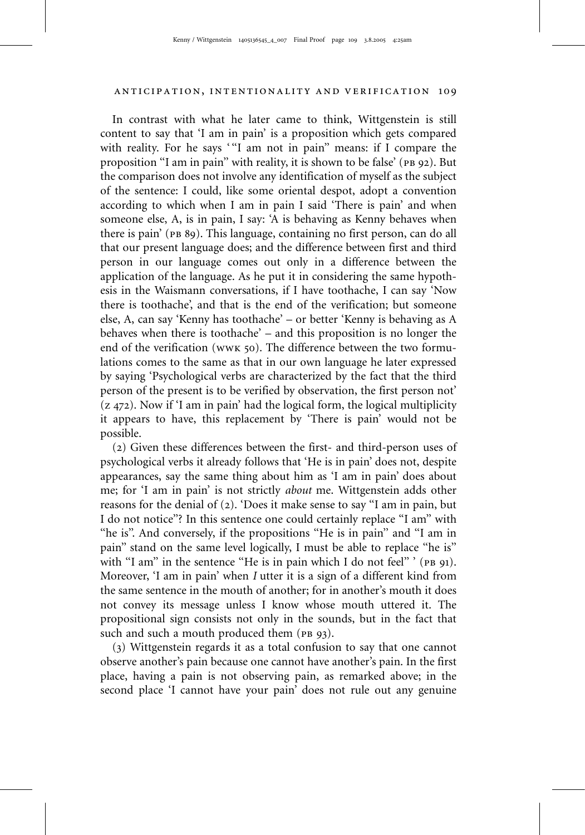In contrast with what he later came to think, Wittgenstein is still content to say that 'I am in pain' is a proposition which gets compared with reality. For he says ""I am not in pain" means: if I compare the proposition "I am in pain" with reality, it is shown to be false' (PB 92). But the comparison does not involve any identification of myself as the subject of the sentence: I could, like some oriental despot, adopt a convention according to which when I am in pain I said 'There is pain' and when someone else, A, is in pain, I say: 'A is behaving as Kenny behaves when there is pain' (pb 89). This language, containing no first person, can do all that our present language does; and the difference between first and third person in our language comes out only in a difference between the application of the language. As he put it in considering the same hypothesis in the Waismann conversations, if I have toothache, I can say 'Now there is toothache', and that is the end of the verification; but someone else, A, can say 'Kenny has toothache' – or better 'Kenny is behaving as A behaves when there is toothache' – and this proposition is no longer the end of the verification (wwk 50). The difference between the two formulations comes to the same as that in our own language he later expressed by saying 'Psychological verbs are characterized by the fact that the third person of the present is to be verified by observation, the first person not' (z 472). Now if 'I am in pain' had the logical form, the logical multiplicity it appears to have, this replacement by 'There is pain' would not be possible.

(2) Given these differences between the first- and third-person uses of psychological verbs it already follows that 'He is in pain' does not, despite appearances, say the same thing about him as 'I am in pain' does about me; for 'I am in pain' is not strictly about me. Wittgenstein adds other reasons for the denial of (2). 'Does it make sense to say ''I am in pain, but I do not notice''? In this sentence one could certainly replace ''I am'' with "he is". And conversely, if the propositions "He is in pain" and "I am in pain" stand on the same level logically, I must be able to replace "he is" with "I am" in the sentence "He is in pain which I do not feel" ' (PB 91). Moreover, 'I am in pain' when I utter it is a sign of a different kind from the same sentence in the mouth of another; for in another's mouth it does not convey its message unless I know whose mouth uttered it. The propositional sign consists not only in the sounds, but in the fact that such and such a mouth produced them (PB 93).

(3) Wittgenstein regards it as a total confusion to say that one cannot observe another's pain because one cannot have another's pain. In the first place, having a pain is not observing pain, as remarked above; in the second place 'I cannot have your pain' does not rule out any genuine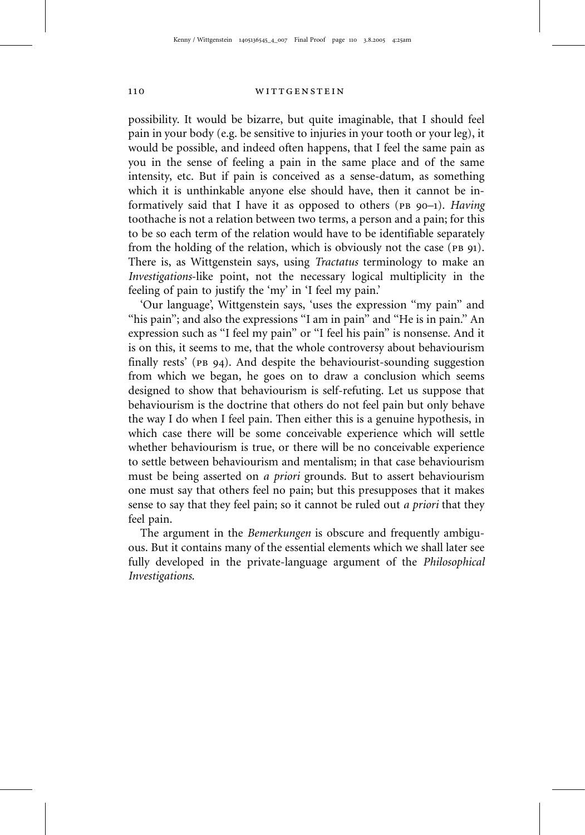possibility. It would be bizarre, but quite imaginable, that I should feel pain in your body (e.g. be sensitive to injuries in your tooth or your leg), it would be possible, and indeed often happens, that I feel the same pain as you in the sense of feeling a pain in the same place and of the same intensity, etc. But if pain is conceived as a sense-datum, as something which it is unthinkable anyone else should have, then it cannot be informatively said that I have it as opposed to others ( $PB$  90–1). Having toothache is not a relation between two terms, a person and a pain; for this to be so each term of the relation would have to be identifiable separately from the holding of the relation, which is obviously not the case (PB 91). There is, as Wittgenstein says, using Tractatus terminology to make an Investigations-like point, not the necessary logical multiplicity in the feeling of pain to justify the 'my' in 'I feel my pain.'

'Our language', Wittgenstein says, 'uses the expression ''my pain'' and "his pain"; and also the expressions "I am in pain" and "He is in pain." An expression such as ''I feel my pain'' or ''I feel his pain'' is nonsense. And it is on this, it seems to me, that the whole controversy about behaviourism finally rests' (pb 94). And despite the behaviourist-sounding suggestion from which we began, he goes on to draw a conclusion which seems designed to show that behaviourism is self-refuting. Let us suppose that behaviourism is the doctrine that others do not feel pain but only behave the way I do when I feel pain. Then either this is a genuine hypothesis, in which case there will be some conceivable experience which will settle whether behaviourism is true, or there will be no conceivable experience to settle between behaviourism and mentalism; in that case behaviourism must be being asserted on a priori grounds. But to assert behaviourism one must say that others feel no pain; but this presupposes that it makes sense to say that they feel pain; so it cannot be ruled out a priori that they feel pain.

The argument in the Bemerkungen is obscure and frequently ambiguous. But it contains many of the essential elements which we shall later see fully developed in the private-language argument of the Philosophical Investigations.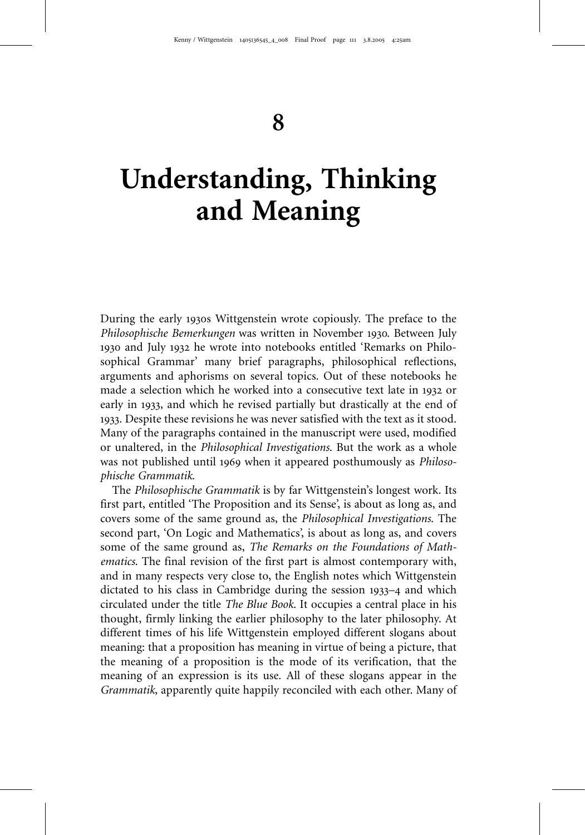## Understanding, Thinking and Meaning

During the early 1930s Wittgenstein wrote copiously. The preface to the Philosophische Bemerkungen was written in November 1930. Between July 1930 and July 1932 he wrote into notebooks entitled 'Remarks on Philosophical Grammar' many brief paragraphs, philosophical reflections, arguments and aphorisms on several topics. Out of these notebooks he made a selection which he worked into a consecutive text late in 1932 or early in 1933, and which he revised partially but drastically at the end of 1933. Despite these revisions he was never satisfied with the text as it stood. Many of the paragraphs contained in the manuscript were used, modified or unaltered, in the Philosophical Investigations. But the work as a whole was not published until 1969 when it appeared posthumously as Philosophische Grammatik.

The Philosophische Grammatik is by far Wittgenstein's longest work. Its first part, entitled 'The Proposition and its Sense', is about as long as, and covers some of the same ground as, the Philosophical Investigations. The second part, 'On Logic and Mathematics', is about as long as, and covers some of the same ground as, The Remarks on the Foundations of Mathematics. The final revision of the first part is almost contemporary with, and in many respects very close to, the English notes which Wittgenstein dictated to his class in Cambridge during the session 1933–4 and which circulated under the title The Blue Book. It occupies a central place in his thought, firmly linking the earlier philosophy to the later philosophy. At different times of his life Wittgenstein employed different slogans about meaning: that a proposition has meaning in virtue of being a picture, that the meaning of a proposition is the mode of its verification, that the meaning of an expression is its use. All of these slogans appear in the Grammatik, apparently quite happily reconciled with each other. Many of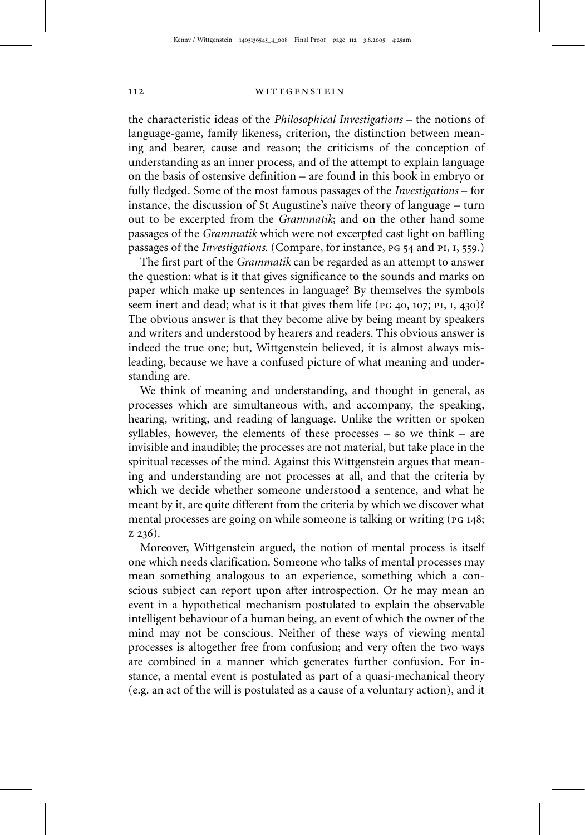the characteristic ideas of the Philosophical Investigations – the notions of language-game, family likeness, criterion, the distinction between meaning and bearer, cause and reason; the criticisms of the conception of understanding as an inner process, and of the attempt to explain language on the basis of ostensive definition – are found in this book in embryo or fully fledged. Some of the most famous passages of the Investigations – for instance, the discussion of St Augustine's naïve theory of language – turn out to be excerpted from the Grammatik; and on the other hand some passages of the Grammatik which were not excerpted cast light on baffling passages of the Investigations. (Compare, for instance, pg 54 and pi, i, 559.)

The first part of the Grammatik can be regarded as an attempt to answer the question: what is it that gives significance to the sounds and marks on paper which make up sentences in language? By themselves the symbols seem inert and dead; what is it that gives them life (PG 40, 107; PI, I, 430)? The obvious answer is that they become alive by being meant by speakers and writers and understood by hearers and readers. This obvious answer is indeed the true one; but, Wittgenstein believed, it is almost always misleading, because we have a confused picture of what meaning and understanding are.

We think of meaning and understanding, and thought in general, as processes which are simultaneous with, and accompany, the speaking, hearing, writing, and reading of language. Unlike the written or spoken syllables, however, the elements of these processes – so we think – are invisible and inaudible; the processes are not material, but take place in the spiritual recesses of the mind. Against this Wittgenstein argues that meaning and understanding are not processes at all, and that the criteria by which we decide whether someone understood a sentence, and what he meant by it, are quite different from the criteria by which we discover what mental processes are going on while someone is talking or writing (pg 148; z 236).

Moreover, Wittgenstein argued, the notion of mental process is itself one which needs clarification. Someone who talks of mental processes may mean something analogous to an experience, something which a conscious subject can report upon after introspection. Or he may mean an event in a hypothetical mechanism postulated to explain the observable intelligent behaviour of a human being, an event of which the owner of the mind may not be conscious. Neither of these ways of viewing mental processes is altogether free from confusion; and very often the two ways are combined in a manner which generates further confusion. For instance, a mental event is postulated as part of a quasi-mechanical theory (e.g. an act of the will is postulated as a cause of a voluntary action), and it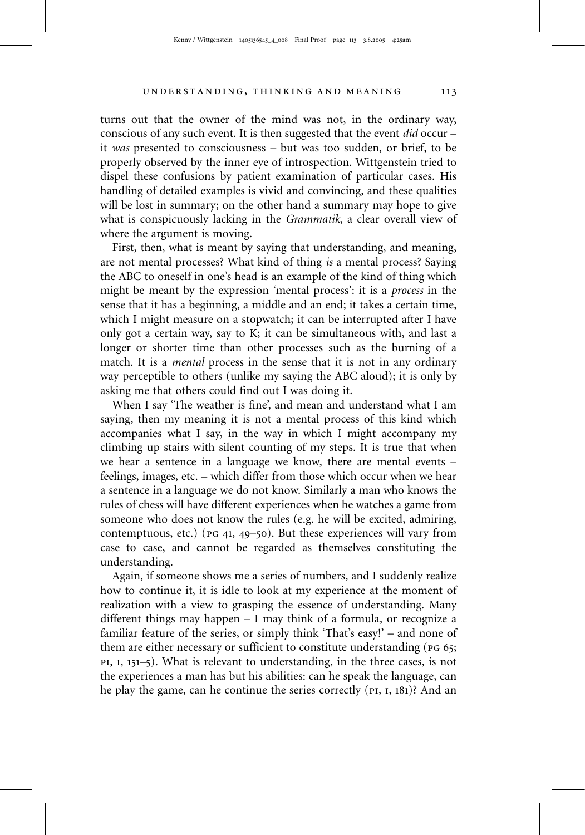turns out that the owner of the mind was not, in the ordinary way, conscious of any such event. It is then suggested that the event did occur – it was presented to consciousness – but was too sudden, or brief, to be properly observed by the inner eye of introspection. Wittgenstein tried to dispel these confusions by patient examination of particular cases. His handling of detailed examples is vivid and convincing, and these qualities will be lost in summary; on the other hand a summary may hope to give what is conspicuously lacking in the Grammatik, a clear overall view of where the argument is moving.

First, then, what is meant by saying that understanding, and meaning, are not mental processes? What kind of thing is a mental process? Saying the ABC to oneself in one's head is an example of the kind of thing which might be meant by the expression 'mental process': it is a process in the sense that it has a beginning, a middle and an end; it takes a certain time, which I might measure on a stopwatch; it can be interrupted after I have only got a certain way, say to K; it can be simultaneous with, and last a longer or shorter time than other processes such as the burning of a match. It is a mental process in the sense that it is not in any ordinary way perceptible to others (unlike my saying the ABC aloud); it is only by asking me that others could find out I was doing it.

When I say 'The weather is fine', and mean and understand what I am saying, then my meaning it is not a mental process of this kind which accompanies what I say, in the way in which I might accompany my climbing up stairs with silent counting of my steps. It is true that when we hear a sentence in a language we know, there are mental events – feelings, images, etc. – which differ from those which occur when we hear a sentence in a language we do not know. Similarly a man who knows the rules of chess will have different experiences when he watches a game from someone who does not know the rules (e.g. he will be excited, admiring, contemptuous, etc.) (pg 41, 49–50). But these experiences will vary from case to case, and cannot be regarded as themselves constituting the understanding.

Again, if someone shows me a series of numbers, and I suddenly realize how to continue it, it is idle to look at my experience at the moment of realization with a view to grasping the essence of understanding. Many different things may happen – I may think of a formula, or recognize a familiar feature of the series, or simply think 'That's easy!' – and none of them are either necessary or sufficient to constitute understanding (PG 65; pi, i, 151–5). What is relevant to understanding, in the three cases, is not the experiences a man has but his abilities: can he speak the language, can he play the game, can he continue the series correctly (pi, i, 181)? And an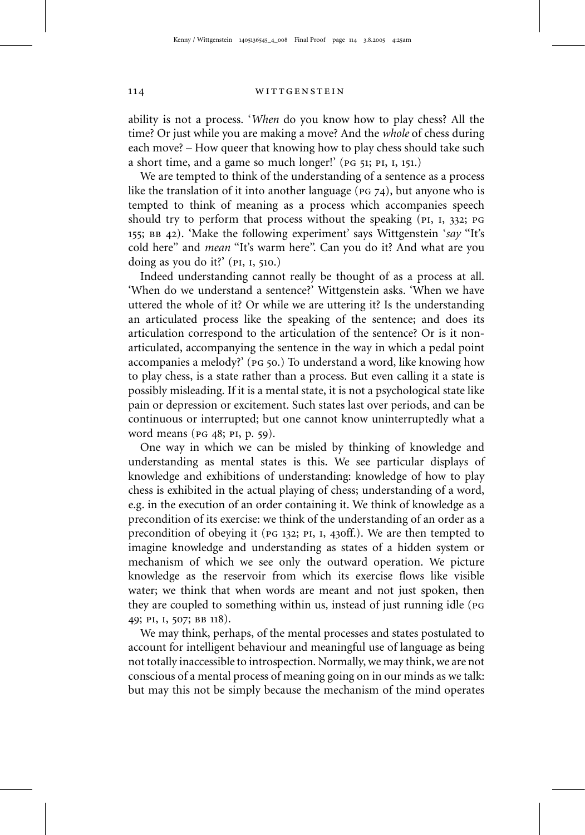ability is not a process. 'When do you know how to play chess? All the time? Or just while you are making a move? And the whole of chess during each move? – How queer that knowing how to play chess should take such a short time, and a game so much longer!' (pg 51; pi, i, 151.)

We are tempted to think of the understanding of a sentence as a process like the translation of it into another language (pg 74), but anyone who is tempted to think of meaning as a process which accompanies speech should try to perform that process without the speaking  $(p_1, p_1, q_2; p_1, q_2; p_2, q_3)$ 155; bb 42). 'Make the following experiment' says Wittgenstein 'say ''It's cold here'' and mean ''It's warm here''. Can you do it? And what are you doing as you do it?' (PI, I, 510.)

Indeed understanding cannot really be thought of as a process at all. 'When do we understand a sentence?' Wittgenstein asks. 'When we have uttered the whole of it? Or while we are uttering it? Is the understanding an articulated process like the speaking of the sentence; and does its articulation correspond to the articulation of the sentence? Or is it nonarticulated, accompanying the sentence in the way in which a pedal point accompanies a melody?' (pg 50.) To understand a word, like knowing how to play chess, is a state rather than a process. But even calling it a state is possibly misleading. If it is a mental state, it is not a psychological state like pain or depression or excitement. Such states last over periods, and can be continuous or interrupted; but one cannot know uninterruptedly what a word means (pg 48; pi, p. 59).

One way in which we can be misled by thinking of knowledge and understanding as mental states is this. We see particular displays of knowledge and exhibitions of understanding: knowledge of how to play chess is exhibited in the actual playing of chess; understanding of a word, e.g. in the execution of an order containing it. We think of knowledge as a precondition of its exercise: we think of the understanding of an order as a precondition of obeying it (pg 132; pi, i, 430ff.). We are then tempted to imagine knowledge and understanding as states of a hidden system or mechanism of which we see only the outward operation. We picture knowledge as the reservoir from which its exercise flows like visible water; we think that when words are meant and not just spoken, then they are coupled to something within us, instead of just running idle (pg 49; pi, i, 507; bb 118).

We may think, perhaps, of the mental processes and states postulated to account for intelligent behaviour and meaningful use of language as being not totally inaccessible to introspection. Normally, we may think, we are not conscious of a mental process of meaning going on in our minds as we talk: but may this not be simply because the mechanism of the mind operates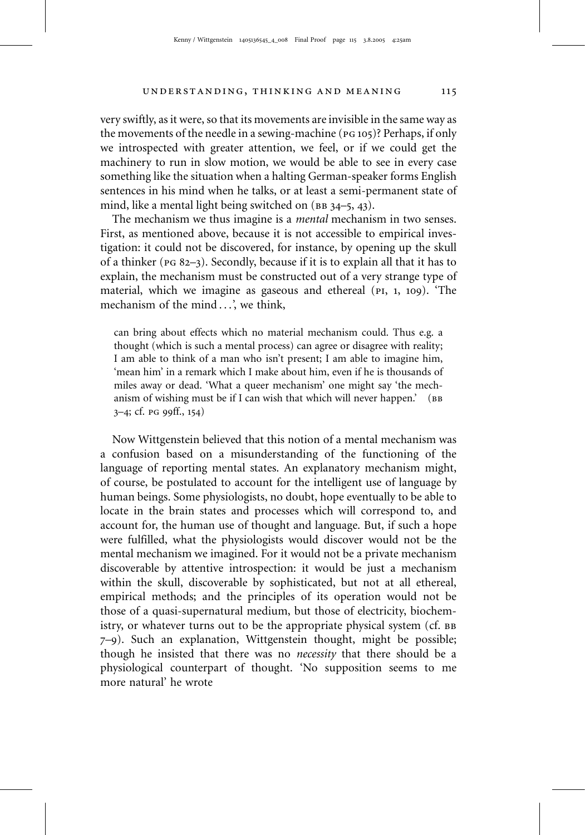very swiftly, as it were, so that its movements are invisible in the same way as the movements of the needle in a sewing-machine (pg 105)? Perhaps, if only we introspected with greater attention, we feel, or if we could get the machinery to run in slow motion, we would be able to see in every case something like the situation when a halting German-speaker forms English sentences in his mind when he talks, or at least a semi-permanent state of mind, like a mental light being switched on  $(BB 34-5, 43)$ .

The mechanism we thus imagine is a *mental* mechanism in two senses. First, as mentioned above, because it is not accessible to empirical investigation: it could not be discovered, for instance, by opening up the skull of a thinker (pg 82–3). Secondly, because if it is to explain all that it has to explain, the mechanism must be constructed out of a very strange type of material, which we imagine as gaseous and ethereal (pi, 1, 109). 'The mechanism of the mind . . .', we think,

can bring about effects which no material mechanism could. Thus e.g. a thought (which is such a mental process) can agree or disagree with reality; I am able to think of a man who isn't present; I am able to imagine him, 'mean him' in a remark which I make about him, even if he is thousands of miles away or dead. 'What a queer mechanism' one might say 'the mechanism of wishing must be if I can wish that which will never happen.' (BB 3–4; cf. pg 99ff., 154)

Now Wittgenstein believed that this notion of a mental mechanism was a confusion based on a misunderstanding of the functioning of the language of reporting mental states. An explanatory mechanism might, of course, be postulated to account for the intelligent use of language by human beings. Some physiologists, no doubt, hope eventually to be able to locate in the brain states and processes which will correspond to, and account for, the human use of thought and language. But, if such a hope were fulfilled, what the physiologists would discover would not be the mental mechanism we imagined. For it would not be a private mechanism discoverable by attentive introspection: it would be just a mechanism within the skull, discoverable by sophisticated, but not at all ethereal, empirical methods; and the principles of its operation would not be those of a quasi-supernatural medium, but those of electricity, biochemistry, or whatever turns out to be the appropriate physical system (cf. BB 7–9). Such an explanation, Wittgenstein thought, might be possible; though he insisted that there was no necessity that there should be a physiological counterpart of thought. 'No supposition seems to me more natural' he wrote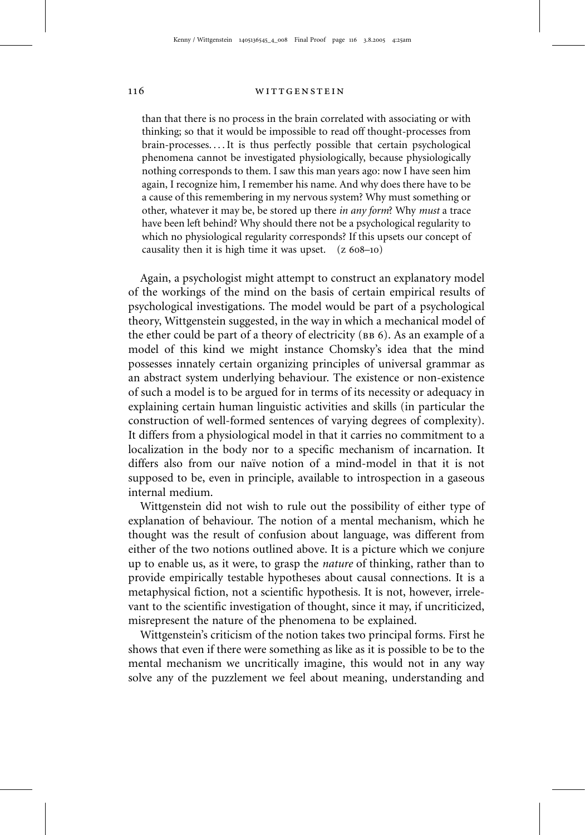than that there is no process in the brain correlated with associating or with thinking; so that it would be impossible to read off thought-processes from brain-processes. . . . It is thus perfectly possible that certain psychological phenomena cannot be investigated physiologically, because physiologically nothing corresponds to them. I saw this man years ago: now I have seen him again, I recognize him, I remember his name. And why does there have to be a cause of this remembering in my nervous system? Why must something or other, whatever it may be, be stored up there in any form? Why must a trace have been left behind? Why should there not be a psychological regularity to which no physiological regularity corresponds? If this upsets our concept of causality then it is high time it was upset. (z 608–10)

Again, a psychologist might attempt to construct an explanatory model of the workings of the mind on the basis of certain empirical results of psychological investigations. The model would be part of a psychological theory, Wittgenstein suggested, in the way in which a mechanical model of the ether could be part of a theory of electricity  $(BB 6)$ . As an example of a model of this kind we might instance Chomsky's idea that the mind possesses innately certain organizing principles of universal grammar as an abstract system underlying behaviour. The existence or non-existence of such a model is to be argued for in terms of its necessity or adequacy in explaining certain human linguistic activities and skills (in particular the construction of well-formed sentences of varying degrees of complexity). It differs from a physiological model in that it carries no commitment to a localization in the body nor to a specific mechanism of incarnation. It differs also from our naïve notion of a mind-model in that it is not supposed to be, even in principle, available to introspection in a gaseous internal medium.

Wittgenstein did not wish to rule out the possibility of either type of explanation of behaviour. The notion of a mental mechanism, which he thought was the result of confusion about language, was different from either of the two notions outlined above. It is a picture which we conjure up to enable us, as it were, to grasp the nature of thinking, rather than to provide empirically testable hypotheses about causal connections. It is a metaphysical fiction, not a scientific hypothesis. It is not, however, irrelevant to the scientific investigation of thought, since it may, if uncriticized, misrepresent the nature of the phenomena to be explained.

Wittgenstein's criticism of the notion takes two principal forms. First he shows that even if there were something as like as it is possible to be to the mental mechanism we uncritically imagine, this would not in any way solve any of the puzzlement we feel about meaning, understanding and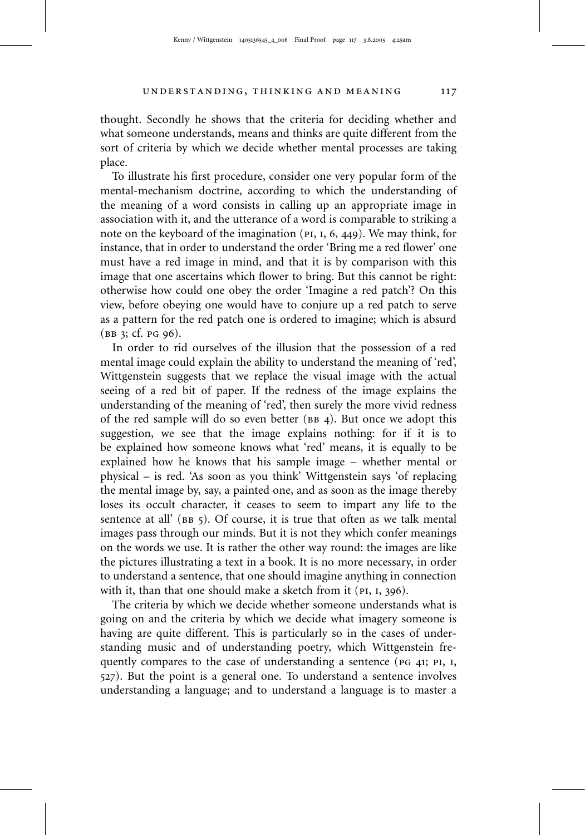thought. Secondly he shows that the criteria for deciding whether and what someone understands, means and thinks are quite different from the sort of criteria by which we decide whether mental processes are taking place.

To illustrate his first procedure, consider one very popular form of the mental-mechanism doctrine, according to which the understanding of the meaning of a word consists in calling up an appropriate image in association with it, and the utterance of a word is comparable to striking a note on the keyboard of the imagination (pi, i, 6, 449). We may think, for instance, that in order to understand the order 'Bring me a red flower' one must have a red image in mind, and that it is by comparison with this image that one ascertains which flower to bring. But this cannot be right: otherwise how could one obey the order 'Imagine a red patch'? On this view, before obeying one would have to conjure up a red patch to serve as a pattern for the red patch one is ordered to imagine; which is absurd  $(BB 3; cf. PG 96).$ 

In order to rid ourselves of the illusion that the possession of a red mental image could explain the ability to understand the meaning of 'red', Wittgenstein suggests that we replace the visual image with the actual seeing of a red bit of paper. If the redness of the image explains the understanding of the meaning of 'red', then surely the more vivid redness of the red sample will do so even better  $(BB 4)$ . But once we adopt this suggestion, we see that the image explains nothing: for if it is to be explained how someone knows what 'red' means, it is equally to be explained how he knows that his sample image – whether mental or physical – is red. 'As soon as you think' Wittgenstein says 'of replacing the mental image by, say, a painted one, and as soon as the image thereby loses its occult character, it ceases to seem to impart any life to the sentence at all'  $(BB 5)$ . Of course, it is true that often as we talk mental images pass through our minds. But it is not they which confer meanings on the words we use. It is rather the other way round: the images are like the pictures illustrating a text in a book. It is no more necessary, in order to understand a sentence, that one should imagine anything in connection with it, than that one should make a sketch from it (PI, I, 396).

The criteria by which we decide whether someone understands what is going on and the criteria by which we decide what imagery someone is having are quite different. This is particularly so in the cases of understanding music and of understanding poetry, which Wittgenstein frequently compares to the case of understanding a sentence (pg 41; pi, i, 527). But the point is a general one. To understand a sentence involves understanding a language; and to understand a language is to master a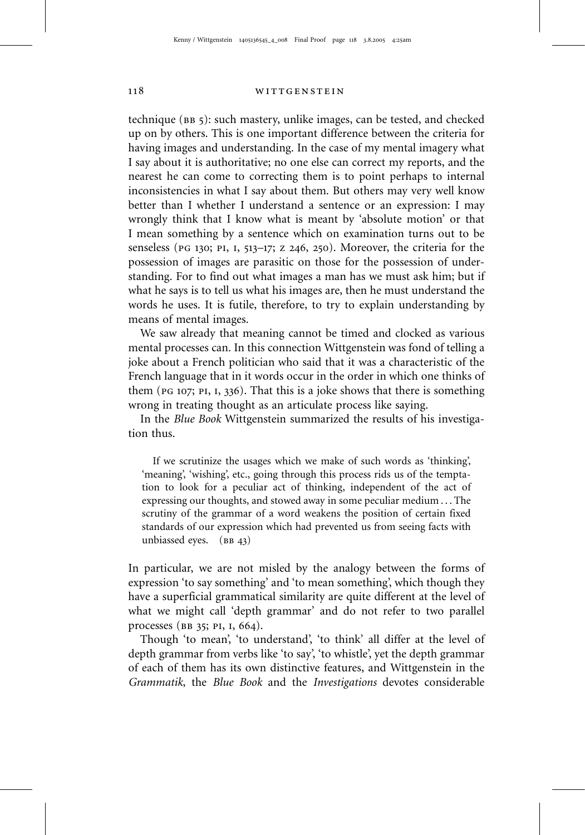technique (bb 5): such mastery, unlike images, can be tested, and checked up on by others. This is one important difference between the criteria for having images and understanding. In the case of my mental imagery what I say about it is authoritative; no one else can correct my reports, and the nearest he can come to correcting them is to point perhaps to internal inconsistencies in what I say about them. But others may very well know better than I whether I understand a sentence or an expression: I may wrongly think that I know what is meant by 'absolute motion' or that I mean something by a sentence which on examination turns out to be senseless ( $PG 130$ ;  $PI$ ,  $I$ ,  $513–17$ ;  $Z 246$ ,  $250$ ). Moreover, the criteria for the possession of images are parasitic on those for the possession of understanding. For to find out what images a man has we must ask him; but if what he says is to tell us what his images are, then he must understand the words he uses. It is futile, therefore, to try to explain understanding by means of mental images.

We saw already that meaning cannot be timed and clocked as various mental processes can. In this connection Wittgenstein was fond of telling a joke about a French politician who said that it was a characteristic of the French language that in it words occur in the order in which one thinks of them (pg 107; pi, i, 336). That this is a joke shows that there is something wrong in treating thought as an articulate process like saying.

In the Blue Book Wittgenstein summarized the results of his investigation thus.

If we scrutinize the usages which we make of such words as 'thinking', 'meaning', 'wishing', etc., going through this process rids us of the temptation to look for a peculiar act of thinking, independent of the act of expressing our thoughts, and stowed away in some peculiar medium . . . The scrutiny of the grammar of a word weakens the position of certain fixed standards of our expression which had prevented us from seeing facts with unbiassed eyes. (BB 43)

In particular, we are not misled by the analogy between the forms of expression 'to say something' and 'to mean something', which though they have a superficial grammatical similarity are quite different at the level of what we might call 'depth grammar' and do not refer to two parallel processes (bb 35; pi, i, 664).

Though 'to mean', 'to understand', 'to think' all differ at the level of depth grammar from verbs like 'to say', 'to whistle', yet the depth grammar of each of them has its own distinctive features, and Wittgenstein in the Grammatik, the Blue Book and the Investigations devotes considerable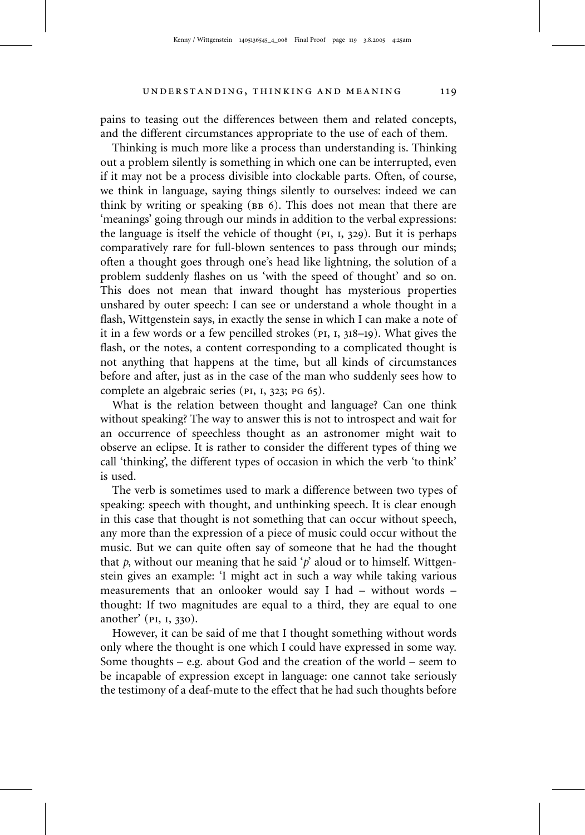pains to teasing out the differences between them and related concepts, and the different circumstances appropriate to the use of each of them.

Thinking is much more like a process than understanding is. Thinking out a problem silently is something in which one can be interrupted, even if it may not be a process divisible into clockable parts. Often, of course, we think in language, saying things silently to ourselves: indeed we can think by writing or speaking (bb 6). This does not mean that there are 'meanings' going through our minds in addition to the verbal expressions: the language is itself the vehicle of thought (pi, i, 329). But it is perhaps comparatively rare for full-blown sentences to pass through our minds; often a thought goes through one's head like lightning, the solution of a problem suddenly flashes on us 'with the speed of thought' and so on. This does not mean that inward thought has mysterious properties unshared by outer speech: I can see or understand a whole thought in a flash, Wittgenstein says, in exactly the sense in which I can make a note of it in a few words or a few pencilled strokes (pi, i, 318–19). What gives the flash, or the notes, a content corresponding to a complicated thought is not anything that happens at the time, but all kinds of circumstances before and after, just as in the case of the man who suddenly sees how to complete an algebraic series (pi, i, 323; pg 65).

What is the relation between thought and language? Can one think without speaking? The way to answer this is not to introspect and wait for an occurrence of speechless thought as an astronomer might wait to observe an eclipse. It is rather to consider the different types of thing we call 'thinking', the different types of occasion in which the verb 'to think' is used.

The verb is sometimes used to mark a difference between two types of speaking: speech with thought, and unthinking speech. It is clear enough in this case that thought is not something that can occur without speech, any more than the expression of a piece of music could occur without the music. But we can quite often say of someone that he had the thought that p, without our meaning that he said  $\hat{p}$  aloud or to himself. Wittgenstein gives an example: 'I might act in such a way while taking various measurements that an onlooker would say I had – without words – thought: If two magnitudes are equal to a third, they are equal to one another' (pi, i, 330).

However, it can be said of me that I thought something without words only where the thought is one which I could have expressed in some way. Some thoughts – e.g. about God and the creation of the world – seem to be incapable of expression except in language: one cannot take seriously the testimony of a deaf-mute to the effect that he had such thoughts before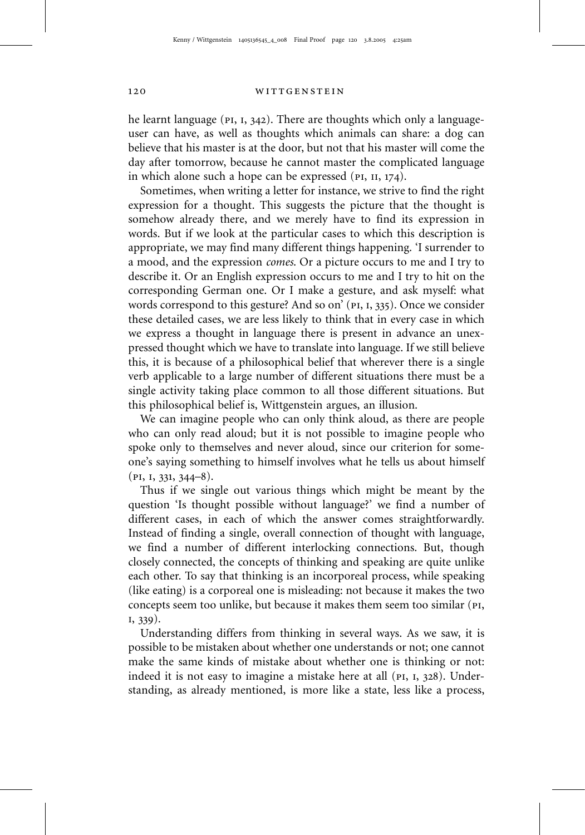he learnt language (pi, i, 342). There are thoughts which only a languageuser can have, as well as thoughts which animals can share: a dog can believe that his master is at the door, but not that his master will come the day after tomorrow, because he cannot master the complicated language in which alone such a hope can be expressed  $(p<sub>I</sub>, 1<sub>I</sub>, 174)$ .

Sometimes, when writing a letter for instance, we strive to find the right expression for a thought. This suggests the picture that the thought is somehow already there, and we merely have to find its expression in words. But if we look at the particular cases to which this description is appropriate, we may find many different things happening. 'I surrender to a mood, and the expression comes. Or a picture occurs to me and I try to describe it. Or an English expression occurs to me and I try to hit on the corresponding German one. Or I make a gesture, and ask myself: what words correspond to this gesture? And so on' (pi, i, 335). Once we consider these detailed cases, we are less likely to think that in every case in which we express a thought in language there is present in advance an unexpressed thought which we have to translate into language. If we still believe this, it is because of a philosophical belief that wherever there is a single verb applicable to a large number of different situations there must be a single activity taking place common to all those different situations. But this philosophical belief is, Wittgenstein argues, an illusion.

We can imagine people who can only think aloud, as there are people who can only read aloud; but it is not possible to imagine people who spoke only to themselves and never aloud, since our criterion for someone's saying something to himself involves what he tells us about himself  $(pI, I, 331, 344-8).$ 

Thus if we single out various things which might be meant by the question 'Is thought possible without language?' we find a number of different cases, in each of which the answer comes straightforwardly. Instead of finding a single, overall connection of thought with language, we find a number of different interlocking connections. But, though closely connected, the concepts of thinking and speaking are quite unlike each other. To say that thinking is an incorporeal process, while speaking (like eating) is a corporeal one is misleading: not because it makes the two concepts seem too unlike, but because it makes them seem too similar (pi, i, 339).

Understanding differs from thinking in several ways. As we saw, it is possible to be mistaken about whether one understands or not; one cannot make the same kinds of mistake about whether one is thinking or not: indeed it is not easy to imagine a mistake here at all (PI, I, 328). Understanding, as already mentioned, is more like a state, less like a process,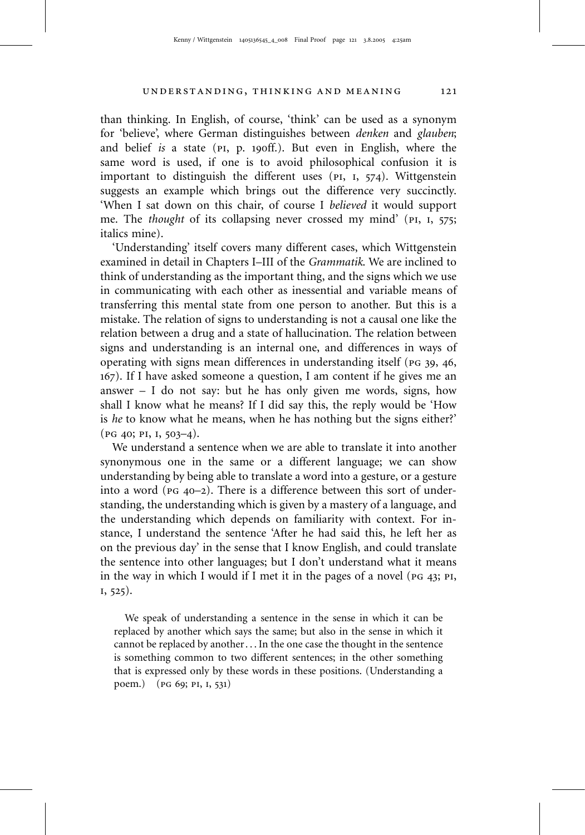than thinking. In English, of course, 'think' can be used as a synonym for 'believe', where German distinguishes between denken and glauben; and belief is a state (pi, p. 190ff.). But even in English, where the same word is used, if one is to avoid philosophical confusion it is important to distinguish the different uses (pi, i, 574). Wittgenstein suggests an example which brings out the difference very succinctly. 'When I sat down on this chair, of course I believed it would support me. The thought of its collapsing never crossed my mind' (PI, I, 575; italics mine).

'Understanding' itself covers many different cases, which Wittgenstein examined in detail in Chapters I–III of the Grammatik. We are inclined to think of understanding as the important thing, and the signs which we use in communicating with each other as inessential and variable means of transferring this mental state from one person to another. But this is a mistake. The relation of signs to understanding is not a causal one like the relation between a drug and a state of hallucination. The relation between signs and understanding is an internal one, and differences in ways of operating with signs mean differences in understanding itself (pg 39, 46, 167). If I have asked someone a question, I am content if he gives me an answer – I do not say: but he has only given me words, signs, how shall I know what he means? If I did say this, the reply would be 'How is he to know what he means, when he has nothing but the signs either?'  $(pG 40; P1, I, 503-4)$ .

We understand a sentence when we are able to translate it into another synonymous one in the same or a different language; we can show understanding by being able to translate a word into a gesture, or a gesture into a word (pg 40–2). There is a difference between this sort of understanding, the understanding which is given by a mastery of a language, and the understanding which depends on familiarity with context. For instance, I understand the sentence 'After he had said this, he left her as on the previous day' in the sense that I know English, and could translate the sentence into other languages; but I don't understand what it means in the way in which I would if I met it in the pages of a novel (pg 43; pi, i, 525).

We speak of understanding a sentence in the sense in which it can be replaced by another which says the same; but also in the sense in which it cannot be replaced by another. . . In the one case the thought in the sentence is something common to two different sentences; in the other something that is expressed only by these words in these positions. (Understanding a poem.) (pg 69; pi, i, 531)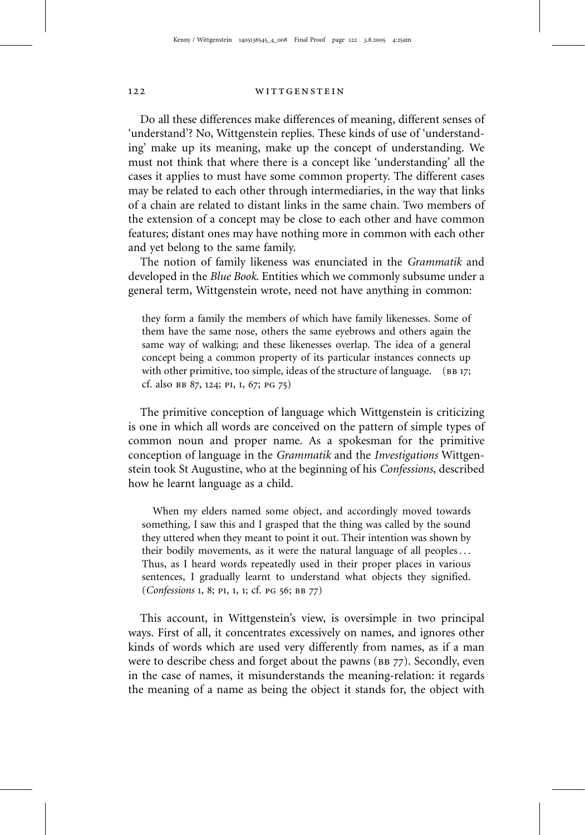Do all these differences make differences of meaning, different senses of 'understand'? No, Wittgenstein replies. These kinds of use of 'understanding' make up its meaning, make up the concept of understanding. We must not think that where there is a concept like 'understanding' all the cases it applies to must have some common property. The different cases may be related to each other through intermediaries, in the way that links of a chain are related to distant links in the same chain. Two members of the extension of a concept may be close to each other and have common features; distant ones may have nothing more in common with each other and yet belong to the same family.

The notion of family likeness was enunciated in the Grammatik and developed in the Blue Book. Entities which we commonly subsume under a general term, Wittgenstein wrote, need not have anything in common:

they form a family the members of which have family likenesses. Some of them have the same nose, others the same eyebrows and others again the same way of walking; and these likenesses overlap. The idea of a general concept being a common property of its particular instances connects up with other primitive, too simple, ideas of the structure of language. (BB 17; cf. also bb 87, 124; pi, i, 67; pg 75)

The primitive conception of language which Wittgenstein is criticizing is one in which all words are conceived on the pattern of simple types of common noun and proper name. As a spokesman for the primitive conception of language in the Grammatik and the Investigations Wittgenstein took St Augustine, who at the beginning of his Confessions, described how he learnt language as a child.

When my elders named some object, and accordingly moved towards something, I saw this and I grasped that the thing was called by the sound they uttered when they meant to point it out. Their intention was shown by their bodily movements, as it were the natural language of all peoples . . . Thus, as I heard words repeatedly used in their proper places in various sentences, I gradually learnt to understand what objects they signified. (Confessions 1, 8; pi, 1, 1; cf. pg 56; bb 77)

This account, in Wittgenstein's view, is oversimple in two principal ways. First of all, it concentrates excessively on names, and ignores other kinds of words which are used very differently from names, as if a man were to describe chess and forget about the pawns (BB 77). Secondly, even in the case of names, it misunderstands the meaning-relation: it regards the meaning of a name as being the object it stands for, the object with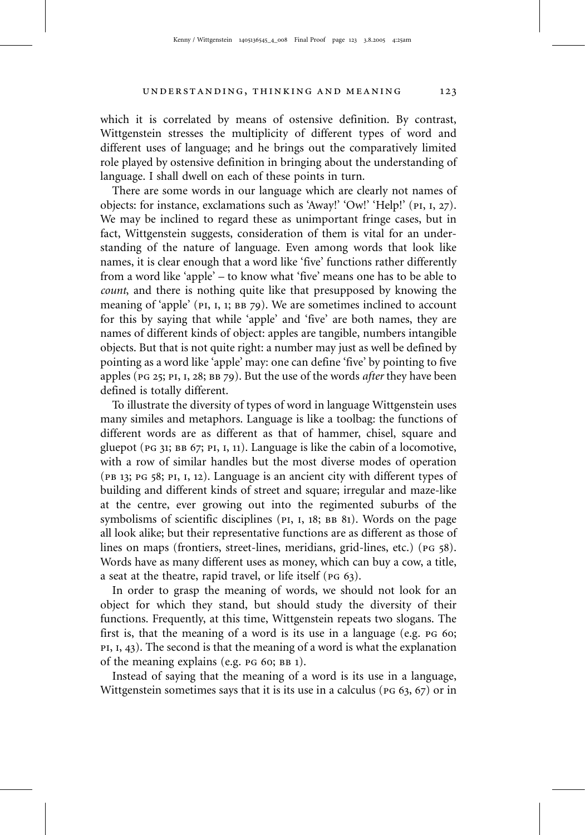which it is correlated by means of ostensive definition. By contrast, Wittgenstein stresses the multiplicity of different types of word and different uses of language; and he brings out the comparatively limited role played by ostensive definition in bringing about the understanding of language. I shall dwell on each of these points in turn.

There are some words in our language which are clearly not names of objects: for instance, exclamations such as 'Away!' 'Ow!' 'Help!' (pi, i, 27). We may be inclined to regard these as unimportant fringe cases, but in fact, Wittgenstein suggests, consideration of them is vital for an understanding of the nature of language. Even among words that look like names, it is clear enough that a word like 'five' functions rather differently from a word like 'apple' – to know what 'five' means one has to be able to count, and there is nothing quite like that presupposed by knowing the meaning of 'apple' ( $PI$ ,  $I$ ,  $I$ ;  $BB$  79). We are sometimes inclined to account for this by saying that while 'apple' and 'five' are both names, they are names of different kinds of object: apples are tangible, numbers intangible objects. But that is not quite right: a number may just as well be defined by pointing as a word like 'apple' may: one can define 'five' by pointing to five apples (PG 25; PI, I, 28; BB 79). But the use of the words after they have been defined is totally different.

To illustrate the diversity of types of word in language Wittgenstein uses many similes and metaphors. Language is like a toolbag: the functions of different words are as different as that of hammer, chisel, square and gluepot ( $PG_31$ ;  $BB_67$ ;  $PI$ ,  $I$ ,  $11$ ). Language is like the cabin of a locomotive, with a row of similar handles but the most diverse modes of operation (pb 13; pg 58; pi, i, 12). Language is an ancient city with different types of building and different kinds of street and square; irregular and maze-like at the centre, ever growing out into the regimented suburbs of the symbolisms of scientific disciplines ( $PI$ ,  $I$ ,  $18$ ;  $BB 81$ ). Words on the page all look alike; but their representative functions are as different as those of lines on maps (frontiers, street-lines, meridians, grid-lines, etc.) (pg 58). Words have as many different uses as money, which can buy a cow, a title, a seat at the theatre, rapid travel, or life itself (pg 63).

In order to grasp the meaning of words, we should not look for an object for which they stand, but should study the diversity of their functions. Frequently, at this time, Wittgenstein repeats two slogans. The first is, that the meaning of a word is its use in a language (e.g. pg 60; pi, i, 43). The second is that the meaning of a word is what the explanation of the meaning explains (e.g.  $PG 60$ ;  $BB 1$ ).

Instead of saying that the meaning of a word is its use in a language, Wittgenstein sometimes says that it is its use in a calculus (PG 63, 67) or in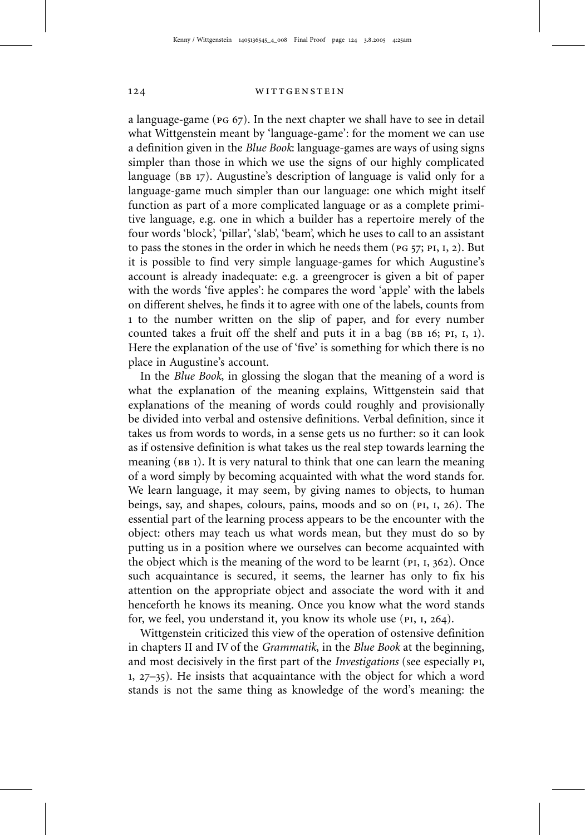a language-game (pg 67). In the next chapter we shall have to see in detail what Wittgenstein meant by 'language-game': for the moment we can use a definition given in the Blue Book: language-games are ways of using signs simpler than those in which we use the signs of our highly complicated language (bb 17). Augustine's description of language is valid only for a language-game much simpler than our language: one which might itself function as part of a more complicated language or as a complete primitive language, e.g. one in which a builder has a repertoire merely of the four words 'block', 'pillar', 'slab', 'beam', which he uses to call to an assistant to pass the stones in the order in which he needs them (pg 57; pi, i, 2). But it is possible to find very simple language-games for which Augustine's account is already inadequate: e.g. a greengrocer is given a bit of paper with the words 'five apples': he compares the word 'apple' with the labels on different shelves, he finds it to agree with one of the labels, counts from 1 to the number written on the slip of paper, and for every number counted takes a fruit off the shelf and puts it in a bag (BB 16; PI, I, 1). Here the explanation of the use of 'five' is something for which there is no place in Augustine's account.

In the Blue Book, in glossing the slogan that the meaning of a word is what the explanation of the meaning explains, Wittgenstein said that explanations of the meaning of words could roughly and provisionally be divided into verbal and ostensive definitions. Verbal definition, since it takes us from words to words, in a sense gets us no further: so it can look as if ostensive definition is what takes us the real step towards learning the meaning (BB 1). It is very natural to think that one can learn the meaning of a word simply by becoming acquainted with what the word stands for. We learn language, it may seem, by giving names to objects, to human beings, say, and shapes, colours, pains, moods and so on (pi, i, 26). The essential part of the learning process appears to be the encounter with the object: others may teach us what words mean, but they must do so by putting us in a position where we ourselves can become acquainted with the object which is the meaning of the word to be learnt  $(p_1, p_1, q_2)$ . Once such acquaintance is secured, it seems, the learner has only to fix his attention on the appropriate object and associate the word with it and henceforth he knows its meaning. Once you know what the word stands for, we feel, you understand it, you know its whole use (pi, i, 264).

Wittgenstein criticized this view of the operation of ostensive definition in chapters II and IV of the Grammatik, in the Blue Book at the beginning, and most decisively in the first part of the Investigations (see especially pi, 1, 27–35). He insists that acquaintance with the object for which a word stands is not the same thing as knowledge of the word's meaning: the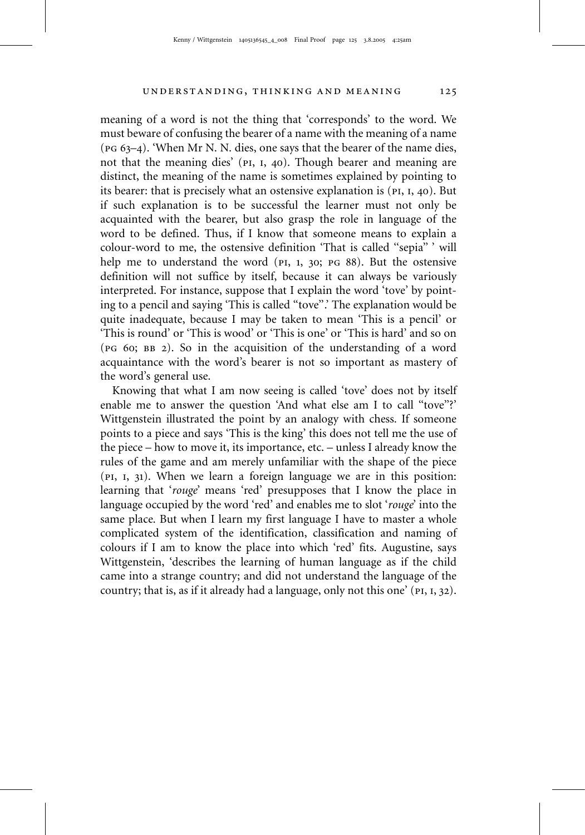meaning of a word is not the thing that 'corresponds' to the word. We must beware of confusing the bearer of a name with the meaning of a name (pg 63–4). 'When Mr N. N. dies, one says that the bearer of the name dies, not that the meaning dies' (pi, i, 40). Though bearer and meaning are distinct, the meaning of the name is sometimes explained by pointing to its bearer: that is precisely what an ostensive explanation is (pi, i, 40). But if such explanation is to be successful the learner must not only be acquainted with the bearer, but also grasp the role in language of the word to be defined. Thus, if I know that someone means to explain a colour-word to me, the ostensive definition 'That is called ''sepia'' ' will help me to understand the word (PI, 1, 30; PG 88). But the ostensive definition will not suffice by itself, because it can always be variously interpreted. For instance, suppose that I explain the word 'tove' by pointing to a pencil and saying 'This is called ''tove''.' The explanation would be quite inadequate, because I may be taken to mean 'This is a pencil' or 'This is round' or 'This is wood' or 'This is one' or 'This is hard' and so on ( $PG 60$ ;  $BB 2$ ). So in the acquisition of the understanding of a word acquaintance with the word's bearer is not so important as mastery of the word's general use.

Knowing that what I am now seeing is called 'tove' does not by itself enable me to answer the question 'And what else am I to call "tove"?' Wittgenstein illustrated the point by an analogy with chess. If someone points to a piece and says 'This is the king' this does not tell me the use of the piece – how to move it, its importance, etc. – unless I already know the rules of the game and am merely unfamiliar with the shape of the piece (pi, i, 31). When we learn a foreign language we are in this position: learning that 'rouge' means 'red' presupposes that I know the place in language occupied by the word 'red' and enables me to slot 'rouge' into the same place. But when I learn my first language I have to master a whole complicated system of the identification, classification and naming of colours if I am to know the place into which 'red' fits. Augustine, says Wittgenstein, 'describes the learning of human language as if the child came into a strange country; and did not understand the language of the country; that is, as if it already had a language, only not this one'  $(p_1, r_1, q_2)$ .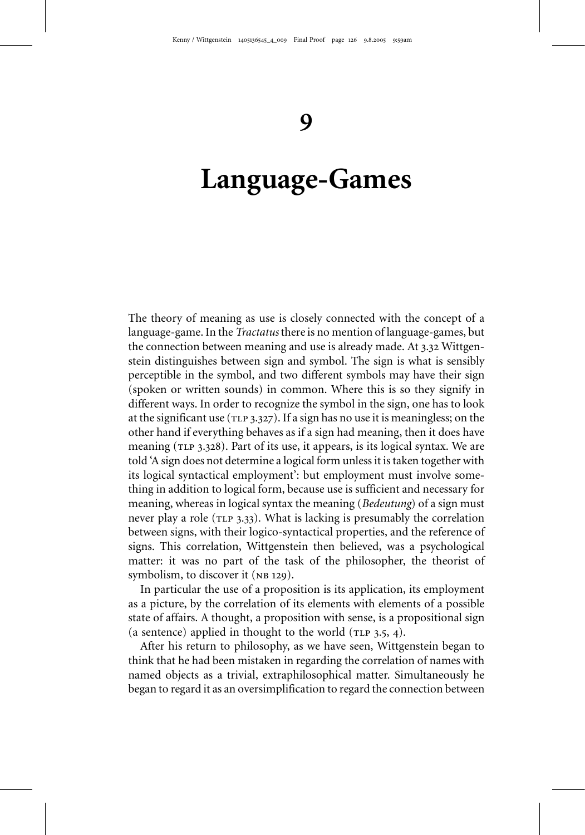## Language-Games

The theory of meaning as use is closely connected with the concept of a language-game. In the Tractatus there is no mention of language-games, but the connection between meaning and use is already made. At 3.32 Wittgenstein distinguishes between sign and symbol. The sign is what is sensibly perceptible in the symbol, and two different symbols may have their sign (spoken or written sounds) in common. Where this is so they signify in different ways. In order to recognize the symbol in the sign, one has to look at the significant use ( $TLP$  3.327). If a sign has no use it is meaningless; on the other hand if everything behaves as if a sign had meaning, then it does have meaning (TLP 3.328). Part of its use, it appears, is its logical syntax. We are told 'A sign does not determine a logical form unless it is taken together with its logical syntactical employment': but employment must involve something in addition to logical form, because use is sufficient and necessary for meaning, whereas in logical syntax the meaning (Bedeutung) of a sign must never play a role ( $TLP$  3.33). What is lacking is presumably the correlation between signs, with their logico-syntactical properties, and the reference of signs. This correlation, Wittgenstein then believed, was a psychological matter: it was no part of the task of the philosopher, the theorist of symbolism, to discover it (NB 129).

In particular the use of a proposition is its application, its employment as a picture, by the correlation of its elements with elements of a possible state of affairs. A thought, a proposition with sense, is a propositional sign (a sentence) applied in thought to the world ( $TLP$  3.5, 4).

After his return to philosophy, as we have seen, Wittgenstein began to think that he had been mistaken in regarding the correlation of names with named objects as a trivial, extraphilosophical matter. Simultaneously he began to regard it as an oversimplification to regard the connection between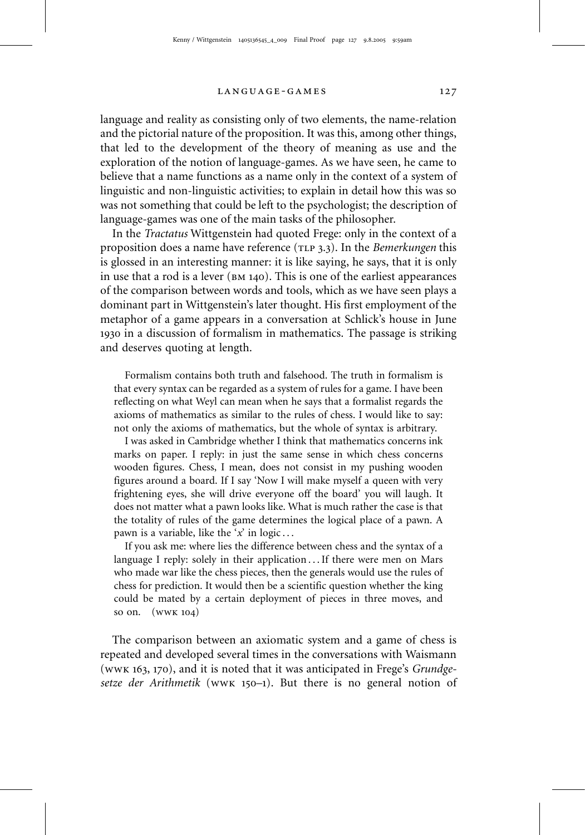language and reality as consisting only of two elements, the name-relation and the pictorial nature of the proposition. It was this, among other things, that led to the development of the theory of meaning as use and the exploration of the notion of language-games. As we have seen, he came to believe that a name functions as a name only in the context of a system of linguistic and non-linguistic activities; to explain in detail how this was so was not something that could be left to the psychologist; the description of language-games was one of the main tasks of the philosopher.

In the Tractatus Wittgenstein had quoted Frege: only in the context of a proposition does a name have reference  $(TLP 3.3)$ . In the Bemerkungen this is glossed in an interesting manner: it is like saying, he says, that it is only in use that a rod is a lever (bm 140). This is one of the earliest appearances of the comparison between words and tools, which as we have seen plays a dominant part in Wittgenstein's later thought. His first employment of the metaphor of a game appears in a conversation at Schlick's house in June 1930 in a discussion of formalism in mathematics. The passage is striking and deserves quoting at length.

Formalism contains both truth and falsehood. The truth in formalism is that every syntax can be regarded as a system of rules for a game. I have been reflecting on what Weyl can mean when he says that a formalist regards the axioms of mathematics as similar to the rules of chess. I would like to say: not only the axioms of mathematics, but the whole of syntax is arbitrary.

I was asked in Cambridge whether I think that mathematics concerns ink marks on paper. I reply: in just the same sense in which chess concerns wooden figures. Chess, I mean, does not consist in my pushing wooden figures around a board. If I say 'Now I will make myself a queen with very frightening eyes, she will drive everyone off the board' you will laugh. It does not matter what a pawn looks like. What is much rather the case is that the totality of rules of the game determines the logical place of a pawn. A pawn is a variable, like the  $x'$  in logic...

If you ask me: where lies the difference between chess and the syntax of a language I reply: solely in their application . . . If there were men on Mars who made war like the chess pieces, then the generals would use the rules of chess for prediction. It would then be a scientific question whether the king could be mated by a certain deployment of pieces in three moves, and so on. (wwk 104)

The comparison between an axiomatic system and a game of chess is repeated and developed several times in the conversations with Waismann (wwk 163, 170), and it is noted that it was anticipated in Frege's Grundgesetze der Arithmetik (wwk 150–1). But there is no general notion of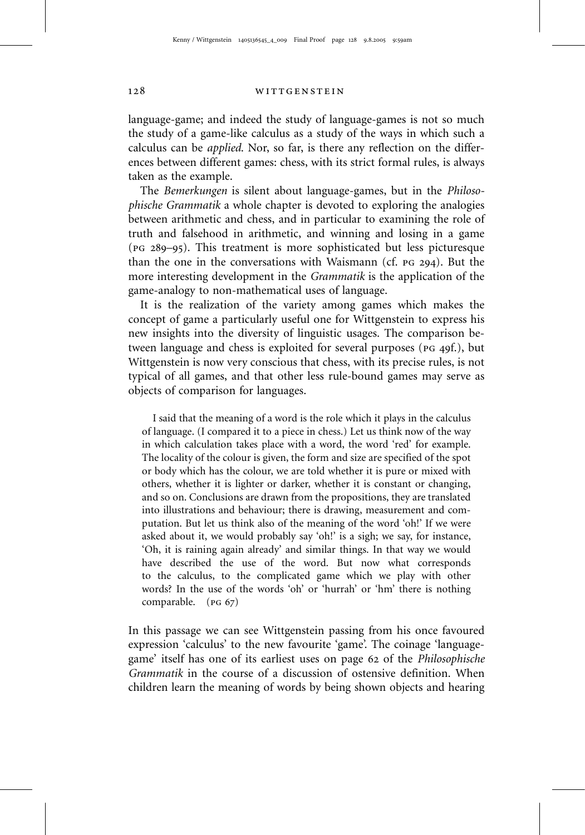language-game; and indeed the study of language-games is not so much the study of a game-like calculus as a study of the ways in which such a calculus can be applied. Nor, so far, is there any reflection on the differences between different games: chess, with its strict formal rules, is always taken as the example.

The Bemerkungen is silent about language-games, but in the Philosophische Grammatik a whole chapter is devoted to exploring the analogies between arithmetic and chess, and in particular to examining the role of truth and falsehood in arithmetic, and winning and losing in a game (pg 289–95). This treatment is more sophisticated but less picturesque than the one in the conversations with Waismann (cf. pg 294). But the more interesting development in the Grammatik is the application of the game-analogy to non-mathematical uses of language.

It is the realization of the variety among games which makes the concept of game a particularly useful one for Wittgenstein to express his new insights into the diversity of linguistic usages. The comparison between language and chess is exploited for several purposes (pg 49f.), but Wittgenstein is now very conscious that chess, with its precise rules, is not typical of all games, and that other less rule-bound games may serve as objects of comparison for languages.

I said that the meaning of a word is the role which it plays in the calculus of language. (I compared it to a piece in chess.) Let us think now of the way in which calculation takes place with a word, the word 'red' for example. The locality of the colour is given, the form and size are specified of the spot or body which has the colour, we are told whether it is pure or mixed with others, whether it is lighter or darker, whether it is constant or changing, and so on. Conclusions are drawn from the propositions, they are translated into illustrations and behaviour; there is drawing, measurement and computation. But let us think also of the meaning of the word 'oh!' If we were asked about it, we would probably say 'oh!' is a sigh; we say, for instance, 'Oh, it is raining again already' and similar things. In that way we would have described the use of the word. But now what corresponds to the calculus, to the complicated game which we play with other words? In the use of the words 'oh' or 'hurrah' or 'hm' there is nothing comparable. (pg 67)

In this passage we can see Wittgenstein passing from his once favoured expression 'calculus' to the new favourite 'game'. The coinage 'languagegame' itself has one of its earliest uses on page 62 of the Philosophische Grammatik in the course of a discussion of ostensive definition. When children learn the meaning of words by being shown objects and hearing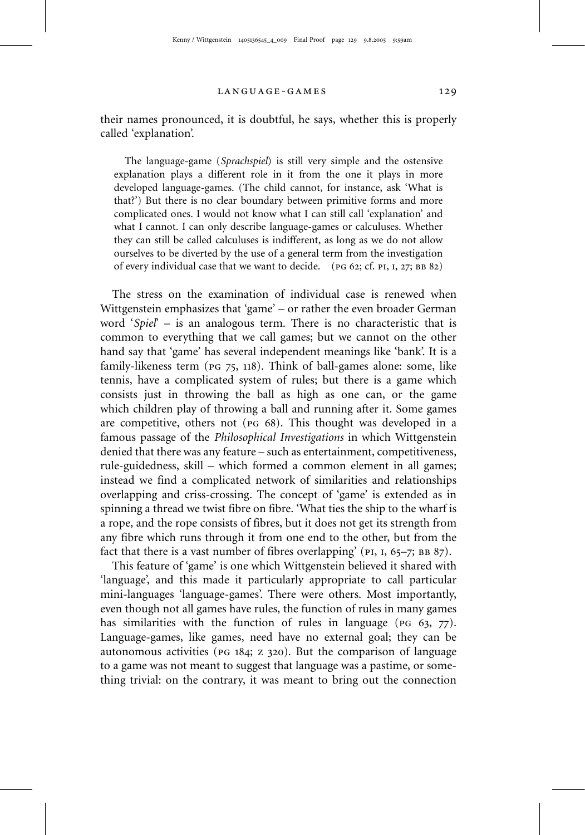their names pronounced, it is doubtful, he says, whether this is properly called 'explanation'.

The language-game (Sprachspiel) is still very simple and the ostensive explanation plays a different role in it from the one it plays in more developed language-games. (The child cannot, for instance, ask 'What is that?') But there is no clear boundary between primitive forms and more complicated ones. I would not know what I can still call 'explanation' and what I cannot. I can only describe language-games or calculuses. Whether they can still be called calculuses is indifferent, as long as we do not allow ourselves to be diverted by the use of a general term from the investigation of every individual case that we want to decide. ( $PG 62$ ; cf. PI, I, 27; BB 82)

The stress on the examination of individual case is renewed when Wittgenstein emphasizes that 'game' – or rather the even broader German word 'Spiel' – is an analogous term. There is no characteristic that is common to everything that we call games; but we cannot on the other hand say that 'game' has several independent meanings like 'bank'. It is a family-likeness term (pg 75, 118). Think of ball-games alone: some, like tennis, have a complicated system of rules; but there is a game which consists just in throwing the ball as high as one can, or the game which children play of throwing a ball and running after it. Some games are competitive, others not (pg 68). This thought was developed in a famous passage of the Philosophical Investigations in which Wittgenstein denied that there was any feature – such as entertainment, competitiveness, rule-guidedness, skill – which formed a common element in all games; instead we find a complicated network of similarities and relationships overlapping and criss-crossing. The concept of 'game' is extended as in spinning a thread we twist fibre on fibre. 'What ties the ship to the wharf is a rope, and the rope consists of fibres, but it does not get its strength from any fibre which runs through it from one end to the other, but from the fact that there is a vast number of fibres overlapping' ( $PI$ ,  $I$ ,  $65–7$ ;  $BB 87$ ).

This feature of 'game' is one which Wittgenstein believed it shared with 'language', and this made it particularly appropriate to call particular mini-languages 'language-games'. There were others. Most importantly, even though not all games have rules, the function of rules in many games has similarities with the function of rules in language (pg 63, 77). Language-games, like games, need have no external goal; they can be autonomous activities (pg 184; z 320). But the comparison of language to a game was not meant to suggest that language was a pastime, or something trivial: on the contrary, it was meant to bring out the connection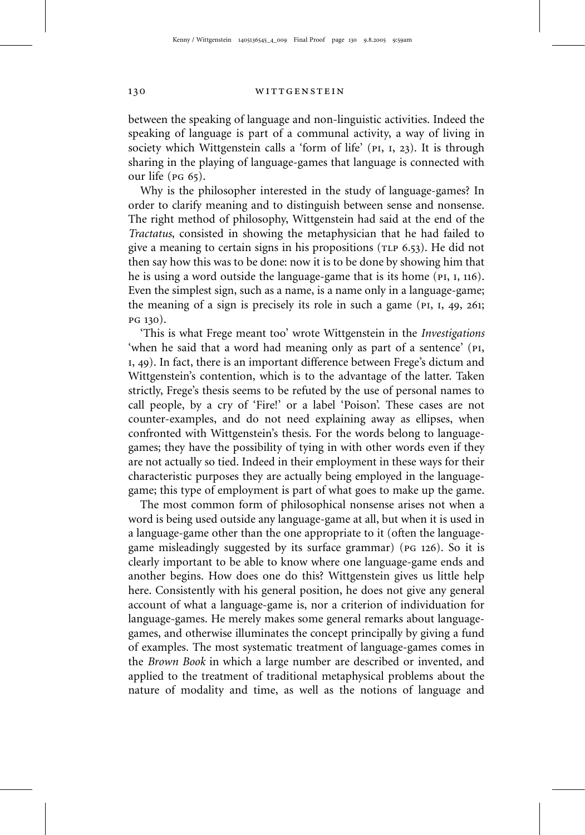between the speaking of language and non-linguistic activities. Indeed the speaking of language is part of a communal activity, a way of living in society which Wittgenstein calls a 'form of life' (p<sub>1</sub>, 1, 23). It is through sharing in the playing of language-games that language is connected with our life (pg 65).

Why is the philosopher interested in the study of language-games? In order to clarify meaning and to distinguish between sense and nonsense. The right method of philosophy, Wittgenstein had said at the end of the Tractatus, consisted in showing the metaphysician that he had failed to give a meaning to certain signs in his propositions ( $TLP$  6.53). He did not then say how this was to be done: now it is to be done by showing him that he is using a word outside the language-game that is its home  $(p<sub>I</sub>, 1, 116)$ . Even the simplest sign, such as a name, is a name only in a language-game; the meaning of a sign is precisely its role in such a game (pi, i, 49, 261; pg 130).

'This is what Frege meant too' wrote Wittgenstein in the Investigations 'when he said that a word had meaning only as part of a sentence' (PI, i, 49). In fact, there is an important difference between Frege's dictum and Wittgenstein's contention, which is to the advantage of the latter. Taken strictly, Frege's thesis seems to be refuted by the use of personal names to call people, by a cry of 'Fire!' or a label 'Poison'. These cases are not counter-examples, and do not need explaining away as ellipses, when confronted with Wittgenstein's thesis. For the words belong to languagegames; they have the possibility of tying in with other words even if they are not actually so tied. Indeed in their employment in these ways for their characteristic purposes they are actually being employed in the languagegame; this type of employment is part of what goes to make up the game.

The most common form of philosophical nonsense arises not when a word is being used outside any language-game at all, but when it is used in a language-game other than the one appropriate to it (often the languagegame misleadingly suggested by its surface grammar) (pg 126). So it is clearly important to be able to know where one language-game ends and another begins. How does one do this? Wittgenstein gives us little help here. Consistently with his general position, he does not give any general account of what a language-game is, nor a criterion of individuation for language-games. He merely makes some general remarks about languagegames, and otherwise illuminates the concept principally by giving a fund of examples. The most systematic treatment of language-games comes in the Brown Book in which a large number are described or invented, and applied to the treatment of traditional metaphysical problems about the nature of modality and time, as well as the notions of language and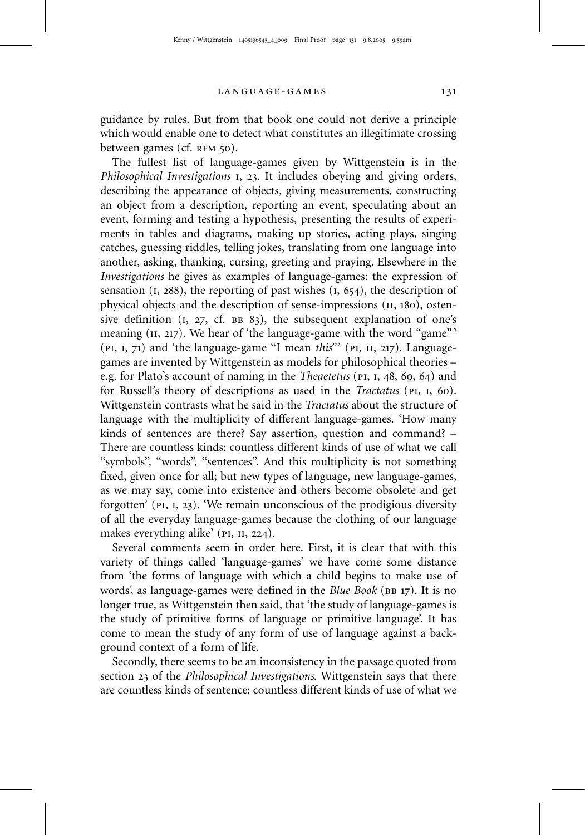guidance by rules. But from that book one could not derive a principle which would enable one to detect what constitutes an illegitimate crossing between games (cf. RFM 50).

The fullest list of language-games given by Wittgenstein is in the Philosophical Investigations i, 23. It includes obeying and giving orders, describing the appearance of objects, giving measurements, constructing an object from a description, reporting an event, speculating about an event, forming and testing a hypothesis, presenting the results of experiments in tables and diagrams, making up stories, acting plays, singing catches, guessing riddles, telling jokes, translating from one language into another, asking, thanking, cursing, greeting and praying. Elsewhere in the Investigations he gives as examples of language-games: the expression of sensation  $(1, 288)$ , the reporting of past wishes  $(1, 654)$ , the description of physical objects and the description of sense-impressions (ii, 180), ostensive definition  $(I, 27, cf. BB 83)$ , the subsequent explanation of one's meaning (II, 217). We hear of 'the language-game with the word "game"' ( $PI, I, 71$ ) and 'the language-game "I mean this"' ( $PI, II, 217$ ). Languagegames are invented by Wittgenstein as models for philosophical theories – e.g. for Plato's account of naming in the Theaetetus (pi, i, 48, 60, 64) and for Russell's theory of descriptions as used in the Tractatus (pi, i, 60). Wittgenstein contrasts what he said in the Tractatus about the structure of language with the multiplicity of different language-games. 'How many kinds of sentences are there? Say assertion, question and command? – There are countless kinds: countless different kinds of use of what we call "symbols", "words", "sentences". And this multiplicity is not something fixed, given once for all; but new types of language, new language-games, as we may say, come into existence and others become obsolete and get forgotten' (pi, i, 23). 'We remain unconscious of the prodigious diversity of all the everyday language-games because the clothing of our language makes everything alike' (p<sub>I</sub>,  $_{II}$ ,  $_{224}$ ).

Several comments seem in order here. First, it is clear that with this variety of things called 'language-games' we have come some distance from 'the forms of language with which a child begins to make use of words', as language-games were defined in the *Blue Book* (BB 17). It is no longer true, as Wittgenstein then said, that 'the study of language-games is the study of primitive forms of language or primitive language'. It has come to mean the study of any form of use of language against a background context of a form of life.

Secondly, there seems to be an inconsistency in the passage quoted from section 23 of the Philosophical Investigations. Wittgenstein says that there are countless kinds of sentence: countless different kinds of use of what we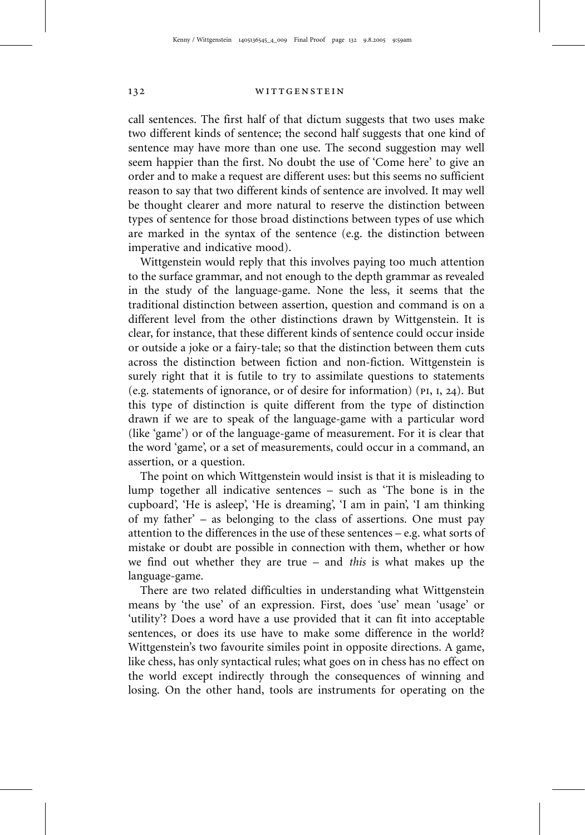call sentences. The first half of that dictum suggests that two uses make two different kinds of sentence; the second half suggests that one kind of sentence may have more than one use. The second suggestion may well seem happier than the first. No doubt the use of 'Come here' to give an order and to make a request are different uses: but this seems no sufficient reason to say that two different kinds of sentence are involved. It may well be thought clearer and more natural to reserve the distinction between types of sentence for those broad distinctions between types of use which are marked in the syntax of the sentence (e.g. the distinction between imperative and indicative mood).

Wittgenstein would reply that this involves paying too much attention to the surface grammar, and not enough to the depth grammar as revealed in the study of the language-game. None the less, it seems that the traditional distinction between assertion, question and command is on a different level from the other distinctions drawn by Wittgenstein. It is clear, for instance, that these different kinds of sentence could occur inside or outside a joke or a fairy-tale; so that the distinction between them cuts across the distinction between fiction and non-fiction. Wittgenstein is surely right that it is futile to try to assimilate questions to statements (e.g. statements of ignorance, or of desire for information) (pi, i, 24). But this type of distinction is quite different from the type of distinction drawn if we are to speak of the language-game with a particular word (like 'game') or of the language-game of measurement. For it is clear that the word 'game', or a set of measurements, could occur in a command, an assertion, or a question.

The point on which Wittgenstein would insist is that it is misleading to lump together all indicative sentences – such as 'The bone is in the cupboard', 'He is asleep', 'He is dreaming', 'I am in pain', 'I am thinking of my father' – as belonging to the class of assertions. One must pay attention to the differences in the use of these sentences – e.g. what sorts of mistake or doubt are possible in connection with them, whether or how we find out whether they are true – and this is what makes up the language-game.

There are two related difficulties in understanding what Wittgenstein means by 'the use' of an expression. First, does 'use' mean 'usage' or 'utility'? Does a word have a use provided that it can fit into acceptable sentences, or does its use have to make some difference in the world? Wittgenstein's two favourite similes point in opposite directions. A game, like chess, has only syntactical rules; what goes on in chess has no effect on the world except indirectly through the consequences of winning and losing. On the other hand, tools are instruments for operating on the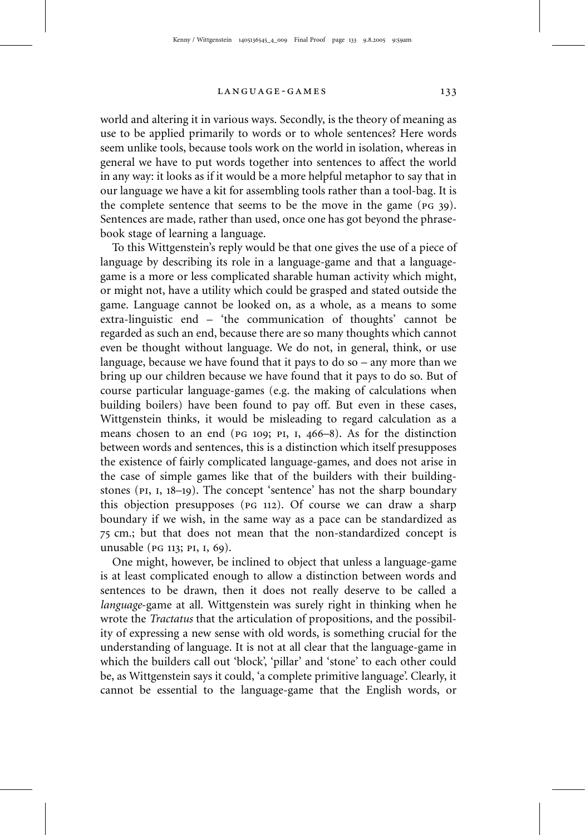world and altering it in various ways. Secondly, is the theory of meaning as use to be applied primarily to words or to whole sentences? Here words seem unlike tools, because tools work on the world in isolation, whereas in general we have to put words together into sentences to affect the world in any way: it looks as if it would be a more helpful metaphor to say that in our language we have a kit for assembling tools rather than a tool-bag. It is the complete sentence that seems to be the move in the game (pg 39). Sentences are made, rather than used, once one has got beyond the phrasebook stage of learning a language.

To this Wittgenstein's reply would be that one gives the use of a piece of language by describing its role in a language-game and that a languagegame is a more or less complicated sharable human activity which might, or might not, have a utility which could be grasped and stated outside the game. Language cannot be looked on, as a whole, as a means to some extra-linguistic end – 'the communication of thoughts' cannot be regarded as such an end, because there are so many thoughts which cannot even be thought without language. We do not, in general, think, or use language, because we have found that it pays to do so – any more than we bring up our children because we have found that it pays to do so. But of course particular language-games (e.g. the making of calculations when building boilers) have been found to pay off. But even in these cases, Wittgenstein thinks, it would be misleading to regard calculation as a means chosen to an end (pg 109; pi, i, 466–8). As for the distinction between words and sentences, this is a distinction which itself presupposes the existence of fairly complicated language-games, and does not arise in the case of simple games like that of the builders with their buildingstones (pi, i, 18–19). The concept 'sentence' has not the sharp boundary this objection presupposes (pg 112). Of course we can draw a sharp boundary if we wish, in the same way as a pace can be standardized as 75 cm.; but that does not mean that the non-standardized concept is unusable (pg 113; pi, i, 69).

One might, however, be inclined to object that unless a language-game is at least complicated enough to allow a distinction between words and sentences to be drawn, then it does not really deserve to be called a language-game at all. Wittgenstein was surely right in thinking when he wrote the Tractatus that the articulation of propositions, and the possibility of expressing a new sense with old words, is something crucial for the understanding of language. It is not at all clear that the language-game in which the builders call out 'block', 'pillar' and 'stone' to each other could be, as Wittgenstein says it could, 'a complete primitive language'. Clearly, it cannot be essential to the language-game that the English words, or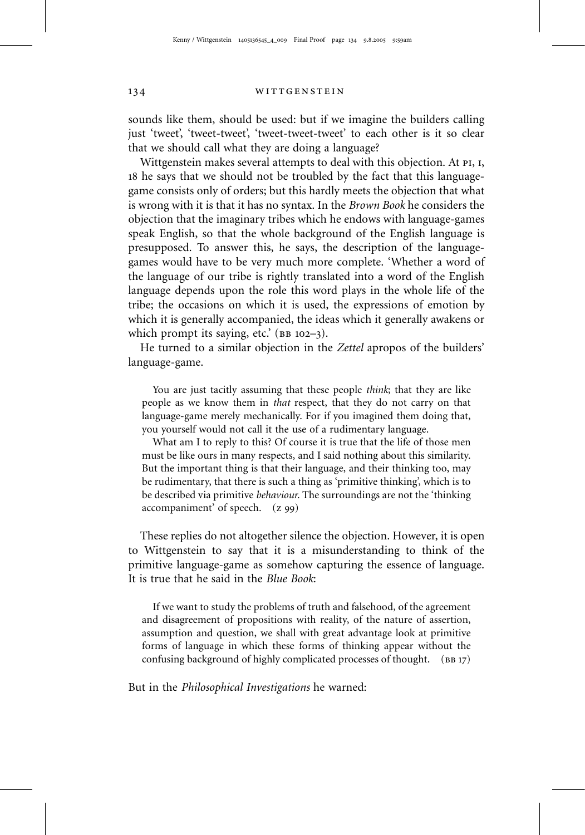sounds like them, should be used: but if we imagine the builders calling just 'tweet', 'tweet-tweet', 'tweet-tweet-tweet' to each other is it so clear that we should call what they are doing a language?

Wittgenstein makes several attempts to deal with this objection. At PI, I, 18 he says that we should not be troubled by the fact that this languagegame consists only of orders; but this hardly meets the objection that what is wrong with it is that it has no syntax. In the Brown Book he considers the objection that the imaginary tribes which he endows with language-games speak English, so that the whole background of the English language is presupposed. To answer this, he says, the description of the languagegames would have to be very much more complete. 'Whether a word of the language of our tribe is rightly translated into a word of the English language depends upon the role this word plays in the whole life of the tribe; the occasions on which it is used, the expressions of emotion by which it is generally accompanied, the ideas which it generally awakens or which prompt its saying, etc.' ( $BB 102-3$ ).

He turned to a similar objection in the Zettel apropos of the builders' language-game.

You are just tacitly assuming that these people *think*; that they are like people as we know them in that respect, that they do not carry on that language-game merely mechanically. For if you imagined them doing that, you yourself would not call it the use of a rudimentary language.

What am I to reply to this? Of course it is true that the life of those men must be like ours in many respects, and I said nothing about this similarity. But the important thing is that their language, and their thinking too, may be rudimentary, that there is such a thing as 'primitive thinking', which is to be described via primitive behaviour. The surroundings are not the 'thinking accompaniment' of speech. (z 99)

These replies do not altogether silence the objection. However, it is open to Wittgenstein to say that it is a misunderstanding to think of the primitive language-game as somehow capturing the essence of language. It is true that he said in the Blue Book:

If we want to study the problems of truth and falsehood, of the agreement and disagreement of propositions with reality, of the nature of assertion, assumption and question, we shall with great advantage look at primitive forms of language in which these forms of thinking appear without the confusing background of highly complicated processes of thought. (BB 17)

But in the Philosophical Investigations he warned: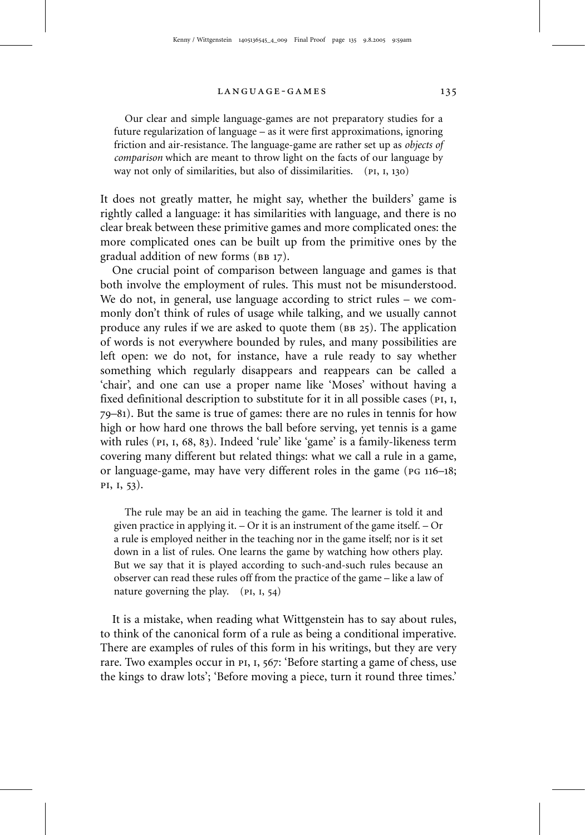Our clear and simple language-games are not preparatory studies for a future regularization of language – as it were first approximations, ignoring friction and air-resistance. The language-game are rather set up as objects of comparison which are meant to throw light on the facts of our language by way not only of similarities, but also of dissimilarities. (PI, I, 130)

It does not greatly matter, he might say, whether the builders' game is rightly called a language: it has similarities with language, and there is no clear break between these primitive games and more complicated ones: the more complicated ones can be built up from the primitive ones by the gradual addition of new forms (BB 17).

One crucial point of comparison between language and games is that both involve the employment of rules. This must not be misunderstood. We do not, in general, use language according to strict rules – we commonly don't think of rules of usage while talking, and we usually cannot produce any rules if we are asked to quote them  $(BB 25)$ . The application of words is not everywhere bounded by rules, and many possibilities are left open: we do not, for instance, have a rule ready to say whether something which regularly disappears and reappears can be called a 'chair', and one can use a proper name like 'Moses' without having a fixed definitional description to substitute for it in all possible cases (pi, i, 79–81). But the same is true of games: there are no rules in tennis for how high or how hard one throws the ball before serving, yet tennis is a game with rules (pi, i, 68, 83). Indeed 'rule' like 'game' is a family-likeness term covering many different but related things: what we call a rule in a game, or language-game, may have very different roles in the game (pg 116–18; pi, i, 53).

The rule may be an aid in teaching the game. The learner is told it and given practice in applying it. – Or it is an instrument of the game itself. – Or a rule is employed neither in the teaching nor in the game itself; nor is it set down in a list of rules. One learns the game by watching how others play. But we say that it is played according to such-and-such rules because an observer can read these rules off from the practice of the game – like a law of nature governing the play.  $(pI, I, 54)$ 

It is a mistake, when reading what Wittgenstein has to say about rules, to think of the canonical form of a rule as being a conditional imperative. There are examples of rules of this form in his writings, but they are very rare. Two examples occur in pi, i, 567: 'Before starting a game of chess, use the kings to draw lots'; 'Before moving a piece, turn it round three times.'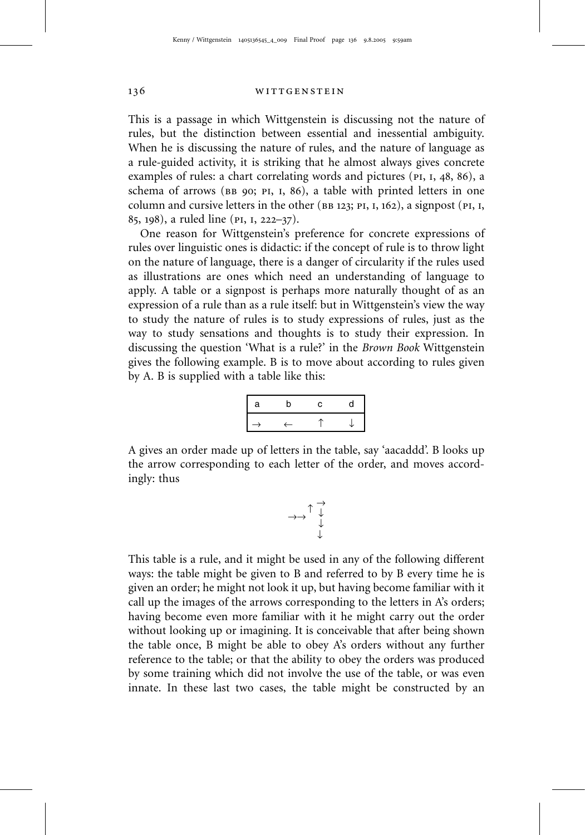This is a passage in which Wittgenstein is discussing not the nature of rules, but the distinction between essential and inessential ambiguity. When he is discussing the nature of rules, and the nature of language as a rule-guided activity, it is striking that he almost always gives concrete examples of rules: a chart correlating words and pictures (pi, i, 48, 86), a schema of arrows ( $BB$  90;  $PI$ ,  $I$ ,  $86$ ), a table with printed letters in one column and cursive letters in the other (BB 123; PI, I, 162), a signpost (PI, I, 85, 198), a ruled line (pi, i, 222–37).

One reason for Wittgenstein's preference for concrete expressions of rules over linguistic ones is didactic: if the concept of rule is to throw light on the nature of language, there is a danger of circularity if the rules used as illustrations are ones which need an understanding of language to apply. A table or a signpost is perhaps more naturally thought of as an expression of a rule than as a rule itself: but in Wittgenstein's view the way to study the nature of rules is to study expressions of rules, just as the way to study sensations and thoughts is to study their expression. In discussing the question 'What is a rule?' in the Brown Book Wittgenstein gives the following example. B is to move about according to rules given by A. B is supplied with a table like this:

| a | n | С | ш |
|---|---|---|---|
|   |   |   |   |

A gives an order made up of letters in the table, say 'aacaddd'. B looks up the arrow corresponding to each letter of the order, and moves accordingly: thus

→→ → ↓ ↓ ↓ ↑

This table is a rule, and it might be used in any of the following different ways: the table might be given to B and referred to by B every time he is given an order; he might not look it up, but having become familiar with it call up the images of the arrows corresponding to the letters in A's orders; having become even more familiar with it he might carry out the order without looking up or imagining. It is conceivable that after being shown the table once, B might be able to obey A's orders without any further reference to the table; or that the ability to obey the orders was produced by some training which did not involve the use of the table, or was even innate. In these last two cases, the table might be constructed by an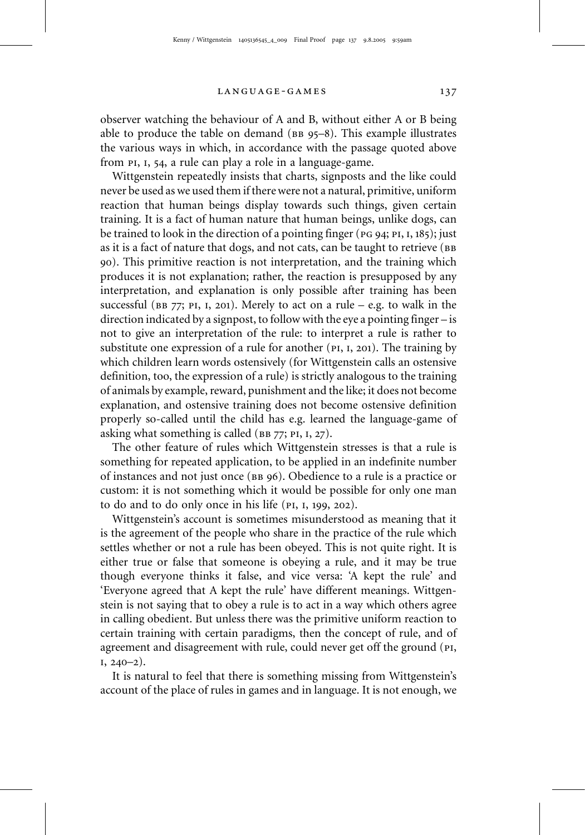observer watching the behaviour of A and B, without either A or B being able to produce the table on demand ( $BB 95-8$ ). This example illustrates the various ways in which, in accordance with the passage quoted above from pi, i, 54, a rule can play a role in a language-game.

Wittgenstein repeatedly insists that charts, signposts and the like could never be used as we used them if there were not a natural, primitive, uniform reaction that human beings display towards such things, given certain training. It is a fact of human nature that human beings, unlike dogs, can be trained to look in the direction of a pointing finger (pg 94; pi, i, 185); just as it is a fact of nature that dogs, and not cats, can be taught to retrieve (BB 90). This primitive reaction is not interpretation, and the training which produces it is not explanation; rather, the reaction is presupposed by any interpretation, and explanation is only possible after training has been successful (BB 77; PI, I, 201). Merely to act on a rule – e.g. to walk in the direction indicated by a signpost, to follow with the eye a pointing finger – is not to give an interpretation of the rule: to interpret a rule is rather to substitute one expression of a rule for another (pi, i, 201). The training by which children learn words ostensively (for Wittgenstein calls an ostensive definition, too, the expression of a rule) is strictly analogous to the training of animals by example, reward, punishment and the like; it does not become explanation, and ostensive training does not become ostensive definition properly so-called until the child has e.g. learned the language-game of asking what something is called  $(BB 77; P1, I, 27)$ .

The other feature of rules which Wittgenstein stresses is that a rule is something for repeated application, to be applied in an indefinite number of instances and not just once (вв 96). Obedience to a rule is a practice or custom: it is not something which it would be possible for only one man to do and to do only once in his life (pi, i, 199, 202).

Wittgenstein's account is sometimes misunderstood as meaning that it is the agreement of the people who share in the practice of the rule which settles whether or not a rule has been obeyed. This is not quite right. It is either true or false that someone is obeying a rule, and it may be true though everyone thinks it false, and vice versa: 'A kept the rule' and 'Everyone agreed that A kept the rule' have different meanings. Wittgenstein is not saying that to obey a rule is to act in a way which others agree in calling obedient. But unless there was the primitive uniform reaction to certain training with certain paradigms, then the concept of rule, and of agreement and disagreement with rule, could never get off the ground (pi,  $1, 240-2)$ .

It is natural to feel that there is something missing from Wittgenstein's account of the place of rules in games and in language. It is not enough, we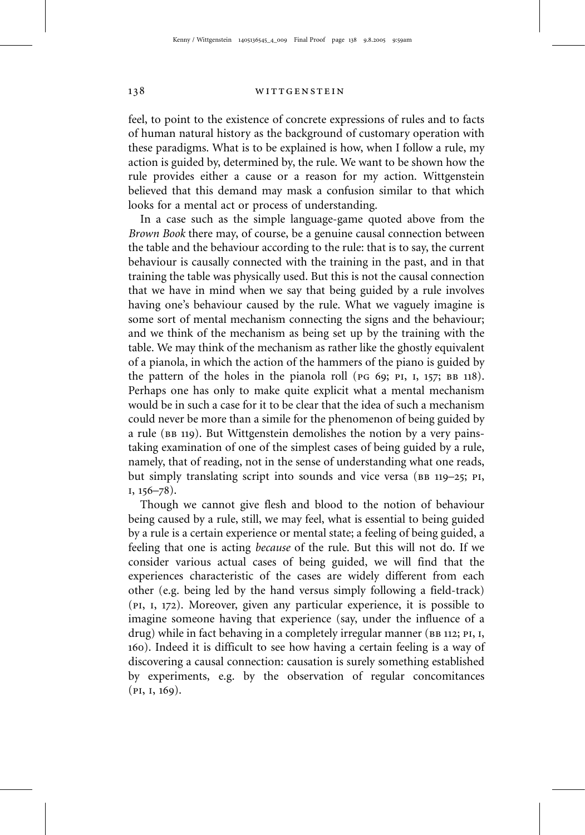feel, to point to the existence of concrete expressions of rules and to facts of human natural history as the background of customary operation with these paradigms. What is to be explained is how, when I follow a rule, my action is guided by, determined by, the rule. We want to be shown how the rule provides either a cause or a reason for my action. Wittgenstein believed that this demand may mask a confusion similar to that which looks for a mental act or process of understanding.

In a case such as the simple language-game quoted above from the Brown Book there may, of course, be a genuine causal connection between the table and the behaviour according to the rule: that is to say, the current behaviour is causally connected with the training in the past, and in that training the table was physically used. But this is not the causal connection that we have in mind when we say that being guided by a rule involves having one's behaviour caused by the rule. What we vaguely imagine is some sort of mental mechanism connecting the signs and the behaviour; and we think of the mechanism as being set up by the training with the table. We may think of the mechanism as rather like the ghostly equivalent of a pianola, in which the action of the hammers of the piano is guided by the pattern of the holes in the pianola roll ( $PG 69$ ;  $PI$ ,  $I$ ,  $157$ ;  $BB 118$ ). Perhaps one has only to make quite explicit what a mental mechanism would be in such a case for it to be clear that the idea of such a mechanism could never be more than a simile for the phenomenon of being guided by a rule (bb 119). But Wittgenstein demolishes the notion by a very painstaking examination of one of the simplest cases of being guided by a rule, namely, that of reading, not in the sense of understanding what one reads, but simply translating script into sounds and vice versa (BB 119-25; PI, i, 156–78).

Though we cannot give flesh and blood to the notion of behaviour being caused by a rule, still, we may feel, what is essential to being guided by a rule is a certain experience or mental state; a feeling of being guided, a feeling that one is acting because of the rule. But this will not do. If we consider various actual cases of being guided, we will find that the experiences characteristic of the cases are widely different from each other (e.g. being led by the hand versus simply following a field-track) (pi, i, 172). Moreover, given any particular experience, it is possible to imagine someone having that experience (say, under the influence of a drug) while in fact behaving in a completely irregular manner (BB 112; PI, I, 160). Indeed it is difficult to see how having a certain feeling is a way of discovering a causal connection: causation is surely something established by experiments, e.g. by the observation of regular concomitances (pi, i, 169).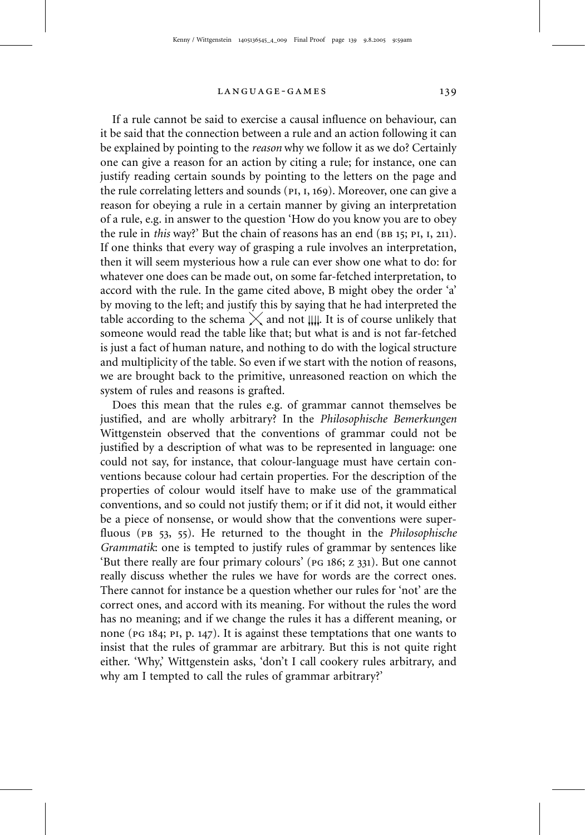If a rule cannot be said to exercise a causal influence on behaviour, can it be said that the connection between a rule and an action following it can be explained by pointing to the reason why we follow it as we do? Certainly one can give a reason for an action by citing a rule; for instance, one can justify reading certain sounds by pointing to the letters on the page and the rule correlating letters and sounds (pi, i, 169). Moreover, one can give a reason for obeying a rule in a certain manner by giving an interpretation of a rule, e.g. in answer to the question 'How do you know you are to obey the rule in this way?' But the chain of reasons has an end (BB 15; PI, I, 211). If one thinks that every way of grasping a rule involves an interpretation, then it will seem mysterious how a rule can ever show one what to do: for whatever one does can be made out, on some far-fetched interpretation, to accord with the rule. In the game cited above, B might obey the order 'a' by moving to the left; and justify this by saying that he had interpreted the table according to the schema  $\times$  and not . If is of course unlikely that someone would read the table like that; but what is and is not far-fetched is just a fact of human nature, and nothing to do with the logical structure and multiplicity of the table. So even if we start with the notion of reasons, we are brought back to the primitive, unreasoned reaction on which the system of rules and reasons is grafted.

Does this mean that the rules e.g. of grammar cannot themselves be justified, and are wholly arbitrary? In the Philosophische Bemerkungen Wittgenstein observed that the conventions of grammar could not be justified by a description of what was to be represented in language: one could not say, for instance, that colour-language must have certain conventions because colour had certain properties. For the description of the properties of colour would itself have to make use of the grammatical conventions, and so could not justify them; or if it did not, it would either be a piece of nonsense, or would show that the conventions were superfluous (pb 53, 55). He returned to the thought in the Philosophische Grammatik: one is tempted to justify rules of grammar by sentences like 'But there really are four primary colours' (pg 186; z 331). But one cannot really discuss whether the rules we have for words are the correct ones. There cannot for instance be a question whether our rules for 'not' are the correct ones, and accord with its meaning. For without the rules the word has no meaning; and if we change the rules it has a different meaning, or none (pg 184; pi, p. 147). It is against these temptations that one wants to insist that the rules of grammar are arbitrary. But this is not quite right either. 'Why,' Wittgenstein asks, 'don't I call cookery rules arbitrary, and why am I tempted to call the rules of grammar arbitrary?'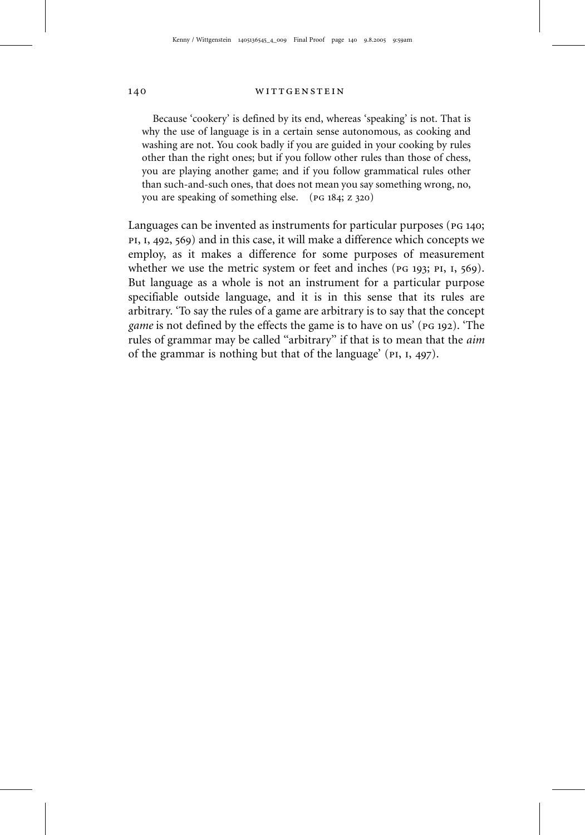Because 'cookery' is defined by its end, whereas 'speaking' is not. That is why the use of language is in a certain sense autonomous, as cooking and washing are not. You cook badly if you are guided in your cooking by rules other than the right ones; but if you follow other rules than those of chess, you are playing another game; and if you follow grammatical rules other than such-and-such ones, that does not mean you say something wrong, no, you are speaking of something else. (pg 184; z 320)

Languages can be invented as instruments for particular purposes (pg 140; pi, i, 492, 569) and in this case, it will make a difference which concepts we employ, as it makes a difference for some purposes of measurement whether we use the metric system or feet and inches (PG 193; PI, I, 569). But language as a whole is not an instrument for a particular purpose specifiable outside language, and it is in this sense that its rules are arbitrary. 'To say the rules of a game are arbitrary is to say that the concept game is not defined by the effects the game is to have on us' (pg 192). 'The rules of grammar may be called "arbitrary" if that is to mean that the *aim* of the grammar is nothing but that of the language' (pi, i, 497).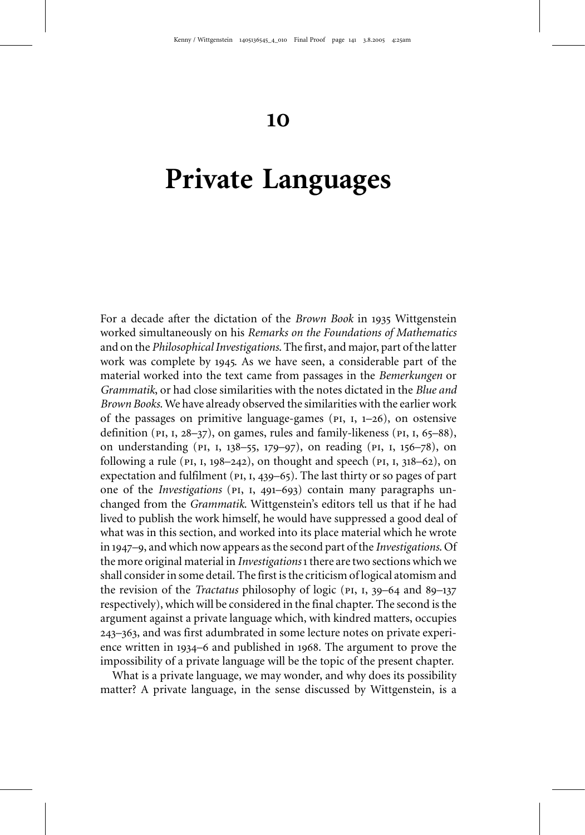## Private Languages

For a decade after the dictation of the Brown Book in 1935 Wittgenstein worked simultaneously on his Remarks on the Foundations of Mathematics and on the Philosophical Investigations. The first, and major, part of the latter work was complete by 1945. As we have seen, a considerable part of the material worked into the text came from passages in the Bemerkungen or Grammatik, or had close similarities with the notes dictated in the Blue and Brown Books. We have already observed the similarities with the earlier work of the passages on primitive language-games ( $PI$ ,  $I$ ,  $1-26$ ), on ostensive definition (pi, i, 28–37), on games, rules and family-likeness (pi, i, 65–88), on understanding (pi, i, 138–55, 179–97), on reading (pi, i, 156–78), on following a rule (pi, i, 198–242), on thought and speech (pi, i,  $318-62$ ), on expectation and fulfilment (PI, I, 439–65). The last thirty or so pages of part one of the Investigations (pi, i, 491–693) contain many paragraphs unchanged from the Grammatik. Wittgenstein's editors tell us that if he had lived to publish the work himself, he would have suppressed a good deal of what was in this section, and worked into its place material which he wrote in 1947–9, and which now appears as the second part of the Investigations. Of the more original material in Investigations 1 there are two sections which we shall consider in some detail. The first is the criticism of logical atomism and the revision of the Tractatus philosophy of logic (pi, i, 39–64 and 89–137 respectively), which will be considered in the final chapter. The second is the argument against a private language which, with kindred matters, occupies 243–363, and was first adumbrated in some lecture notes on private experience written in 1934–6 and published in 1968. The argument to prove the impossibility of a private language will be the topic of the present chapter.

What is a private language, we may wonder, and why does its possibility matter? A private language, in the sense discussed by Wittgenstein, is a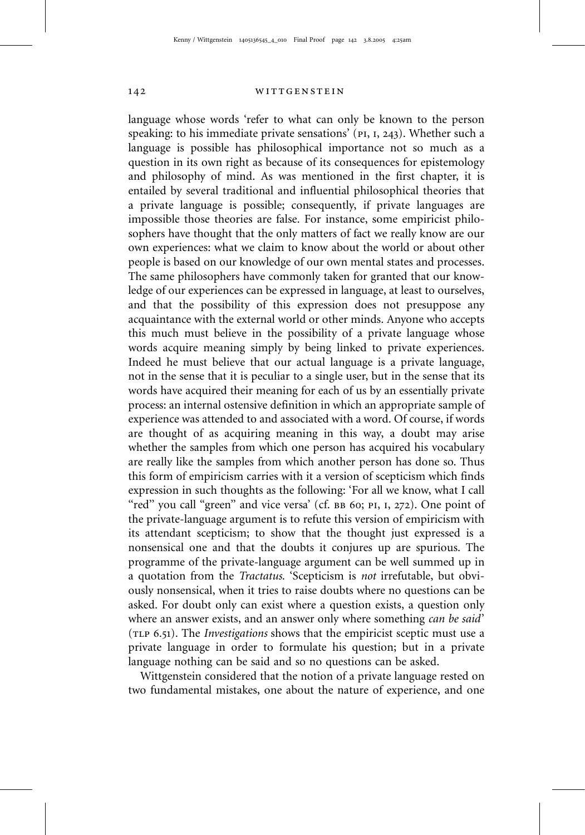language whose words 'refer to what can only be known to the person speaking: to his immediate private sensations' (pi, i, 243). Whether such a language is possible has philosophical importance not so much as a question in its own right as because of its consequences for epistemology and philosophy of mind. As was mentioned in the first chapter, it is entailed by several traditional and influential philosophical theories that a private language is possible; consequently, if private languages are impossible those theories are false. For instance, some empiricist philosophers have thought that the only matters of fact we really know are our own experiences: what we claim to know about the world or about other people is based on our knowledge of our own mental states and processes. The same philosophers have commonly taken for granted that our knowledge of our experiences can be expressed in language, at least to ourselves, and that the possibility of this expression does not presuppose any acquaintance with the external world or other minds. Anyone who accepts this much must believe in the possibility of a private language whose words acquire meaning simply by being linked to private experiences. Indeed he must believe that our actual language is a private language, not in the sense that it is peculiar to a single user, but in the sense that its words have acquired their meaning for each of us by an essentially private process: an internal ostensive definition in which an appropriate sample of experience was attended to and associated with a word. Of course, if words are thought of as acquiring meaning in this way, a doubt may arise whether the samples from which one person has acquired his vocabulary are really like the samples from which another person has done so. Thus this form of empiricism carries with it a version of scepticism which finds expression in such thoughts as the following: 'For all we know, what I call "red" you call "green" and vice versa' (cf. BB 60; PI, I, 272). One point of the private-language argument is to refute this version of empiricism with its attendant scepticism; to show that the thought just expressed is a nonsensical one and that the doubts it conjures up are spurious. The programme of the private-language argument can be well summed up in a quotation from the Tractatus. 'Scepticism is not irrefutable, but obviously nonsensical, when it tries to raise doubts where no questions can be asked. For doubt only can exist where a question exists, a question only where an answer exists, and an answer only where something *can be said*' (TLP 6.51). The *Investigations* shows that the empiricist sceptic must use a private language in order to formulate his question; but in a private language nothing can be said and so no questions can be asked.

Wittgenstein considered that the notion of a private language rested on two fundamental mistakes, one about the nature of experience, and one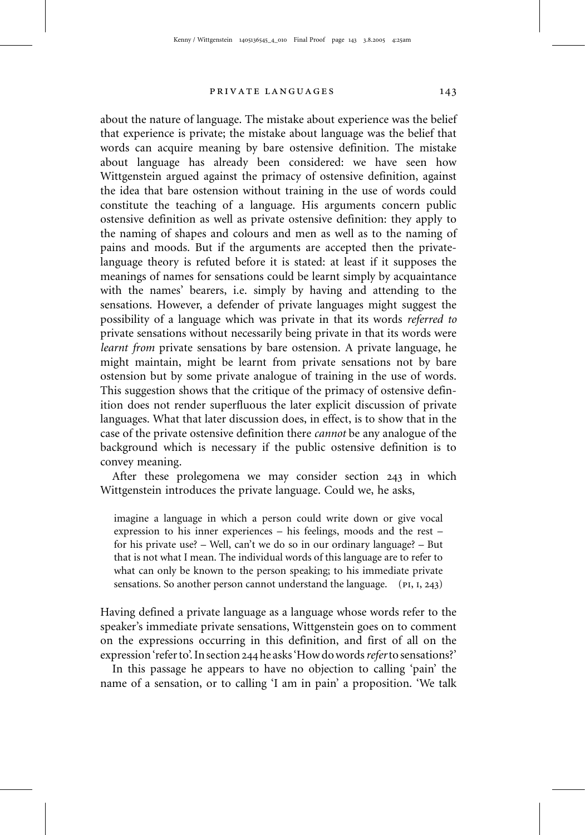about the nature of language. The mistake about experience was the belief that experience is private; the mistake about language was the belief that words can acquire meaning by bare ostensive definition. The mistake about language has already been considered: we have seen how Wittgenstein argued against the primacy of ostensive definition, against the idea that bare ostension without training in the use of words could constitute the teaching of a language. His arguments concern public ostensive definition as well as private ostensive definition: they apply to the naming of shapes and colours and men as well as to the naming of pains and moods. But if the arguments are accepted then the privatelanguage theory is refuted before it is stated: at least if it supposes the meanings of names for sensations could be learnt simply by acquaintance with the names' bearers, i.e. simply by having and attending to the sensations. However, a defender of private languages might suggest the possibility of a language which was private in that its words referred to private sensations without necessarily being private in that its words were learnt from private sensations by bare ostension. A private language, he might maintain, might be learnt from private sensations not by bare ostension but by some private analogue of training in the use of words. This suggestion shows that the critique of the primacy of ostensive definition does not render superfluous the later explicit discussion of private languages. What that later discussion does, in effect, is to show that in the case of the private ostensive definition there cannot be any analogue of the background which is necessary if the public ostensive definition is to convey meaning.

After these prolegomena we may consider section 243 in which Wittgenstein introduces the private language. Could we, he asks,

imagine a language in which a person could write down or give vocal expression to his inner experiences – his feelings, moods and the rest – for his private use? – Well, can't we do so in our ordinary language? – But that is not what I mean. The individual words of this language are to refer to what can only be known to the person speaking; to his immediate private sensations. So another person cannot understand the language.  $(p<sub>I</sub>, 1, 243)$ 

Having defined a private language as a language whose words refer to the speaker's immediate private sensations, Wittgenstein goes on to comment on the expressions occurring in this definition, and first of all on the expression 'refer to'. In section 244 he asks 'How do words refer to sensations?'

In this passage he appears to have no objection to calling 'pain' the name of a sensation, or to calling 'I am in pain' a proposition. 'We talk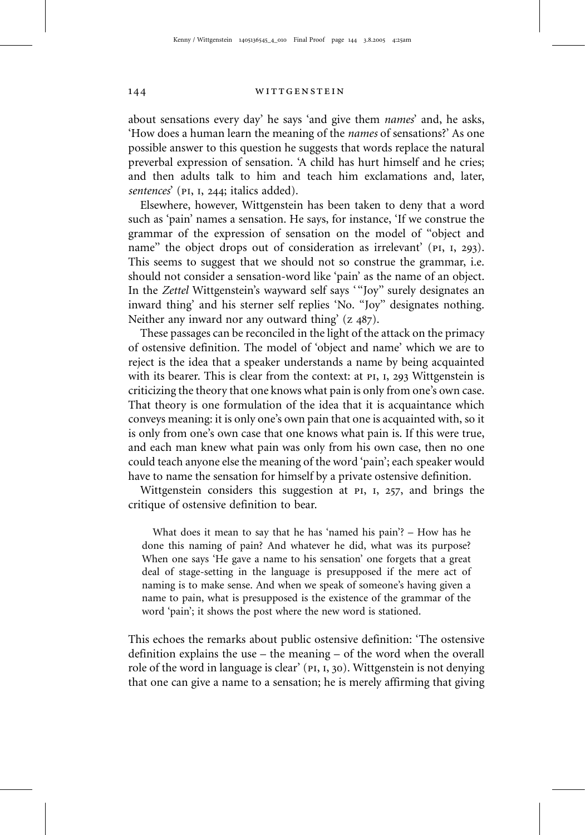about sensations every day' he says 'and give them names' and, he asks, 'How does a human learn the meaning of the names of sensations?' As one possible answer to this question he suggests that words replace the natural preverbal expression of sensation. 'A child has hurt himself and he cries; and then adults talk to him and teach him exclamations and, later, sentences' (pi, i, 244; italics added).

Elsewhere, however, Wittgenstein has been taken to deny that a word such as 'pain' names a sensation. He says, for instance, 'If we construe the grammar of the expression of sensation on the model of ''object and name" the object drops out of consideration as irrelevant' (PI, I, 293). This seems to suggest that we should not so construe the grammar, i.e. should not consider a sensation-word like 'pain' as the name of an object. In the Zettel Wittgenstein's wayward self says "Joy" surely designates an inward thing' and his sterner self replies 'No. ''Joy'' designates nothing. Neither any inward nor any outward thing' (z 487).

These passages can be reconciled in the light of the attack on the primacy of ostensive definition. The model of 'object and name' which we are to reject is the idea that a speaker understands a name by being acquainted with its bearer. This is clear from the context: at PI, I, 293 Wittgenstein is criticizing the theory that one knows what pain is only from one's own case. That theory is one formulation of the idea that it is acquaintance which conveys meaning: it is only one's own pain that one is acquainted with, so it is only from one's own case that one knows what pain is. If this were true, and each man knew what pain was only from his own case, then no one could teach anyone else the meaning of the word 'pain'; each speaker would have to name the sensation for himself by a private ostensive definition.

Wittgenstein considers this suggestion at PI, I, 257, and brings the critique of ostensive definition to bear.

What does it mean to say that he has 'named his pain'? – How has he done this naming of pain? And whatever he did, what was its purpose? When one says 'He gave a name to his sensation' one forgets that a great deal of stage-setting in the language is presupposed if the mere act of naming is to make sense. And when we speak of someone's having given a name to pain, what is presupposed is the existence of the grammar of the word 'pain'; it shows the post where the new word is stationed.

This echoes the remarks about public ostensive definition: 'The ostensive definition explains the use – the meaning – of the word when the overall role of the word in language is clear' (PI, I, 30). Wittgenstein is not denying that one can give a name to a sensation; he is merely affirming that giving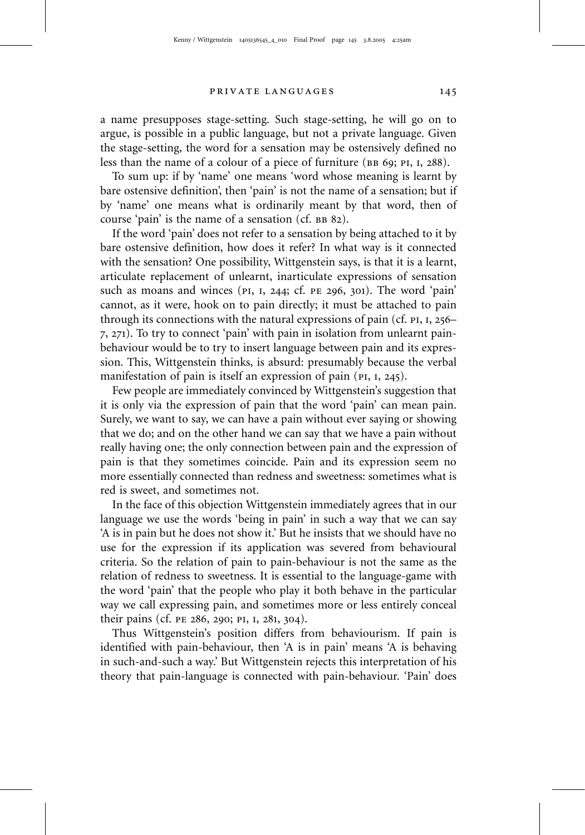a name presupposes stage-setting. Such stage-setting, he will go on to argue, is possible in a public language, but not a private language. Given the stage-setting, the word for a sensation may be ostensively defined no less than the name of a colour of a piece of furniture (BB 69; PI, I, 288).

To sum up: if by 'name' one means 'word whose meaning is learnt by bare ostensive definition', then 'pain' is not the name of a sensation; but if by 'name' one means what is ordinarily meant by that word, then of course 'pain' is the name of a sensation (cf. BB 82).

If the word 'pain' does not refer to a sensation by being attached to it by bare ostensive definition, how does it refer? In what way is it connected with the sensation? One possibility, Wittgenstein says, is that it is a learnt, articulate replacement of unlearnt, inarticulate expressions of sensation such as moans and winces (pi, i, 244; cf. pe 296, 301). The word 'pain' cannot, as it were, hook on to pain directly; it must be attached to pain through its connections with the natural expressions of pain (cf. pi, i, 256– 7, 271). To try to connect 'pain' with pain in isolation from unlearnt painbehaviour would be to try to insert language between pain and its expression. This, Wittgenstein thinks, is absurd: presumably because the verbal manifestation of pain is itself an expression of pain (PI, I, 245).

Few people are immediately convinced by Wittgenstein's suggestion that it is only via the expression of pain that the word 'pain' can mean pain. Surely, we want to say, we can have a pain without ever saying or showing that we do; and on the other hand we can say that we have a pain without really having one; the only connection between pain and the expression of pain is that they sometimes coincide. Pain and its expression seem no more essentially connected than redness and sweetness: sometimes what is red is sweet, and sometimes not.

In the face of this objection Wittgenstein immediately agrees that in our language we use the words 'being in pain' in such a way that we can say 'A is in pain but he does not show it.' But he insists that we should have no use for the expression if its application was severed from behavioural criteria. So the relation of pain to pain-behaviour is not the same as the relation of redness to sweetness. It is essential to the language-game with the word 'pain' that the people who play it both behave in the particular way we call expressing pain, and sometimes more or less entirely conceal their pains (cf. pe 286, 290; pi, i, 281, 304).

Thus Wittgenstein's position differs from behaviourism. If pain is identified with pain-behaviour, then 'A is in pain' means 'A is behaving in such-and-such a way.' But Wittgenstein rejects this interpretation of his theory that pain-language is connected with pain-behaviour. 'Pain' does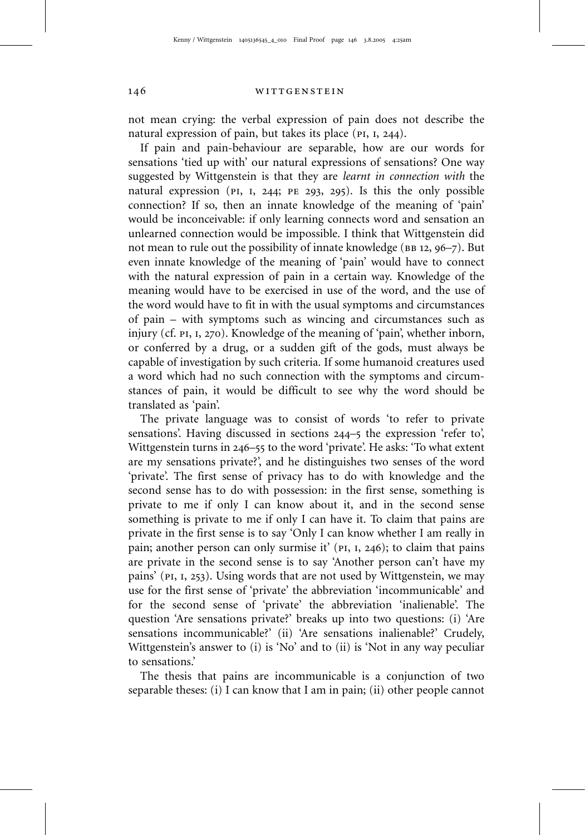not mean crying: the verbal expression of pain does not describe the natural expression of pain, but takes its place (pi, i, 244).

If pain and pain-behaviour are separable, how are our words for sensations 'tied up with' our natural expressions of sensations? One way suggested by Wittgenstein is that they are learnt in connection with the natural expression (pi, i, 244; pe 293, 295). Is this the only possible connection? If so, then an innate knowledge of the meaning of 'pain' would be inconceivable: if only learning connects word and sensation an unlearned connection would be impossible. I think that Wittgenstein did not mean to rule out the possibility of innate knowledge ( $BB 12, 96–7$ ). But even innate knowledge of the meaning of 'pain' would have to connect with the natural expression of pain in a certain way. Knowledge of the meaning would have to be exercised in use of the word, and the use of the word would have to fit in with the usual symptoms and circumstances of pain – with symptoms such as wincing and circumstances such as injury (cf. pi, i, 270). Knowledge of the meaning of 'pain', whether inborn, or conferred by a drug, or a sudden gift of the gods, must always be capable of investigation by such criteria. If some humanoid creatures used a word which had no such connection with the symptoms and circumstances of pain, it would be difficult to see why the word should be translated as 'pain'.

The private language was to consist of words 'to refer to private sensations'. Having discussed in sections 244–5 the expression 'refer to', Wittgenstein turns in 246–55 to the word 'private'. He asks: 'To what extent are my sensations private?', and he distinguishes two senses of the word 'private'. The first sense of privacy has to do with knowledge and the second sense has to do with possession: in the first sense, something is private to me if only I can know about it, and in the second sense something is private to me if only I can have it. To claim that pains are private in the first sense is to say 'Only I can know whether I am really in pain; another person can only surmise it' (PI, I, 246); to claim that pains are private in the second sense is to say 'Another person can't have my pains' (pi, i, 253). Using words that are not used by Wittgenstein, we may use for the first sense of 'private' the abbreviation 'incommunicable' and for the second sense of 'private' the abbreviation 'inalienable'. The question 'Are sensations private?' breaks up into two questions: (i) 'Are sensations incommunicable?' (ii) 'Are sensations inalienable?' Crudely, Wittgenstein's answer to (i) is 'No' and to (ii) is 'Not in any way peculiar to sensations.'

The thesis that pains are incommunicable is a conjunction of two separable theses: (i) I can know that I am in pain; (ii) other people cannot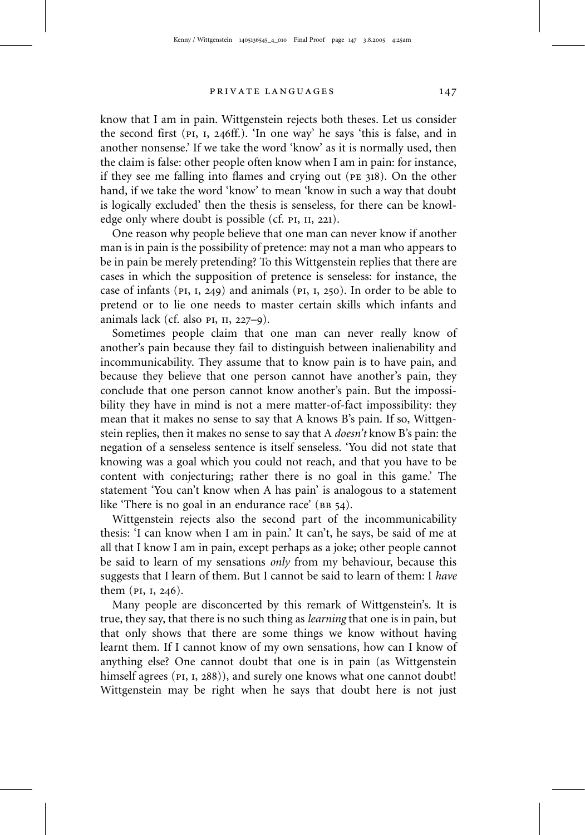know that I am in pain. Wittgenstein rejects both theses. Let us consider the second first (pi, i, 246ff.). 'In one way' he says 'this is false, and in another nonsense.' If we take the word 'know' as it is normally used, then the claim is false: other people often know when I am in pain: for instance, if they see me falling into flames and crying out (pe 318). On the other hand, if we take the word 'know' to mean 'know in such a way that doubt is logically excluded' then the thesis is senseless, for there can be knowledge only where doubt is possible (cf. pi, ii, 221).

One reason why people believe that one man can never know if another man is in pain is the possibility of pretence: may not a man who appears to be in pain be merely pretending? To this Wittgenstein replies that there are cases in which the supposition of pretence is senseless: for instance, the case of infants (pi, i, 249) and animals (pi, i, 250). In order to be able to pretend or to lie one needs to master certain skills which infants and animals lack (cf. also  $PI$ ,  $II$ ,  $227-9$ ).

Sometimes people claim that one man can never really know of another's pain because they fail to distinguish between inalienability and incommunicability. They assume that to know pain is to have pain, and because they believe that one person cannot have another's pain, they conclude that one person cannot know another's pain. But the impossibility they have in mind is not a mere matter-of-fact impossibility: they mean that it makes no sense to say that A knows B's pain. If so, Wittgenstein replies, then it makes no sense to say that A doesn't know B's pain: the negation of a senseless sentence is itself senseless. 'You did not state that knowing was a goal which you could not reach, and that you have to be content with conjecturing; rather there is no goal in this game.' The statement 'You can't know when A has pain' is analogous to a statement like 'There is no goal in an endurance race'  $(BB 54)$ .

Wittgenstein rejects also the second part of the incommunicability thesis: 'I can know when I am in pain.' It can't, he says, be said of me at all that I know I am in pain, except perhaps as a joke; other people cannot be said to learn of my sensations only from my behaviour, because this suggests that I learn of them. But I cannot be said to learn of them: I have them (pi, i, 246).

Many people are disconcerted by this remark of Wittgenstein's. It is true, they say, that there is no such thing as learning that one is in pain, but that only shows that there are some things we know without having learnt them. If I cannot know of my own sensations, how can I know of anything else? One cannot doubt that one is in pain (as Wittgenstein himself agrees (PI, I, 288)), and surely one knows what one cannot doubt! Wittgenstein may be right when he says that doubt here is not just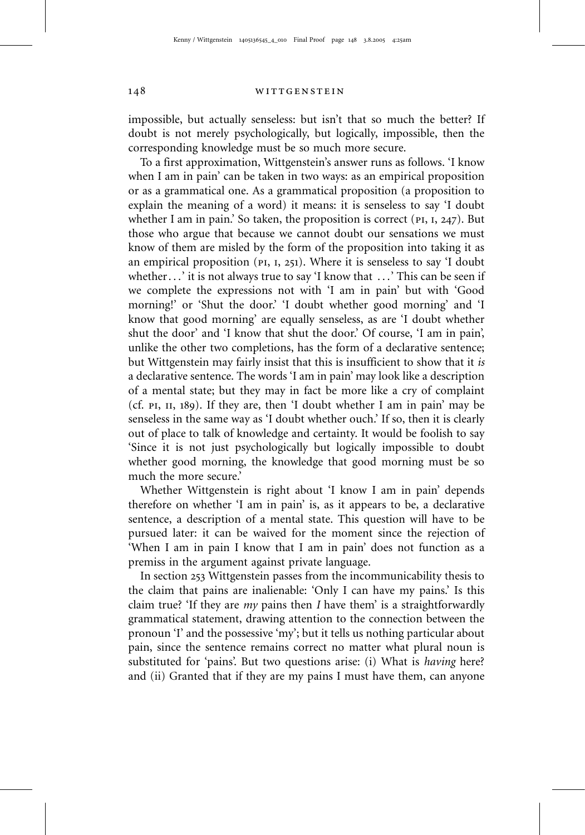impossible, but actually senseless: but isn't that so much the better? If doubt is not merely psychologically, but logically, impossible, then the corresponding knowledge must be so much more secure.

To a first approximation, Wittgenstein's answer runs as follows. 'I know when I am in pain' can be taken in two ways: as an empirical proposition or as a grammatical one. As a grammatical proposition (a proposition to explain the meaning of a word) it means: it is senseless to say 'I doubt whether I am in pain.' So taken, the proposition is correct  $(p_1, p_1, q_2, p_1)$ . But those who argue that because we cannot doubt our sensations we must know of them are misled by the form of the proposition into taking it as an empirical proposition (pi, i, 251). Where it is senseless to say 'I doubt whether...' it is not always true to say 'I know that ...' This can be seen if we complete the expressions not with 'I am in pain' but with 'Good morning!' or 'Shut the door.' 'I doubt whether good morning' and 'I know that good morning' are equally senseless, as are 'I doubt whether shut the door' and 'I know that shut the door.' Of course, 'I am in pain', unlike the other two completions, has the form of a declarative sentence; but Wittgenstein may fairly insist that this is insufficient to show that it is a declarative sentence. The words 'I am in pain' may look like a description of a mental state; but they may in fact be more like a cry of complaint (cf. pi, ii, 189). If they are, then 'I doubt whether I am in pain' may be senseless in the same way as 'I doubt whether ouch.' If so, then it is clearly out of place to talk of knowledge and certainty. It would be foolish to say 'Since it is not just psychologically but logically impossible to doubt whether good morning, the knowledge that good morning must be so much the more secure.'

Whether Wittgenstein is right about 'I know I am in pain' depends therefore on whether 'I am in pain' is, as it appears to be, a declarative sentence, a description of a mental state. This question will have to be pursued later: it can be waived for the moment since the rejection of 'When I am in pain I know that I am in pain' does not function as a premiss in the argument against private language.

In section 253 Wittgenstein passes from the incommunicability thesis to the claim that pains are inalienable: 'Only I can have my pains.' Is this claim true? 'If they are  $my$  pains then I have them' is a straightforwardly grammatical statement, drawing attention to the connection between the pronoun 'I' and the possessive 'my'; but it tells us nothing particular about pain, since the sentence remains correct no matter what plural noun is substituted for 'pains'. But two questions arise: (i) What is having here? and (ii) Granted that if they are my pains I must have them, can anyone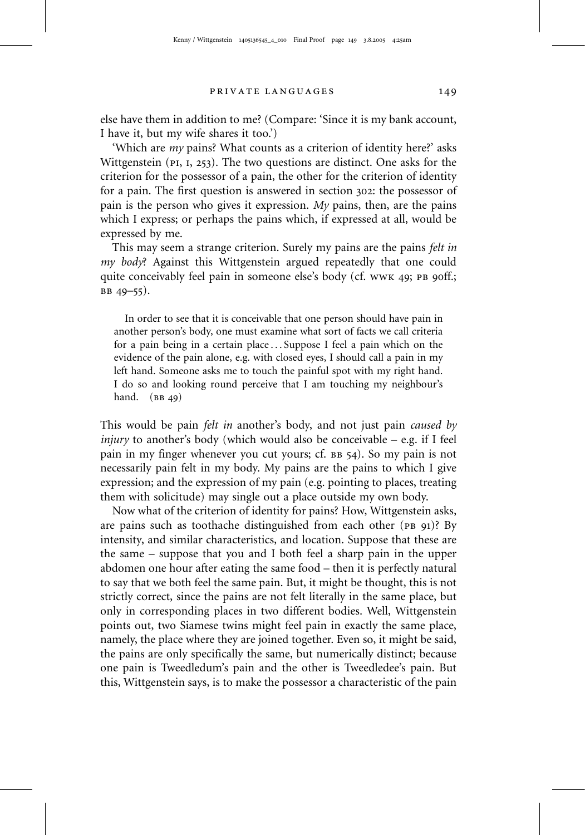else have them in addition to me? (Compare: 'Since it is my bank account, I have it, but my wife shares it too.')

'Which are my pains? What counts as a criterion of identity here?' asks Wittgenstein (pi, i, 253). The two questions are distinct. One asks for the criterion for the possessor of a pain, the other for the criterion of identity for a pain. The first question is answered in section 302: the possessor of pain is the person who gives it expression. My pains, then, are the pains which I express; or perhaps the pains which, if expressed at all, would be expressed by me.

This may seem a strange criterion. Surely my pains are the pains felt in my body? Against this Wittgenstein argued repeatedly that one could quite conceivably feel pain in someone else's body (cf. wwk 49; PB 90ff.; bb 49–55).

In order to see that it is conceivable that one person should have pain in another person's body, one must examine what sort of facts we call criteria for a pain being in a certain place . . . Suppose I feel a pain which on the evidence of the pain alone, e.g. with closed eyes, I should call a pain in my left hand. Someone asks me to touch the painful spot with my right hand. I do so and looking round perceive that I am touching my neighbour's hand.  $(BB 49)$ 

This would be pain felt in another's body, and not just pain caused by injury to another's body (which would also be conceivable – e.g. if I feel pain in my finger whenever you cut yours; cf. BB 54). So my pain is not necessarily pain felt in my body. My pains are the pains to which I give expression; and the expression of my pain (e.g. pointing to places, treating them with solicitude) may single out a place outside my own body.

Now what of the criterion of identity for pains? How, Wittgenstein asks, are pains such as toothache distinguished from each other (PB 91)? By intensity, and similar characteristics, and location. Suppose that these are the same – suppose that you and I both feel a sharp pain in the upper abdomen one hour after eating the same food – then it is perfectly natural to say that we both feel the same pain. But, it might be thought, this is not strictly correct, since the pains are not felt literally in the same place, but only in corresponding places in two different bodies. Well, Wittgenstein points out, two Siamese twins might feel pain in exactly the same place, namely, the place where they are joined together. Even so, it might be said, the pains are only specifically the same, but numerically distinct; because one pain is Tweedledum's pain and the other is Tweedledee's pain. But this, Wittgenstein says, is to make the possessor a characteristic of the pain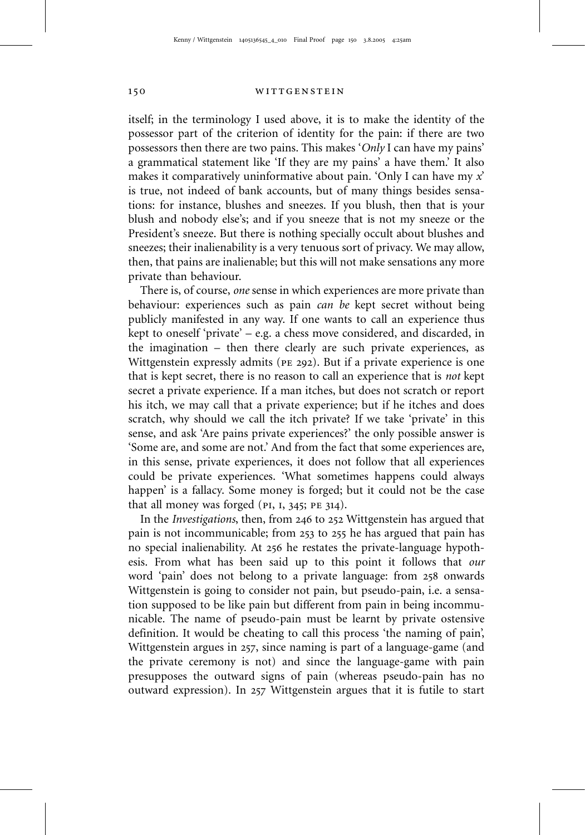itself; in the terminology I used above, it is to make the identity of the possessor part of the criterion of identity for the pain: if there are two possessors then there are two pains. This makes 'Only I can have my pains' a grammatical statement like 'If they are my pains' a have them.' It also makes it comparatively uninformative about pain. 'Only I can have my  $x'$ is true, not indeed of bank accounts, but of many things besides sensations: for instance, blushes and sneezes. If you blush, then that is your blush and nobody else's; and if you sneeze that is not my sneeze or the President's sneeze. But there is nothing specially occult about blushes and sneezes; their inalienability is a very tenuous sort of privacy. We may allow, then, that pains are inalienable; but this will not make sensations any more private than behaviour.

There is, of course, one sense in which experiences are more private than behaviour: experiences such as pain can be kept secret without being publicly manifested in any way. If one wants to call an experience thus kept to oneself 'private' – e.g. a chess move considered, and discarded, in the imagination – then there clearly are such private experiences, as Wittgenstein expressly admits (pe 292). But if a private experience is one that is kept secret, there is no reason to call an experience that is not kept secret a private experience. If a man itches, but does not scratch or report his itch, we may call that a private experience; but if he itches and does scratch, why should we call the itch private? If we take 'private' in this sense, and ask 'Are pains private experiences?' the only possible answer is 'Some are, and some are not.' And from the fact that some experiences are, in this sense, private experiences, it does not follow that all experiences could be private experiences. 'What sometimes happens could always happen' is a fallacy. Some money is forged; but it could not be the case that all money was forged (pi, i, 345; pe 314).

In the Investigations, then, from 246 to 252 Wittgenstein has argued that pain is not incommunicable; from 253 to 255 he has argued that pain has no special inalienability. At 256 he restates the private-language hypothesis. From what has been said up to this point it follows that our word 'pain' does not belong to a private language: from 258 onwards Wittgenstein is going to consider not pain, but pseudo-pain, i.e. a sensation supposed to be like pain but different from pain in being incommunicable. The name of pseudo-pain must be learnt by private ostensive definition. It would be cheating to call this process 'the naming of pain', Wittgenstein argues in 257, since naming is part of a language-game (and the private ceremony is not) and since the language-game with pain presupposes the outward signs of pain (whereas pseudo-pain has no outward expression). In 257 Wittgenstein argues that it is futile to start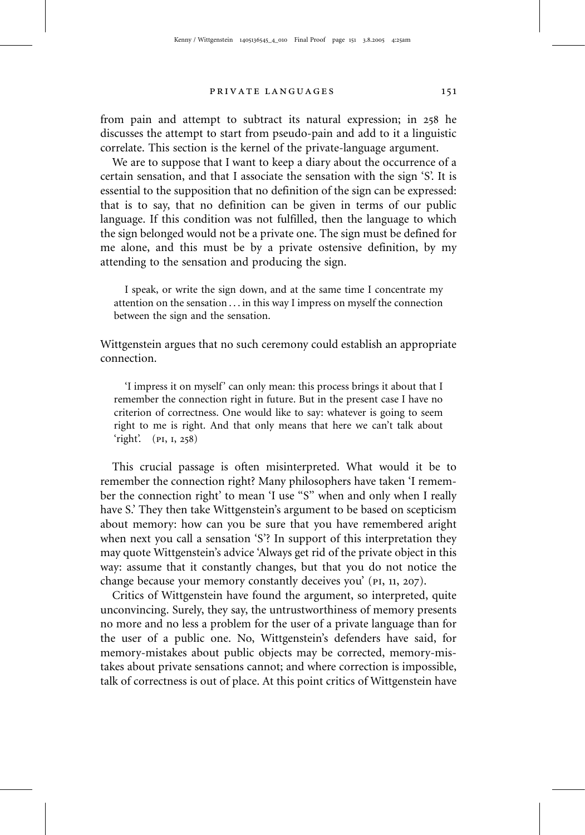from pain and attempt to subtract its natural expression; in 258 he discusses the attempt to start from pseudo-pain and add to it a linguistic correlate. This section is the kernel of the private-language argument.

We are to suppose that I want to keep a diary about the occurrence of a certain sensation, and that I associate the sensation with the sign 'S'. It is essential to the supposition that no definition of the sign can be expressed: that is to say, that no definition can be given in terms of our public language. If this condition was not fulfilled, then the language to which the sign belonged would not be a private one. The sign must be defined for me alone, and this must be by a private ostensive definition, by my attending to the sensation and producing the sign.

I speak, or write the sign down, and at the same time I concentrate my attention on the sensation  $\dots$  in this way I impress on myself the connection between the sign and the sensation.

Wittgenstein argues that no such ceremony could establish an appropriate connection.

'I impress it on myself' can only mean: this process brings it about that I remember the connection right in future. But in the present case I have no criterion of correctness. One would like to say: whatever is going to seem right to me is right. And that only means that here we can't talk about 'right'. (pi, i, 258)

This crucial passage is often misinterpreted. What would it be to remember the connection right? Many philosophers have taken 'I remember the connection right' to mean 'I use "S" when and only when I really have S.' They then take Wittgenstein's argument to be based on scepticism about memory: how can you be sure that you have remembered aright when next you call a sensation 'S'? In support of this interpretation they may quote Wittgenstein's advice 'Always get rid of the private object in this way: assume that it constantly changes, but that you do not notice the change because your memory constantly deceives you' (pi, 11, 207).

Critics of Wittgenstein have found the argument, so interpreted, quite unconvincing. Surely, they say, the untrustworthiness of memory presents no more and no less a problem for the user of a private language than for the user of a public one. No, Wittgenstein's defenders have said, for memory-mistakes about public objects may be corrected, memory-mistakes about private sensations cannot; and where correction is impossible, talk of correctness is out of place. At this point critics of Wittgenstein have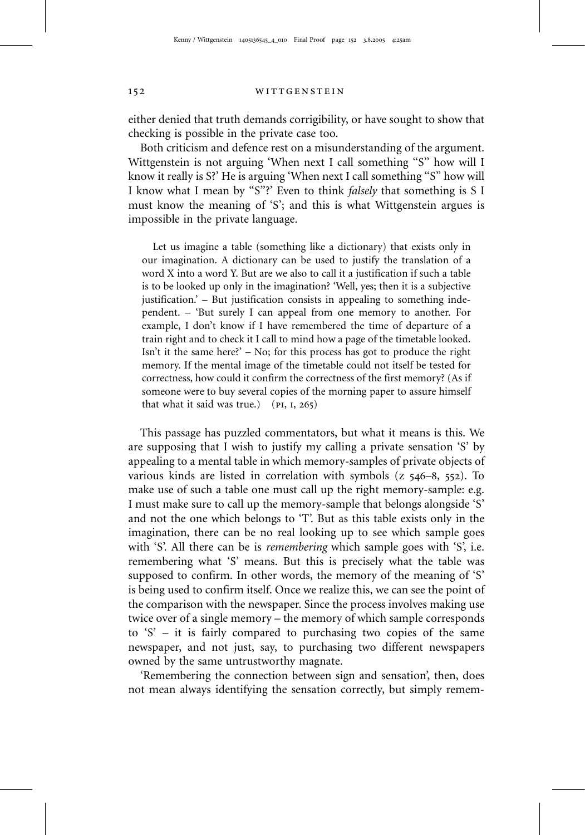either denied that truth demands corrigibility, or have sought to show that checking is possible in the private case too.

Both criticism and defence rest on a misunderstanding of the argument. Wittgenstein is not arguing 'When next I call something "S" how will I know it really is S?' He is arguing 'When next I call something "S" how will I know what I mean by "S"?' Even to think *falsely* that something is S I must know the meaning of 'S'; and this is what Wittgenstein argues is impossible in the private language.

Let us imagine a table (something like a dictionary) that exists only in our imagination. A dictionary can be used to justify the translation of a word X into a word Y. But are we also to call it a justification if such a table is to be looked up only in the imagination? 'Well, yes; then it is a subjective justification.' – But justification consists in appealing to something independent. – 'But surely I can appeal from one memory to another. For example, I don't know if I have remembered the time of departure of a train right and to check it I call to mind how a page of the timetable looked. Isn't it the same here?'  $-$  No; for this process has got to produce the right memory. If the mental image of the timetable could not itself be tested for correctness, how could it confirm the correctness of the first memory? (As if someone were to buy several copies of the morning paper to assure himself that what it said was true.)  $(pI, I, 265)$ 

This passage has puzzled commentators, but what it means is this. We are supposing that I wish to justify my calling a private sensation 'S' by appealing to a mental table in which memory-samples of private objects of various kinds are listed in correlation with symbols (z 546–8, 552). To make use of such a table one must call up the right memory-sample: e.g. I must make sure to call up the memory-sample that belongs alongside 'S' and not the one which belongs to 'T'. But as this table exists only in the imagination, there can be no real looking up to see which sample goes with 'S'. All there can be is *remembering* which sample goes with 'S', i.e. remembering what 'S' means. But this is precisely what the table was supposed to confirm. In other words, the memory of the meaning of 'S' is being used to confirm itself. Once we realize this, we can see the point of the comparison with the newspaper. Since the process involves making use twice over of a single memory – the memory of which sample corresponds to  $S'$  – it is fairly compared to purchasing two copies of the same newspaper, and not just, say, to purchasing two different newspapers owned by the same untrustworthy magnate.

'Remembering the connection between sign and sensation', then, does not mean always identifying the sensation correctly, but simply remem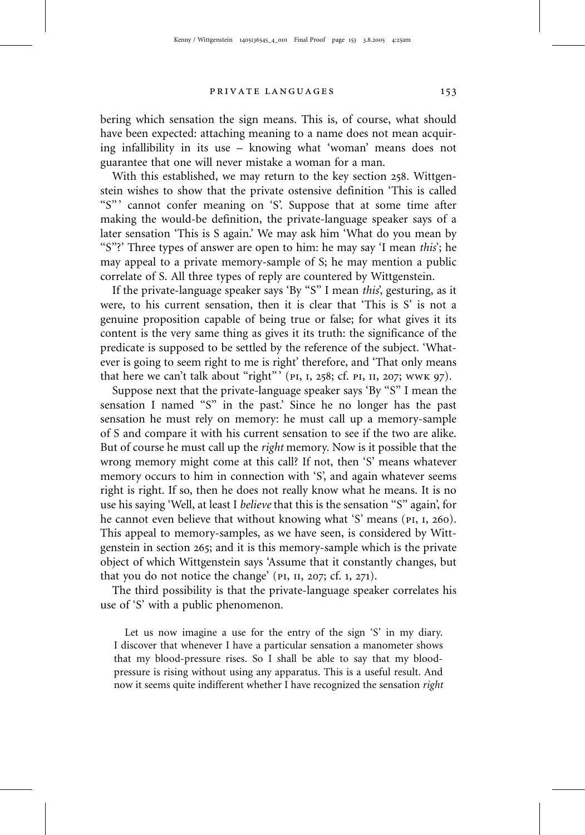bering which sensation the sign means. This is, of course, what should have been expected: attaching meaning to a name does not mean acquiring infallibility in its use – knowing what 'woman' means does not guarantee that one will never mistake a woman for a man.

With this established, we may return to the key section 258. Wittgenstein wishes to show that the private ostensive definition 'This is called "S"' cannot confer meaning on 'S'. Suppose that at some time after making the would-be definition, the private-language speaker says of a later sensation 'This is S again.' We may ask him 'What do you mean by "S"?' Three types of answer are open to him: he may say 'I mean this'; he may appeal to a private memory-sample of S; he may mention a public correlate of S. All three types of reply are countered by Wittgenstein.

If the private-language speaker says 'By "S" I mean this', gesturing, as it were, to his current sensation, then it is clear that 'This is S' is not a genuine proposition capable of being true or false; for what gives it its content is the very same thing as gives it its truth: the significance of the predicate is supposed to be settled by the reference of the subject. 'Whatever is going to seem right to me is right' therefore, and 'That only means that here we can't talk about "right"' ( $PI$ ,  $I$ ,  $258$ ; cf.  $PI$ ,  $II$ ,  $207$ ; wwk 97).

Suppose next that the private-language speaker says 'By "S" I mean the sensation I named "S" in the past.' Since he no longer has the past sensation he must rely on memory: he must call up a memory-sample of S and compare it with his current sensation to see if the two are alike. But of course he must call up the right memory. Now is it possible that the wrong memory might come at this call? If not, then 'S' means whatever memory occurs to him in connection with 'S', and again whatever seems right is right. If so, then he does not really know what he means. It is no use his saying 'Well, at least I believe that this is the sensation "S" again', for he cannot even believe that without knowing what 'S' means (PI, I, 260). This appeal to memory-samples, as we have seen, is considered by Wittgenstein in section 265; and it is this memory-sample which is the private object of which Wittgenstein says 'Assume that it constantly changes, but that you do not notice the change' (pi, ii, 207; cf. 1, 271).

The third possibility is that the private-language speaker correlates his use of 'S' with a public phenomenon.

Let us now imagine a use for the entry of the sign 'S' in my diary. I discover that whenever I have a particular sensation a manometer shows that my blood-pressure rises. So I shall be able to say that my bloodpressure is rising without using any apparatus. This is a useful result. And now it seems quite indifferent whether I have recognized the sensation right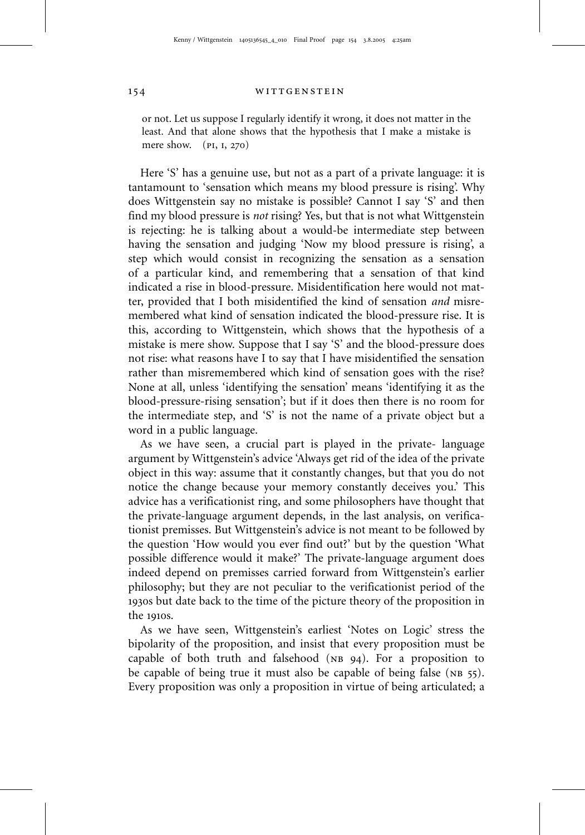or not. Let us suppose I regularly identify it wrong, it does not matter in the least. And that alone shows that the hypothesis that I make a mistake is mere show. (pi, i, 270)

Here 'S' has a genuine use, but not as a part of a private language: it is tantamount to 'sensation which means my blood pressure is rising'. Why does Wittgenstein say no mistake is possible? Cannot I say 'S' and then find my blood pressure is not rising? Yes, but that is not what Wittgenstein is rejecting: he is talking about a would-be intermediate step between having the sensation and judging 'Now my blood pressure is rising', a step which would consist in recognizing the sensation as a sensation of a particular kind, and remembering that a sensation of that kind indicated a rise in blood-pressure. Misidentification here would not matter, provided that I both misidentified the kind of sensation and misremembered what kind of sensation indicated the blood-pressure rise. It is this, according to Wittgenstein, which shows that the hypothesis of a mistake is mere show. Suppose that I say 'S' and the blood-pressure does not rise: what reasons have I to say that I have misidentified the sensation rather than misremembered which kind of sensation goes with the rise? None at all, unless 'identifying the sensation' means 'identifying it as the blood-pressure-rising sensation'; but if it does then there is no room for the intermediate step, and 'S' is not the name of a private object but a word in a public language.

As we have seen, a crucial part is played in the private- language argument by Wittgenstein's advice 'Always get rid of the idea of the private object in this way: assume that it constantly changes, but that you do not notice the change because your memory constantly deceives you.' This advice has a verificationist ring, and some philosophers have thought that the private-language argument depends, in the last analysis, on verificationist premisses. But Wittgenstein's advice is not meant to be followed by the question 'How would you ever find out?' but by the question 'What possible difference would it make?' The private-language argument does indeed depend on premisses carried forward from Wittgenstein's earlier philosophy; but they are not peculiar to the verificationist period of the 1930s but date back to the time of the picture theory of the proposition in the 1910s.

As we have seen, Wittgenstein's earliest 'Notes on Logic' stress the bipolarity of the proposition, and insist that every proposition must be capable of both truth and falsehood ( $NB$  94). For a proposition to be capable of being true it must also be capable of being false (NB 55). Every proposition was only a proposition in virtue of being articulated; a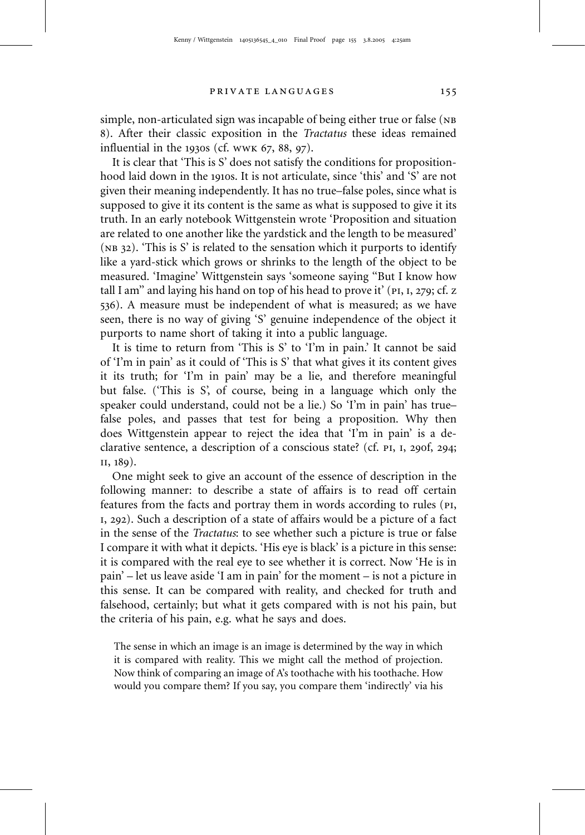simple, non-articulated sign was incapable of being either true or false (NB) 8). After their classic exposition in the Tractatus these ideas remained influential in the 1930s (cf. wwk  $67, 88, 97$ ).

It is clear that 'This is S' does not satisfy the conditions for propositionhood laid down in the 1910s. It is not articulate, since 'this' and 'S' are not given their meaning independently. It has no true–false poles, since what is supposed to give it its content is the same as what is supposed to give it its truth. In an early notebook Wittgenstein wrote 'Proposition and situation are related to one another like the yardstick and the length to be measured'  $(NB 32)$ . 'This is S' is related to the sensation which it purports to identify like a yard-stick which grows or shrinks to the length of the object to be measured. 'Imagine' Wittgenstein says 'someone saying ''But I know how tall I am'' and laying his hand on top of his head to prove it' (pi, i, 279; cf. z 536). A measure must be independent of what is measured; as we have seen, there is no way of giving 'S' genuine independence of the object it purports to name short of taking it into a public language.

It is time to return from 'This is S' to 'I'm in pain.' It cannot be said of 'I'm in pain' as it could of 'This is S' that what gives it its content gives it its truth; for 'I'm in pain' may be a lie, and therefore meaningful but false. ('This is S', of course, being in a language which only the speaker could understand, could not be a lie.) So 'I'm in pain' has true– false poles, and passes that test for being a proposition. Why then does Wittgenstein appear to reject the idea that 'I'm in pain' is a declarative sentence, a description of a conscious state? (cf. pi, i, 290f, 294; ii, 189).

One might seek to give an account of the essence of description in the following manner: to describe a state of affairs is to read off certain features from the facts and portray them in words according to rules (pi, i, 292). Such a description of a state of affairs would be a picture of a fact in the sense of the Tractatus: to see whether such a picture is true or false I compare it with what it depicts. 'His eye is black' is a picture in this sense: it is compared with the real eye to see whether it is correct. Now 'He is in pain' – let us leave aside 'I am in pain' for the moment – is not a picture in this sense. It can be compared with reality, and checked for truth and falsehood, certainly; but what it gets compared with is not his pain, but the criteria of his pain, e.g. what he says and does.

The sense in which an image is an image is determined by the way in which it is compared with reality. This we might call the method of projection. Now think of comparing an image of A's toothache with his toothache. How would you compare them? If you say, you compare them 'indirectly' via his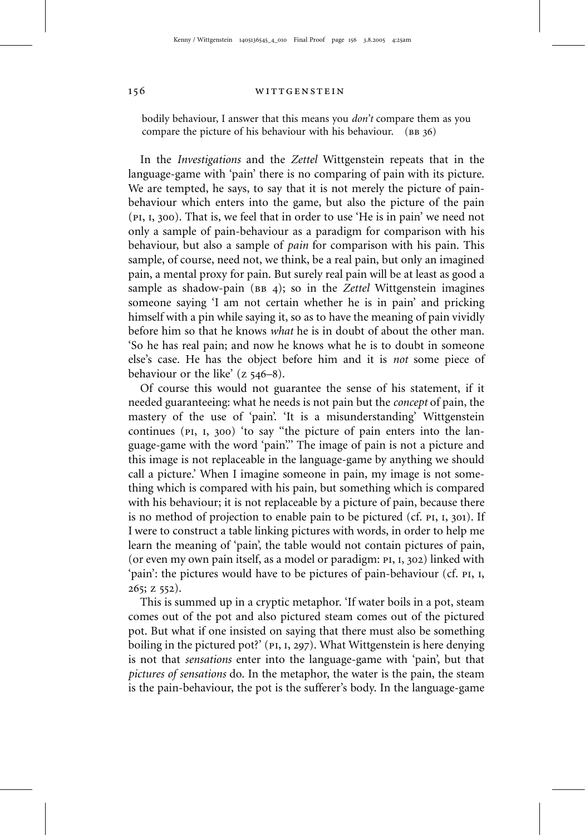bodily behaviour, I answer that this means you don't compare them as you compare the picture of his behaviour with his behaviour. (BB 36)

In the Investigations and the Zettel Wittgenstein repeats that in the language-game with 'pain' there is no comparing of pain with its picture. We are tempted, he says, to say that it is not merely the picture of painbehaviour which enters into the game, but also the picture of the pain (pi, i, 300). That is, we feel that in order to use 'He is in pain' we need not only a sample of pain-behaviour as a paradigm for comparison with his behaviour, but also a sample of pain for comparison with his pain. This sample, of course, need not, we think, be a real pain, but only an imagined pain, a mental proxy for pain. But surely real pain will be at least as good a sample as shadow-pain ( $BB$  4); so in the Zettel Wittgenstein imagines someone saying 'I am not certain whether he is in pain' and pricking himself with a pin while saying it, so as to have the meaning of pain vividly before him so that he knows what he is in doubt of about the other man. 'So he has real pain; and now he knows what he is to doubt in someone else's case. He has the object before him and it is not some piece of behaviour or the like' (z 546–8).

Of course this would not guarantee the sense of his statement, if it needed guaranteeing: what he needs is not pain but the concept of pain, the mastery of the use of 'pain'. 'It is a misunderstanding' Wittgenstein continues (pi, i, 300) 'to say ''the picture of pain enters into the language-game with the word 'pain'.'' The image of pain is not a picture and this image is not replaceable in the language-game by anything we should call a picture.' When I imagine someone in pain, my image is not something which is compared with his pain, but something which is compared with his behaviour; it is not replaceable by a picture of pain, because there is no method of projection to enable pain to be pictured (cf. pi, i, 301). If I were to construct a table linking pictures with words, in order to help me learn the meaning of 'pain', the table would not contain pictures of pain, (or even my own pain itself, as a model or paradigm: pi, i, 302) linked with 'pain': the pictures would have to be pictures of pain-behaviour (cf. pi, i, 265; z 552).

This is summed up in a cryptic metaphor. 'If water boils in a pot, steam comes out of the pot and also pictured steam comes out of the pictured pot. But what if one insisted on saying that there must also be something boiling in the pictured pot?' (PI, I, 297). What Wittgenstein is here denying is not that sensations enter into the language-game with 'pain', but that pictures of sensations do. In the metaphor, the water is the pain, the steam is the pain-behaviour, the pot is the sufferer's body. In the language-game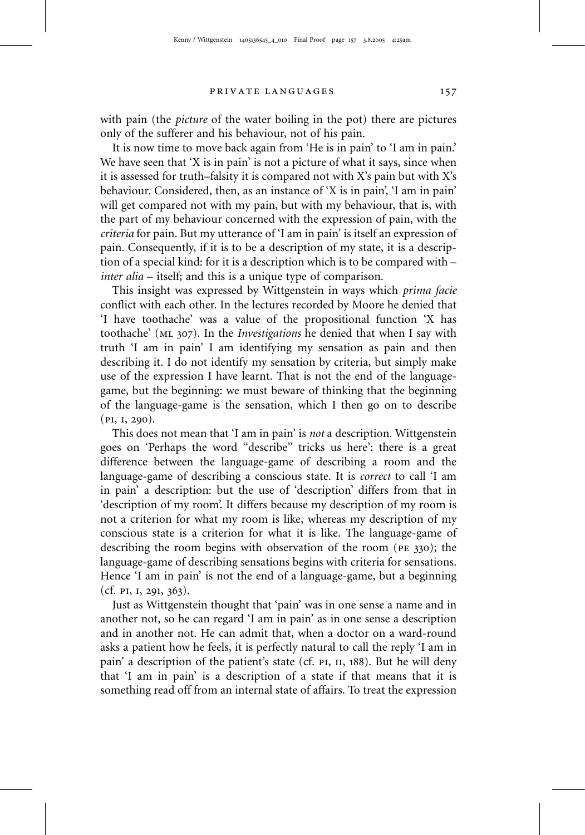with pain (the *picture* of the water boiling in the pot) there are pictures only of the sufferer and his behaviour, not of his pain.

It is now time to move back again from 'He is in pain' to 'I am in pain.' We have seen that 'X is in pain' is not a picture of what it says, since when it is assessed for truth–falsity it is compared not with X's pain but with X's behaviour. Considered, then, as an instance of 'X is in pain', 'I am in pain' will get compared not with my pain, but with my behaviour, that is, with the part of my behaviour concerned with the expression of pain, with the criteria for pain. But my utterance of 'I am in pain' is itself an expression of pain. Consequently, if it is to be a description of my state, it is a description of a special kind: for it is a description which is to be compared with – inter alia – itself; and this is a unique type of comparison.

This insight was expressed by Wittgenstein in ways which prima facie conflict with each other. In the lectures recorded by Moore he denied that 'I have toothache' was a value of the propositional function 'X has toothache' (ml 307). In the Investigations he denied that when I say with truth 'I am in pain' I am identifying my sensation as pain and then describing it. I do not identify my sensation by criteria, but simply make use of the expression I have learnt. That is not the end of the languagegame, but the beginning: we must beware of thinking that the beginning of the language-game is the sensation, which I then go on to describe (pi, i, 290).

This does not mean that 'I am in pain' is not a description. Wittgenstein goes on 'Perhaps the word ''describe'' tricks us here': there is a great difference between the language-game of describing a room and the language-game of describing a conscious state. It is correct to call 'I am in pain' a description: but the use of 'description' differs from that in 'description of my room'. It differs because my description of my room is not a criterion for what my room is like, whereas my description of my conscious state is a criterion for what it is like. The language-game of describing the room begins with observation of the room (pe 330); the language-game of describing sensations begins with criteria for sensations. Hence 'I am in pain' is not the end of a language-game, but a beginning (cf. pi, i, 291, 363).

Just as Wittgenstein thought that 'pain' was in one sense a name and in another not, so he can regard 'I am in pain' as in one sense a description and in another not. He can admit that, when a doctor on a ward-round asks a patient how he feels, it is perfectly natural to call the reply 'I am in pain' a description of the patient's state (cf. pi, ii, 188). But he will deny that 'I am in pain' is a description of a state if that means that it is something read off from an internal state of affairs. To treat the expression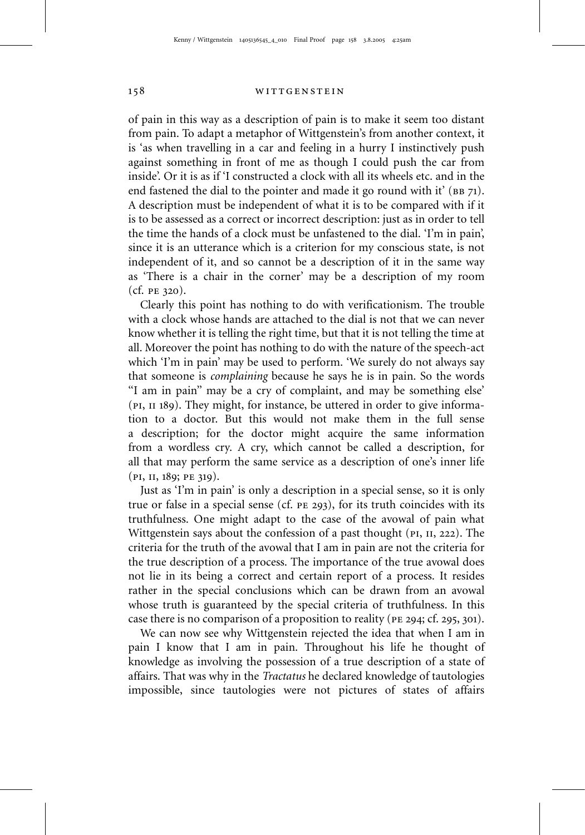of pain in this way as a description of pain is to make it seem too distant from pain. To adapt a metaphor of Wittgenstein's from another context, it is 'as when travelling in a car and feeling in a hurry I instinctively push against something in front of me as though I could push the car from inside'. Or it is as if 'I constructed a clock with all its wheels etc. and in the end fastened the dial to the pointer and made it go round with it' (BB 71). A description must be independent of what it is to be compared with if it is to be assessed as a correct or incorrect description: just as in order to tell the time the hands of a clock must be unfastened to the dial. 'I'm in pain', since it is an utterance which is a criterion for my conscious state, is not independent of it, and so cannot be a description of it in the same way as 'There is a chair in the corner' may be a description of my room (cf. pe 320).

Clearly this point has nothing to do with verificationism. The trouble with a clock whose hands are attached to the dial is not that we can never know whether it is telling the right time, but that it is not telling the time at all. Moreover the point has nothing to do with the nature of the speech-act which 'I'm in pain' may be used to perform. 'We surely do not always say that someone is complaining because he says he is in pain. So the words ''I am in pain'' may be a cry of complaint, and may be something else' (pi, ii 189). They might, for instance, be uttered in order to give information to a doctor. But this would not make them in the full sense a description; for the doctor might acquire the same information from a wordless cry. A cry, which cannot be called a description, for all that may perform the same service as a description of one's inner life (pi, ii, 189; pe 319).

Just as 'I'm in pain' is only a description in a special sense, so it is only true or false in a special sense (cf. pe 293), for its truth coincides with its truthfulness. One might adapt to the case of the avowal of pain what Wittgenstein says about the confession of a past thought (PI, II, 222). The criteria for the truth of the avowal that I am in pain are not the criteria for the true description of a process. The importance of the true avowal does not lie in its being a correct and certain report of a process. It resides rather in the special conclusions which can be drawn from an avowal whose truth is guaranteed by the special criteria of truthfulness. In this case there is no comparison of a proposition to reality (pe 294; cf. 295, 301).

We can now see why Wittgenstein rejected the idea that when I am in pain I know that I am in pain. Throughout his life he thought of knowledge as involving the possession of a true description of a state of affairs. That was why in the Tractatus he declared knowledge of tautologies impossible, since tautologies were not pictures of states of affairs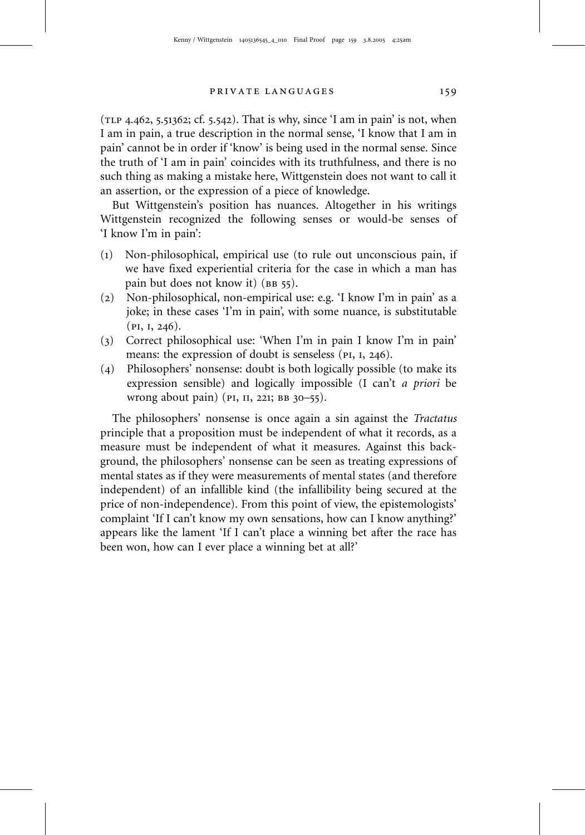(TLP 4.462, 5.51362; cf. 5.542). That is why, since  $\alpha$  am in pain' is not, when I am in pain, a true description in the normal sense, 'I know that I am in pain' cannot be in order if 'know' is being used in the normal sense. Since the truth of 'I am in pain' coincides with its truthfulness, and there is no such thing as making a mistake here, Wittgenstein does not want to call it an assertion, or the expression of a piece of knowledge.

But Wittgenstein's position has nuances. Altogether in his writings Wittgenstein recognized the following senses or would-be senses of 'I know I'm in pain':

- (1) Non-philosophical, empirical use (to rule out unconscious pain, if we have fixed experiential criteria for the case in which a man has pain but does not know it)  $(BB 55)$ .
- (2) Non-philosophical, non-empirical use: e.g. 'I know I'm in pain' as a joke; in these cases 'I'm in pain', with some nuance, is substitutable (pi, i, 246).
- (3) Correct philosophical use: 'When I'm in pain I know I'm in pain' means: the expression of doubt is senseless (pi, i, 246).
- (4) Philosophers' nonsense: doubt is both logically possible (to make its expression sensible) and logically impossible (I can't a priori be wrong about pain) ( $PI$ ,  $II$ ,  $221$ ;  $BB$  30–55).

The philosophers' nonsense is once again a sin against the Tractatus principle that a proposition must be independent of what it records, as a measure must be independent of what it measures. Against this background, the philosophers' nonsense can be seen as treating expressions of mental states as if they were measurements of mental states (and therefore independent) of an infallible kind (the infallibility being secured at the price of non-independence). From this point of view, the epistemologists' complaint 'If I can't know my own sensations, how can I know anything?' appears like the lament 'If I can't place a winning bet after the race has been won, how can I ever place a winning bet at all?'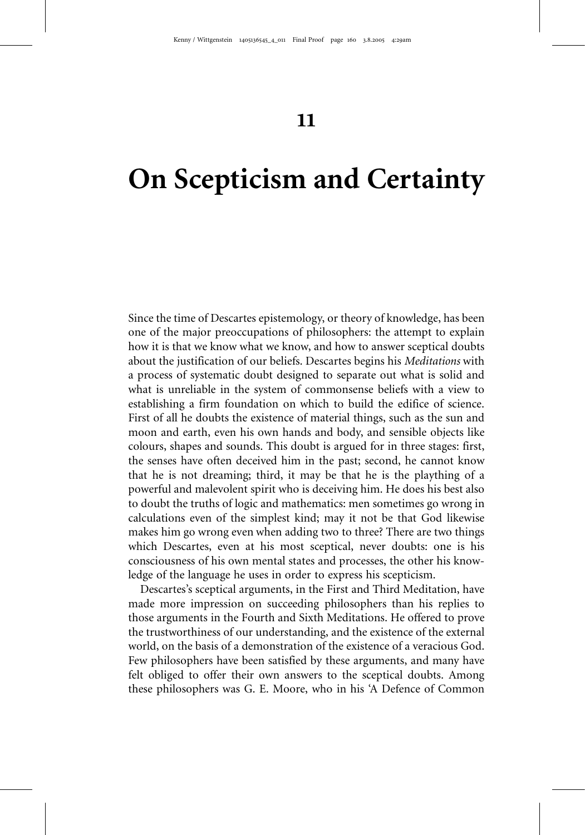## On Scepticism and Certainty

Since the time of Descartes epistemology, or theory of knowledge, has been one of the major preoccupations of philosophers: the attempt to explain how it is that we know what we know, and how to answer sceptical doubts about the justification of our beliefs. Descartes begins his Meditations with a process of systematic doubt designed to separate out what is solid and what is unreliable in the system of commonsense beliefs with a view to establishing a firm foundation on which to build the edifice of science. First of all he doubts the existence of material things, such as the sun and moon and earth, even his own hands and body, and sensible objects like colours, shapes and sounds. This doubt is argued for in three stages: first, the senses have often deceived him in the past; second, he cannot know that he is not dreaming; third, it may be that he is the plaything of a powerful and malevolent spirit who is deceiving him. He does his best also to doubt the truths of logic and mathematics: men sometimes go wrong in calculations even of the simplest kind; may it not be that God likewise makes him go wrong even when adding two to three? There are two things which Descartes, even at his most sceptical, never doubts: one is his consciousness of his own mental states and processes, the other his knowledge of the language he uses in order to express his scepticism.

Descartes's sceptical arguments, in the First and Third Meditation, have made more impression on succeeding philosophers than his replies to those arguments in the Fourth and Sixth Meditations. He offered to prove the trustworthiness of our understanding, and the existence of the external world, on the basis of a demonstration of the existence of a veracious God. Few philosophers have been satisfied by these arguments, and many have felt obliged to offer their own answers to the sceptical doubts. Among these philosophers was G. E. Moore, who in his 'A Defence of Common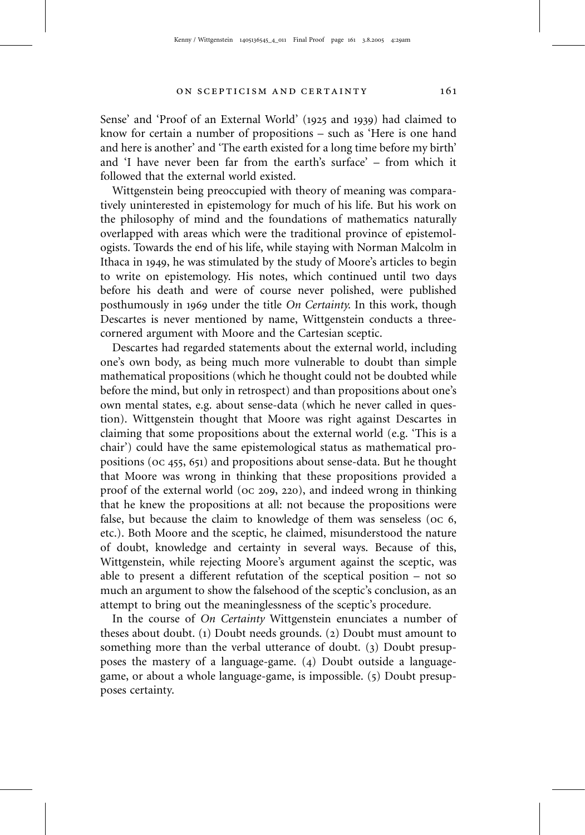Sense' and 'Proof of an External World' (1925 and 1939) had claimed to know for certain a number of propositions – such as 'Here is one hand and here is another' and 'The earth existed for a long time before my birth' and 'I have never been far from the earth's surface' – from which it followed that the external world existed.

Wittgenstein being preoccupied with theory of meaning was comparatively uninterested in epistemology for much of his life. But his work on the philosophy of mind and the foundations of mathematics naturally overlapped with areas which were the traditional province of epistemologists. Towards the end of his life, while staying with Norman Malcolm in Ithaca in 1949, he was stimulated by the study of Moore's articles to begin to write on epistemology. His notes, which continued until two days before his death and were of course never polished, were published posthumously in 1969 under the title On Certainty. In this work, though Descartes is never mentioned by name, Wittgenstein conducts a threecornered argument with Moore and the Cartesian sceptic.

Descartes had regarded statements about the external world, including one's own body, as being much more vulnerable to doubt than simple mathematical propositions (which he thought could not be doubted while before the mind, but only in retrospect) and than propositions about one's own mental states, e.g. about sense-data (which he never called in question). Wittgenstein thought that Moore was right against Descartes in claiming that some propositions about the external world (e.g. 'This is a chair') could have the same epistemological status as mathematical propositions (oc 455, 651) and propositions about sense-data. But he thought that Moore was wrong in thinking that these propositions provided a proof of the external world (oc 209, 220), and indeed wrong in thinking that he knew the propositions at all: not because the propositions were false, but because the claim to knowledge of them was senseless (oc 6, etc.). Both Moore and the sceptic, he claimed, misunderstood the nature of doubt, knowledge and certainty in several ways. Because of this, Wittgenstein, while rejecting Moore's argument against the sceptic, was able to present a different refutation of the sceptical position – not so much an argument to show the falsehood of the sceptic's conclusion, as an attempt to bring out the meaninglessness of the sceptic's procedure.

In the course of On Certainty Wittgenstein enunciates a number of theses about doubt. (1) Doubt needs grounds. (2) Doubt must amount to something more than the verbal utterance of doubt. (3) Doubt presupposes the mastery of a language-game. (4) Doubt outside a languagegame, or about a whole language-game, is impossible. (5) Doubt presupposes certainty.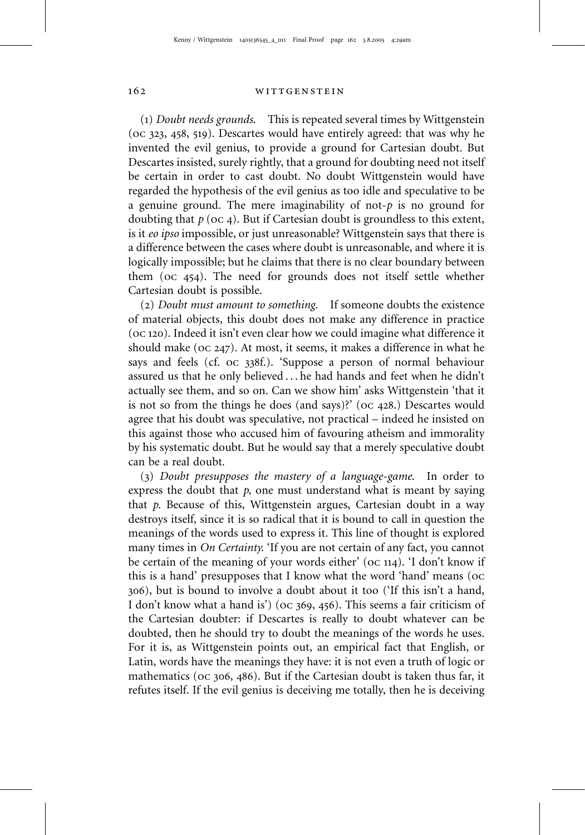(1) Doubt needs grounds. This is repeated several times by Wittgenstein (oc 323, 458, 519). Descartes would have entirely agreed: that was why he invented the evil genius, to provide a ground for Cartesian doubt. But Descartes insisted, surely rightly, that a ground for doubting need not itself be certain in order to cast doubt. No doubt Wittgenstein would have regarded the hypothesis of the evil genius as too idle and speculative to be a genuine ground. The mere imaginability of not- $p$  is no ground for doubting that  $p$  (oc 4). But if Cartesian doubt is groundless to this extent, is it eo ipso impossible, or just unreasonable? Wittgenstein says that there is a difference between the cases where doubt is unreasonable, and where it is logically impossible; but he claims that there is no clear boundary between them (oc 454). The need for grounds does not itself settle whether Cartesian doubt is possible.

(2) Doubt must amount to something. If someone doubts the existence of material objects, this doubt does not make any difference in practice (oc 120). Indeed it isn't even clear how we could imagine what difference it should make (oc 247). At most, it seems, it makes a difference in what he says and feels (cf. oc 338f.). 'Suppose a person of normal behaviour assured us that he only believed . . . he had hands and feet when he didn't actually see them, and so on. Can we show him' asks Wittgenstein 'that it is not so from the things he does (and says)?' (oc 428.) Descartes would agree that his doubt was speculative, not practical – indeed he insisted on this against those who accused him of favouring atheism and immorality by his systematic doubt. But he would say that a merely speculative doubt can be a real doubt.

(3) Doubt presupposes the mastery of a language-game. In order to express the doubt that  $p$ , one must understand what is meant by saying that  $p$ . Because of this, Wittgenstein argues, Cartesian doubt in a way destroys itself, since it is so radical that it is bound to call in question the meanings of the words used to express it. This line of thought is explored many times in On Certainty. 'If you are not certain of any fact, you cannot be certain of the meaning of your words either' (oc 114). 'I don't know if this is a hand' presupposes that I know what the word 'hand' means (oc 306), but is bound to involve a doubt about it too ('If this isn't a hand, I don't know what a hand is') (oc 369, 456). This seems a fair criticism of the Cartesian doubter: if Descartes is really to doubt whatever can be doubted, then he should try to doubt the meanings of the words he uses. For it is, as Wittgenstein points out, an empirical fact that English, or Latin, words have the meanings they have: it is not even a truth of logic or mathematics (oc 306, 486). But if the Cartesian doubt is taken thus far, it refutes itself. If the evil genius is deceiving me totally, then he is deceiving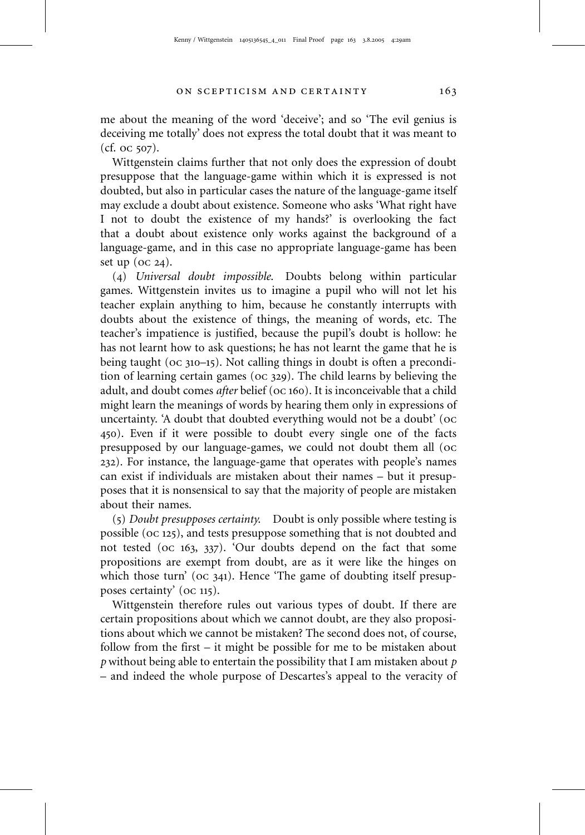me about the meaning of the word 'deceive'; and so 'The evil genius is deceiving me totally' does not express the total doubt that it was meant to (cf. oc 507).

Wittgenstein claims further that not only does the expression of doubt presuppose that the language-game within which it is expressed is not doubted, but also in particular cases the nature of the language-game itself may exclude a doubt about existence. Someone who asks 'What right have I not to doubt the existence of my hands?' is overlooking the fact that a doubt about existence only works against the background of a language-game, and in this case no appropriate language-game has been set up (oc 24).

(4) Universal doubt impossible. Doubts belong within particular games. Wittgenstein invites us to imagine a pupil who will not let his teacher explain anything to him, because he constantly interrupts with doubts about the existence of things, the meaning of words, etc. The teacher's impatience is justified, because the pupil's doubt is hollow: he has not learnt how to ask questions; he has not learnt the game that he is being taught (oc 310–15). Not calling things in doubt is often a precondition of learning certain games (oc 329). The child learns by believing the adult, and doubt comes after belief (oc 160). It is inconceivable that a child might learn the meanings of words by hearing them only in expressions of uncertainty. 'A doubt that doubted everything would not be a doubt' (oc 450). Even if it were possible to doubt every single one of the facts presupposed by our language-games, we could not doubt them all (oc 232). For instance, the language-game that operates with people's names can exist if individuals are mistaken about their names – but it presupposes that it is nonsensical to say that the majority of people are mistaken about their names.

(5) Doubt presupposes certainty. Doubt is only possible where testing is possible (oc 125), and tests presuppose something that is not doubted and not tested (oc 163, 337). 'Our doubts depend on the fact that some propositions are exempt from doubt, are as it were like the hinges on which those turn' (oc 341). Hence 'The game of doubting itself presupposes certainty' (oc 115).

Wittgenstein therefore rules out various types of doubt. If there are certain propositions about which we cannot doubt, are they also propositions about which we cannot be mistaken? The second does not, of course, follow from the first – it might be possible for me to be mistaken about  *without being able to entertain the possibility that I am mistaken about*  $*p*$ – and indeed the whole purpose of Descartes's appeal to the veracity of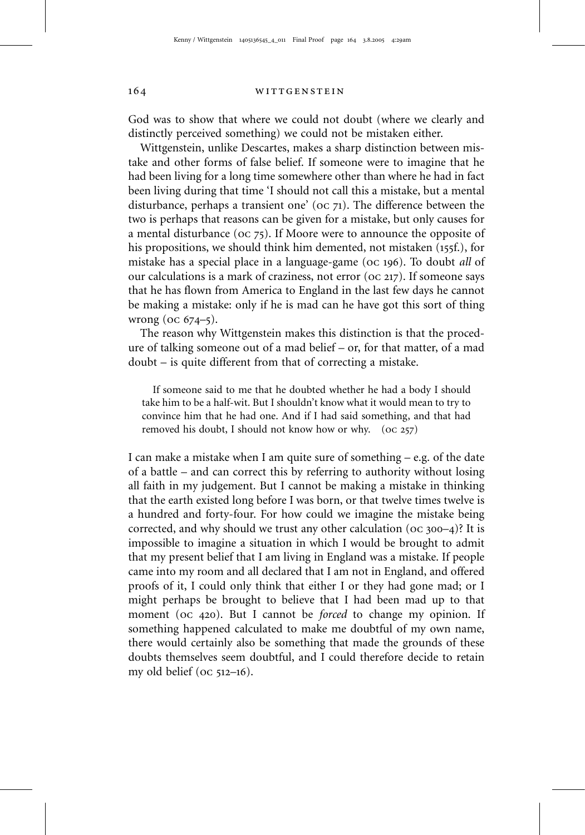God was to show that where we could not doubt (where we clearly and distinctly perceived something) we could not be mistaken either.

Wittgenstein, unlike Descartes, makes a sharp distinction between mistake and other forms of false belief. If someone were to imagine that he had been living for a long time somewhere other than where he had in fact been living during that time 'I should not call this a mistake, but a mental disturbance, perhaps a transient one' (oc 71). The difference between the two is perhaps that reasons can be given for a mistake, but only causes for a mental disturbance (oc 75). If Moore were to announce the opposite of his propositions, we should think him demented, not mistaken (155f.), for mistake has a special place in a language-game (oc 196). To doubt all of our calculations is a mark of craziness, not error (oc 217). If someone says that he has flown from America to England in the last few days he cannot be making a mistake: only if he is mad can he have got this sort of thing wrong (oc 674–5).

The reason why Wittgenstein makes this distinction is that the procedure of talking someone out of a mad belief – or, for that matter, of a mad doubt – is quite different from that of correcting a mistake.

If someone said to me that he doubted whether he had a body I should take him to be a half-wit. But I shouldn't know what it would mean to try to convince him that he had one. And if I had said something, and that had removed his doubt, I should not know how or why. (oc 257)

I can make a mistake when I am quite sure of something – e.g. of the date of a battle – and can correct this by referring to authority without losing all faith in my judgement. But I cannot be making a mistake in thinking that the earth existed long before I was born, or that twelve times twelve is a hundred and forty-four. For how could we imagine the mistake being corrected, and why should we trust any other calculation (oc 300–4)? It is impossible to imagine a situation in which I would be brought to admit that my present belief that I am living in England was a mistake. If people came into my room and all declared that I am not in England, and offered proofs of it, I could only think that either I or they had gone mad; or I might perhaps be brought to believe that I had been mad up to that moment (oc 420). But I cannot be *forced* to change my opinion. If something happened calculated to make me doubtful of my own name, there would certainly also be something that made the grounds of these doubts themselves seem doubtful, and I could therefore decide to retain my old belief (oc 512–16).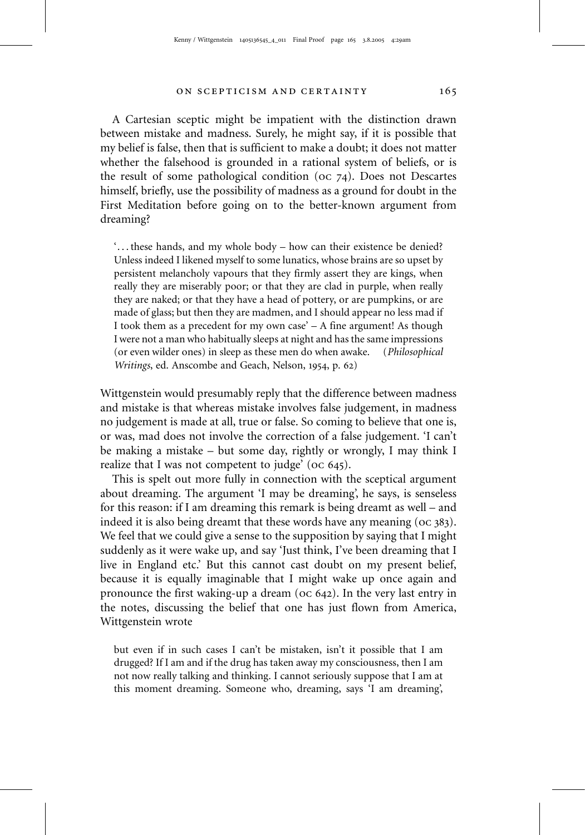A Cartesian sceptic might be impatient with the distinction drawn between mistake and madness. Surely, he might say, if it is possible that my belief is false, then that is sufficient to make a doubt; it does not matter whether the falsehood is grounded in a rational system of beliefs, or is the result of some pathological condition (oc 74). Does not Descartes himself, briefly, use the possibility of madness as a ground for doubt in the First Meditation before going on to the better-known argument from dreaming?

'. . . these hands, and my whole body – how can their existence be denied? Unless indeed I likened myself to some lunatics, whose brains are so upset by persistent melancholy vapours that they firmly assert they are kings, when really they are miserably poor; or that they are clad in purple, when really they are naked; or that they have a head of pottery, or are pumpkins, or are made of glass; but then they are madmen, and I should appear no less mad if I took them as a precedent for my own case' – A fine argument! As though I were not a man who habitually sleeps at night and has the same impressions (or even wilder ones) in sleep as these men do when awake. (Philosophical Writings, ed. Anscombe and Geach, Nelson, 1954, p. 62)

Wittgenstein would presumably reply that the difference between madness and mistake is that whereas mistake involves false judgement, in madness no judgement is made at all, true or false. So coming to believe that one is, or was, mad does not involve the correction of a false judgement. 'I can't be making a mistake – but some day, rightly or wrongly, I may think I realize that I was not competent to judge' (oc 645).

This is spelt out more fully in connection with the sceptical argument about dreaming. The argument 'I may be dreaming', he says, is senseless for this reason: if I am dreaming this remark is being dreamt as well – and indeed it is also being dreamt that these words have any meaning (oc 383). We feel that we could give a sense to the supposition by saying that I might suddenly as it were wake up, and say 'Just think, I've been dreaming that I live in England etc.' But this cannot cast doubt on my present belief, because it is equally imaginable that I might wake up once again and pronounce the first waking-up a dream (oc 642). In the very last entry in the notes, discussing the belief that one has just flown from America, Wittgenstein wrote

but even if in such cases I can't be mistaken, isn't it possible that I am drugged? If I am and if the drug has taken away my consciousness, then I am not now really talking and thinking. I cannot seriously suppose that I am at this moment dreaming. Someone who, dreaming, says 'I am dreaming',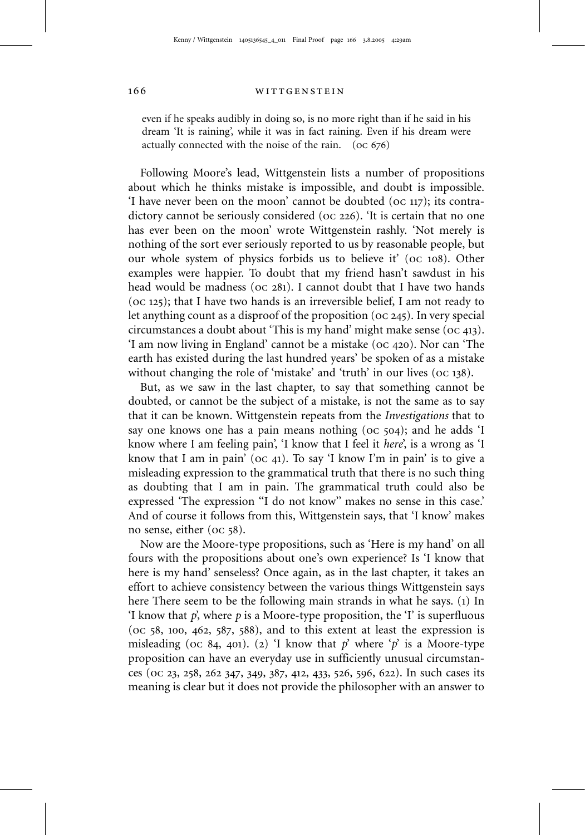even if he speaks audibly in doing so, is no more right than if he said in his dream 'It is raining', while it was in fact raining. Even if his dream were actually connected with the noise of the rain. (oc 676)

Following Moore's lead, Wittgenstein lists a number of propositions about which he thinks mistake is impossible, and doubt is impossible. 'I have never been on the moon' cannot be doubted (oc 117); its contradictory cannot be seriously considered (oc 226). 'It is certain that no one has ever been on the moon' wrote Wittgenstein rashly. 'Not merely is nothing of the sort ever seriously reported to us by reasonable people, but our whole system of physics forbids us to believe it' (oc 108). Other examples were happier. To doubt that my friend hasn't sawdust in his head would be madness (oc 281). I cannot doubt that I have two hands (oc 125); that I have two hands is an irreversible belief, I am not ready to let anything count as a disproof of the proposition (oc 245). In very special circumstances a doubt about 'This is my hand' might make sense (oc 413). 'I am now living in England' cannot be a mistake (oc 420). Nor can 'The earth has existed during the last hundred years' be spoken of as a mistake without changing the role of 'mistake' and 'truth' in our lives (oc 138).

But, as we saw in the last chapter, to say that something cannot be doubted, or cannot be the subject of a mistake, is not the same as to say that it can be known. Wittgenstein repeats from the Investigations that to say one knows one has a pain means nothing (oc 504); and he adds 'I know where I am feeling pain', 'I know that I feel it here', is a wrong as 'I know that I am in pain' (oc 41). To say 'I know I'm in pain' is to give a misleading expression to the grammatical truth that there is no such thing as doubting that I am in pain. The grammatical truth could also be expressed 'The expression "I do not know" makes no sense in this case.' And of course it follows from this, Wittgenstein says, that 'I know' makes no sense, either (oc 58).

Now are the Moore-type propositions, such as 'Here is my hand' on all fours with the propositions about one's own experience? Is 'I know that here is my hand' senseless? Once again, as in the last chapter, it takes an effort to achieve consistency between the various things Wittgenstein says here There seem to be the following main strands in what he says. (1) In 'I know that  $p'$ , where  $p$  is a Moore-type proposition, the 'I' is superfluous (oc 58, 100, 462, 587, 588), and to this extent at least the expression is misleading (oc 84, 401). (2) 'I know that  $p'$  where ' $p'$  is a Moore-type proposition can have an everyday use in sufficiently unusual circumstances (oc 23, 258, 262 347, 349, 387, 412, 433, 526, 596, 622). In such cases its meaning is clear but it does not provide the philosopher with an answer to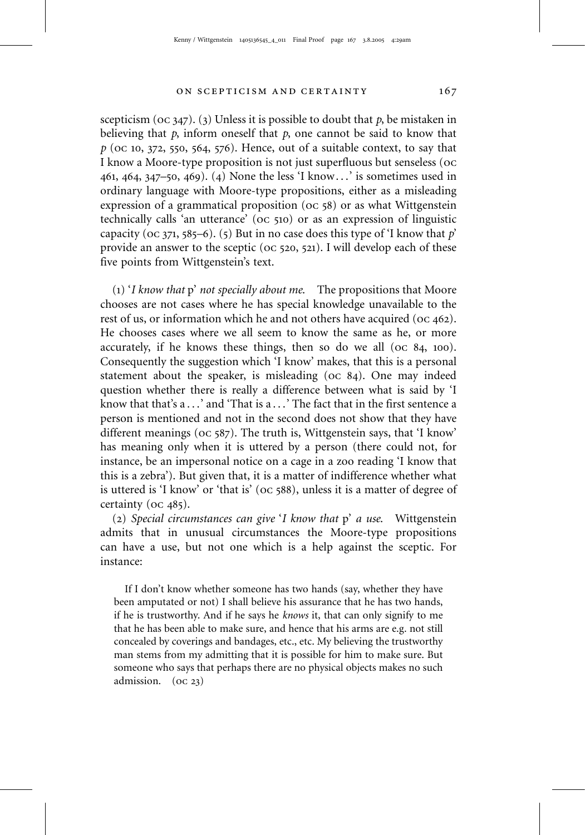scepticism (oc 347). (3) Unless it is possible to doubt that  $p$ , be mistaken in believing that  $p$ , inform oneself that  $p$ , one cannot be said to know that  $p$  (oc 10, 372, 550, 564, 576). Hence, out of a suitable context, to say that I know a Moore-type proposition is not just superfluous but senseless (oc 461, 464, 347–50, 469). (4) None the less 'I know. . .' is sometimes used in ordinary language with Moore-type propositions, either as a misleading expression of a grammatical proposition (oc 58) or as what Wittgenstein technically calls 'an utterance' (oc 510) or as an expression of linguistic capacity (oc 371, 585–6). (5) But in no case does this type of 'I know that  $p'$ provide an answer to the sceptic (oc 520, 521). I will develop each of these five points from Wittgenstein's text.

(1)  $\dot{I}$  know that p' not specially about me. The propositions that Moore chooses are not cases where he has special knowledge unavailable to the rest of us, or information which he and not others have acquired (oc 462). He chooses cases where we all seem to know the same as he, or more accurately, if he knows these things, then so do we all (oc 84, 100). Consequently the suggestion which 'I know' makes, that this is a personal statement about the speaker, is misleading (oc 84). One may indeed question whether there is really a difference between what is said by 'I know that that's a . . .' and 'That is a . . .' The fact that in the first sentence a person is mentioned and not in the second does not show that they have different meanings (oc 587). The truth is, Wittgenstein says, that 'I know' has meaning only when it is uttered by a person (there could not, for instance, be an impersonal notice on a cage in a zoo reading 'I know that this is a zebra'). But given that, it is a matter of indifference whether what is uttered is 'I know' or 'that is' (oc 588), unless it is a matter of degree of certainty (oc 485).

(2) Special circumstances can give 'I know that p' a use. Wittgenstein admits that in unusual circumstances the Moore-type propositions can have a use, but not one which is a help against the sceptic. For instance:

If I don't know whether someone has two hands (say, whether they have been amputated or not) I shall believe his assurance that he has two hands, if he is trustworthy. And if he says he knows it, that can only signify to me that he has been able to make sure, and hence that his arms are e.g. not still concealed by coverings and bandages, etc., etc. My believing the trustworthy man stems from my admitting that it is possible for him to make sure. But someone who says that perhaps there are no physical objects makes no such admission. (oc 23)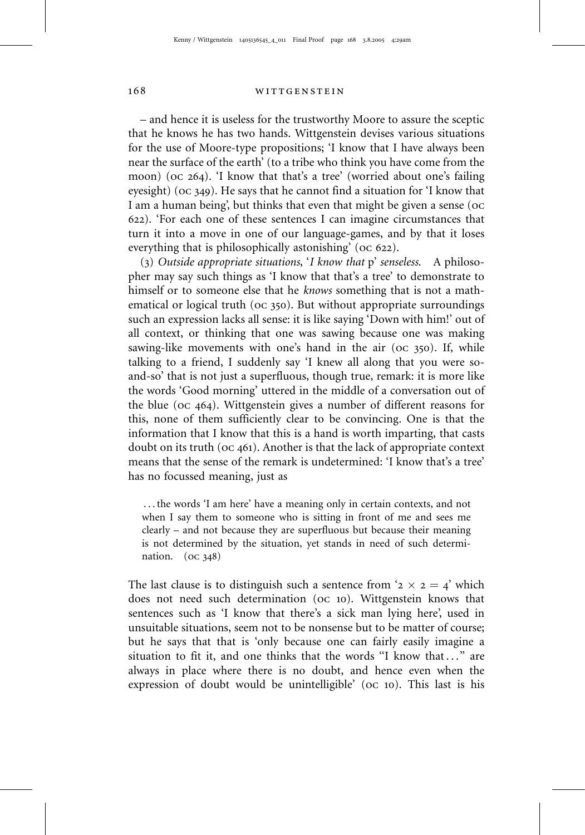– and hence it is useless for the trustworthy Moore to assure the sceptic that he knows he has two hands. Wittgenstein devises various situations for the use of Moore-type propositions; 'I know that I have always been near the surface of the earth' (to a tribe who think you have come from the moon) (oc 264). 'I know that that's a tree' (worried about one's failing eyesight) (oc 349). He says that he cannot find a situation for 'I know that I am a human being', but thinks that even that might be given a sense (oc 622). 'For each one of these sentences I can imagine circumstances that turn it into a move in one of our language-games, and by that it loses everything that is philosophically astonishing' (oc 622).

(3) Outside appropriate situations, 'I know that p' senseless. A philosopher may say such things as 'I know that that's a tree' to demonstrate to himself or to someone else that he knows something that is not a mathematical or logical truth (oc 350). But without appropriate surroundings such an expression lacks all sense: it is like saying 'Down with him!' out of all context, or thinking that one was sawing because one was making sawing-like movements with one's hand in the air (oc 350). If, while talking to a friend, I suddenly say 'I knew all along that you were soand-so' that is not just a superfluous, though true, remark: it is more like the words 'Good morning' uttered in the middle of a conversation out of the blue (oc 464). Wittgenstein gives a number of different reasons for this, none of them sufficiently clear to be convincing. One is that the information that I know that this is a hand is worth imparting, that casts doubt on its truth (oc 461). Another is that the lack of appropriate context means that the sense of the remark is undetermined: 'I know that's a tree' has no focussed meaning, just as

. . . the words 'I am here' have a meaning only in certain contexts, and not when I say them to someone who is sitting in front of me and sees me clearly – and not because they are superfluous but because their meaning is not determined by the situation, yet stands in need of such determination. (oc 348)

The last clause is to distinguish such a sentence from '2  $\times$  2 = 4' which does not need such determination (oc 10). Wittgenstein knows that sentences such as 'I know that there's a sick man lying here', used in unsuitable situations, seem not to be nonsense but to be matter of course; but he says that that is 'only because one can fairly easily imagine a situation to fit it, and one thinks that the words "I know that ..." are always in place where there is no doubt, and hence even when the expression of doubt would be unintelligible' (oc 10). This last is his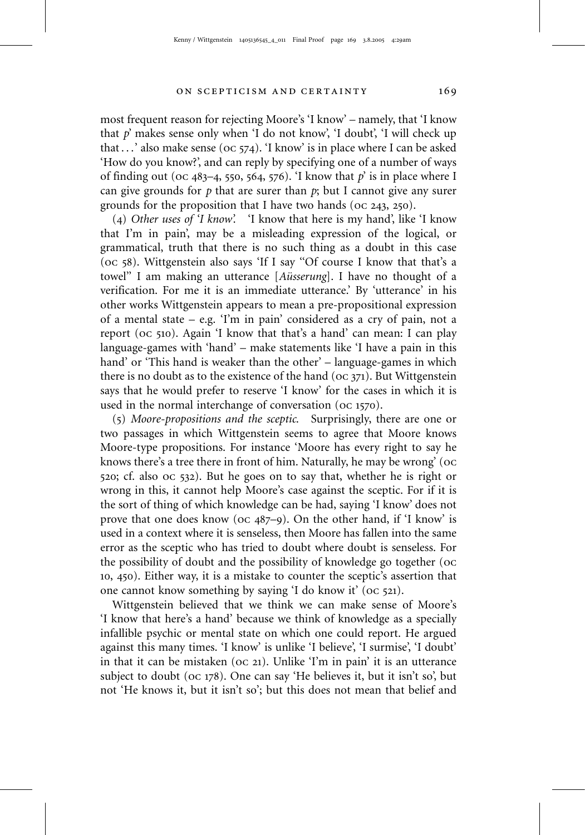most frequent reason for rejecting Moore's 'I know' – namely, that 'I know that  $p'$  makes sense only when 'I do not know', 'I doubt', 'I will check up that  $\ldots$ ' also make sense (oc 574). 'I know' is in place where I can be asked 'How do you know?', and can reply by specifying one of a number of ways of finding out (oc 483–4, 550, 564, 576). 'I know that  $p'$  is in place where I can give grounds for  $p$  that are surer than  $p$ ; but I cannot give any surer grounds for the proposition that I have two hands (oc 243, 250).

(4) Other uses of 'I know'. 'I know that here is my hand', like 'I know that I'm in pain', may be a misleading expression of the logical, or grammatical, truth that there is no such thing as a doubt in this case (oc 58). Wittgenstein also says 'If I say ''Of course I know that that's a towel" I am making an utterance [Aüsserung]. I have no thought of a verification. For me it is an immediate utterance.' By 'utterance' in his other works Wittgenstein appears to mean a pre-propositional expression of a mental state – e.g. 'I'm in pain' considered as a cry of pain, not a report (oc 510). Again 'I know that that's a hand' can mean: I can play language-games with 'hand' – make statements like 'I have a pain in this hand' or 'This hand is weaker than the other' – language-games in which there is no doubt as to the existence of the hand ( $oc$  371). But Wittgenstein says that he would prefer to reserve 'I know' for the cases in which it is used in the normal interchange of conversation (oc 1570).

(5) Moore-propositions and the sceptic. Surprisingly, there are one or two passages in which Wittgenstein seems to agree that Moore knows Moore-type propositions. For instance 'Moore has every right to say he knows there's a tree there in front of him. Naturally, he may be wrong' (oc 520; cf. also oc 532). But he goes on to say that, whether he is right or wrong in this, it cannot help Moore's case against the sceptic. For if it is the sort of thing of which knowledge can be had, saying 'I know' does not prove that one does know (oc 487–9). On the other hand, if 'I know' is used in a context where it is senseless, then Moore has fallen into the same error as the sceptic who has tried to doubt where doubt is senseless. For the possibility of doubt and the possibility of knowledge go together (oc 10, 450). Either way, it is a mistake to counter the sceptic's assertion that one cannot know something by saying 'I do know it' (oc 521).

Wittgenstein believed that we think we can make sense of Moore's 'I know that here's a hand' because we think of knowledge as a specially infallible psychic or mental state on which one could report. He argued against this many times. 'I know' is unlike 'I believe', 'I surmise', 'I doubt' in that it can be mistaken (oc 21). Unlike 'I'm in pain' it is an utterance subject to doubt (oc 178). One can say 'He believes it, but it isn't so', but not 'He knows it, but it isn't so'; but this does not mean that belief and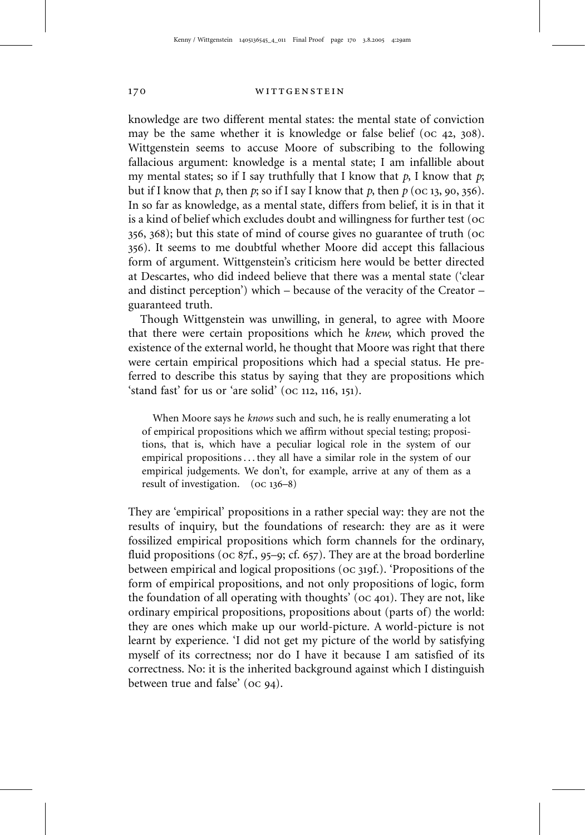knowledge are two different mental states: the mental state of conviction may be the same whether it is knowledge or false belief (oc 42, 308). Wittgenstein seems to accuse Moore of subscribing to the following fallacious argument: knowledge is a mental state; I am infallible about my mental states; so if I say truthfully that I know that  $p$ , I know that  $p$ ; but if I know that p, then p; so if I say I know that p, then  $p$  (oc 13, 90, 356). In so far as knowledge, as a mental state, differs from belief, it is in that it is a kind of belief which excludes doubt and willingness for further test (oc 356, 368); but this state of mind of course gives no guarantee of truth (oc 356). It seems to me doubtful whether Moore did accept this fallacious form of argument. Wittgenstein's criticism here would be better directed at Descartes, who did indeed believe that there was a mental state ('clear and distinct perception') which – because of the veracity of the Creator – guaranteed truth.

Though Wittgenstein was unwilling, in general, to agree with Moore that there were certain propositions which he knew, which proved the existence of the external world, he thought that Moore was right that there were certain empirical propositions which had a special status. He preferred to describe this status by saying that they are propositions which 'stand fast' for us or 'are solid' (oc 112, 116, 151).

When Moore says he knows such and such, he is really enumerating a lot of empirical propositions which we affirm without special testing; propositions, that is, which have a peculiar logical role in the system of our empirical propositions . . . they all have a similar role in the system of our empirical judgements. We don't, for example, arrive at any of them as a result of investigation. (oc 136–8)

They are 'empirical' propositions in a rather special way: they are not the results of inquiry, but the foundations of research: they are as it were fossilized empirical propositions which form channels for the ordinary, fluid propositions (oc 87f., 95–9; cf. 657). They are at the broad borderline between empirical and logical propositions (oc 319f.). 'Propositions of the form of empirical propositions, and not only propositions of logic, form the foundation of all operating with thoughts' (oc 401). They are not, like ordinary empirical propositions, propositions about (parts of) the world: they are ones which make up our world-picture. A world-picture is not learnt by experience. 'I did not get my picture of the world by satisfying myself of its correctness; nor do I have it because I am satisfied of its correctness. No: it is the inherited background against which I distinguish between true and false' (oc 94).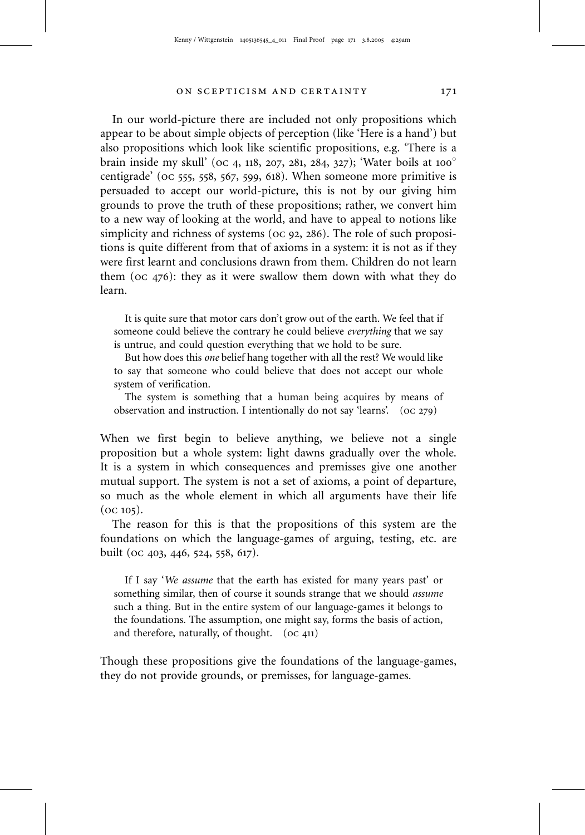In our world-picture there are included not only propositions which appear to be about simple objects of perception (like 'Here is a hand') but also propositions which look like scientific propositions, e.g. 'There is a brain inside my skull' (oc 4, 118, 207, 281, 284, 327); 'Water boils at 100° centigrade' (oc 555, 558, 567, 599, 618). When someone more primitive is persuaded to accept our world-picture, this is not by our giving him grounds to prove the truth of these propositions; rather, we convert him to a new way of looking at the world, and have to appeal to notions like simplicity and richness of systems (oc 92, 286). The role of such propositions is quite different from that of axioms in a system: it is not as if they were first learnt and conclusions drawn from them. Children do not learn them (oc 476): they as it were swallow them down with what they do learn.

It is quite sure that motor cars don't grow out of the earth. We feel that if someone could believe the contrary he could believe everything that we say is untrue, and could question everything that we hold to be sure.

But how does this one belief hang together with all the rest? We would like to say that someone who could believe that does not accept our whole system of verification.

The system is something that a human being acquires by means of observation and instruction. I intentionally do not say 'learns'. (oc 279)

When we first begin to believe anything, we believe not a single proposition but a whole system: light dawns gradually over the whole. It is a system in which consequences and premisses give one another mutual support. The system is not a set of axioms, a point of departure, so much as the whole element in which all arguments have their life  $(OC 105).$ 

The reason for this is that the propositions of this system are the foundations on which the language-games of arguing, testing, etc. are built (oc 403, 446, 524, 558, 617).

If I say 'We assume that the earth has existed for many years past' or something similar, then of course it sounds strange that we should assume such a thing. But in the entire system of our language-games it belongs to the foundations. The assumption, one might say, forms the basis of action, and therefore, naturally, of thought. (oc 411)

Though these propositions give the foundations of the language-games, they do not provide grounds, or premisses, for language-games.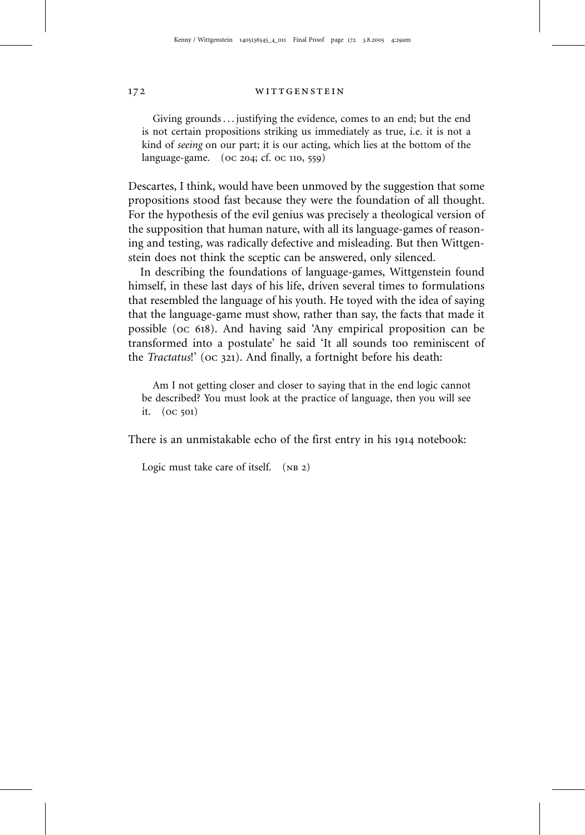Giving grounds . . . justifying the evidence, comes to an end; but the end is not certain propositions striking us immediately as true, i.e. it is not a kind of seeing on our part; it is our acting, which lies at the bottom of the language-game. (oc 204; cf. oc 110, 559)

Descartes, I think, would have been unmoved by the suggestion that some propositions stood fast because they were the foundation of all thought. For the hypothesis of the evil genius was precisely a theological version of the supposition that human nature, with all its language-games of reasoning and testing, was radically defective and misleading. But then Wittgenstein does not think the sceptic can be answered, only silenced.

In describing the foundations of language-games, Wittgenstein found himself, in these last days of his life, driven several times to formulations that resembled the language of his youth. He toyed with the idea of saying that the language-game must show, rather than say, the facts that made it possible (oc 618). And having said 'Any empirical proposition can be transformed into a postulate' he said 'It all sounds too reminiscent of the Tractatus!' (oc 321). And finally, a fortnight before his death:

Am I not getting closer and closer to saying that in the end logic cannot be described? You must look at the practice of language, then you will see it. (oc 501)

There is an unmistakable echo of the first entry in his 1914 notebook:

Logic must take care of itself.  $(NB 2)$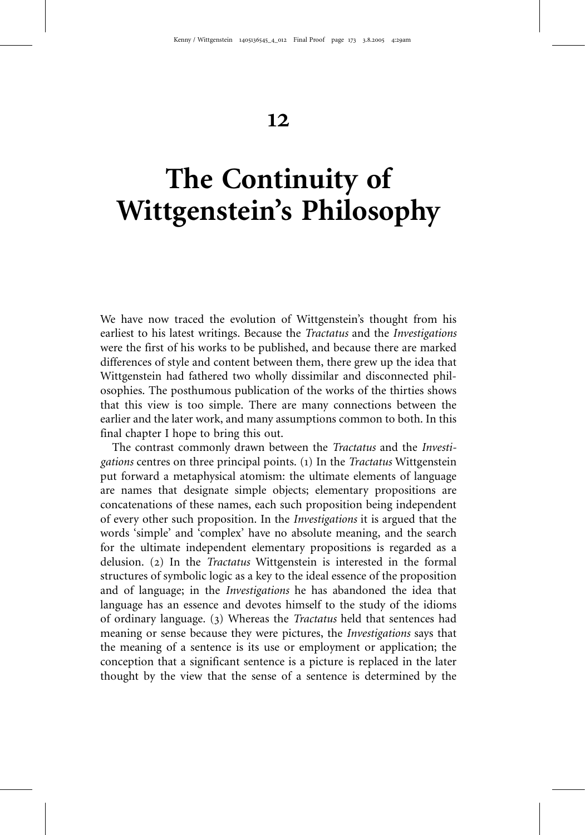# The Continuity of Wittgenstein's Philosophy

We have now traced the evolution of Wittgenstein's thought from his earliest to his latest writings. Because the Tractatus and the Investigations were the first of his works to be published, and because there are marked differences of style and content between them, there grew up the idea that Wittgenstein had fathered two wholly dissimilar and disconnected philosophies. The posthumous publication of the works of the thirties shows that this view is too simple. There are many connections between the earlier and the later work, and many assumptions common to both. In this final chapter I hope to bring this out.

The contrast commonly drawn between the Tractatus and the Investigations centres on three principal points. (1) In the Tractatus Wittgenstein put forward a metaphysical atomism: the ultimate elements of language are names that designate simple objects; elementary propositions are concatenations of these names, each such proposition being independent of every other such proposition. In the Investigations it is argued that the words 'simple' and 'complex' have no absolute meaning, and the search for the ultimate independent elementary propositions is regarded as a delusion. (2) In the Tractatus Wittgenstein is interested in the formal structures of symbolic logic as a key to the ideal essence of the proposition and of language; in the Investigations he has abandoned the idea that language has an essence and devotes himself to the study of the idioms of ordinary language. (3) Whereas the Tractatus held that sentences had meaning or sense because they were pictures, the Investigations says that the meaning of a sentence is its use or employment or application; the conception that a significant sentence is a picture is replaced in the later thought by the view that the sense of a sentence is determined by the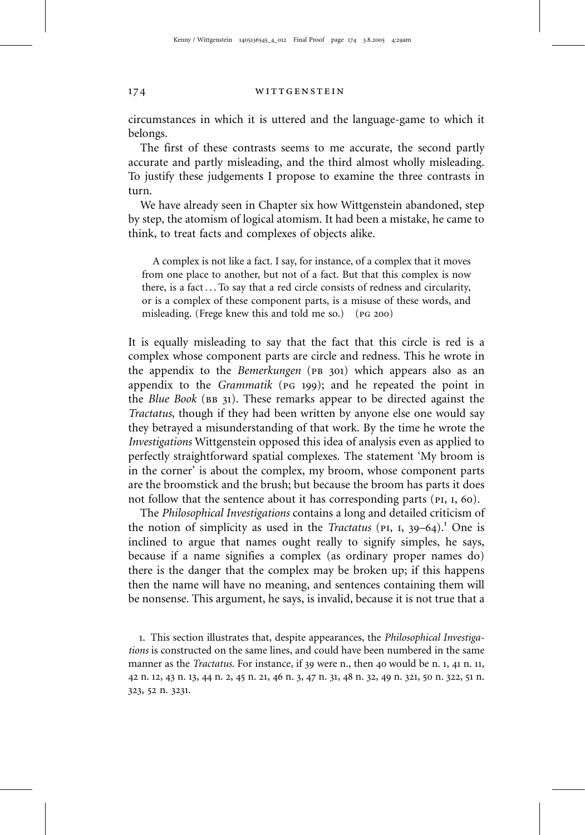circumstances in which it is uttered and the language-game to which it belongs.

The first of these contrasts seems to me accurate, the second partly accurate and partly misleading, and the third almost wholly misleading. To justify these judgements I propose to examine the three contrasts in turn.

We have already seen in Chapter six how Wittgenstein abandoned, step by step, the atomism of logical atomism. It had been a mistake, he came to think, to treat facts and complexes of objects alike.

A complex is not like a fact. I say, for instance, of a complex that it moves from one place to another, but not of a fact. But that this complex is now there, is a fact . . . To say that a red circle consists of redness and circularity, or is a complex of these component parts, is a misuse of these words, and misleading. (Frege knew this and told me so.) (pg 200)

It is equally misleading to say that the fact that this circle is red is a complex whose component parts are circle and redness. This he wrote in the appendix to the Bemerkungen (PB 301) which appears also as an appendix to the Grammatik (pg 199); and he repeated the point in the Blue Book (bb 31). These remarks appear to be directed against the Tractatus, though if they had been written by anyone else one would say they betrayed a misunderstanding of that work. By the time he wrote the Investigations Wittgenstein opposed this idea of analysis even as applied to perfectly straightforward spatial complexes. The statement 'My broom is in the corner' is about the complex, my broom, whose component parts are the broomstick and the brush; but because the broom has parts it does not follow that the sentence about it has corresponding parts (PI, I, 60).

The Philosophical Investigations contains a long and detailed criticism of the notion of simplicity as used in the *Tractatus* ( $PI$ ,  $I$ ,  $39-64$ ).<sup>1</sup> One is inclined to argue that names ought really to signify simples, he says, because if a name signifies a complex (as ordinary proper names do) there is the danger that the complex may be broken up; if this happens then the name will have no meaning, and sentences containing them will be nonsense. This argument, he says, is invalid, because it is not true that a

1. This section illustrates that, despite appearances, the Philosophical Investigations is constructed on the same lines, and could have been numbered in the same manner as the *Tractatus*. For instance, if 39 were n., then 40 would be n. 1, 41 n. 11, 42 n. 12, 43 n. 13, 44 n. 2, 45 n. 21, 46 n. 3, 47 n. 31, 48 n. 32, 49 n. 321, 50 n. 322, 51 n. 323, 52 n. 3231.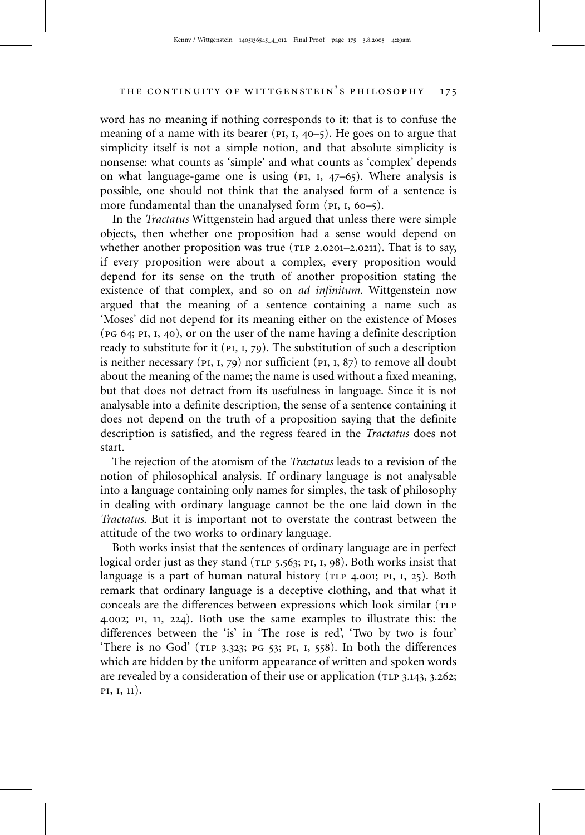word has no meaning if nothing corresponds to it: that is to confuse the meaning of a name with its bearer  $(p<sub>I</sub>, 1, 40–5)$ . He goes on to argue that simplicity itself is not a simple notion, and that absolute simplicity is nonsense: what counts as 'simple' and what counts as 'complex' depends on what language-game one is using (pi, i, 47–65). Where analysis is possible, one should not think that the analysed form of a sentence is more fundamental than the unanalysed form (p<sub>I</sub>,  $I$ , 60–5).

In the Tractatus Wittgenstein had argued that unless there were simple objects, then whether one proposition had a sense would depend on whether another proposition was true ( $TLP$  2.0201–2.0211). That is to say, if every proposition were about a complex, every proposition would depend for its sense on the truth of another proposition stating the existence of that complex, and so on *ad infinitum*. Wittgenstein now argued that the meaning of a sentence containing a name such as 'Moses' did not depend for its meaning either on the existence of Moses (pg 64; pi, i, 40), or on the user of the name having a definite description ready to substitute for it (pi, i, 79). The substitution of such a description is neither necessary ( $PI$ ,  $I$ ,  $79$ ) nor sufficient ( $PI$ ,  $I$ ,  $87$ ) to remove all doubt about the meaning of the name; the name is used without a fixed meaning, but that does not detract from its usefulness in language. Since it is not analysable into a definite description, the sense of a sentence containing it does not depend on the truth of a proposition saying that the definite description is satisfied, and the regress feared in the Tractatus does not start.

The rejection of the atomism of the Tractatus leads to a revision of the notion of philosophical analysis. If ordinary language is not analysable into a language containing only names for simples, the task of philosophy in dealing with ordinary language cannot be the one laid down in the Tractatus. But it is important not to overstate the contrast between the attitude of the two works to ordinary language.

Both works insist that the sentences of ordinary language are in perfect logical order just as they stand (TLP  $5.563$ ; PI, I, 98). Both works insist that language is a part of human natural history (TLP 4.001; PI, I, 25). Both remark that ordinary language is a deceptive clothing, and that what it conceals are the differences between expressions which look similar (TLP 4.002; pi, 11, 224). Both use the same examples to illustrate this: the differences between the 'is' in 'The rose is red', 'Two by two is four' 'There is no God' (TLP 3.323; PG 53; PI, I, 558). In both the differences which are hidden by the uniform appearance of written and spoken words are revealed by a consideration of their use or application (TLP 3.143, 3.262; pi, i, 11).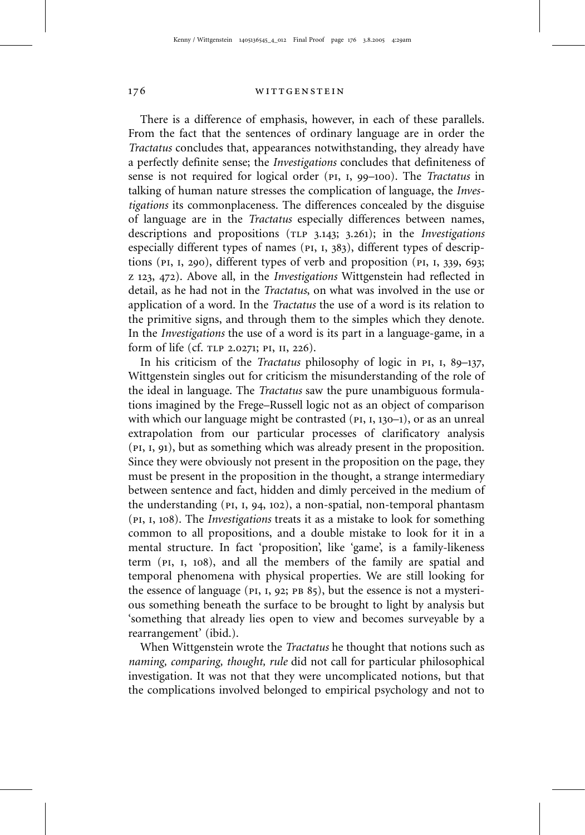There is a difference of emphasis, however, in each of these parallels. From the fact that the sentences of ordinary language are in order the Tractatus concludes that, appearances notwithstanding, they already have a perfectly definite sense; the Investigations concludes that definiteness of sense is not required for logical order  $(p<sub>I</sub>, 1, 99-100)$ . The Tractatus in talking of human nature stresses the complication of language, the Investigations its commonplaceness. The differences concealed by the disguise of language are in the Tractatus especially differences between names, descriptions and propositions ( $TLP$  3.143; 3.261); in the *Investigations* especially different types of names (pi, i, 383), different types of descriptions (pi, i, 290), different types of verb and proposition (pi, i, 339, 693; z 123, 472). Above all, in the Investigations Wittgenstein had reflected in detail, as he had not in the Tractatus, on what was involved in the use or application of a word. In the Tractatus the use of a word is its relation to the primitive signs, and through them to the simples which they denote. In the Investigations the use of a word is its part in a language-game, in a form of life (cf. tlp 2.0271; pi, ii, 226).

In his criticism of the *Tractatus* philosophy of logic in PI, I, 89-137, Wittgenstein singles out for criticism the misunderstanding of the role of the ideal in language. The Tractatus saw the pure unambiguous formulations imagined by the Frege–Russell logic not as an object of comparison with which our language might be contrasted (PI, I, 130–1), or as an unreal extrapolation from our particular processes of clarificatory analysis (pi, i, 91), but as something which was already present in the proposition. Since they were obviously not present in the proposition on the page, they must be present in the proposition in the thought, a strange intermediary between sentence and fact, hidden and dimly perceived in the medium of the understanding (pi, i, 94, 102), a non-spatial, non-temporal phantasm (pi, i, 108). The Investigations treats it as a mistake to look for something common to all propositions, and a double mistake to look for it in a mental structure. In fact 'proposition', like 'game', is a family-likeness term (pi, i, 108), and all the members of the family are spatial and temporal phenomena with physical properties. We are still looking for the essence of language ( $PI$ ,  $I$ ,  $92$ ;  $PB$   $85$ ), but the essence is not a mysterious something beneath the surface to be brought to light by analysis but 'something that already lies open to view and becomes surveyable by a rearrangement' (ibid.).

When Wittgenstein wrote the *Tractatus* he thought that notions such as naming, comparing, thought, rule did not call for particular philosophical investigation. It was not that they were uncomplicated notions, but that the complications involved belonged to empirical psychology and not to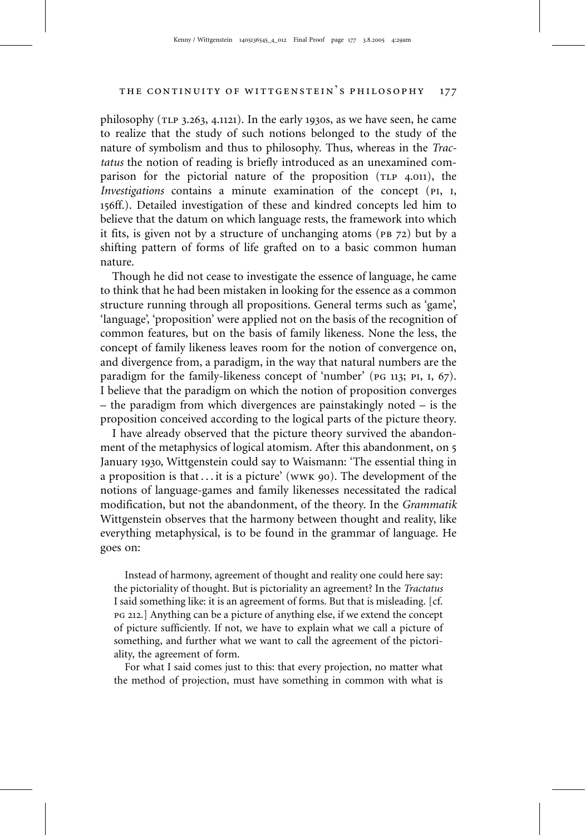philosophy ( $TLP$  3.263, 4.1121). In the early 1930s, as we have seen, he came to realize that the study of such notions belonged to the study of the nature of symbolism and thus to philosophy. Thus, whereas in the Tractatus the notion of reading is briefly introduced as an unexamined comparison for the pictorial nature of the proposition  $(TLP 4.011)$ , the Investigations contains a minute examination of the concept (pi, i, 156ff.). Detailed investigation of these and kindred concepts led him to believe that the datum on which language rests, the framework into which it fits, is given not by a structure of unchanging atoms ( $PB$  72) but by a shifting pattern of forms of life grafted on to a basic common human nature.

Though he did not cease to investigate the essence of language, he came to think that he had been mistaken in looking for the essence as a common structure running through all propositions. General terms such as 'game', 'language', 'proposition' were applied not on the basis of the recognition of common features, but on the basis of family likeness. None the less, the concept of family likeness leaves room for the notion of convergence on, and divergence from, a paradigm, in the way that natural numbers are the paradigm for the family-likeness concept of 'number' (pg 113; pi, i, 67). I believe that the paradigm on which the notion of proposition converges – the paradigm from which divergences are painstakingly noted – is the proposition conceived according to the logical parts of the picture theory.

I have already observed that the picture theory survived the abandonment of the metaphysics of logical atomism. After this abandonment, on 5 January 1930, Wittgenstein could say to Waismann: 'The essential thing in a proposition is that . . . it is a picture' (wwk 90). The development of the notions of language-games and family likenesses necessitated the radical modification, but not the abandonment, of the theory. In the Grammatik Wittgenstein observes that the harmony between thought and reality, like everything metaphysical, is to be found in the grammar of language. He goes on:

Instead of harmony, agreement of thought and reality one could here say: the pictoriality of thought. But is pictoriality an agreement? In the Tractatus I said something like: it is an agreement of forms. But that is misleading. [cf. pg 212.] Anything can be a picture of anything else, if we extend the concept of picture sufficiently. If not, we have to explain what we call a picture of something, and further what we want to call the agreement of the pictoriality, the agreement of form.

For what I said comes just to this: that every projection, no matter what the method of projection, must have something in common with what is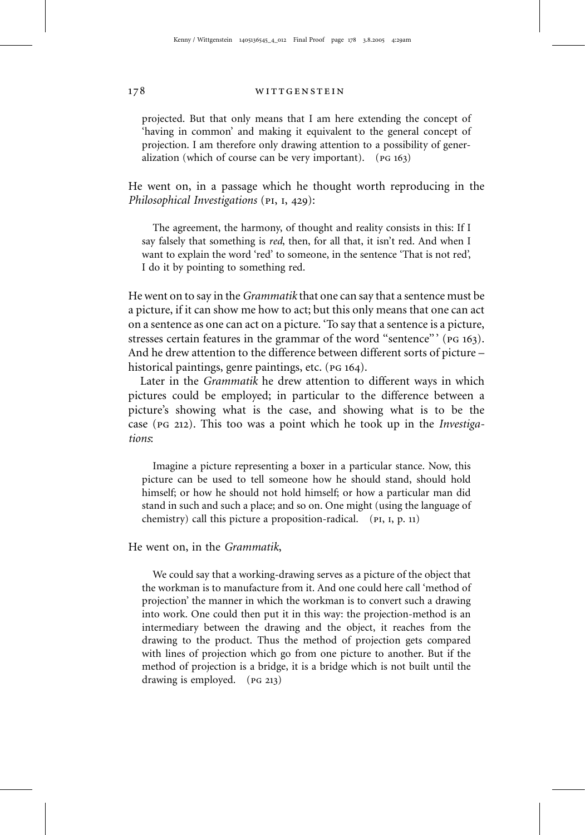projected. But that only means that I am here extending the concept of 'having in common' and making it equivalent to the general concept of projection. I am therefore only drawing attention to a possibility of generalization (which of course can be very important). (pg 163)

He went on, in a passage which he thought worth reproducing in the Philosophical Investigations (PI, I, 429):

The agreement, the harmony, of thought and reality consists in this: If I say falsely that something is red, then, for all that, it isn't red. And when I want to explain the word 'red' to someone, in the sentence 'That is not red', I do it by pointing to something red.

He went on to say in the Grammatik that one can say that a sentence must be a picture, if it can show me how to act; but this only means that one can act on a sentence as one can act on a picture. 'To say that a sentence is a picture, stresses certain features in the grammar of the word "sentence"' (PG 163). And he drew attention to the difference between different sorts of picture – historical paintings, genre paintings, etc. (PG 164).

Later in the Grammatik he drew attention to different ways in which pictures could be employed; in particular to the difference between a picture's showing what is the case, and showing what is to be the case (pg 212). This too was a point which he took up in the Investigations:

Imagine a picture representing a boxer in a particular stance. Now, this picture can be used to tell someone how he should stand, should hold himself; or how he should not hold himself; or how a particular man did stand in such and such a place; and so on. One might (using the language of chemistry) call this picture a proposition-radical. (PI, I, p. 11)

## He went on, in the Grammatik,

We could say that a working-drawing serves as a picture of the object that the workman is to manufacture from it. And one could here call 'method of projection' the manner in which the workman is to convert such a drawing into work. One could then put it in this way: the projection-method is an intermediary between the drawing and the object, it reaches from the drawing to the product. Thus the method of projection gets compared with lines of projection which go from one picture to another. But if the method of projection is a bridge, it is a bridge which is not built until the drawing is employed. (pg 213)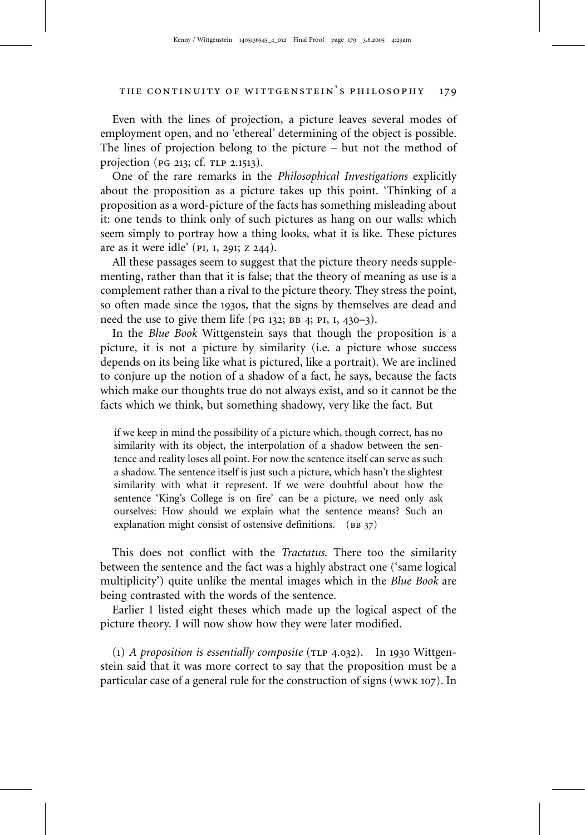Even with the lines of projection, a picture leaves several modes of employment open, and no 'ethereal' determining of the object is possible. The lines of projection belong to the picture – but not the method of projection (pg 213; cf. tlp 2.1513).

One of the rare remarks in the Philosophical Investigations explicitly about the proposition as a picture takes up this point. 'Thinking of a proposition as a word-picture of the facts has something misleading about it: one tends to think only of such pictures as hang on our walls: which seem simply to portray how a thing looks, what it is like. These pictures are as it were idle' (pi, i, 291; z 244).

All these passages seem to suggest that the picture theory needs supplementing, rather than that it is false; that the theory of meaning as use is a complement rather than a rival to the picture theory. They stress the point, so often made since the 1930s, that the signs by themselves are dead and need the use to give them life ( $PG 132$ ;  $BB 4$ ;  $PI$ ,  $I$ ,  $430-3$ ).

In the Blue Book Wittgenstein says that though the proposition is a picture, it is not a picture by similarity (i.e. a picture whose success depends on its being like what is pictured, like a portrait). We are inclined to conjure up the notion of a shadow of a fact, he says, because the facts which make our thoughts true do not always exist, and so it cannot be the facts which we think, but something shadowy, very like the fact. But

if we keep in mind the possibility of a picture which, though correct, has no similarity with its object, the interpolation of a shadow between the sentence and reality loses all point. For now the sentence itself can serve as such a shadow. The sentence itself is just such a picture, which hasn't the slightest similarity with what it represent. If we were doubtful about how the sentence 'King's College is on fire' can be a picture, we need only ask ourselves: How should we explain what the sentence means? Such an explanation might consist of ostensive definitions.  $(BB 37)$ 

This does not conflict with the Tractatus. There too the similarity between the sentence and the fact was a highly abstract one ('same logical multiplicity') quite unlike the mental images which in the Blue Book are being contrasted with the words of the sentence.

Earlier I listed eight theses which made up the logical aspect of the picture theory. I will now show how they were later modified.

(1) A proposition is essentially composite (TLP  $4.032$ ). In 1930 Wittgenstein said that it was more correct to say that the proposition must be a particular case of a general rule for the construction of signs (wwk 107). In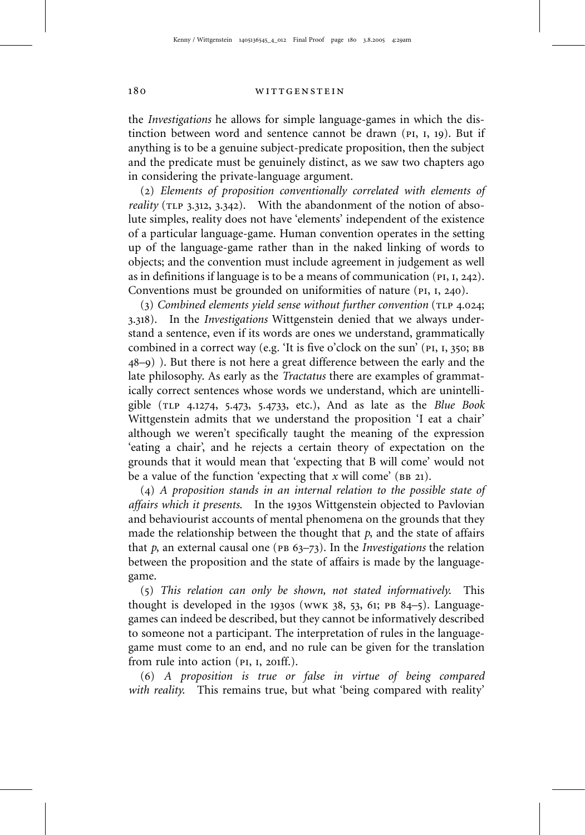the Investigations he allows for simple language-games in which the distinction between word and sentence cannot be drawn (pi, i, 19). But if anything is to be a genuine subject-predicate proposition, then the subject and the predicate must be genuinely distinct, as we saw two chapters ago in considering the private-language argument.

(2) Elements of proposition conventionally correlated with elements of *reality* ( $TLP$  3.312, 3.342). With the abandonment of the notion of absolute simples, reality does not have 'elements' independent of the existence of a particular language-game. Human convention operates in the setting up of the language-game rather than in the naked linking of words to objects; and the convention must include agreement in judgement as well as in definitions if language is to be a means of communication (pi, i, 242). Conventions must be grounded on uniformities of nature (pi, i, 240).

(3) Combined elements yield sense without further convention (TLP 4.024; 3.318). In the Investigations Wittgenstein denied that we always understand a sentence, even if its words are ones we understand, grammatically combined in a correct way (e.g. 'It is five o'clock on the sun' (PI, I, 350; BB 48–9) ). But there is not here a great difference between the early and the late philosophy. As early as the Tractatus there are examples of grammatically correct sentences whose words we understand, which are unintelligible (tlp 4.1274, 5.473, 5.4733, etc.), And as late as the Blue Book Wittgenstein admits that we understand the proposition 'I eat a chair' although we weren't specifically taught the meaning of the expression 'eating a chair', and he rejects a certain theory of expectation on the grounds that it would mean that 'expecting that B will come' would not be a value of the function 'expecting that  $x$  will come' (BB 21).

(4) A proposition stands in an internal relation to the possible state of affairs which it presents. In the 1930s Wittgenstein objected to Pavlovian and behaviourist accounts of mental phenomena on the grounds that they made the relationship between the thought that  $p$ , and the state of affairs that  $p$ , an external causal one (PB 63–73). In the *Investigations* the relation between the proposition and the state of affairs is made by the languagegame.

(5) This relation can only be shown, not stated informatively. This thought is developed in the 1930s (www.  $38, 53, 61$ ; PB 84–5). Languagegames can indeed be described, but they cannot be informatively described to someone not a participant. The interpretation of rules in the languagegame must come to an end, and no rule can be given for the translation from rule into action (pi, i, 201ff.).

(6) A proposition is true or false in virtue of being compared with reality. This remains true, but what 'being compared with reality'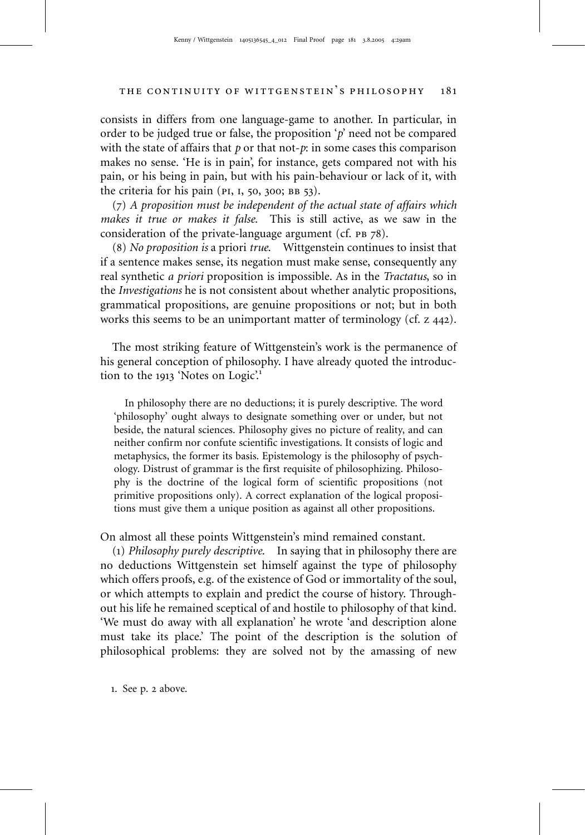consists in differs from one language-game to another. In particular, in order to be judged true or false, the proposition ' $p$ ' need not be compared with the state of affairs that  $p$  or that not- $p$ : in some cases this comparison makes no sense. 'He is in pain', for instance, gets compared not with his pain, or his being in pain, but with his pain-behaviour or lack of it, with the criteria for his pain ( $PI$ ,  $I$ ,  $50$ ,  $300$ ;  $BB$   $53$ ).

(7) A proposition must be independent of the actual state of affairs which makes it true or makes it false. This is still active, as we saw in the consideration of the private-language argument (cf. PB 78).

(8) No proposition is a priori true. Wittgenstein continues to insist that if a sentence makes sense, its negation must make sense, consequently any real synthetic a priori proposition is impossible. As in the Tractatus, so in the Investigations he is not consistent about whether analytic propositions, grammatical propositions, are genuine propositions or not; but in both works this seems to be an unimportant matter of terminology (cf. z 442).

The most striking feature of Wittgenstein's work is the permanence of his general conception of philosophy. I have already quoted the introduction to the 1913 'Notes on Logic'.<sup>1</sup>

In philosophy there are no deductions; it is purely descriptive. The word 'philosophy' ought always to designate something over or under, but not beside, the natural sciences. Philosophy gives no picture of reality, and can neither confirm nor confute scientific investigations. It consists of logic and metaphysics, the former its basis. Epistemology is the philosophy of psychology. Distrust of grammar is the first requisite of philosophizing. Philosophy is the doctrine of the logical form of scientific propositions (not primitive propositions only). A correct explanation of the logical propositions must give them a unique position as against all other propositions.

On almost all these points Wittgenstein's mind remained constant.

(1) Philosophy purely descriptive. In saying that in philosophy there are no deductions Wittgenstein set himself against the type of philosophy which offers proofs, e.g. of the existence of God or immortality of the soul, or which attempts to explain and predict the course of history. Throughout his life he remained sceptical of and hostile to philosophy of that kind. 'We must do away with all explanation' he wrote 'and description alone must take its place.' The point of the description is the solution of philosophical problems: they are solved not by the amassing of new

1. See p. 2 above.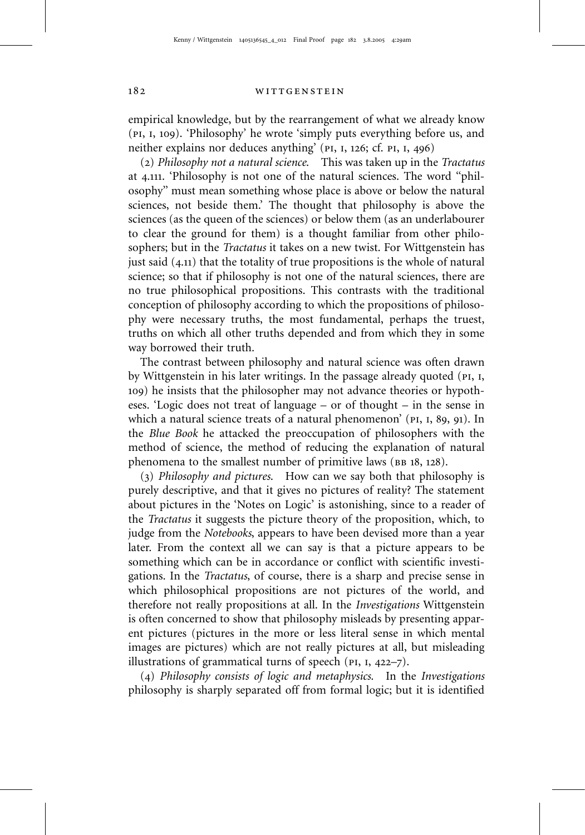empirical knowledge, but by the rearrangement of what we already know (pi, i, 109). 'Philosophy' he wrote 'simply puts everything before us, and neither explains nor deduces anything' (pi, i, 126; cf. pi, i, 496)

(2) Philosophy not a natural science. This was taken up in the Tractatus at 4.111. 'Philosophy is not one of the natural sciences. The word ''philosophy'' must mean something whose place is above or below the natural sciences, not beside them.' The thought that philosophy is above the sciences (as the queen of the sciences) or below them (as an underlabourer to clear the ground for them) is a thought familiar from other philosophers; but in the *Tractatus* it takes on a new twist. For Wittgenstein has just said (4.11) that the totality of true propositions is the whole of natural science; so that if philosophy is not one of the natural sciences, there are no true philosophical propositions. This contrasts with the traditional conception of philosophy according to which the propositions of philosophy were necessary truths, the most fundamental, perhaps the truest, truths on which all other truths depended and from which they in some way borrowed their truth.

The contrast between philosophy and natural science was often drawn by Wittgenstein in his later writings. In the passage already quoted (pi, i, 109) he insists that the philosopher may not advance theories or hypotheses. 'Logic does not treat of language – or of thought – in the sense in which a natural science treats of a natural phenomenon' (PI, I, 89, 91). In the Blue Book he attacked the preoccupation of philosophers with the method of science, the method of reducing the explanation of natural phenomena to the smallest number of primitive laws (BB 18, 128).

(3) Philosophy and pictures. How can we say both that philosophy is purely descriptive, and that it gives no pictures of reality? The statement about pictures in the 'Notes on Logic' is astonishing, since to a reader of the Tractatus it suggests the picture theory of the proposition, which, to judge from the Notebooks, appears to have been devised more than a year later. From the context all we can say is that a picture appears to be something which can be in accordance or conflict with scientific investigations. In the Tractatus, of course, there is a sharp and precise sense in which philosophical propositions are not pictures of the world, and therefore not really propositions at all. In the Investigations Wittgenstein is often concerned to show that philosophy misleads by presenting apparent pictures (pictures in the more or less literal sense in which mental images are pictures) which are not really pictures at all, but misleading illustrations of grammatical turns of speech (pi, i, 422–7).

(4) Philosophy consists of logic and metaphysics. In the Investigations philosophy is sharply separated off from formal logic; but it is identified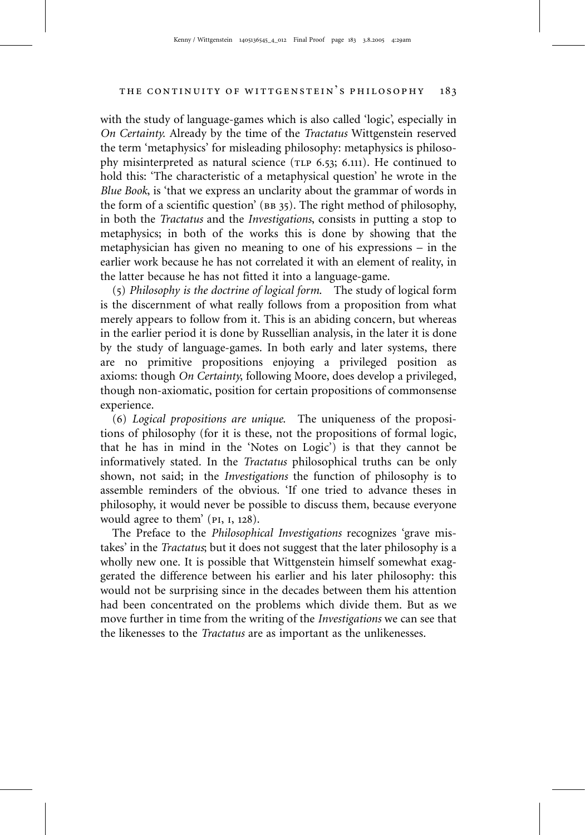with the study of language-games which is also called 'logic', especially in On Certainty. Already by the time of the Tractatus Wittgenstein reserved the term 'metaphysics' for misleading philosophy: metaphysics is philosophy misinterpreted as natural science (TLP  $6.53$ ;  $6.111$ ). He continued to hold this: 'The characteristic of a metaphysical question' he wrote in the Blue Book, is 'that we express an unclarity about the grammar of words in the form of a scientific question' ( $BB$  35). The right method of philosophy, in both the Tractatus and the Investigations, consists in putting a stop to metaphysics; in both of the works this is done by showing that the metaphysician has given no meaning to one of his expressions – in the earlier work because he has not correlated it with an element of reality, in the latter because he has not fitted it into a language-game.

(5) Philosophy is the doctrine of logical form. The study of logical form is the discernment of what really follows from a proposition from what merely appears to follow from it. This is an abiding concern, but whereas in the earlier period it is done by Russellian analysis, in the later it is done by the study of language-games. In both early and later systems, there are no primitive propositions enjoying a privileged position as axioms: though On Certainty, following Moore, does develop a privileged, though non-axiomatic, position for certain propositions of commonsense experience.

(6) Logical propositions are unique. The uniqueness of the propositions of philosophy (for it is these, not the propositions of formal logic, that he has in mind in the 'Notes on Logic') is that they cannot be informatively stated. In the Tractatus philosophical truths can be only shown, not said; in the Investigations the function of philosophy is to assemble reminders of the obvious. 'If one tried to advance theses in philosophy, it would never be possible to discuss them, because everyone would agree to them' (pi, i, 128).

The Preface to the Philosophical Investigations recognizes 'grave mistakes' in the Tractatus; but it does not suggest that the later philosophy is a wholly new one. It is possible that Wittgenstein himself somewhat exaggerated the difference between his earlier and his later philosophy: this would not be surprising since in the decades between them his attention had been concentrated on the problems which divide them. But as we move further in time from the writing of the Investigations we can see that the likenesses to the Tractatus are as important as the unlikenesses.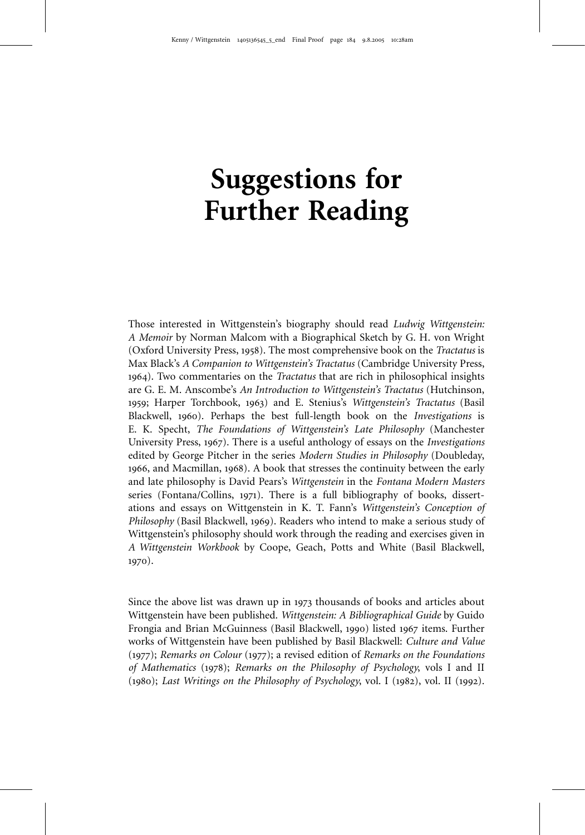# Suggestions for Further Reading

Those interested in Wittgenstein's biography should read Ludwig Wittgenstein: A Memoir by Norman Malcom with a Biographical Sketch by G. H. von Wright (Oxford University Press, 1958). The most comprehensive book on the Tractatus is Max Black's A Companion to Wittgenstein's Tractatus (Cambridge University Press, 1964). Two commentaries on the Tractatus that are rich in philosophical insights are G. E. M. Anscombe's An Introduction to Wittgenstein's Tractatus (Hutchinson, 1959; Harper Torchbook, 1963) and E. Stenius's Wittgenstein's Tractatus (Basil Blackwell, 1960). Perhaps the best full-length book on the Investigations is E. K. Specht, The Foundations of Wittgenstein's Late Philosophy (Manchester University Press, 1967). There is a useful anthology of essays on the Investigations edited by George Pitcher in the series Modern Studies in Philosophy (Doubleday, 1966, and Macmillan, 1968). A book that stresses the continuity between the early and late philosophy is David Pears's Wittgenstein in the Fontana Modern Masters series (Fontana/Collins, 1971). There is a full bibliography of books, dissertations and essays on Wittgenstein in K. T. Fann's Wittgenstein's Conception of Philosophy (Basil Blackwell, 1969). Readers who intend to make a serious study of Wittgenstein's philosophy should work through the reading and exercises given in A Wittgenstein Workbook by Coope, Geach, Potts and White (Basil Blackwell, 1970).

Since the above list was drawn up in 1973 thousands of books and articles about Wittgenstein have been published. Wittgenstein: A Bibliographical Guide by Guido Frongia and Brian McGuinness (Basil Blackwell, 1990) listed 1967 items. Further works of Wittgenstein have been published by Basil Blackwell: Culture and Value (1977); Remarks on Colour (1977); a revised edition of Remarks on the Foundations of Mathematics (1978); Remarks on the Philosophy of Psychology, vols I and II (1980); Last Writings on the Philosophy of Psychology, vol. I (1982), vol. II (1992).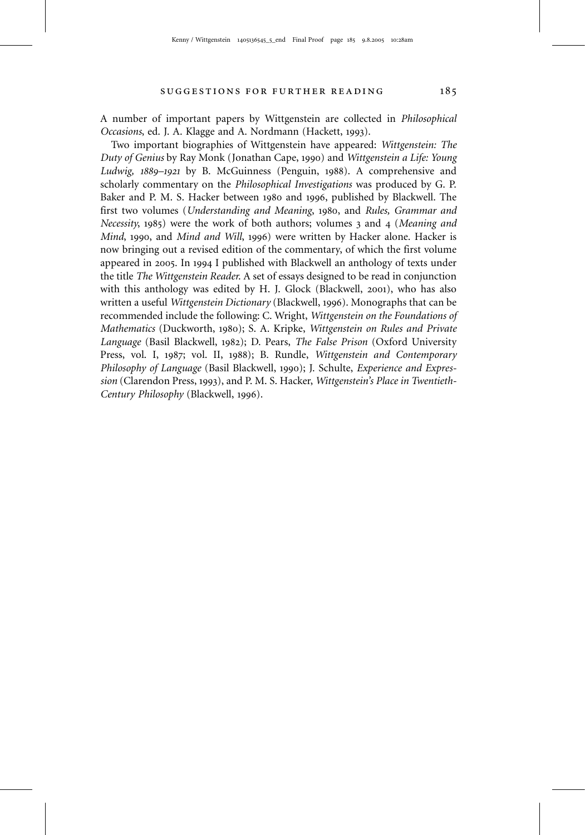A number of important papers by Wittgenstein are collected in Philosophical Occasions, ed. J. A. Klagge and A. Nordmann (Hackett, 1993).

Two important biographies of Wittgenstein have appeared: Wittgenstein: The Duty of Genius by Ray Monk (Jonathan Cape, 1990) and Wittgenstein a Life: Young Ludwig, 1889–1921 by B. McGuinness (Penguin, 1988). A comprehensive and scholarly commentary on the Philosophical Investigations was produced by G. P. Baker and P. M. S. Hacker between 1980 and 1996, published by Blackwell. The first two volumes (Understanding and Meaning, 1980, and Rules, Grammar and Necessity, 1985) were the work of both authors; volumes 3 and 4 (Meaning and Mind, 1990, and Mind and Will, 1996) were written by Hacker alone. Hacker is now bringing out a revised edition of the commentary, of which the first volume appeared in 2005. In 1994 I published with Blackwell an anthology of texts under the title The Wittgenstein Reader. A set of essays designed to be read in conjunction with this anthology was edited by H. J. Glock (Blackwell, 2001), who has also written a useful Wittgenstein Dictionary (Blackwell, 1996). Monographs that can be recommended include the following: C. Wright, Wittgenstein on the Foundations of Mathematics (Duckworth, 1980); S. A. Kripke, Wittgenstein on Rules and Private Language (Basil Blackwell, 1982); D. Pears, The False Prison (Oxford University Press, vol. I, 1987; vol. II, 1988); B. Rundle, Wittgenstein and Contemporary Philosophy of Language (Basil Blackwell, 1990); J. Schulte, Experience and Expression (Clarendon Press, 1993), and P. M. S. Hacker, Wittgenstein's Place in Twentieth-Century Philosophy (Blackwell, 1996).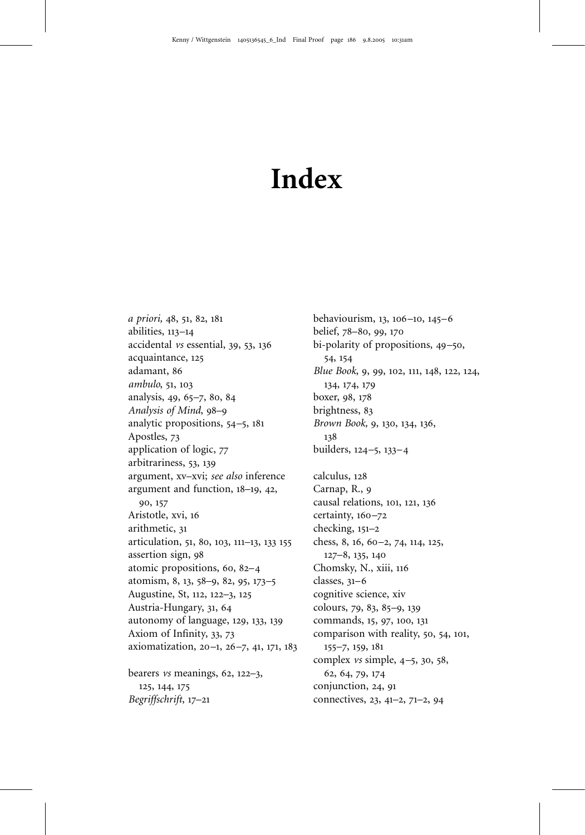## Index

a priori, 48, 51, 82, 181 abilities, 113–14 accidental vs essential, 39, 53, 136 acquaintance, 125 adamant, 86 ambulo, 51, 103 analysis, 49, 65–7, 80, 84 Analysis of Mind, 98–9 analytic propositions, 54–5, 181 Apostles, 73 application of logic, 77 arbitrariness, 53, 139 argument, xv–xvi; see also inference argument and function, 18–19, 42, 90, 157 Aristotle, xvi, 16 arithmetic, 31 articulation, 51, 80, 103, 111–13, 133 155 assertion sign, 98 atomic propositions, 60, 82–4 atomism, 8, 13, 58–9, 82, 95, 173–5 Augustine, St, 112, 122–3, 125 Austria-Hungary, 31, 64 autonomy of language, 129, 133, 139 Axiom of Infinity, 33, 73 axiomatization, 20–1, 26–7, 41, 171, 183 bearers vs meanings, 62, 122–3, 125, 144, 175 Begriffschrift, 17–21

behaviourism, 13, 106–10, 145–6 belief, 78–80, 99, 170 bi-polarity of propositions, 49–50, 54, 154 Blue Book, 9, 99, 102, 111, 148, 122, 124, 134, 174, 179 boxer, 98, 178 brightness, 83 Brown Book, 9, 130, 134, 136, 138 builders, 124–5, 133–4 calculus, 128 Carnap, R., 9 causal relations, 101, 121, 136 certainty, 160–72 checking, 151–2 chess, 8, 16, 60–2, 74, 114, 125, 127–8, 135, 140 Chomsky, N., xiii, 116 classes, 31–6 cognitive science, xiv colours, 79, 83, 85–9, 139 commands, 15, 97, 100, 131 comparison with reality, 50, 54, 101, 155–7, 159, 181 complex  $v_s$  simple,  $4-5$ ,  $30$ ,  $58$ , 62, 64, 79, 174 conjunction, 24, 91 connectives, 23, 41–2, 71–2, 94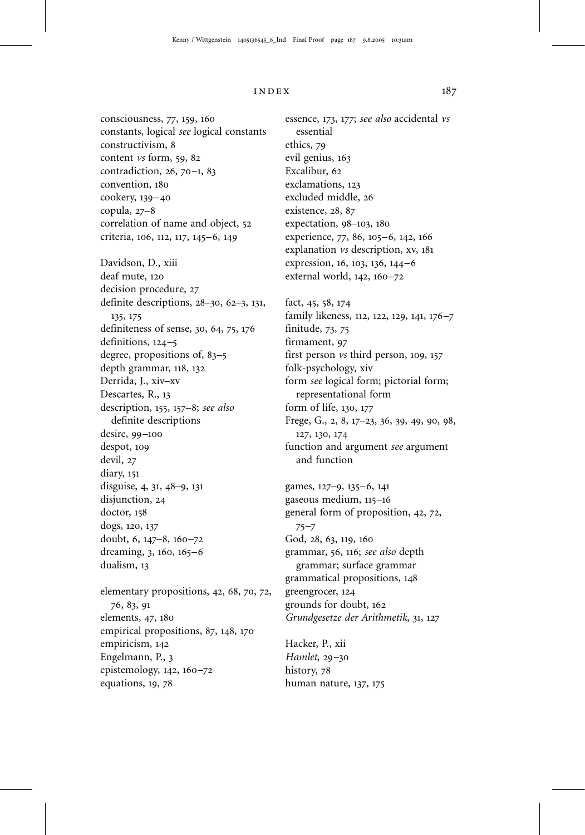consciousness, 77, 159, 160 constants, logical see logical constants constructivism, 8 content vs form, 59, 82 contradiction, 26, 70–1, 83 convention, 180 cookery, 139–40 copula, 27–8 correlation of name and object, 52 criteria, 106, 112, 117, 145–6, 149

Davidson, D., xiii deaf mute, 120 decision procedure, 27 definite descriptions, 28–30, 62–3, 131, 135, 175 definiteness of sense, 30, 64, 75, 176 definitions, 124–5 degree, propositions of, 83–5 depth grammar, 118, 132 Derrida, J., xiv–xv Descartes, R., 13 description, 155, 157–8; see also definite descriptions desire, 99–100 despot, 109 devil, 27 diary, 151 disguise, 4, 31, 48–9, 131 disjunction, 24 doctor, 158 dogs, 120, 137 doubt, 6, 147–8, 160–72 dreaming, 3, 160, 165–6 dualism, 13 elementary propositions, 42, 68, 70, 72, 76, 83, 91 elements, 47, 180 empirical propositions, 87, 148, 170 empiricism, 142 Engelmann, P., 3 epistemology, 142, 160–72 equations, 19, 78

essence, 173, 177; see also accidental vs essential ethics, 79 evil genius, 163 Excalibur, 62 exclamations, 123 excluded middle, 26 existence, 28, 87 expectation, 98–103, 180 experience, 77, 86, 105–6, 142, 166 explanation vs description, xv, 181 expression, 16, 103, 136, 144–6 external world, 142, 160–72 fact, 45, 58, 174

family likeness, 112, 122, 129, 141, 176–7 finitude, 73, 75 firmament, 97 first person vs third person, 109, 157 folk-psychology, xiv form see logical form; pictorial form; representational form form of life, 130, 177 Frege, G., 2, 8, 17–23, 36, 39, 49, 90, 98, 127, 130, 174 function and argument see argument and function

games, 127–9, 135–6, 141 gaseous medium, 115–16 general form of proposition, 42, 72, 75–7 God, 28, 63, 119, 160 grammar, 56, 116; see also depth grammar; surface grammar grammatical propositions, 148 greengrocer, 124 grounds for doubt, 162 Grundgesetze der Arithmetik, 31, 127

Hacker, P., xii Hamlet, 29–30 history, 78 human nature, 137, 175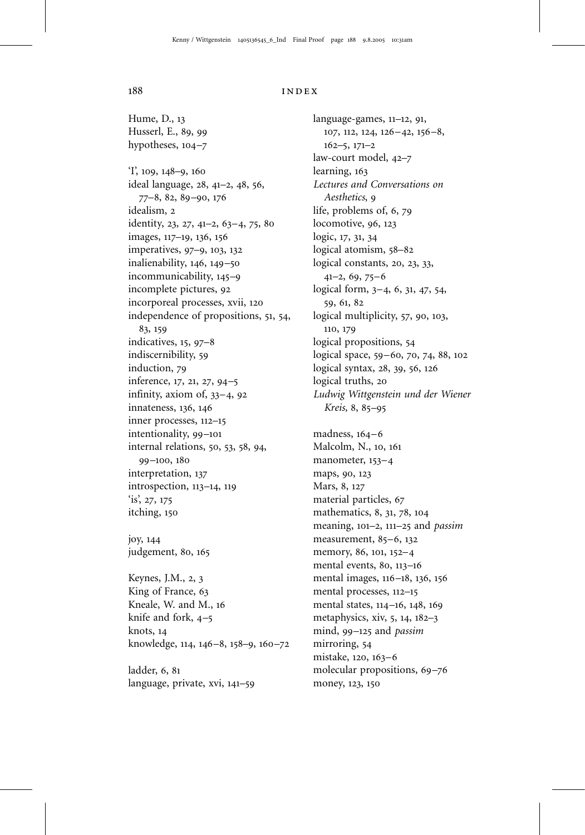## 188 **index**

Hume, D., 13 Husserl, E., 89, 99 hypotheses, 104–7 'I', 109, 148–9, 160 ideal language, 28, 41–2, 48, 56, 77–8, 82, 89–90, 176 idealism, 2 identity, 23, 27, 41–2, 63–4, 75, 80 images, 117–19, 136, 156 imperatives, 97–9, 103, 132 inalienability, 146, 149–50 incommunicability, 145–9 incomplete pictures, 92 incorporeal processes, xvii, 120 independence of propositions, 51, 54, 83, 159 indicatives, 15, 97–8 indiscernibility, 59 induction, 79 inference, 17, 21, 27, 94–5 infinity, axiom of, 33–4, 92 innateness, 136, 146 inner processes, 112–15 intentionality, 99–101 internal relations, 50, 53, 58, 94, 99–100, 180 interpretation, 137 introspection, 113–14, 119 'is', 27, 175 itching, 150 joy, 144 judgement, 80, 165 Keynes, J.M., 2, 3 King of France, 63 Kneale, W. and M., 16 knife and fork, 4–5 knots, 14 knowledge, 114, 146–8, 158–9, 160–72 ladder, 6, 81 language, private, xvi, 141–59

language-games, 11–12, 91, 107, 112, 124, 126–42, 156–8, 162–5, 171–2 law-court model, 42–7 learning, 163 Lectures and Conversations on Aesthetics, 9 life, problems of, 6, 79 locomotive, 96, 123 logic, 17, 31, 34 logical atomism, 58–82 logical constants, 20, 23, 33, 41–2, 69, 75–6 logical form, 3–4, 6, 31, 47, 54, 59, 61, 82 logical multiplicity, 57, 90, 103, 110, 179 logical propositions, 54 logical space, 59–60, 70, 74, 88, 102 logical syntax, 28, 39, 56, 126 logical truths, 20 Ludwig Wittgenstein und der Wiener Kreis, 8, 85–95 madness, 164–6 Malcolm, N., 10, 161 manometer, 153–4 maps, 90, 123 Mars, 8, 127 material particles, 67 mathematics, 8, 31, 78, 104 meaning, 101–2, 111–25 and passim measurement, 85–6, 132 memory, 86, 101, 152–4 mental events, 80, 113–16 mental images, 116–18, 136, 156 mental processes, 112–15 mental states, 114–16, 148, 169 metaphysics, xiv, 5, 14, 182–3 mind, 99–125 and passim mirroring, 54 mistake, 120, 163–6 molecular propositions, 69–76 money, 123, 150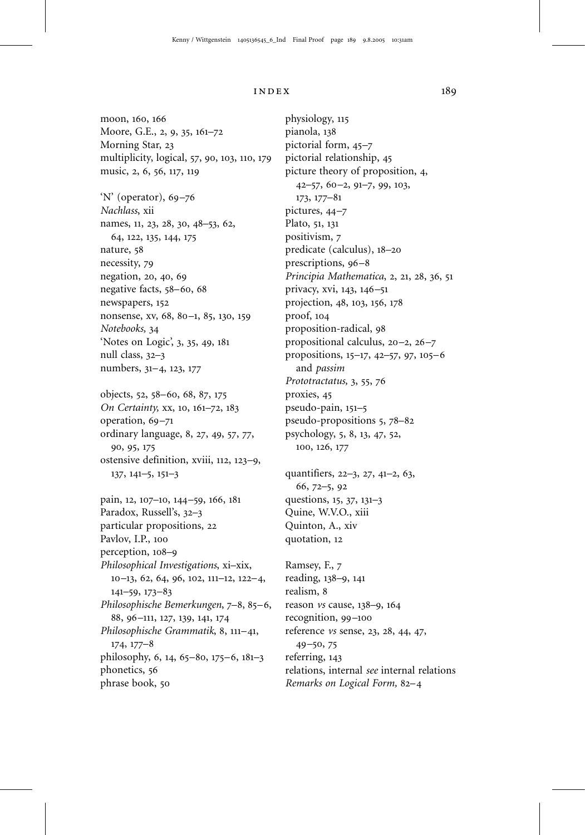moon, 160, 166 Moore, G.E., 2, 9, 35, 161–72 Morning Star, 23 multiplicity, logical, 57, 90, 103, 110, 179 music, 2, 6, 56, 117, 119 'N' (operator), 69–76 Nachlass, xii names, 11, 23, 28, 30, 48–53, 62, 64, 122, 135, 144, 175 nature, 58 necessity, 79 negation, 20, 40, 69 negative facts, 58–60, 68 newspapers, 152 nonsense, xv, 68, 80–1, 85, 130, 159 Notebooks, 34 'Notes on Logic', 3, 35, 49, 181 null class, 32–3 numbers, 31–4, 123, 177 objects, 52, 58–60, 68, 87, 175 On Certainty, xx, 10, 161–72, 183 operation, 69–71 ordinary language, 8, 27, 49, 57, 77, 90, 95, 175 ostensive definition, xviii, 112, 123–9, 137, 141–5, 151–3 pain, 12, 107–10, 144–59, 166, 181 Paradox, Russell's, 32–3 particular propositions, 22 Pavlov, I.P., 100 perception, 108–9 Philosophical Investigations, xi–xix, 10–13, 62, 64, 96, 102, 111–12, 122–4, 141–59, 173–83 Philosophische Bemerkungen, 7–8, 85–6, 88, 96–111, 127, 139, 141, 174 Philosophische Grammatik, 8, 111–41, 174, 177–8 philosophy, 6, 14, 65–80, 175–6, 181–3 phonetics, 56 phrase book, 50

physiology, 115 pianola, 138 pictorial form, 45–7 pictorial relationship, 45 picture theory of proposition, 4, 42–57, 60–2, 91–7, 99, 103, 173, 177–81 pictures, 44–7 Plato, 51, 131 positivism, 7 predicate (calculus), 18–20 prescriptions, 96–8 Principia Mathematica, 2, 21, 28, 36, 51 privacy, xvi, 143, 146–51 projection, 48, 103, 156, 178 proof, 104 proposition-radical, 98 propositional calculus, 20–2, 26–7 propositions, 15–17, 42–57, 97, 105–6 and passim Prototractatus, 3, 55, 76 proxies, 45 pseudo-pain, 151–5 pseudo-propositions 5, 78–82 psychology, 5, 8, 13, 47, 52, 100, 126, 177 quantifiers, 22–3, 27, 41–2, 63,

66, 72–5, 92 questions, 15, 37, 131–3 Quine, W.V.O., xiii Quinton, A., xiv quotation, 12

Ramsey, F., 7 reading, 138–9, 141 realism, 8 reason vs cause, 138–9, 164 recognition, 99–100 reference vs sense, 23, 28, 44, 47, 49–50, 75 referring, 143 relations, internal see internal relations Remarks on Logical Form, 82–4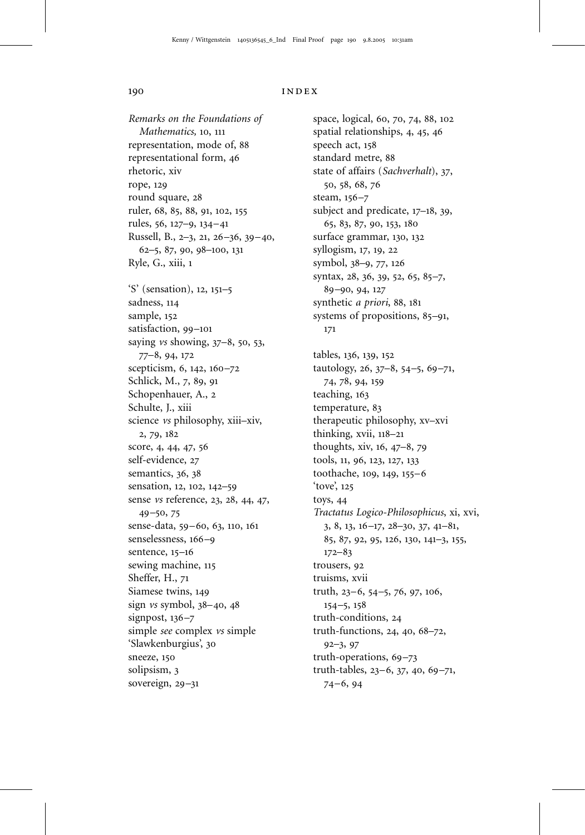Remarks on the Foundations of Mathematics, 10, 111 representation, mode of, 88 representational form, 46 rhetoric, xiv rope, 129 round square, 28 ruler, 68, 85, 88, 91, 102, 155 rules, 56, 127–9, 134–41 Russell, B., 2–3, 21, 26–36, 39–40, 62–5, 87, 90, 98–100, 131 Ryle, G., xiii, 1 'S' (sensation), 12, 151–5 sadness, 114 sample, 152 satisfaction, 99–101 saying  $vs$  showing,  $37-8$ , 50, 53, 77–8, 94, 172 scepticism, 6, 142, 160–72 Schlick, M., 7, 89, 91 Schopenhauer, A., 2 Schulte, J., xiii science *vs* philosophy, xiii-xiv, 2, 79, 182 score, 4, 44, 47, 56 self-evidence, 27 semantics, 36, 38 sensation, 12, 102, 142–59 sense vs reference, 23, 28, 44, 47, 49–50, 75 sense-data, 59–60, 63, 110, 161 senselessness, 166–9 sentence, 15–16 sewing machine, 115 Sheffer, H., 71 Siamese twins, 149 sign  $\nu s$  symbol,  $38-40$ ,  $48$ signpost, 136–7 simple see complex vs simple 'Slawkenburgius', 30 sneeze, 150 solipsism, 3 sovereign, 29–31

space, logical, 60, 70, 74, 88, 102 spatial relationships, 4, 45, 46 speech act, 158 standard metre, 88 state of affairs (Sachverhalt), 37, 50, 58, 68, 76 steam, 156–7 subject and predicate, 17–18, 39, 65, 83, 87, 90, 153, 180 surface grammar, 130, 132 syllogism, 17, 19, 22 symbol, 38–9, 77, 126 syntax, 28, 36, 39, 52, 65, 85–7, 89–90, 94, 127 synthetic a priori, 88, 181 systems of propositions, 85–91, 171 tables, 136, 139, 152 tautology, 26, 37–8, 54–5, 69–71, 74, 78, 94, 159 teaching, 163 temperature, 83 therapeutic philosophy, xv–xvi thinking, xvii, 118–21 thoughts, xiv, 16, 47–8, 79 tools, 11, 96, 123, 127, 133 toothache, 109, 149, 155–6 'tove', 125 toys, 44 Tractatus Logico-Philosophicus, xi, xvi, 3, 8, 13, 16–17, 28–30, 37, 41–81, 85, 87, 92, 95, 126, 130, 141–3, 155, 172–83 trousers, 92 truisms, xvii truth, 23–6, 54–5, 76, 97, 106, 154–5, 158 truth-conditions, 24 truth-functions, 24, 40, 68–72, 92–3, 97 truth-operations, 69–73 truth-tables, 23–6, 37, 40, 69–71, 74–6, 94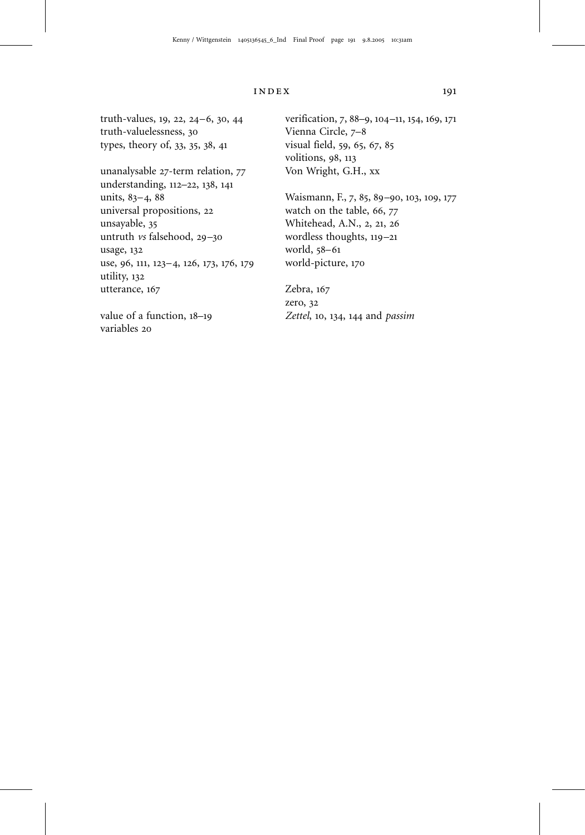### index 191

truth-values, 19, 22, 24–6, 30, 44 truth-valuelessness, 30 types, theory of, 33, 35, 38, 41

unanalysable 27-term relation, 77 understanding, 112–22, 138, 141 units, 83–4, 88 universal propositions, 22 unsayable, 35 untruth vs falsehood, 29–30 usage, 132 use, 96, 111, 123–4, 126, 173, 176, 179 utility, 132 utterance, 167

value of a function, 18–19 variables 20

verification, 7, 88–9, 104–11, 154, 169, 171 Vienna Circle, 7–8 visual field, 59, 65, 67, 85 volitions, 98, 113 Von Wright, G.H., xx

Waismann, F., 7, 85, 89-90, 103, 109, 177 watch on the table, 66, 77 Whitehead, A.N., 2, 21, 26 wordless thoughts, 119–21 world, 58–61 world-picture, 170

Zebra, 167 zero, 32 Zettel, 10, 134, 144 and passim